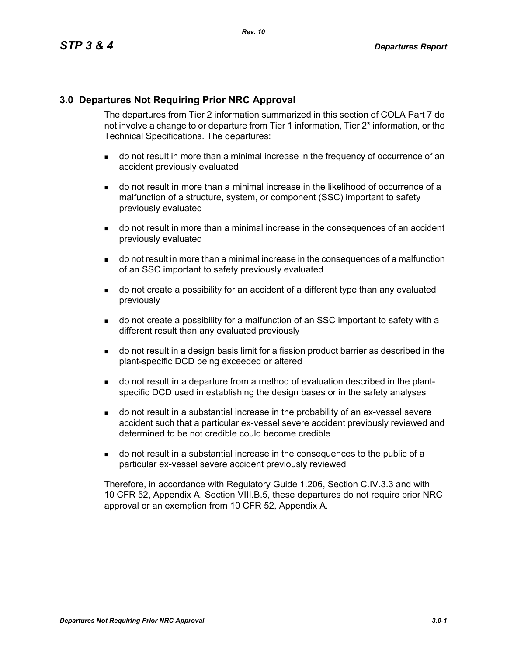## **3.0 Departures Not Requiring Prior NRC Approval**

The departures from Tier 2 information summarized in this section of COLA Part 7 do not involve a change to or departure from Tier 1 information, Tier 2\* information, or the Technical Specifications. The departures:

- do not result in more than a minimal increase in the frequency of occurrence of an accident previously evaluated
- do not result in more than a minimal increase in the likelihood of occurrence of a malfunction of a structure, system, or component (SSC) important to safety previously evaluated
- do not result in more than a minimal increase in the consequences of an accident previously evaluated
- do not result in more than a minimal increase in the consequences of a malfunction of an SSC important to safety previously evaluated
- do not create a possibility for an accident of a different type than any evaluated previously
- do not create a possibility for a malfunction of an SSC important to safety with a different result than any evaluated previously
- do not result in a design basis limit for a fission product barrier as described in the plant-specific DCD being exceeded or altered
- do not result in a departure from a method of evaluation described in the plantspecific DCD used in establishing the design bases or in the safety analyses
- do not result in a substantial increase in the probability of an ex-vessel severe accident such that a particular ex-vessel severe accident previously reviewed and determined to be not credible could become credible
- do not result in a substantial increase in the consequences to the public of a particular ex-vessel severe accident previously reviewed

Therefore, in accordance with Regulatory Guide 1.206, Section C.IV.3.3 and with 10 CFR 52, Appendix A, Section VIII.B.5, these departures do not require prior NRC approval or an exemption from 10 CFR 52, Appendix A.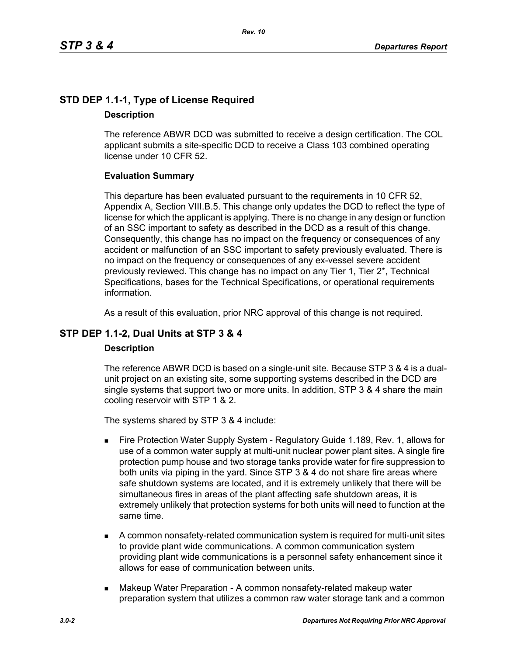# **STD DEP 1.1-1, Type of License Required Description**

The reference ABWR DCD was submitted to receive a design certification. The COL applicant submits a site-specific DCD to receive a Class 103 combined operating license under 10 CFR 52.

## **Evaluation Summary**

This departure has been evaluated pursuant to the requirements in 10 CFR 52, Appendix A, Section VIII.B.5. This change only updates the DCD to reflect the type of license for which the applicant is applying. There is no change in any design or function of an SSC important to safety as described in the DCD as a result of this change. Consequently, this change has no impact on the frequency or consequences of any accident or malfunction of an SSC important to safety previously evaluated. There is no impact on the frequency or consequences of any ex-vessel severe accident previously reviewed. This change has no impact on any Tier 1, Tier 2\*, Technical Specifications, bases for the Technical Specifications, or operational requirements information.

As a result of this evaluation, prior NRC approval of this change is not required.

## **STP DEP 1.1-2, Dual Units at STP 3 & 4**

#### **Description**

The reference ABWR DCD is based on a single-unit site. Because STP 3 & 4 is a dualunit project on an existing site, some supporting systems described in the DCD are single systems that support two or more units. In addition, STP 3 & 4 share the main cooling reservoir with STP 1 & 2.

The systems shared by STP 3 & 4 include:

- Fire Protection Water Supply System Regulatory Guide 1.189, Rev. 1, allows for use of a common water supply at multi-unit nuclear power plant sites. A single fire protection pump house and two storage tanks provide water for fire suppression to both units via piping in the yard. Since STP 3 & 4 do not share fire areas where safe shutdown systems are located, and it is extremely unlikely that there will be simultaneous fires in areas of the plant affecting safe shutdown areas, it is extremely unlikely that protection systems for both units will need to function at the same time.
- A common nonsafety-related communication system is required for multi-unit sites to provide plant wide communications. A common communication system providing plant wide communications is a personnel safety enhancement since it allows for ease of communication between units.
- **Makeup Water Preparation A common nonsafety-related makeup water** preparation system that utilizes a common raw water storage tank and a common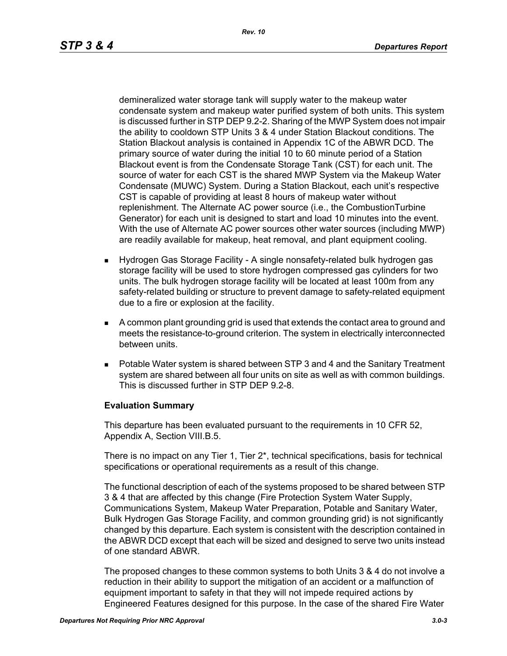demineralized water storage tank will supply water to the makeup water condensate system and makeup water purified system of both units. This system is discussed further in STP DEP 9.2-2. Sharing of the MWP System does not impair the ability to cooldown STP Units 3 & 4 under Station Blackout conditions. The Station Blackout analysis is contained in Appendix 1C of the ABWR DCD. The primary source of water during the initial 10 to 60 minute period of a Station Blackout event is from the Condensate Storage Tank (CST) for each unit. The source of water for each CST is the shared MWP System via the Makeup Water Condensate (MUWC) System. During a Station Blackout, each unit's respective CST is capable of providing at least 8 hours of makeup water without replenishment. The Alternate AC power source (i.e., the CombustionTurbine Generator) for each unit is designed to start and load 10 minutes into the event. With the use of Alternate AC power sources other water sources (including MWP) are readily available for makeup, heat removal, and plant equipment cooling.

- Hydrogen Gas Storage Facility A single nonsafety-related bulk hydrogen gas storage facility will be used to store hydrogen compressed gas cylinders for two units. The bulk hydrogen storage facility will be located at least 100m from any safety-related building or structure to prevent damage to safety-related equipment due to a fire or explosion at the facility.
- A common plant grounding grid is used that extends the contact area to ground and meets the resistance-to-ground criterion. The system in electrically interconnected between units.
- Potable Water system is shared between STP 3 and 4 and the Sanitary Treatment system are shared between all four units on site as well as with common buildings. This is discussed further in STP DEP 9.2-8.

### **Evaluation Summary**

This departure has been evaluated pursuant to the requirements in 10 CFR 52, Appendix A, Section VIII.B.5.

There is no impact on any Tier 1, Tier 2\*, technical specifications, basis for technical specifications or operational requirements as a result of this change.

The functional description of each of the systems proposed to be shared between STP 3 & 4 that are affected by this change (Fire Protection System Water Supply, Communications System, Makeup Water Preparation, Potable and Sanitary Water, Bulk Hydrogen Gas Storage Facility, and common grounding grid) is not significantly changed by this departure. Each system is consistent with the description contained in the ABWR DCD except that each will be sized and designed to serve two units instead of one standard ABWR.

The proposed changes to these common systems to both Units 3 & 4 do not involve a reduction in their ability to support the mitigation of an accident or a malfunction of equipment important to safety in that they will not impede required actions by Engineered Features designed for this purpose. In the case of the shared Fire Water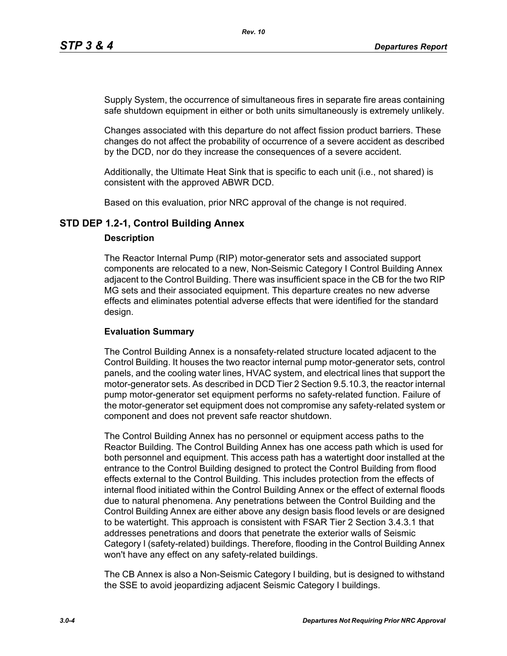Supply System, the occurrence of simultaneous fires in separate fire areas containing safe shutdown equipment in either or both units simultaneously is extremely unlikely.

Changes associated with this departure do not affect fission product barriers. These changes do not affect the probability of occurrence of a severe accident as described by the DCD, nor do they increase the consequences of a severe accident.

Additionally, the Ultimate Heat Sink that is specific to each unit (i.e., not shared) is consistent with the approved ABWR DCD.

Based on this evaluation, prior NRC approval of the change is not required.

## **STD DEP 1.2-1, Control Building Annex**

#### **Description**

The Reactor Internal Pump (RIP) motor-generator sets and associated support components are relocated to a new, Non-Seismic Category I Control Building Annex adjacent to the Control Building. There was insufficient space in the CB for the two RIP MG sets and their associated equipment. This departure creates no new adverse effects and eliminates potential adverse effects that were identified for the standard design.

### **Evaluation Summary**

The Control Building Annex is a nonsafety-related structure located adjacent to the Control Building. It houses the two reactor internal pump motor-generator sets, control panels, and the cooling water lines, HVAC system, and electrical lines that support the motor-generator sets. As described in DCD Tier 2 Section 9.5.10.3, the reactor internal pump motor-generator set equipment performs no safety-related function. Failure of the motor-generator set equipment does not compromise any safety-related system or component and does not prevent safe reactor shutdown.

The Control Building Annex has no personnel or equipment access paths to the Reactor Building. The Control Building Annex has one access path which is used for both personnel and equipment. This access path has a watertight door installed at the entrance to the Control Building designed to protect the Control Building from flood effects external to the Control Building. This includes protection from the effects of internal flood initiated within the Control Building Annex or the effect of external floods due to natural phenomena. Any penetrations between the Control Building and the Control Building Annex are either above any design basis flood levels or are designed to be watertight. This approach is consistent with FSAR Tier 2 Section 3.4.3.1 that addresses penetrations and doors that penetrate the exterior walls of Seismic Category I (safety-related) buildings. Therefore, flooding in the Control Building Annex won't have any effect on any safety-related buildings.

The CB Annex is also a Non-Seismic Category I building, but is designed to withstand the SSE to avoid jeopardizing adjacent Seismic Category I buildings.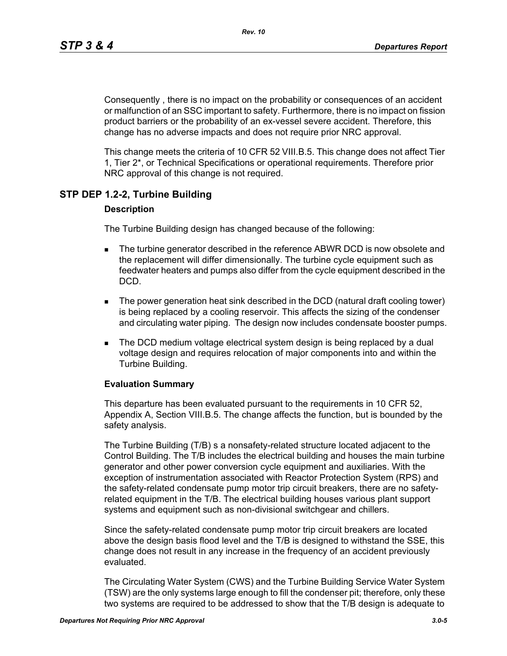Consequently , there is no impact on the probability or consequences of an accident or malfunction of an SSC important to safety. Furthermore, there is no impact on fission product barriers or the probability of an ex-vessel severe accident. Therefore, this change has no adverse impacts and does not require prior NRC approval.

This change meets the criteria of 10 CFR 52 VIII.B.5. This change does not affect Tier 1, Tier 2\*, or Technical Specifications or operational requirements. Therefore prior NRC approval of this change is not required.

## **STP DEP 1.2-2, Turbine Building**

#### **Description**

The Turbine Building design has changed because of the following:

- **The turbine generator described in the reference ABWR DCD is now obsolete and** the replacement will differ dimensionally. The turbine cycle equipment such as feedwater heaters and pumps also differ from the cycle equipment described in the DCD.
- The power generation heat sink described in the DCD (natural draft cooling tower) is being replaced by a cooling reservoir. This affects the sizing of the condenser and circulating water piping. The design now includes condensate booster pumps.
- **The DCD medium voltage electrical system design is being replaced by a dual** voltage design and requires relocation of major components into and within the Turbine Building.

#### **Evaluation Summary**

This departure has been evaluated pursuant to the requirements in 10 CFR 52, Appendix A, Section VIII.B.5. The change affects the function, but is bounded by the safety analysis.

The Turbine Building (T/B) s a nonsafety-related structure located adjacent to the Control Building. The T/B includes the electrical building and houses the main turbine generator and other power conversion cycle equipment and auxiliaries. With the exception of instrumentation associated with Reactor Protection System (RPS) and the safety-related condensate pump motor trip circuit breakers, there are no safetyrelated equipment in the T/B. The electrical building houses various plant support systems and equipment such as non-divisional switchgear and chillers.

Since the safety-related condensate pump motor trip circuit breakers are located above the design basis flood level and the T/B is designed to withstand the SSE, this change does not result in any increase in the frequency of an accident previously evaluated.

The Circulating Water System (CWS) and the Turbine Building Service Water System (TSW) are the only systems large enough to fill the condenser pit; therefore, only these two systems are required to be addressed to show that the T/B design is adequate to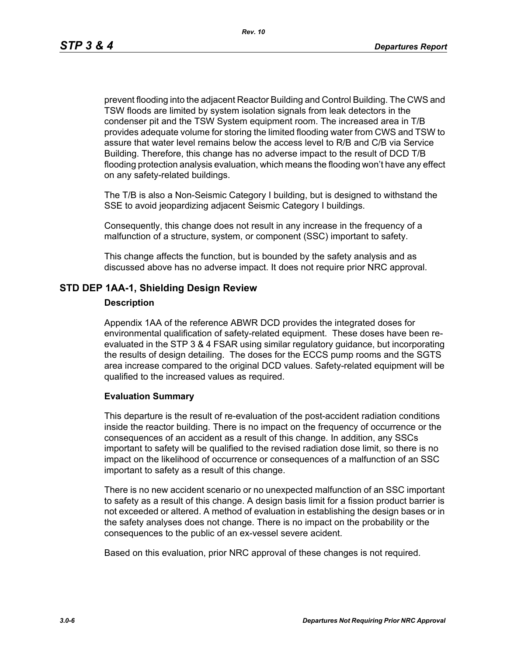prevent flooding into the adjacent Reactor Building and Control Building. The CWS and TSW floods are limited by system isolation signals from leak detectors in the condenser pit and the TSW System equipment room. The increased area in T/B provides adequate volume for storing the limited flooding water from CWS and TSW to assure that water level remains below the access level to R/B and C/B via Service Building. Therefore, this change has no adverse impact to the result of DCD T/B flooding protection analysis evaluation, which means the flooding won't have any effect on any safety-related buildings.

The T/B is also a Non-Seismic Category I building, but is designed to withstand the SSE to avoid jeopardizing adjacent Seismic Category I buildings.

Consequently, this change does not result in any increase in the frequency of a malfunction of a structure, system, or component (SSC) important to safety.

This change affects the function, but is bounded by the safety analysis and as discussed above has no adverse impact. It does not require prior NRC approval.

### **STD DEP 1AA-1, Shielding Design Review**

#### **Description**

Appendix 1AA of the reference ABWR DCD provides the integrated doses for environmental qualification of safety-related equipment. These doses have been reevaluated in the STP 3 & 4 FSAR using similar regulatory guidance, but incorporating the results of design detailing. The doses for the ECCS pump rooms and the SGTS area increase compared to the original DCD values. Safety-related equipment will be qualified to the increased values as required.

#### **Evaluation Summary**

This departure is the result of re-evaluation of the post-accident radiation conditions inside the reactor building. There is no impact on the frequency of occurrence or the consequences of an accident as a result of this change. In addition, any SSCs important to safety will be qualified to the revised radiation dose limit, so there is no impact on the likelihood of occurrence or consequences of a malfunction of an SSC important to safety as a result of this change.

There is no new accident scenario or no unexpected malfunction of an SSC important to safety as a result of this change. A design basis limit for a fission product barrier is not exceeded or altered. A method of evaluation in establishing the design bases or in the safety analyses does not change. There is no impact on the probability or the consequences to the public of an ex-vessel severe acident.

Based on this evaluation, prior NRC approval of these changes is not required.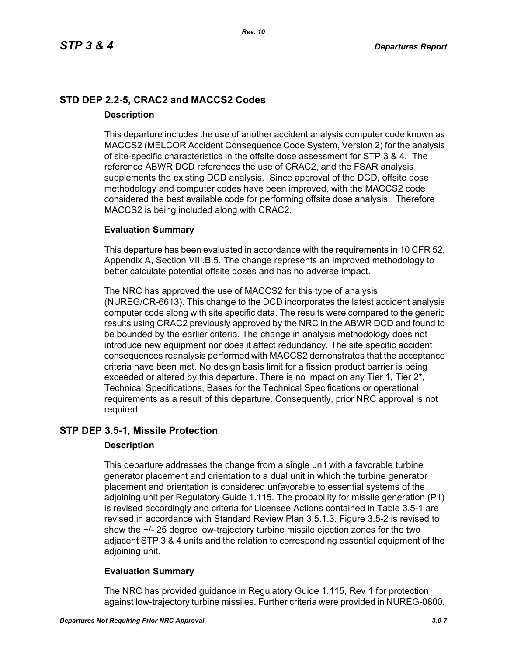# **STD DEP 2.2-5, CRAC2 and MACCS2 Codes Description**

This departure includes the use of another accident analysis computer code known as MACCS2 (MELCOR Accident Consequence Code System, Version 2) for the analysis of site-specific characteristics in the offsite dose assessment for STP 3 & 4. The reference ABWR DCD references the use of CRAC2, and the FSAR analysis supplements the existing DCD analysis. Since approval of the DCD, offsite dose methodology and computer codes have been improved, with the MACCS2 code considered the best available code for performing offsite dose analysis. Therefore MACCS2 is being included along with CRAC2.

## **Evaluation Summary**

This departure has been evaluated in accordance with the requirements in 10 CFR 52, Appendix A, Section VIII.B.5. The change represents an improved methodology to better calculate potential offsite doses and has no adverse impact.

The NRC has approved the use of MACCS2 for this type of analysis (NUREG/CR-6613). This change to the DCD incorporates the latest accident analysis computer code along with site specific data. The results were compared to the generic results using CRAC2 previously approved by the NRC in the ABWR DCD and found to be bounded by the earlier criteria. The change in analysis methodology does not introduce new equipment nor does it affect redundancy. The site specific accident consequences reanalysis performed with MACCS2 demonstrates that the acceptance criteria have been met. No design basis limit for a fission product barrier is being exceeded or altered by this departure. There is no impact on any Tier 1, Tier 2<sup>\*</sup>, Technical Specifications, Bases for the Technical Specifications or operational requirements as a result of this departure. Consequently, prior NRC approval is not required.

## **STP DEP 3.5-1, Missile Protection**

### **Description**

This departure addresses the change from a single unit with a favorable turbine generator placement and orientation to a dual unit in which the turbine generator placement and orientation is considered unfavorable to essential systems of the adjoining unit per Regulatory Guide 1.115. The probability for missile generation (P1) is revised accordingly and criteria for Licensee Actions contained in Table 3.5-1 are revised in accordance with Standard Review Plan 3.5.1.3. Figure 3.5-2 is revised to show the +/- 25 degree low-trajectory turbine missile ejection zones for the two adjacent STP 3 & 4 units and the relation to corresponding essential equipment of the adjoining unit.

## **Evaluation Summary**

The NRC has provided guidance in Regulatory Guide 1.115, Rev 1 for protection against low-trajectory turbine missiles. Further criteria were provided in NUREG-0800,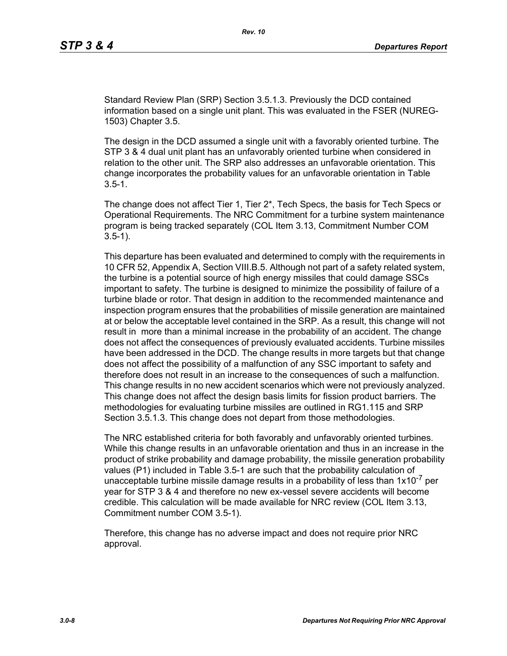Standard Review Plan (SRP) Section 3.5.1.3. Previously the DCD contained information based on a single unit plant. This was evaluated in the FSER (NUREG-1503) Chapter 3.5.

The design in the DCD assumed a single unit with a favorably oriented turbine. The STP 3 & 4 dual unit plant has an unfavorably oriented turbine when considered in relation to the other unit. The SRP also addresses an unfavorable orientation. This change incorporates the probability values for an unfavorable orientation in Table  $3.5 - 1.$ 

The change does not affect Tier 1, Tier 2\*, Tech Specs, the basis for Tech Specs or Operational Requirements. The NRC Commitment for a turbine system maintenance program is being tracked separately (COL Item 3.13, Commitment Number COM 3.5-1).

This departure has been evaluated and determined to comply with the requirements in 10 CFR 52, Appendix A, Section VIII.B.5. Although not part of a safety related system, the turbine is a potential source of high energy missiles that could damage SSCs important to safety. The turbine is designed to minimize the possibility of failure of a turbine blade or rotor. That design in addition to the recommended maintenance and inspection program ensures that the probabilities of missile generation are maintained at or below the acceptable level contained in the SRP. As a result, this change will not result in more than a minimal increase in the probability of an accident. The change does not affect the consequences of previously evaluated accidents. Turbine missiles have been addressed in the DCD. The change results in more targets but that change does not affect the possibility of a malfunction of any SSC important to safety and therefore does not result in an increase to the consequences of such a malfunction. This change results in no new accident scenarios which were not previously analyzed. This change does not affect the design basis limits for fission product barriers. The methodologies for evaluating turbine missiles are outlined in RG1.115 and SRP Section 3.5.1.3. This change does not depart from those methodologies.

The NRC established criteria for both favorably and unfavorably oriented turbines. While this change results in an unfavorable orientation and thus in an increase in the product of strike probability and damage probability, the missile generation probability values (P1) included in Table 3.5-1 are such that the probability calculation of unacceptable turbine missile damage results in a probability of less than  $1x10^{-7}$  per year for STP 3 & 4 and therefore no new ex-vessel severe accidents will become credible. This calculation will be made available for NRC review (COL Item 3.13, Commitment number COM 3.5-1).

Therefore, this change has no adverse impact and does not require prior NRC approval.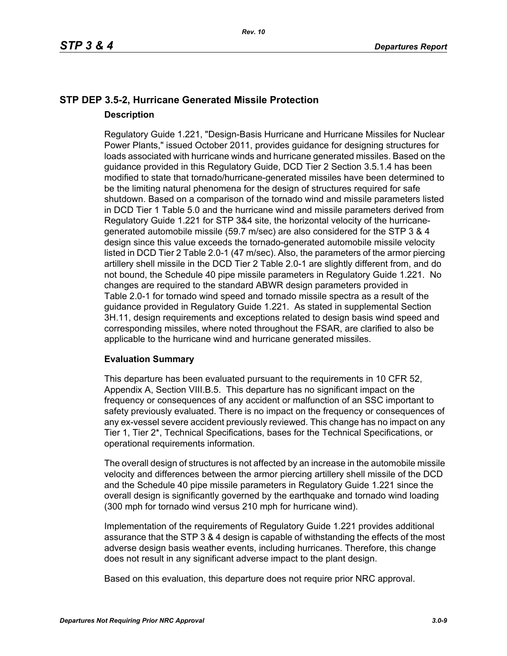# **STP DEP 3.5-2, Hurricane Generated Missile Protection Description**

Regulatory Guide 1.221, "Design-Basis Hurricane and Hurricane Missiles for Nuclear Power Plants," issued October 2011, provides guidance for designing structures for loads associated with hurricane winds and hurricane generated missiles. Based on the guidance provided in this Regulatory Guide, DCD Tier 2 Section 3.5.1.4 has been modified to state that tornado/hurricane-generated missiles have been determined to be the limiting natural phenomena for the design of structures required for safe shutdown. Based on a comparison of the tornado wind and missile parameters listed in DCD Tier 1 Table 5.0 and the hurricane wind and missile parameters derived from Regulatory Guide 1.221 for STP 3&4 site, the horizontal velocity of the hurricanegenerated automobile missile (59.7 m/sec) are also considered for the STP 3 & 4 design since this value exceeds the tornado-generated automobile missile velocity listed in DCD Tier 2 Table 2.0-1 (47 m/sec). Also, the parameters of the armor piercing artillery shell missile in the DCD Tier 2 Table 2.0-1 are slightly different from, and do not bound, the Schedule 40 pipe missile parameters in Regulatory Guide 1.221. No changes are required to the standard ABWR design parameters provided in Table 2.0-1 for tornado wind speed and tornado missile spectra as a result of the guidance provided in Regulatory Guide 1.221. As stated in supplemental Section 3H.11, design requirements and exceptions related to design basis wind speed and corresponding missiles, where noted throughout the FSAR, are clarified to also be applicable to the hurricane wind and hurricane generated missiles.

### **Evaluation Summary**

This departure has been evaluated pursuant to the requirements in 10 CFR 52, Appendix A, Section VIII.B.5. This departure has no significant impact on the frequency or consequences of any accident or malfunction of an SSC important to safety previously evaluated. There is no impact on the frequency or consequences of any ex-vessel severe accident previously reviewed. This change has no impact on any Tier 1, Tier 2\*, Technical Specifications, bases for the Technical Specifications, or operational requirements information.

The overall design of structures is not affected by an increase in the automobile missile velocity and differences between the armor piercing artillery shell missile of the DCD and the Schedule 40 pipe missile parameters in Regulatory Guide 1.221 since the overall design is significantly governed by the earthquake and tornado wind loading (300 mph for tornado wind versus 210 mph for hurricane wind).

Implementation of the requirements of Regulatory Guide 1.221 provides additional assurance that the STP 3 & 4 design is capable of withstanding the effects of the most adverse design basis weather events, including hurricanes. Therefore, this change does not result in any significant adverse impact to the plant design.

Based on this evaluation, this departure does not require prior NRC approval.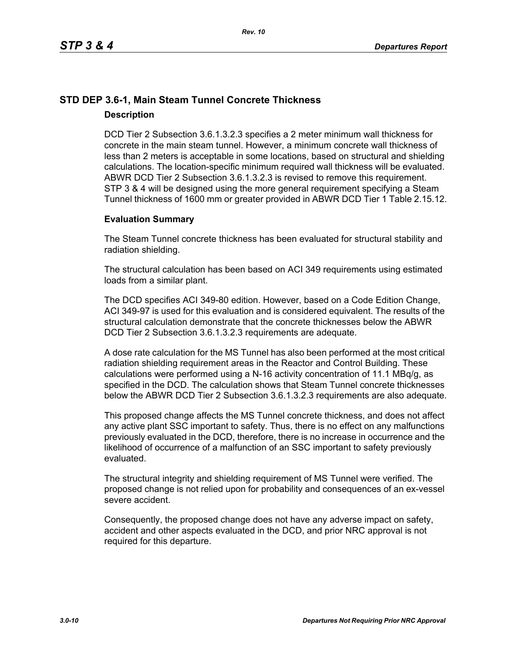# **STD DEP 3.6-1, Main Steam Tunnel Concrete Thickness Description**

DCD Tier 2 Subsection 3.6.1.3.2.3 specifies a 2 meter minimum wall thickness for concrete in the main steam tunnel. However, a minimum concrete wall thickness of less than 2 meters is acceptable in some locations, based on structural and shielding calculations. The location-specific minimum required wall thickness will be evaluated. ABWR DCD Tier 2 Subsection 3.6.1.3.2.3 is revised to remove this requirement. STP 3 & 4 will be designed using the more general requirement specifying a Steam Tunnel thickness of 1600 mm or greater provided in ABWR DCD Tier 1 Table 2.15.12.

## **Evaluation Summary**

The Steam Tunnel concrete thickness has been evaluated for structural stability and radiation shielding.

The structural calculation has been based on ACI 349 requirements using estimated loads from a similar plant.

The DCD specifies ACI 349-80 edition. However, based on a Code Edition Change, ACI 349-97 is used for this evaluation and is considered equivalent. The results of the structural calculation demonstrate that the concrete thicknesses below the ABWR DCD Tier 2 Subsection 3.6.1.3.2.3 requirements are adequate.

A dose rate calculation for the MS Tunnel has also been performed at the most critical radiation shielding requirement areas in the Reactor and Control Building. These calculations were performed using a N-16 activity concentration of 11.1 MBq/g, as specified in the DCD. The calculation shows that Steam Tunnel concrete thicknesses below the ABWR DCD Tier 2 Subsection 3.6.1.3.2.3 requirements are also adequate.

This proposed change affects the MS Tunnel concrete thickness, and does not affect any active plant SSC important to safety. Thus, there is no effect on any malfunctions previously evaluated in the DCD, therefore, there is no increase in occurrence and the likelihood of occurrence of a malfunction of an SSC important to safety previously evaluated.

The structural integrity and shielding requirement of MS Tunnel were verified. The proposed change is not relied upon for probability and consequences of an ex-vessel severe accident.

Consequently, the proposed change does not have any adverse impact on safety, accident and other aspects evaluated in the DCD, and prior NRC approval is not required for this departure.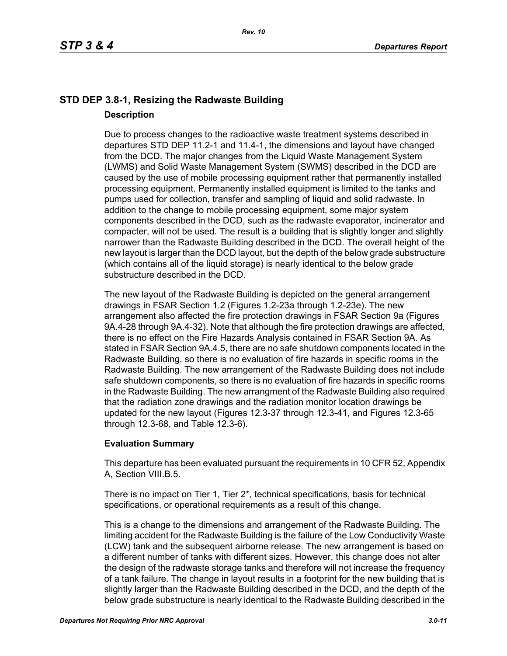# **STD DEP 3.8-1, Resizing the Radwaste Building Description**

Due to process changes to the radioactive waste treatment systems described in departures STD DEP 11.2-1 and 11.4-1, the dimensions and layout have changed from the DCD. The major changes from the Liquid Waste Management System (LWMS) and Solid Waste Management System (SWMS) described in the DCD are caused by the use of mobile processing equipment rather that permanently installed processing equipment. Permanently installed equipment is limited to the tanks and pumps used for collection, transfer and sampling of liquid and solid radwaste. In addition to the change to mobile processing equipment, some major system components described in the DCD, such as the radwaste evaporator, incinerator and compacter, will not be used. The result is a building that is slightly longer and slightly narrower than the Radwaste Building described in the DCD. The overall height of the new layout is larger than the DCD layout, but the depth of the below grade substructure (which contains all of the liquid storage) is nearly identical to the below grade substructure described in the DCD.

The new layout of the Radwaste Building is depicted on the general arrangement drawings in FSAR Section 1.2 (Figures 1.2-23a through 1.2-23e). The new arrangement also affected the fire protection drawings in FSAR Section 9a (Figures 9A.4-28 through 9A.4-32). Note that although the fire protection drawings are affected, there is no effect on the Fire Hazards Analysis contained in FSAR Section 9A. As stated in FSAR Section 9A.4.5, there are no safe shutdown components located in the Radwaste Building, so there is no evaluation of fire hazards in specific rooms in the Radwaste Building. The new arrangement of the Radwaste Building does not include safe shutdown components, so there is no evaluation of fire hazards in specific rooms in the Radwaste Building. The new arrangment of the Radwaste Building also required that the radiation zone drawings and the radiation monitor location drawings be updated for the new layout (Figures 12.3-37 through 12.3-41, and Figures 12.3-65 through 12.3-68, and Table 12.3-6).

## **Evaluation Summary**

This departure has been evaluated pursuant the requirements in 10 CFR 52, Appendix A, Section VIII.B.5.

There is no impact on Tier 1, Tier 2\*, technical specifications, basis for technical specifications, or operational requirements as a result of this change.

This is a change to the dimensions and arrangement of the Radwaste Building. The limiting accident for the Radwaste Building is the failure of the Low Conductivity Waste (LCW) tank and the subsequent airborne release. The new arrangement is based on a different number of tanks with different sizes. However, this change does not alter the design of the radwaste storage tanks and therefore will not increase the frequency of a tank failure. The change in layout results in a footprint for the new building that is slightly larger than the Radwaste Building described in the DCD, and the depth of the below grade substructure is nearly identical to the Radwaste Building described in the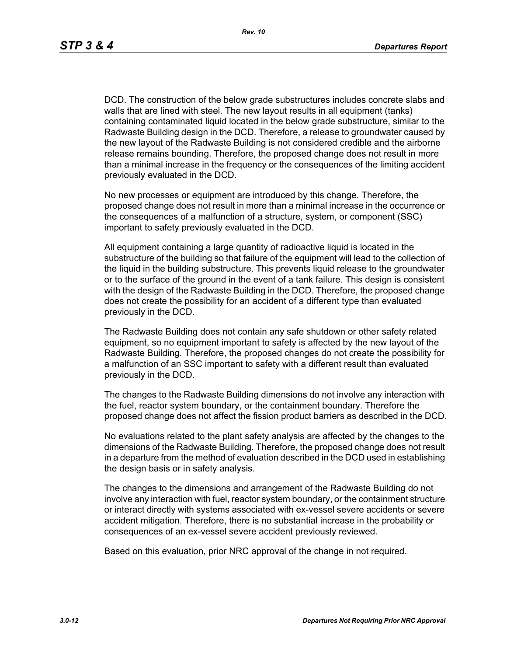DCD. The construction of the below grade substructures includes concrete slabs and walls that are lined with steel. The new layout results in all equipment (tanks) containing contaminated liquid located in the below grade substructure, similar to the Radwaste Building design in the DCD. Therefore, a release to groundwater caused by the new layout of the Radwaste Building is not considered credible and the airborne release remains bounding. Therefore, the proposed change does not result in more than a minimal increase in the frequency or the consequences of the limiting accident previously evaluated in the DCD.

No new processes or equipment are introduced by this change. Therefore, the proposed change does not result in more than a minimal increase in the occurrence or the consequences of a malfunction of a structure, system, or component (SSC) important to safety previously evaluated in the DCD.

All equipment containing a large quantity of radioactive liquid is located in the substructure of the building so that failure of the equipment will lead to the collection of the liquid in the building substructure. This prevents liquid release to the groundwater or to the surface of the ground in the event of a tank failure. This design is consistent with the design of the Radwaste Building in the DCD. Therefore, the proposed change does not create the possibility for an accident of a different type than evaluated previously in the DCD.

The Radwaste Building does not contain any safe shutdown or other safety related equipment, so no equipment important to safety is affected by the new layout of the Radwaste Building. Therefore, the proposed changes do not create the possibility for a malfunction of an SSC important to safety with a different result than evaluated previously in the DCD.

The changes to the Radwaste Building dimensions do not involve any interaction with the fuel, reactor system boundary, or the containment boundary. Therefore the proposed change does not affect the fission product barriers as described in the DCD.

No evaluations related to the plant safety analysis are affected by the changes to the dimensions of the Radwaste Building. Therefore, the proposed change does not result in a departure from the method of evaluation described in the DCD used in establishing the design basis or in safety analysis.

The changes to the dimensions and arrangement of the Radwaste Building do not involve any interaction with fuel, reactor system boundary, or the containment structure or interact directly with systems associated with ex-vessel severe accidents or severe accident mitigation. Therefore, there is no substantial increase in the probability or consequences of an ex-vessel severe accident previously reviewed.

Based on this evaluation, prior NRC approval of the change in not required.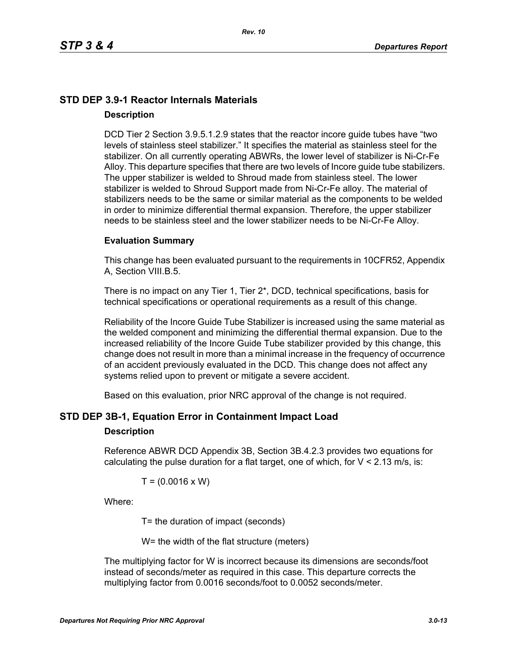# **STD DEP 3.9-1 Reactor Internals Materials Description**

DCD Tier 2 Section 3.9.5.1.2.9 states that the reactor incore guide tubes have "two levels of stainless steel stabilizer." It specifies the material as stainless steel for the stabilizer. On all currently operating ABWRs, the lower level of stabilizer is Ni-Cr-Fe Alloy. This departure specifies that there are two levels of Incore guide tube stabilizers. The upper stabilizer is welded to Shroud made from stainless steel. The lower stabilizer is welded to Shroud Support made from Ni-Cr-Fe alloy. The material of stabilizers needs to be the same or similar material as the components to be welded in order to minimize differential thermal expansion. Therefore, the upper stabilizer needs to be stainless steel and the lower stabilizer needs to be Ni-Cr-Fe Alloy.

#### **Evaluation Summary**

This change has been evaluated pursuant to the requirements in 10CFR52, Appendix A, Section VIII.B.5.

There is no impact on any Tier 1, Tier 2\*, DCD, technical specifications, basis for technical specifications or operational requirements as a result of this change.

Reliability of the Incore Guide Tube Stabilizer is increased using the same material as the welded component and minimizing the differential thermal expansion. Due to the increased reliability of the Incore Guide Tube stabilizer provided by this change, this change does not result in more than a minimal increase in the frequency of occurrence of an accident previously evaluated in the DCD. This change does not affect any systems relied upon to prevent or mitigate a severe accident.

Based on this evaluation, prior NRC approval of the change is not required.

### **STD DEP 3B-1, Equation Error in Containment Impact Load**

#### **Description**

Reference ABWR DCD Appendix 3B, Section 3B.4.2.3 provides two equations for calculating the pulse duration for a flat target, one of which, for  $V < 2.13$  m/s, is:

$$
T = (0.0016 \times W)
$$

Where:

T= the duration of impact (seconds)

W= the width of the flat structure (meters)

The multiplying factor for W is incorrect because its dimensions are seconds/foot instead of seconds/meter as required in this case. This departure corrects the multiplying factor from 0.0016 seconds/foot to 0.0052 seconds/meter.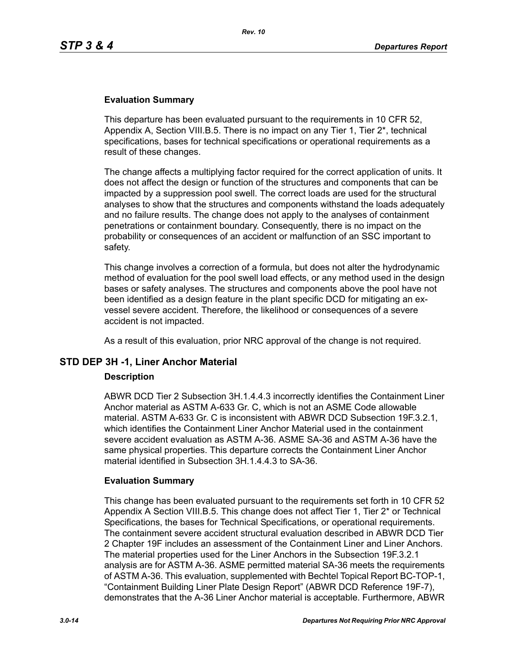#### **Evaluation Summary**

This departure has been evaluated pursuant to the requirements in 10 CFR 52, Appendix A, Section VIII.B.5. There is no impact on any Tier 1, Tier 2\*, technical specifications, bases for technical specifications or operational requirements as a result of these changes.

The change affects a multiplying factor required for the correct application of units. It does not affect the design or function of the structures and components that can be impacted by a suppression pool swell. The correct loads are used for the structural analyses to show that the structures and components withstand the loads adequately and no failure results. The change does not apply to the analyses of containment penetrations or containment boundary. Consequently, there is no impact on the probability or consequences of an accident or malfunction of an SSC important to safety.

This change involves a correction of a formula, but does not alter the hydrodynamic method of evaluation for the pool swell load effects, or any method used in the design bases or safety analyses. The structures and components above the pool have not been identified as a design feature in the plant specific DCD for mitigating an exvessel severe accident. Therefore, the likelihood or consequences of a severe accident is not impacted.

As a result of this evaluation, prior NRC approval of the change is not required.

### **STD DEP 3H -1, Liner Anchor Material**

#### **Description**

ABWR DCD Tier 2 Subsection 3H.1.4.4.3 incorrectly identifies the Containment Liner Anchor material as ASTM A-633 Gr. C, which is not an ASME Code allowable material. ASTM A-633 Gr. C is inconsistent with ABWR DCD Subsection 19F.3.2.1, which identifies the Containment Liner Anchor Material used in the containment severe accident evaluation as ASTM A-36. ASME SA-36 and ASTM A-36 have the same physical properties. This departure corrects the Containment Liner Anchor material identified in Subsection 3H.1.4.4.3 to SA-36.

#### **Evaluation Summary**

This change has been evaluated pursuant to the requirements set forth in 10 CFR 52 Appendix A Section VIII.B.5. This change does not affect Tier 1, Tier 2\* or Technical Specifications, the bases for Technical Specifications, or operational requirements. The containment severe accident structural evaluation described in ABWR DCD Tier 2 Chapter 19F includes an assessment of the Containment Liner and Liner Anchors. The material properties used for the Liner Anchors in the Subsection 19F.3.2.1 analysis are for ASTM A-36. ASME permitted material SA-36 meets the requirements of ASTM A-36. This evaluation, supplemented with Bechtel Topical Report BC-TOP-1, "Containment Building Liner Plate Design Report" (ABWR DCD Reference 19F-7), demonstrates that the A-36 Liner Anchor material is acceptable. Furthermore, ABWR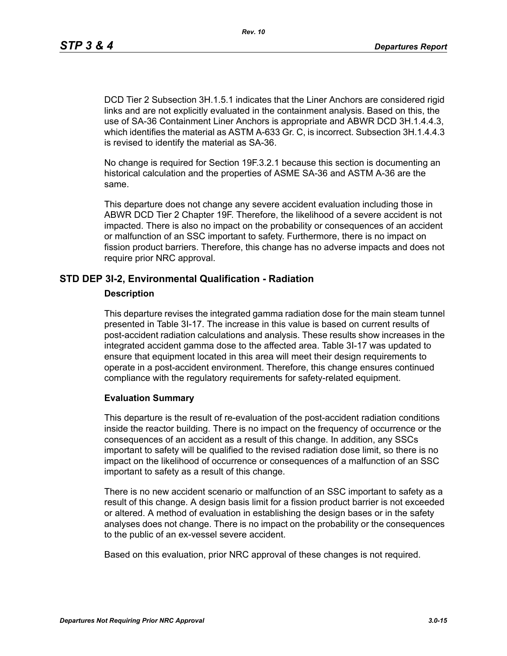DCD Tier 2 Subsection 3H.1.5.1 indicates that the Liner Anchors are considered rigid links and are not explicitly evaluated in the containment analysis. Based on this, the use of SA-36 Containment Liner Anchors is appropriate and ABWR DCD 3H.1.4.4.3, which identifies the material as ASTM A-633 Gr. C, is incorrect. Subsection 3H.1.4.4.3 is revised to identify the material as SA-36.

No change is required for Section 19F.3.2.1 because this section is documenting an historical calculation and the properties of ASME SA-36 and ASTM A-36 are the same.

This departure does not change any severe accident evaluation including those in ABWR DCD Tier 2 Chapter 19F. Therefore, the likelihood of a severe accident is not impacted. There is also no impact on the probability or consequences of an accident or malfunction of an SSC important to safety. Furthermore, there is no impact on fission product barriers. Therefore, this change has no adverse impacts and does not require prior NRC approval.

#### **STD DEP 3I-2, Environmental Qualification - Radiation**

#### **Description**

This departure revises the integrated gamma radiation dose for the main steam tunnel presented in Table 3I-17. The increase in this value is based on current results of post-accident radiation calculations and analysis. These results show increases in the integrated accident gamma dose to the affected area. Table 3I-17 was updated to ensure that equipment located in this area will meet their design requirements to operate in a post-accident environment. Therefore, this change ensures continued compliance with the regulatory requirements for safety-related equipment.

#### **Evaluation Summary**

This departure is the result of re-evaluation of the post-accident radiation conditions inside the reactor building. There is no impact on the frequency of occurrence or the consequences of an accident as a result of this change. In addition, any SSCs important to safety will be qualified to the revised radiation dose limit, so there is no impact on the likelihood of occurrence or consequences of a malfunction of an SSC important to safety as a result of this change.

There is no new accident scenario or malfunction of an SSC important to safety as a result of this change. A design basis limit for a fission product barrier is not exceeded or altered. A method of evaluation in establishing the design bases or in the safety analyses does not change. There is no impact on the probability or the consequences to the public of an ex-vessel severe accident.

Based on this evaluation, prior NRC approval of these changes is not required.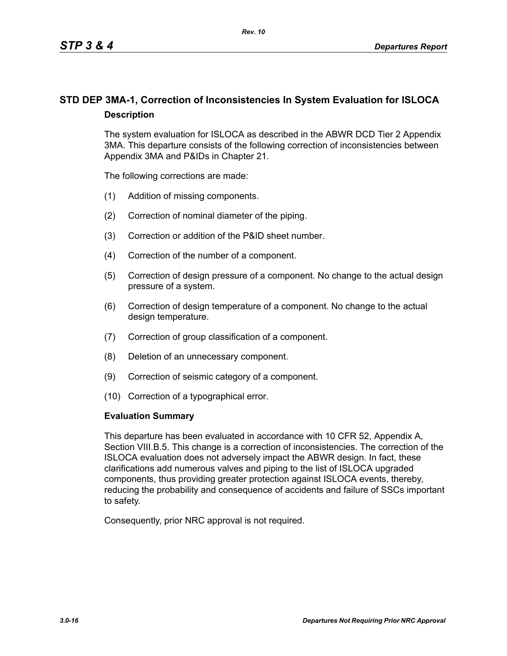# **STD DEP 3MA-1, Correction of Inconsistencies In System Evaluation for ISLOCA Description**

The system evaluation for ISLOCA as described in the ABWR DCD Tier 2 Appendix 3MA. This departure consists of the following correction of inconsistencies between Appendix 3MA and P&IDs in Chapter 21.

The following corrections are made:

- (1) Addition of missing components.
- (2) Correction of nominal diameter of the piping.
- (3) Correction or addition of the P&ID sheet number.
- (4) Correction of the number of a component.
- (5) Correction of design pressure of a component. No change to the actual design pressure of a system.
- (6) Correction of design temperature of a component. No change to the actual design temperature.
- (7) Correction of group classification of a component.
- (8) Deletion of an unnecessary component.
- (9) Correction of seismic category of a component.
- (10) Correction of a typographical error.

#### **Evaluation Summary**

This departure has been evaluated in accordance with 10 CFR 52, Appendix A, Section VIII.B.5. This change is a correction of inconsistencies. The correction of the ISLOCA evaluation does not adversely impact the ABWR design. In fact, these clarifications add numerous valves and piping to the list of ISLOCA upgraded components, thus providing greater protection against ISLOCA events, thereby, reducing the probability and consequence of accidents and failure of SSCs important to safety.

Consequently, prior NRC approval is not required.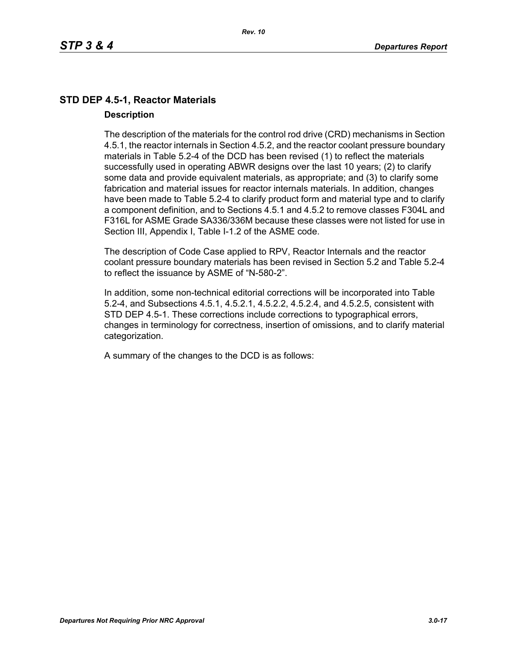## **STD DEP 4.5-1, Reactor Materials Description**

The description of the materials for the control rod drive (CRD) mechanisms in Section 4.5.1, the reactor internals in Section 4.5.2, and the reactor coolant pressure boundary materials in Table 5.2-4 of the DCD has been revised (1) to reflect the materials successfully used in operating ABWR designs over the last 10 years; (2) to clarify some data and provide equivalent materials, as appropriate; and (3) to clarify some fabrication and material issues for reactor internals materials. In addition, changes have been made to Table 5.2-4 to clarify product form and material type and to clarify a component definition, and to Sections 4.5.1 and 4.5.2 to remove classes F304L and F316L for ASME Grade SA336/336M because these classes were not listed for use in Section III, Appendix I, Table I-1.2 of the ASME code.

The description of Code Case applied to RPV, Reactor Internals and the reactor coolant pressure boundary materials has been revised in Section 5.2 and Table 5.2-4 to reflect the issuance by ASME of "N-580-2".

In addition, some non-technical editorial corrections will be incorporated into Table 5.2-4, and Subsections 4.5.1, 4.5.2.1, 4.5.2.2, 4.5.2.4, and 4.5.2.5, consistent with STD DEP 4.5-1. These corrections include corrections to typographical errors, changes in terminology for correctness, insertion of omissions, and to clarify material categorization.

A summary of the changes to the DCD is as follows: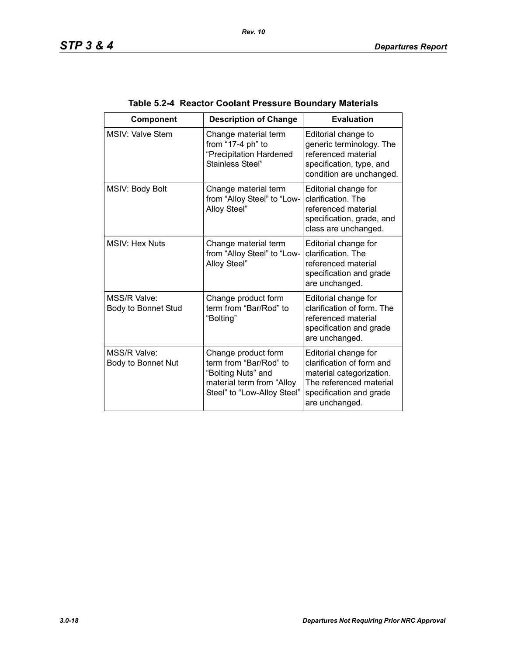| Component                           | <b>Description of Change</b>                                                                                                    | <b>Evaluation</b>                                                                                                                                     |
|-------------------------------------|---------------------------------------------------------------------------------------------------------------------------------|-------------------------------------------------------------------------------------------------------------------------------------------------------|
| <b>MSIV: Valve Stem</b>             | Change material term<br>from "17-4 ph" to<br>"Precipitation Hardened<br>Stainless Steel"                                        | Editorial change to<br>generic terminology. The<br>referenced material<br>specification, type, and<br>condition are unchanged.                        |
| MSIV: Body Bolt                     | Change material term<br>from "Alloy Steel" to "Low-<br>Alloy Steel"                                                             | Editorial change for<br>clarification. The<br>referenced material<br>specification, grade, and<br>class are unchanged.                                |
| <b>MSIV: Hex Nuts</b>               | Change material term<br>from "Alloy Steel" to "Low-<br>Alloy Steel"                                                             | Editorial change for<br>clarification. The<br>referenced material<br>specification and grade<br>are unchanged.                                        |
| MSS/R Valve:<br>Body to Bonnet Stud | Change product form<br>term from "Bar/Rod" to<br>"Bolting"                                                                      | Editorial change for<br>clarification of form. The<br>referenced material<br>specification and grade<br>are unchanged.                                |
| MSS/R Valve:<br>Body to Bonnet Nut  | Change product form<br>term from "Bar/Rod" to<br>"Bolting Nuts" and<br>material term from "Alloy<br>Steel" to "Low-Alloy Steel" | Editorial change for<br>clarification of form and<br>material categorization.<br>The referenced material<br>specification and grade<br>are unchanged. |

# **Table 5.2-4 Reactor Coolant Pressure Boundary Materials**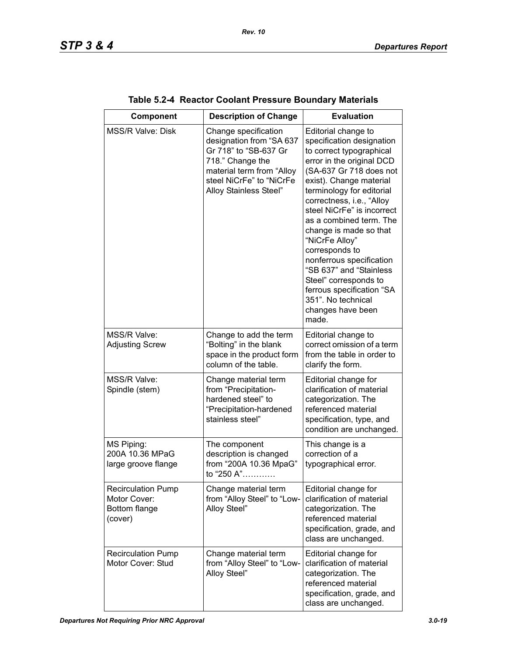| Component                                                             | <b>Description of Change</b>                                                                                                                                                     | <b>Evaluation</b>                                                                                                                                                                                                                                                                                                                                                                                                                                                                                                 |
|-----------------------------------------------------------------------|----------------------------------------------------------------------------------------------------------------------------------------------------------------------------------|-------------------------------------------------------------------------------------------------------------------------------------------------------------------------------------------------------------------------------------------------------------------------------------------------------------------------------------------------------------------------------------------------------------------------------------------------------------------------------------------------------------------|
| <b>MSS/R Valve: Disk</b>                                              | Change specification<br>designation from "SA 637<br>Gr 718" to "SB-637 Gr<br>718." Change the<br>material term from "Alloy<br>steel NiCrFe" to "NiCrFe<br>Alloy Stainless Steel" | Editorial change to<br>specification designation<br>to correct typographical<br>error in the original DCD<br>(SA-637 Gr 718 does not<br>exist). Change material<br>terminology for editorial<br>correctness, i.e., "Alloy<br>steel NiCrFe" is incorrect<br>as a combined term. The<br>change is made so that<br>"NiCrFe Alloy"<br>corresponds to<br>nonferrous specification<br>"SB 637" and "Stainless<br>Steel" corresponds to<br>ferrous specification "SA<br>351". No technical<br>changes have been<br>made. |
| MSS/R Valve:<br><b>Adjusting Screw</b>                                | Change to add the term<br>"Bolting" in the blank<br>space in the product form<br>column of the table.                                                                            | Editorial change to<br>correct omission of a term<br>from the table in order to<br>clarify the form.                                                                                                                                                                                                                                                                                                                                                                                                              |
| MSS/R Valve:<br>Spindle (stem)                                        | Change material term<br>from "Precipitation-<br>hardened steel" to<br>"Precipitation-hardened<br>stainless steel"                                                                | Editorial change for<br>clarification of material<br>categorization. The<br>referenced material<br>specification, type, and<br>condition are unchanged.                                                                                                                                                                                                                                                                                                                                                           |
| MS Piping:<br>200A 10.36 MPaG<br>large groove flange                  | The component<br>description is changed<br>from "200A 10.36 MpaG"<br>to "250 A"                                                                                                  | This change is a<br>correction of a<br>typographical error.                                                                                                                                                                                                                                                                                                                                                                                                                                                       |
| <b>Recirculation Pump</b><br>Motor Cover:<br>Bottom flange<br>(cover) | Change material term<br>from "Alloy Steel" to "Low-<br>Alloy Steel"                                                                                                              | Editorial change for<br>clarification of material<br>categorization. The<br>referenced material<br>specification, grade, and<br>class are unchanged.                                                                                                                                                                                                                                                                                                                                                              |
| <b>Recirculation Pump</b><br>Motor Cover: Stud                        | Change material term<br>from "Alloy Steel" to "Low-<br>Alloy Steel"                                                                                                              | Editorial change for<br>clarification of material<br>categorization. The<br>referenced material<br>specification, grade, and<br>class are unchanged.                                                                                                                                                                                                                                                                                                                                                              |

|  |  | Table 5.2-4 Reactor Coolant Pressure Boundary Materials |  |
|--|--|---------------------------------------------------------|--|
|--|--|---------------------------------------------------------|--|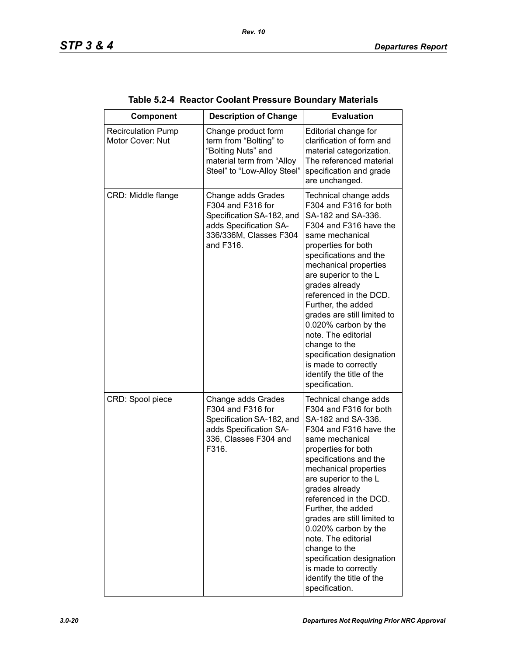| Component                                     | <b>Description of Change</b>                                                                                                          | <b>Evaluation</b>                                                                                                                                                                                                                                                                                                                                                                                                                                                                          |
|-----------------------------------------------|---------------------------------------------------------------------------------------------------------------------------------------|--------------------------------------------------------------------------------------------------------------------------------------------------------------------------------------------------------------------------------------------------------------------------------------------------------------------------------------------------------------------------------------------------------------------------------------------------------------------------------------------|
| <b>Recirculation Pump</b><br>Motor Cover: Nut | Change product form<br>term from "Bolting" to<br>"Bolting Nuts" and<br>material term from "Alloy<br>Steel" to "Low-Alloy Steel"       | Editorial change for<br>clarification of form and<br>material categorization.<br>The referenced material<br>specification and grade<br>are unchanged.                                                                                                                                                                                                                                                                                                                                      |
| CRD: Middle flange                            | Change adds Grades<br>F304 and F316 for<br>Specification SA-182, and<br>adds Specification SA-<br>336/336M, Classes F304<br>and F316. | Technical change adds<br>F304 and F316 for both<br>SA-182 and SA-336.<br>F304 and F316 have the<br>same mechanical<br>properties for both<br>specifications and the<br>mechanical properties<br>are superior to the L<br>grades already<br>referenced in the DCD.<br>Further, the added<br>grades are still limited to<br>0.020% carbon by the<br>note. The editorial<br>change to the<br>specification designation<br>is made to correctly<br>identify the title of the<br>specification. |
| CRD: Spool piece                              | Change adds Grades<br>F304 and F316 for<br>Specification SA-182, and<br>adds Specification SA-<br>336, Classes F304 and<br>F316.      | Technical change adds<br>F304 and F316 for both<br>SA-182 and SA-336.<br>F304 and F316 have the<br>same mechanical<br>properties for both<br>specifications and the<br>mechanical properties<br>are superior to the L<br>grades already<br>referenced in the DCD.<br>Further, the added<br>grades are still limited to<br>0.020% carbon by the<br>note. The editorial<br>change to the<br>specification designation<br>is made to correctly<br>identify the title of the<br>specification. |

# **Table 5.2-4 Reactor Coolant Pressure Boundary Materials**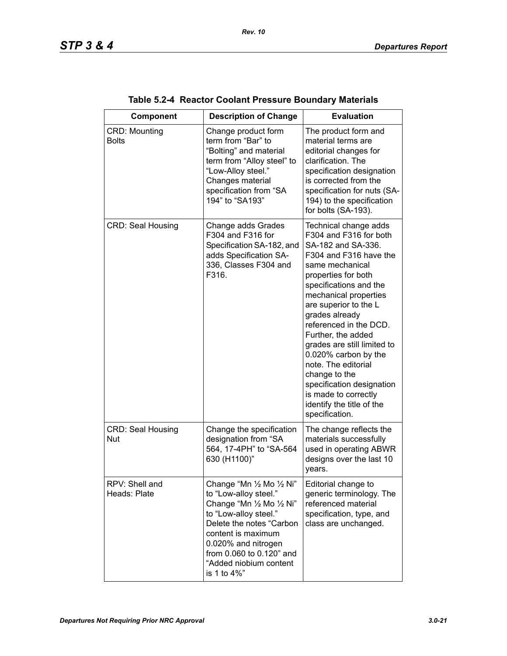| Component                              | <b>Description of Change</b>                                                                                                                                                                                                                           | <b>Evaluation</b>                                                                                                                                                                                                                                                                                                                                                                                                                                                                          |
|----------------------------------------|--------------------------------------------------------------------------------------------------------------------------------------------------------------------------------------------------------------------------------------------------------|--------------------------------------------------------------------------------------------------------------------------------------------------------------------------------------------------------------------------------------------------------------------------------------------------------------------------------------------------------------------------------------------------------------------------------------------------------------------------------------------|
|                                        |                                                                                                                                                                                                                                                        |                                                                                                                                                                                                                                                                                                                                                                                                                                                                                            |
| <b>CRD: Mounting</b><br><b>Bolts</b>   | Change product form<br>term from "Bar" to<br>"Bolting" and material<br>term from "Alloy steel" to<br>"Low-Alloy steel."<br>Changes material<br>specification from "SA<br>194" to "SA193"                                                               | The product form and<br>material terms are<br>editorial changes for<br>clarification. The<br>specification designation<br>is corrected from the<br>specification for nuts (SA-<br>194) to the specification<br>for bolts (SA-193).                                                                                                                                                                                                                                                         |
| <b>CRD: Seal Housing</b>               | Change adds Grades<br>F304 and F316 for<br>Specification SA-182, and<br>adds Specification SA-<br>336, Classes F304 and<br>F316.                                                                                                                       | Technical change adds<br>F304 and F316 for both<br>SA-182 and SA-336.<br>F304 and F316 have the<br>same mechanical<br>properties for both<br>specifications and the<br>mechanical properties<br>are superior to the L<br>grades already<br>referenced in the DCD.<br>Further, the added<br>grades are still limited to<br>0.020% carbon by the<br>note. The editorial<br>change to the<br>specification designation<br>is made to correctly<br>identify the title of the<br>specification. |
| <b>CRD: Seal Housing</b><br><b>Nut</b> | Change the specification<br>designation from "SA<br>564, 17-4PH" to "SA-564<br>630 (H1100)"                                                                                                                                                            | The change reflects the<br>materials successfully<br>used in operating ABWR<br>designs over the last 10<br>years.                                                                                                                                                                                                                                                                                                                                                                          |
| RPV: Shell and<br>Heads: Plate         | Change "Mn 1/2 Mo 1/2 Ni"<br>to "Low-alloy steel."<br>Change "Mn 1/2 Mo 1/2 Ni"<br>to "Low-alloy steel."<br>Delete the notes "Carbon<br>content is maximum<br>0.020% and nitrogen<br>from 0.060 to 0.120" and<br>"Added niobium content<br>is 1 to 4%" | Editorial change to<br>generic terminology. The<br>referenced material<br>specification, type, and<br>class are unchanged.                                                                                                                                                                                                                                                                                                                                                                 |

| Table 5.2-4 Reactor Coolant Pressure Boundary Materials |  |  |  |  |  |
|---------------------------------------------------------|--|--|--|--|--|
|---------------------------------------------------------|--|--|--|--|--|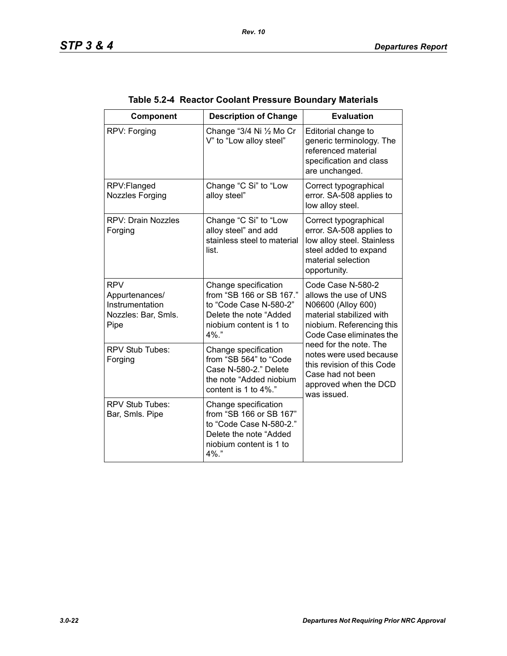| Component                                                                      | <b>Description of Change</b>                                                                                                            | <b>Evaluation</b>                                                                                                                                                                                                                                                                                     |  |
|--------------------------------------------------------------------------------|-----------------------------------------------------------------------------------------------------------------------------------------|-------------------------------------------------------------------------------------------------------------------------------------------------------------------------------------------------------------------------------------------------------------------------------------------------------|--|
| RPV: Forging                                                                   | Change "3/4 Ni 1/2 Mo Cr<br>V" to "Low alloy steel"                                                                                     | Editorial change to<br>generic terminology. The<br>referenced material<br>specification and class<br>are unchanged.                                                                                                                                                                                   |  |
| RPV:Flanged<br><b>Nozzles Forging</b>                                          | Change "C Si" to "Low<br>alloy steel"                                                                                                   | Correct typographical<br>error. SA-508 applies to<br>low alloy steel.                                                                                                                                                                                                                                 |  |
| <b>RPV: Drain Nozzles</b><br>Forging                                           | Change "C Si" to "Low<br>alloy steel" and add<br>stainless steel to material<br>list.                                                   | Correct typographical<br>error. SA-508 applies to<br>low alloy steel. Stainless<br>steel added to expand<br>material selection<br>opportunity.                                                                                                                                                        |  |
| <b>RPV</b><br>Appurtenances/<br>Instrumentation<br>Nozzles: Bar, Smls.<br>Pipe | Change specification<br>from "SB 166 or SB 167."<br>to "Code Case N-580-2"<br>Delete the note "Added<br>niobium content is 1 to<br>4%." | Code Case N-580-2<br>allows the use of UNS<br>N06600 (Alloy 600)<br>material stabilized with<br>niobium. Referencing this<br>Code Case eliminates the<br>need for the note. The<br>notes were used because<br>this revision of this Code<br>Case had not been<br>approved when the DCD<br>was issued. |  |
| <b>RPV Stub Tubes:</b><br>Forging                                              | Change specification<br>from "SB 564" to "Code<br>Case N-580-2." Delete<br>the note "Added niobium<br>content is 1 to 4%."              |                                                                                                                                                                                                                                                                                                       |  |
| RPV Stub Tubes:<br>Bar, Smls. Pipe                                             | Change specification<br>from "SB 166 or SB 167"<br>to "Code Case N-580-2."<br>Delete the note "Added<br>niobium content is 1 to<br>4%." |                                                                                                                                                                                                                                                                                                       |  |

| Table 5.2-4 Reactor Coolant Pressure Boundary Materials |  |
|---------------------------------------------------------|--|
|                                                         |  |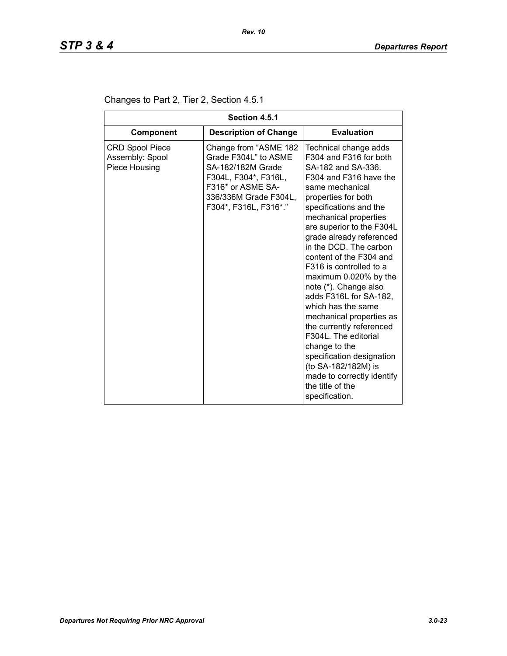| Section 4.5.1                                              |                                                                                                                                                                   |                                                                                                                                                                                                                                                                                                                                                                                                                                                                                                                                                                                                                                                                  |  |
|------------------------------------------------------------|-------------------------------------------------------------------------------------------------------------------------------------------------------------------|------------------------------------------------------------------------------------------------------------------------------------------------------------------------------------------------------------------------------------------------------------------------------------------------------------------------------------------------------------------------------------------------------------------------------------------------------------------------------------------------------------------------------------------------------------------------------------------------------------------------------------------------------------------|--|
| Component                                                  | <b>Description of Change</b>                                                                                                                                      | <b>Evaluation</b>                                                                                                                                                                                                                                                                                                                                                                                                                                                                                                                                                                                                                                                |  |
| <b>CRD Spool Piece</b><br>Assembly: Spool<br>Piece Housing | Change from "ASME 182<br>Grade F304L" to ASME<br>SA-182/182M Grade<br>F304L, F304*, F316L,<br>F316* or ASME SA-<br>336/336M Grade F304L,<br>F304*, F316L, F316*." | Technical change adds<br>F304 and F316 for both<br>SA-182 and SA-336.<br>F304 and F316 have the<br>same mechanical<br>properties for both<br>specifications and the<br>mechanical properties<br>are superior to the F304L<br>grade already referenced<br>in the DCD. The carbon<br>content of the F304 and<br>F316 is controlled to a<br>maximum 0.020% by the<br>note (*). Change also<br>adds F316L for SA-182,<br>which has the same<br>mechanical properties as<br>the currently referenced<br>F304L. The editorial<br>change to the<br>specification designation<br>(to SA-182/182M) is<br>made to correctly identify<br>the title of the<br>specification. |  |

# Changes to Part 2, Tier 2, Section 4.5.1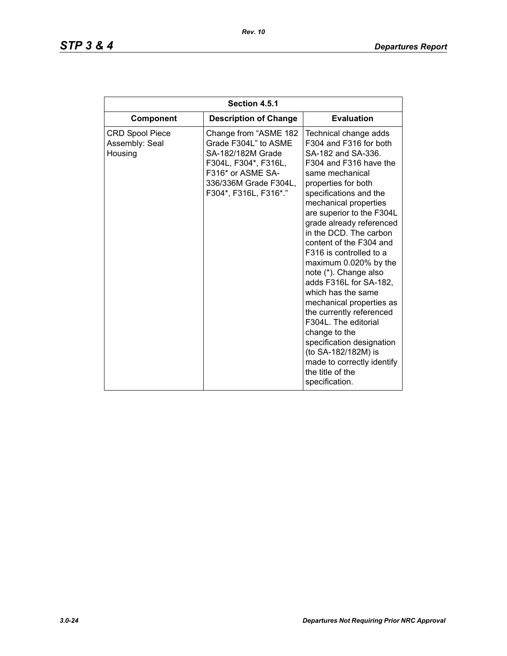| Section 4.5.1                                       |                                                                                                                                                                   |                                                                                                                                                                                                                                                                                                                                                                                                                                                                                                                                                                                                                                                                  |  |
|-----------------------------------------------------|-------------------------------------------------------------------------------------------------------------------------------------------------------------------|------------------------------------------------------------------------------------------------------------------------------------------------------------------------------------------------------------------------------------------------------------------------------------------------------------------------------------------------------------------------------------------------------------------------------------------------------------------------------------------------------------------------------------------------------------------------------------------------------------------------------------------------------------------|--|
| <b>Component</b>                                    | <b>Description of Change</b>                                                                                                                                      | <b>Evaluation</b>                                                                                                                                                                                                                                                                                                                                                                                                                                                                                                                                                                                                                                                |  |
| <b>CRD Spool Piece</b><br>Assembly: Seal<br>Housing | Change from "ASME 182<br>Grade F304L" to ASME<br>SA-182/182M Grade<br>F304L, F304*, F316L,<br>F316* or ASME SA-<br>336/336M Grade F304L,<br>F304*, F316L, F316*." | Technical change adds<br>F304 and F316 for both<br>SA-182 and SA-336.<br>F304 and F316 have the<br>same mechanical<br>properties for both<br>specifications and the<br>mechanical properties<br>are superior to the F304L<br>grade already referenced<br>in the DCD. The carbon<br>content of the F304 and<br>F316 is controlled to a<br>maximum 0.020% by the<br>note (*). Change also<br>adds F316L for SA-182,<br>which has the same<br>mechanical properties as<br>the currently referenced<br>F304L. The editorial<br>change to the<br>specification designation<br>(to SA-182/182M) is<br>made to correctly identify<br>the title of the<br>specification. |  |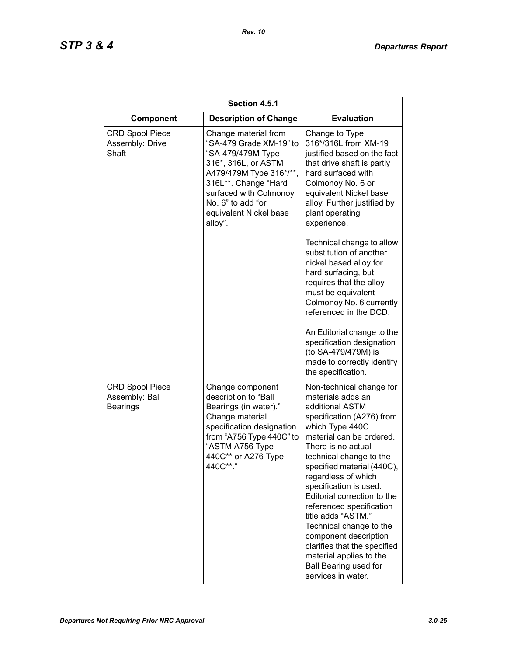| Section 4.5.1                                               |                                                                                                                                                                                                                                    |                                                                                                                                                                                                                                                                                                                                                                                                                                                                                                                             |  |
|-------------------------------------------------------------|------------------------------------------------------------------------------------------------------------------------------------------------------------------------------------------------------------------------------------|-----------------------------------------------------------------------------------------------------------------------------------------------------------------------------------------------------------------------------------------------------------------------------------------------------------------------------------------------------------------------------------------------------------------------------------------------------------------------------------------------------------------------------|--|
| Component                                                   | <b>Description of Change</b>                                                                                                                                                                                                       | <b>Evaluation</b>                                                                                                                                                                                                                                                                                                                                                                                                                                                                                                           |  |
| <b>CRD Spool Piece</b><br>Assembly: Drive<br>Shaft          | Change material from<br>"SA-479 Grade XM-19" to<br>"SA-479/479M Type<br>316*, 316L, or ASTM<br>A479/479M Type 316*/**,<br>316L**. Change "Hard<br>surfaced with Colmonoy<br>No. 6" to add "or<br>equivalent Nickel base<br>alloy". | Change to Type<br>316*/316L from XM-19<br>justified based on the fact<br>that drive shaft is partly<br>hard surfaced with<br>Colmonoy No. 6 or<br>equivalent Nickel base<br>alloy. Further justified by<br>plant operating<br>experience.                                                                                                                                                                                                                                                                                   |  |
|                                                             |                                                                                                                                                                                                                                    | Technical change to allow<br>substitution of another<br>nickel based alloy for<br>hard surfacing, but<br>requires that the alloy<br>must be equivalent<br>Colmonoy No. 6 currently<br>referenced in the DCD.<br>An Editorial change to the<br>specification designation<br>(to SA-479/479M) is<br>made to correctly identify<br>the specification.                                                                                                                                                                          |  |
| <b>CRD Spool Piece</b><br>Assembly: Ball<br><b>Bearings</b> | Change component<br>description to "Ball<br>Bearings (in water)."<br>Change material<br>specification designation<br>from "A756 Type 440C" to<br>"ASTM A756 Type<br>440C** or A276 Type<br>440C**."                                | Non-technical change for<br>materials adds an<br>additional ASTM<br>specification (A276) from<br>which Type 440C<br>material can be ordered.<br>There is no actual<br>technical change to the<br>specified material (440C),<br>regardless of which<br>specification is used.<br>Editorial correction to the<br>referenced specification<br>title adds "ASTM."<br>Technical change to the<br>component description<br>clarifies that the specified<br>material applies to the<br>Ball Bearing used for<br>services in water. |  |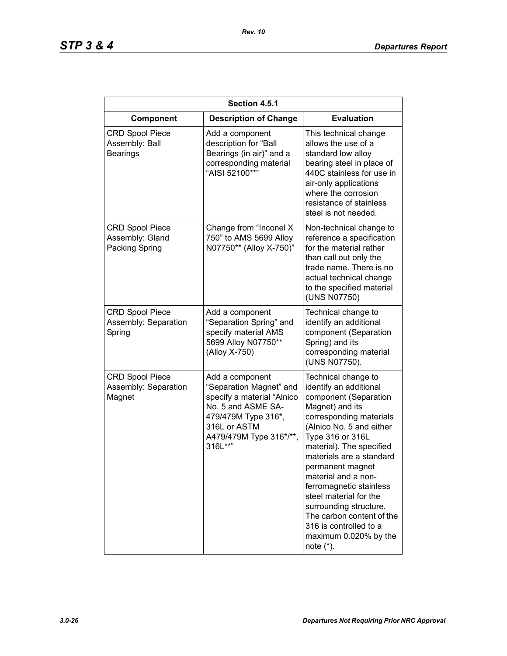| Section 4.5.1                                               |                                                                                                                                                                             |                                                                                                                                                                                                                                                                                                                                                                                                                                                        |  |
|-------------------------------------------------------------|-----------------------------------------------------------------------------------------------------------------------------------------------------------------------------|--------------------------------------------------------------------------------------------------------------------------------------------------------------------------------------------------------------------------------------------------------------------------------------------------------------------------------------------------------------------------------------------------------------------------------------------------------|--|
| Component                                                   | <b>Description of Change</b>                                                                                                                                                | <b>Evaluation</b>                                                                                                                                                                                                                                                                                                                                                                                                                                      |  |
| <b>CRD Spool Piece</b><br>Assembly: Ball<br><b>Bearings</b> | Add a component<br>description for "Ball<br>Bearings (in air)" and a<br>corresponding material<br>"AISI 52100**"                                                            | This technical change<br>allows the use of a<br>standard low alloy<br>bearing steel in place of<br>440C stainless for use in<br>air-only applications<br>where the corrosion<br>resistance of stainless<br>steel is not needed.                                                                                                                                                                                                                        |  |
| <b>CRD Spool Piece</b><br>Assembly: Gland<br>Packing Spring | Change from "Inconel X<br>750" to AMS 5699 Alloy<br>N07750** (Alloy X-750)"                                                                                                 | Non-technical change to<br>reference a specification<br>for the material rather<br>than call out only the<br>trade name. There is no<br>actual technical change<br>to the specified material<br>(UNS N07750)                                                                                                                                                                                                                                           |  |
| <b>CRD Spool Piece</b><br>Assembly: Separation<br>Spring    | Add a component<br>"Separation Spring" and<br>specify material AMS<br>5699 Alloy N07750**<br>(Alloy X-750)                                                                  | Technical change to<br>identify an additional<br>component (Separation<br>Spring) and its<br>corresponding material<br>(UNS N07750).                                                                                                                                                                                                                                                                                                                   |  |
| <b>CRD Spool Piece</b><br>Assembly: Separation<br>Magnet    | Add a component<br>"Separation Magnet" and<br>specify a material "Alnico<br>No. 5 and ASME SA-<br>479/479M Type 316*,<br>316L or ASTM<br>A479/479M Type 316*/**,<br>316L**" | Technical change to<br>identify an additional<br>component (Separation<br>Magnet) and its<br>corresponding materials<br>(Alnico No. 5 and either<br>Type 316 or 316L<br>material). The specified<br>materials are a standard<br>permanent magnet<br>material and a non-<br>ferromagnetic stainless<br>steel material for the<br>surrounding structure.<br>The carbon content of the<br>316 is controlled to a<br>maximum 0.020% by the<br>note $(*)$ . |  |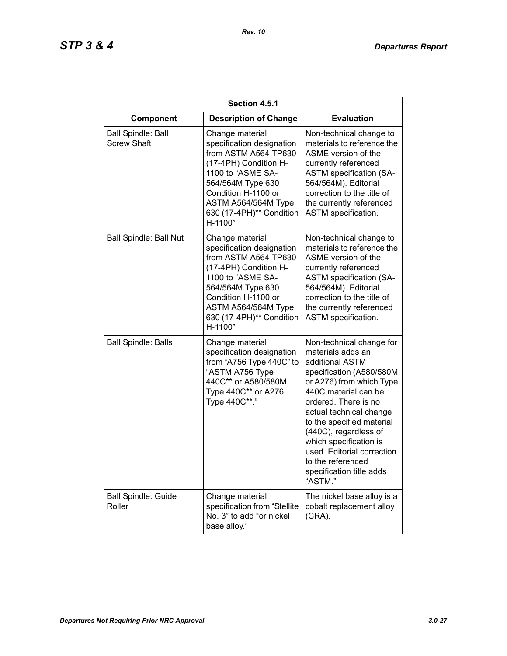| Section 4.5.1                                   |                                                                                                                                                                                                                              |                                                                                                                                                                                                                                                                                                                                                                               |  |
|-------------------------------------------------|------------------------------------------------------------------------------------------------------------------------------------------------------------------------------------------------------------------------------|-------------------------------------------------------------------------------------------------------------------------------------------------------------------------------------------------------------------------------------------------------------------------------------------------------------------------------------------------------------------------------|--|
| Component                                       | <b>Description of Change</b>                                                                                                                                                                                                 | <b>Evaluation</b>                                                                                                                                                                                                                                                                                                                                                             |  |
| <b>Ball Spindle: Ball</b><br><b>Screw Shaft</b> | Change material<br>specification designation<br>from ASTM A564 TP630<br>(17-4PH) Condition H-<br>1100 to "ASME SA-<br>564/564M Type 630<br>Condition H-1100 or<br>ASTM A564/564M Type<br>630 (17-4PH)** Condition<br>H-1100" | Non-technical change to<br>materials to reference the<br>ASME version of the<br>currently referenced<br><b>ASTM</b> specification (SA-<br>564/564M). Editorial<br>correction to the title of<br>the currently referenced<br>ASTM specification.                                                                                                                               |  |
| <b>Ball Spindle: Ball Nut</b>                   | Change material<br>specification designation<br>from ASTM A564 TP630<br>(17-4PH) Condition H-<br>1100 to "ASME SA-<br>564/564M Type 630<br>Condition H-1100 or<br>ASTM A564/564M Type<br>630 (17-4PH)** Condition<br>H-1100" | Non-technical change to<br>materials to reference the<br>ASME version of the<br>currently referenced<br><b>ASTM</b> specification (SA-<br>564/564M). Editorial<br>correction to the title of<br>the currently referenced<br>ASTM specification.                                                                                                                               |  |
| <b>Ball Spindle: Balls</b>                      | Change material<br>specification designation<br>from "A756 Type 440C" to<br>"ASTM A756 Type<br>440C** or A580/580M<br>Type 440C** or A276<br>Type 440C**."                                                                   | Non-technical change for<br>materials adds an<br>additional ASTM<br>specification (A580/580M<br>or A276) from which Type<br>440C material can be<br>ordered. There is no<br>actual technical change<br>to the specified material<br>(440C), regardless of<br>which specification is<br>used. Editorial correction<br>to the referenced<br>specification title adds<br>"ASTM." |  |
| <b>Ball Spindle: Guide</b><br>Roller            | Change material<br>specification from "Stellite<br>No. 3" to add "or nickel<br>base alloy."                                                                                                                                  | The nickel base alloy is a<br>cobalt replacement alloy<br>(CRA).                                                                                                                                                                                                                                                                                                              |  |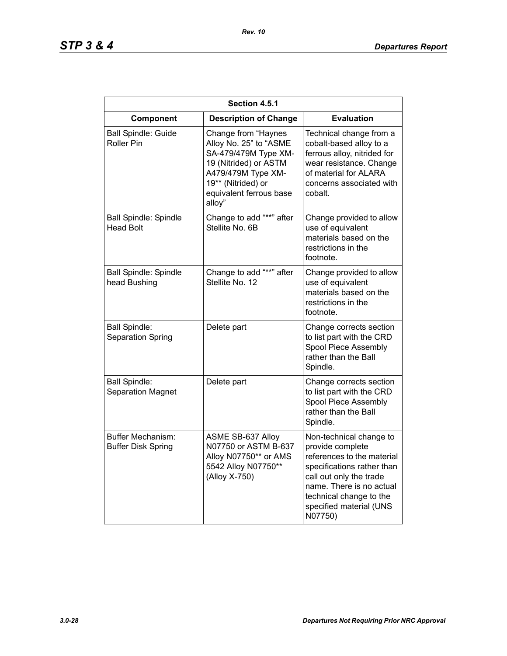| Section 4.5.1                                         |                                                                                                                                                                                 |                                                                                                                                                                                                                                 |  |
|-------------------------------------------------------|---------------------------------------------------------------------------------------------------------------------------------------------------------------------------------|---------------------------------------------------------------------------------------------------------------------------------------------------------------------------------------------------------------------------------|--|
| Component                                             | <b>Description of Change</b>                                                                                                                                                    | <b>Evaluation</b>                                                                                                                                                                                                               |  |
| <b>Ball Spindle: Guide</b><br><b>Roller Pin</b>       | Change from "Haynes<br>Alloy No. 25" to "ASME<br>SA-479/479M Type XM-<br>19 (Nitrided) or ASTM<br>A479/479M Type XM-<br>19** (Nitrided) or<br>equivalent ferrous base<br>alloy" | Technical change from a<br>cobalt-based alloy to a<br>ferrous alloy, nitrided for<br>wear resistance. Change<br>of material for ALARA<br>concerns associated with<br>cobalt.                                                    |  |
| <b>Ball Spindle: Spindle</b><br><b>Head Bolt</b>      | Change to add "**" after<br>Stellite No. 6B                                                                                                                                     | Change provided to allow<br>use of equivalent<br>materials based on the<br>restrictions in the<br>footnote.                                                                                                                     |  |
| <b>Ball Spindle: Spindle</b><br>head Bushing          | Change to add "**" after<br>Stellite No. 12                                                                                                                                     | Change provided to allow<br>use of equivalent<br>materials based on the<br>restrictions in the<br>footnote.                                                                                                                     |  |
| <b>Ball Spindle:</b><br>Separation Spring             | Delete part                                                                                                                                                                     | Change corrects section<br>to list part with the CRD<br>Spool Piece Assembly<br>rather than the Ball<br>Spindle.                                                                                                                |  |
| <b>Ball Spindle:</b><br><b>Separation Magnet</b>      | Delete part                                                                                                                                                                     | Change corrects section<br>to list part with the CRD<br>Spool Piece Assembly<br>rather than the Ball<br>Spindle.                                                                                                                |  |
| <b>Buffer Mechanism:</b><br><b>Buffer Disk Spring</b> | ASME SB-637 Alloy<br>N07750 or ASTM B-637<br>Alloy N07750** or AMS<br>5542 Alloy N07750**<br>(Alloy X-750)                                                                      | Non-technical change to<br>provide complete<br>references to the material<br>specifications rather than<br>call out only the trade<br>name. There is no actual<br>technical change to the<br>specified material (UNS<br>N07750) |  |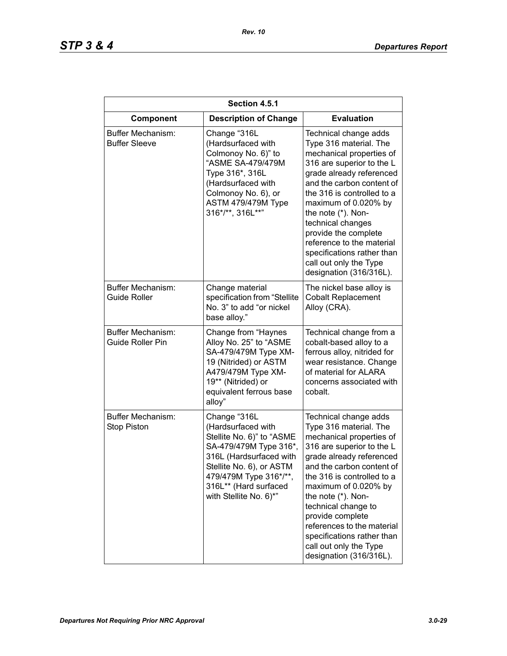| Section 4.5.1                                  |                                                                                                                                                                                                                               |                                                                                                                                                                                                                                                                                                                                                                                                            |  |
|------------------------------------------------|-------------------------------------------------------------------------------------------------------------------------------------------------------------------------------------------------------------------------------|------------------------------------------------------------------------------------------------------------------------------------------------------------------------------------------------------------------------------------------------------------------------------------------------------------------------------------------------------------------------------------------------------------|--|
| Component                                      | <b>Description of Change</b>                                                                                                                                                                                                  | <b>Evaluation</b>                                                                                                                                                                                                                                                                                                                                                                                          |  |
| Buffer Mechanism:<br><b>Buffer Sleeve</b>      | Change "316L<br>(Hardsurfaced with<br>Colmonoy No. 6)" to<br>"ASME SA-479/479M<br>Type 316*, 316L<br>(Hardsurfaced with<br>Colmonoy No. 6), or<br>ASTM 479/479M Type<br>316*/**, 316L**"                                      | Technical change adds<br>Type 316 material. The<br>mechanical properties of<br>316 are superior to the L<br>grade already referenced<br>and the carbon content of<br>the 316 is controlled to a<br>maximum of 0.020% by<br>the note (*). Non-<br>technical changes<br>provide the complete<br>reference to the material<br>specifications rather than<br>call out only the Type<br>designation (316/316L). |  |
| Buffer Mechanism:<br><b>Guide Roller</b>       | Change material<br>specification from "Stellite<br>No. 3" to add "or nickel<br>base alloy."                                                                                                                                   | The nickel base alloy is<br><b>Cobalt Replacement</b><br>Alloy (CRA).                                                                                                                                                                                                                                                                                                                                      |  |
| Buffer Mechanism:<br><b>Guide Roller Pin</b>   | Change from "Haynes<br>Alloy No. 25" to "ASME<br>SA-479/479M Type XM-<br>19 (Nitrided) or ASTM<br>A479/479M Type XM-<br>19** (Nitrided) or<br>equivalent ferrous base<br>alloy"                                               | Technical change from a<br>cobalt-based alloy to a<br>ferrous alloy, nitrided for<br>wear resistance. Change<br>of material for ALARA<br>concerns associated with<br>cobalt.                                                                                                                                                                                                                               |  |
| <b>Buffer Mechanism:</b><br><b>Stop Piston</b> | Change "316L<br>(Hardsurfaced with<br>Stellite No. 6)" to "ASME<br>SA-479/479M Type 316*,<br>316L (Hardsurfaced with<br>Stellite No. 6), or ASTM<br>479/479M Type 316*/**,<br>316L** (Hard surfaced<br>with Stellite No. 6)*" | Technical change adds<br>Type 316 material. The<br>mechanical properties of<br>316 are superior to the L<br>grade already referenced<br>and the carbon content of<br>the 316 is controlled to a<br>maximum of 0.020% by<br>the note (*). Non-<br>technical change to<br>provide complete<br>references to the material<br>specifications rather than<br>call out only the Type<br>designation (316/316L).  |  |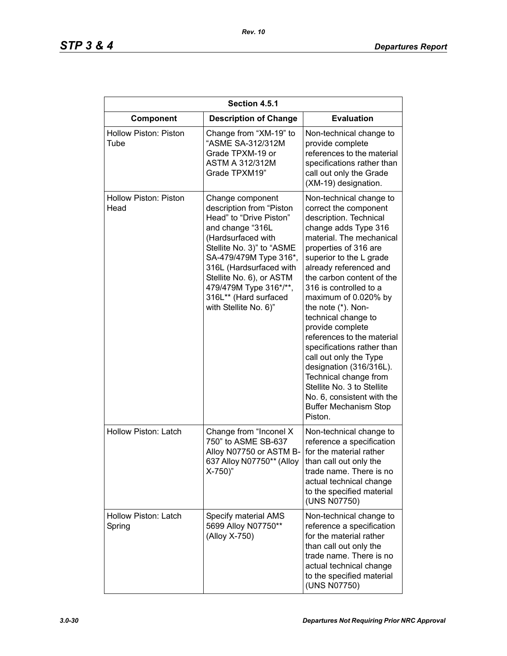| Section 4.5.1                        |                                                                                                                                                                                                                                                                                                             |                                                                                                                                                                                                                                                                                                                                                                                                                                                                                                                                                                                                               |  |
|--------------------------------------|-------------------------------------------------------------------------------------------------------------------------------------------------------------------------------------------------------------------------------------------------------------------------------------------------------------|---------------------------------------------------------------------------------------------------------------------------------------------------------------------------------------------------------------------------------------------------------------------------------------------------------------------------------------------------------------------------------------------------------------------------------------------------------------------------------------------------------------------------------------------------------------------------------------------------------------|--|
| Component                            | <b>Description of Change</b>                                                                                                                                                                                                                                                                                | <b>Evaluation</b>                                                                                                                                                                                                                                                                                                                                                                                                                                                                                                                                                                                             |  |
| <b>Hollow Piston: Piston</b><br>Tube | Change from "XM-19" to<br>"ASME SA-312/312M<br>Grade TPXM-19 or<br><b>ASTM A 312/312M</b><br>Grade TPXM19"                                                                                                                                                                                                  | Non-technical change to<br>provide complete<br>references to the material<br>specifications rather than<br>call out only the Grade<br>(XM-19) designation.                                                                                                                                                                                                                                                                                                                                                                                                                                                    |  |
| Hollow Piston: Piston<br>Head        | Change component<br>description from "Piston<br>Head" to "Drive Piston"<br>and change "316L<br>(Hardsurfaced with<br>Stellite No. 3)" to "ASME<br>SA-479/479M Type 316*,<br>316L (Hardsurfaced with<br>Stellite No. 6), or ASTM<br>479/479M Type 316*/**,<br>316L** (Hard surfaced<br>with Stellite No. 6)" | Non-technical change to<br>correct the component<br>description. Technical<br>change adds Type 316<br>material. The mechanical<br>properties of 316 are<br>superior to the L grade<br>already referenced and<br>the carbon content of the<br>316 is controlled to a<br>maximum of 0.020% by<br>the note (*). Non-<br>technical change to<br>provide complete<br>references to the material<br>specifications rather than<br>call out only the Type<br>designation (316/316L).<br>Technical change from<br>Stellite No. 3 to Stellite<br>No. 6, consistent with the<br><b>Buffer Mechanism Stop</b><br>Piston. |  |
| Hollow Piston: Latch                 | Change from "Inconel X<br>750" to ASME SB-637<br>Alloy N07750 or ASTM B-<br>637 Alloy N07750** (Alloy<br>$X-750$ )"                                                                                                                                                                                         | Non-technical change to<br>reference a specification<br>for the material rather<br>than call out only the<br>trade name. There is no<br>actual technical change<br>to the specified material<br>(UNS N07750)                                                                                                                                                                                                                                                                                                                                                                                                  |  |
| Hollow Piston: Latch<br>Spring       | Specify material AMS<br>5699 Alloy N07750**<br>(Alloy X-750)                                                                                                                                                                                                                                                | Non-technical change to<br>reference a specification<br>for the material rather<br>than call out only the<br>trade name. There is no<br>actual technical change<br>to the specified material<br>(UNS N07750)                                                                                                                                                                                                                                                                                                                                                                                                  |  |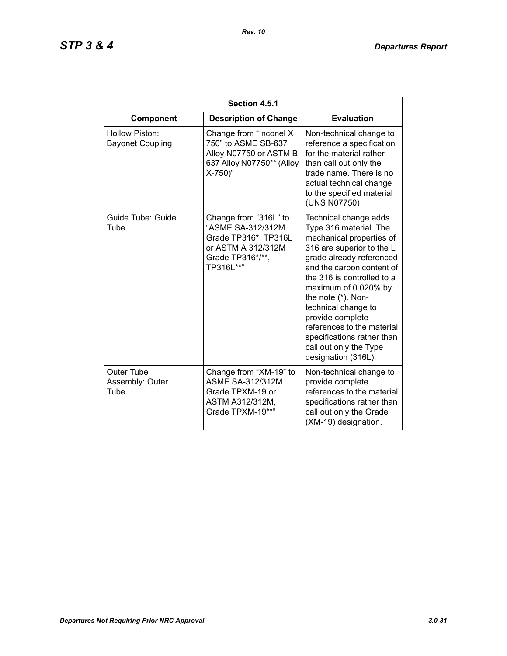| Section 4.5.1                                |                                                                                                                           |                                                                                                                                                                                                                                                                                                                                                                                                       |  |
|----------------------------------------------|---------------------------------------------------------------------------------------------------------------------------|-------------------------------------------------------------------------------------------------------------------------------------------------------------------------------------------------------------------------------------------------------------------------------------------------------------------------------------------------------------------------------------------------------|--|
| Component                                    | <b>Description of Change</b>                                                                                              | <b>Evaluation</b>                                                                                                                                                                                                                                                                                                                                                                                     |  |
| Hollow Piston:<br><b>Bayonet Coupling</b>    | Change from "Inconel X<br>750" to ASME SB-637<br>Alloy N07750 or ASTM B-<br>637 Alloy N07750** (Alloy<br>$X-750$ )"       | Non-technical change to<br>reference a specification<br>for the material rather<br>than call out only the<br>trade name. There is no<br>actual technical change<br>to the specified material<br>(UNS N07750)                                                                                                                                                                                          |  |
| Guide Tube: Guide<br>Tube                    | Change from "316L" to<br>"ASME SA-312/312M<br>Grade TP316*, TP316L<br>or ASTM A 312/312M<br>Grade TP316*/**,<br>TP316L**" | Technical change adds<br>Type 316 material. The<br>mechanical properties of<br>316 are superior to the L<br>grade already referenced<br>and the carbon content of<br>the 316 is controlled to a<br>maximum of 0.020% by<br>the note (*). Non-<br>technical change to<br>provide complete<br>references to the material<br>specifications rather than<br>call out only the Type<br>designation (316L). |  |
| <b>Outer Tube</b><br>Assembly: Outer<br>Tube | Change from "XM-19" to<br><b>ASME SA-312/312M</b><br>Grade TPXM-19 or<br>ASTM A312/312M,<br>Grade TPXM-19**"              | Non-technical change to<br>provide complete<br>references to the material<br>specifications rather than<br>call out only the Grade<br>(XM-19) designation.                                                                                                                                                                                                                                            |  |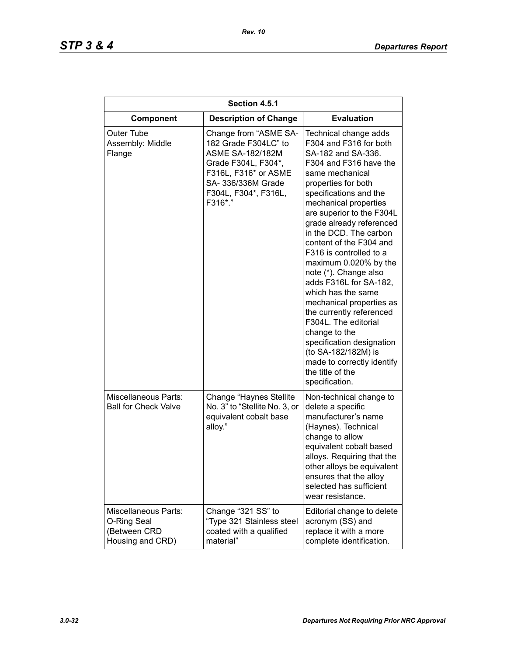| Section 4.5.1                                                                  |                                                                                                                                                                                  |                                                                                                                                                                                                                                                                                                                                                                                                                                                                                                                                                                                                                                                                  |  |
|--------------------------------------------------------------------------------|----------------------------------------------------------------------------------------------------------------------------------------------------------------------------------|------------------------------------------------------------------------------------------------------------------------------------------------------------------------------------------------------------------------------------------------------------------------------------------------------------------------------------------------------------------------------------------------------------------------------------------------------------------------------------------------------------------------------------------------------------------------------------------------------------------------------------------------------------------|--|
| Component                                                                      | <b>Description of Change</b>                                                                                                                                                     | <b>Evaluation</b>                                                                                                                                                                                                                                                                                                                                                                                                                                                                                                                                                                                                                                                |  |
| Outer Tube<br>Assembly: Middle<br>Flange                                       | Change from "ASME SA-<br>182 Grade F304LC" to<br><b>ASME SA-182/182M</b><br>Grade F304L, F304*,<br>F316L, F316* or ASME<br>SA- 336/336M Grade<br>F304L, F304*, F316L,<br>F316*." | Technical change adds<br>F304 and F316 for both<br>SA-182 and SA-336.<br>F304 and F316 have the<br>same mechanical<br>properties for both<br>specifications and the<br>mechanical properties<br>are superior to the F304L<br>grade already referenced<br>in the DCD. The carbon<br>content of the F304 and<br>F316 is controlled to a<br>maximum 0.020% by the<br>note (*). Change also<br>adds F316L for SA-182,<br>which has the same<br>mechanical properties as<br>the currently referenced<br>F304L. The editorial<br>change to the<br>specification designation<br>(to SA-182/182M) is<br>made to correctly identify<br>the title of the<br>specification. |  |
| <b>Miscellaneous Parts:</b><br><b>Ball for Check Valve</b>                     | Change "Haynes Stellite<br>No. 3" to "Stellite No. 3, or<br>equivalent cobalt base<br>alloy."                                                                                    | Non-technical change to<br>delete a specific<br>manufacturer's name<br>(Haynes). Technical<br>change to allow<br>equivalent cobalt based<br>alloys. Requiring that the<br>other alloys be equivalent<br>ensures that the alloy<br>selected has sufficient<br>wear resistance.                                                                                                                                                                                                                                                                                                                                                                                    |  |
| <b>Miscellaneous Parts:</b><br>O-Ring Seal<br>(Between CRD<br>Housing and CRD) | Change "321 SS" to<br>"Type 321 Stainless steel<br>coated with a qualified<br>material"                                                                                          | Editorial change to delete<br>acronym (SS) and<br>replace it with a more<br>complete identification.                                                                                                                                                                                                                                                                                                                                                                                                                                                                                                                                                             |  |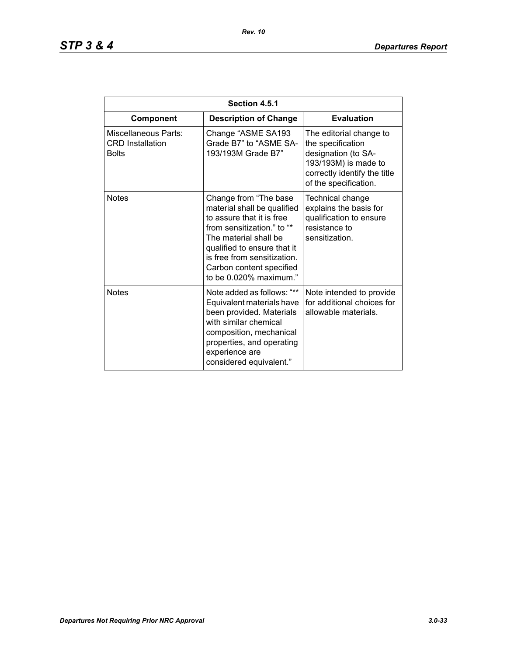| Section 4.5.1                                                   |                                                                                                                                                                                                                                                              |                                                                                                                                                      |  |
|-----------------------------------------------------------------|--------------------------------------------------------------------------------------------------------------------------------------------------------------------------------------------------------------------------------------------------------------|------------------------------------------------------------------------------------------------------------------------------------------------------|--|
| Component                                                       | <b>Description of Change</b>                                                                                                                                                                                                                                 | <b>Evaluation</b>                                                                                                                                    |  |
| Miscellaneous Parts:<br><b>CRD</b> Installation<br><b>Bolts</b> | Change "ASME SA193<br>Grade B7" to "ASME SA-<br>193/193M Grade B7"                                                                                                                                                                                           | The editorial change to<br>the specification<br>designation (to SA-<br>193/193M) is made to<br>correctly identify the title<br>of the specification. |  |
| <b>Notes</b>                                                    | Change from "The base<br>material shall be qualified<br>to assure that it is free<br>from sensitization." to "*<br>The material shall be<br>qualified to ensure that it<br>is free from sensitization.<br>Carbon content specified<br>to be 0.020% maximum." | Technical change<br>explains the basis for<br>qualification to ensure<br>resistance to<br>sensitization.                                             |  |
| <b>Notes</b>                                                    | Note added as follows: "**<br>Equivalent materials have<br>been provided. Materials<br>with similar chemical<br>composition, mechanical<br>properties, and operating<br>experience are<br>considered equivalent."                                            | Note intended to provide<br>for additional choices for<br>allowable materials.                                                                       |  |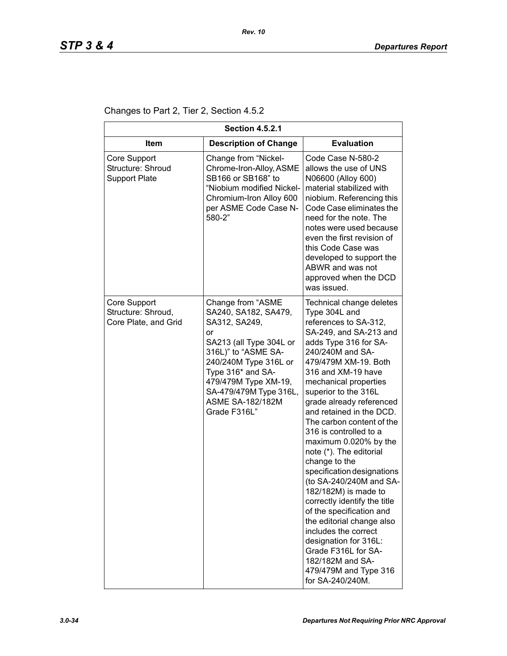Changes to Part 2, Tier 2, Section 4.5.2

| <b>Section 4.5.2.1</b>                                     |                                                                                                                                                                                                                                                               |                                                                                                                                                                                                                                                                                                                                                                                                                                                                                                                                                                                                                                                                                                                                                 |  |
|------------------------------------------------------------|---------------------------------------------------------------------------------------------------------------------------------------------------------------------------------------------------------------------------------------------------------------|-------------------------------------------------------------------------------------------------------------------------------------------------------------------------------------------------------------------------------------------------------------------------------------------------------------------------------------------------------------------------------------------------------------------------------------------------------------------------------------------------------------------------------------------------------------------------------------------------------------------------------------------------------------------------------------------------------------------------------------------------|--|
| <b>Item</b>                                                | <b>Description of Change</b>                                                                                                                                                                                                                                  | <b>Evaluation</b>                                                                                                                                                                                                                                                                                                                                                                                                                                                                                                                                                                                                                                                                                                                               |  |
| Core Support<br>Structure: Shroud<br><b>Support Plate</b>  | Change from "Nickel-<br>Chrome-Iron-Alloy, ASME<br>SB166 or SB168" to<br>"Niobium modified Nickel-<br>Chromium-Iron Alloy 600<br>per ASME Code Case N-<br>580-2"                                                                                              | Code Case N-580-2<br>allows the use of UNS<br>N06600 (Alloy 600)<br>material stabilized with<br>niobium. Referencing this<br>Code Case eliminates the<br>need for the note. The<br>notes were used because<br>even the first revision of<br>this Code Case was<br>developed to support the<br>ABWR and was not<br>approved when the DCD<br>was issued.                                                                                                                                                                                                                                                                                                                                                                                          |  |
| Core Support<br>Structure: Shroud,<br>Core Plate, and Grid | Change from "ASME<br>SA240, SA182, SA479,<br>SA312, SA249,<br>or<br>SA213 (all Type 304L or<br>316L)" to "ASME SA-<br>240/240M Type 316L or<br>Type 316* and SA-<br>479/479M Type XM-19,<br>SA-479/479M Type 316L,<br><b>ASME SA-182/182M</b><br>Grade F316L" | Technical change deletes<br>Type 304L and<br>references to SA-312,<br>SA-249, and SA-213 and<br>adds Type 316 for SA-<br>240/240M and SA-<br>479/479M XM-19. Both<br>316 and XM-19 have<br>mechanical properties<br>superior to the 316L<br>grade already referenced<br>and retained in the DCD.<br>The carbon content of the<br>316 is controlled to a<br>maximum 0.020% by the<br>note (*). The editorial<br>change to the<br>specification designations<br>(to SA-240/240M and SA-<br>182/182M) is made to<br>correctly identify the title<br>of the specification and<br>the editorial change also<br>includes the correct<br>designation for 316L:<br>Grade F316L for SA-<br>182/182M and SA-<br>479/479M and Type 316<br>for SA-240/240M. |  |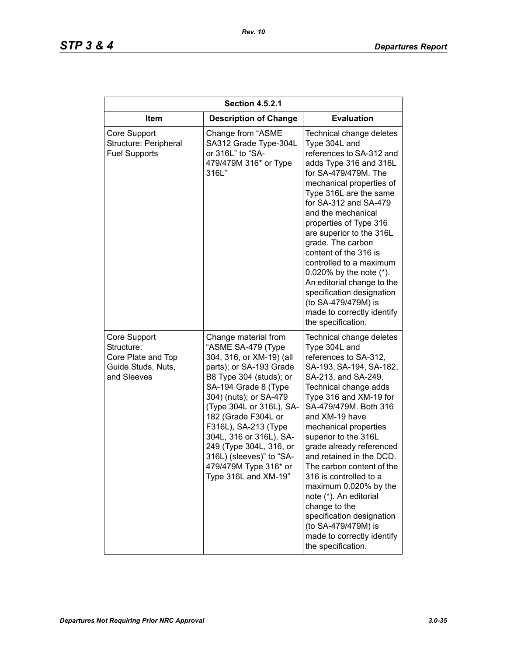| <b>Section 4.5.2.1</b>                                                                |                                                                                                                                                                                                                                                                                                                                                                                              |                                                                                                                                                                                                                                                                                                                                                                                                                                                                                                                                                                |  |
|---------------------------------------------------------------------------------------|----------------------------------------------------------------------------------------------------------------------------------------------------------------------------------------------------------------------------------------------------------------------------------------------------------------------------------------------------------------------------------------------|----------------------------------------------------------------------------------------------------------------------------------------------------------------------------------------------------------------------------------------------------------------------------------------------------------------------------------------------------------------------------------------------------------------------------------------------------------------------------------------------------------------------------------------------------------------|--|
| <b>Item</b>                                                                           | <b>Description of Change</b>                                                                                                                                                                                                                                                                                                                                                                 | <b>Evaluation</b>                                                                                                                                                                                                                                                                                                                                                                                                                                                                                                                                              |  |
| Core Support<br>Structure: Peripheral<br><b>Fuel Supports</b>                         | Change from "ASME<br>SA312 Grade Type-304L<br>or 316L" to "SA-<br>479/479M 316* or Type<br>316L"                                                                                                                                                                                                                                                                                             | Technical change deletes<br>Type 304L and<br>references to SA-312 and<br>adds Type 316 and 316L<br>for SA-479/479M. The<br>mechanical properties of<br>Type 316L are the same<br>for SA-312 and SA-479<br>and the mechanical<br>properties of Type 316<br>are superior to the 316L<br>grade. The carbon<br>content of the 316 is<br>controlled to a maximum<br>0.020% by the note $(*)$ .<br>An editorial change to the<br>specification designation<br>(to SA-479/479M) is<br>made to correctly identify<br>the specification.                                |  |
| Core Support<br>Structure:<br>Core Plate and Top<br>Guide Studs, Nuts,<br>and Sleeves | Change material from<br>"ASME SA-479 (Type<br>304, 316, or XM-19) (all<br>parts); or SA-193 Grade<br>B8 Type 304 (studs); or<br>SA-194 Grade 8 (Type<br>304) (nuts); or SA-479<br>(Type 304L or 316L), SA-<br>182 (Grade F304L or<br>F316L), SA-213 (Type<br>304L, 316 or 316L), SA-<br>249 (Type 304L, 316, or<br>316L) (sleeves)" to "SA-<br>479/479M Type 316* or<br>Type 316L and XM-19" | Technical change deletes<br>Type 304L and<br>references to SA-312,<br>SA-193, SA-194, SA-182,<br>SA-213, and SA-249.<br>Technical change adds<br>Type 316 and XM-19 for<br>SA-479/479M. Both 316<br>and XM-19 have<br>mechanical properties<br>superior to the 316L<br>grade already referenced<br>and retained in the DCD.<br>The carbon content of the<br>316 is controlled to a<br>maximum 0.020% by the<br>note (*). An editorial<br>change to the<br>specification designation<br>(to SA-479/479M) is<br>made to correctly identify<br>the specification. |  |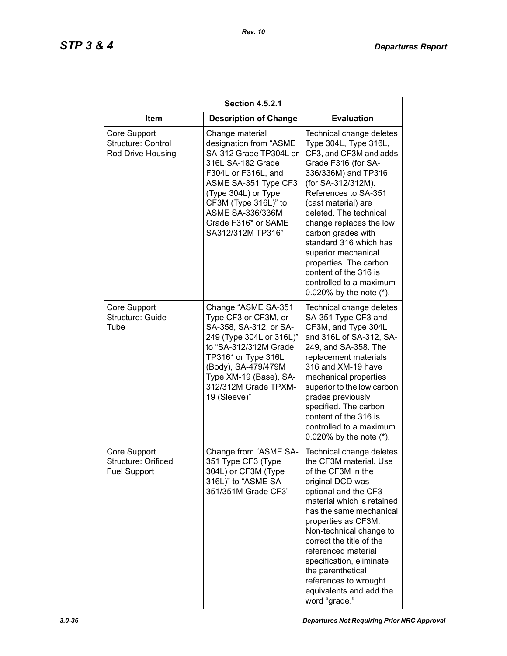| <b>Section 4.5.2.1</b>                                     |                                                                                                                                                                                                                                                               |                                                                                                                                                                                                                                                                                                                                                                                                                                        |  |
|------------------------------------------------------------|---------------------------------------------------------------------------------------------------------------------------------------------------------------------------------------------------------------------------------------------------------------|----------------------------------------------------------------------------------------------------------------------------------------------------------------------------------------------------------------------------------------------------------------------------------------------------------------------------------------------------------------------------------------------------------------------------------------|--|
| Item                                                       | <b>Description of Change</b>                                                                                                                                                                                                                                  | <b>Evaluation</b>                                                                                                                                                                                                                                                                                                                                                                                                                      |  |
| Core Support<br>Structure: Control<br>Rod Drive Housing    | Change material<br>designation from "ASME<br>SA-312 Grade TP304L or<br>316L SA-182 Grade<br>F304L or F316L, and<br>ASME SA-351 Type CF3<br>(Type 304L) or Type<br>CF3M (Type 316L)" to<br><b>ASME SA-336/336M</b><br>Grade F316* or SAME<br>SA312/312M TP316" | Technical change deletes<br>Type 304L, Type 316L,<br>CF3, and CF3M and adds<br>Grade F316 (for SA-<br>336/336M) and TP316<br>(for SA-312/312M).<br>References to SA-351<br>(cast material) are<br>deleted. The technical<br>change replaces the low<br>carbon grades with<br>standard 316 which has<br>superior mechanical<br>properties. The carbon<br>content of the 316 is<br>controlled to a maximum<br>0.020% by the note $(*)$ . |  |
| Core Support<br>Structure: Guide<br>Tube                   | Change "ASME SA-351<br>Type CF3 or CF3M, or<br>SA-358, SA-312, or SA-<br>249 (Type 304L or 316L)"<br>to "SA-312/312M Grade<br>TP316* or Type 316L<br>(Body), SA-479/479M<br>Type XM-19 (Base), SA-<br>312/312M Grade TPXM-<br>19 (Sleeve)"                    | Technical change deletes<br>SA-351 Type CF3 and<br>CF3M, and Type 304L<br>and 316L of SA-312, SA-<br>249, and SA-358. The<br>replacement materials<br>316 and XM-19 have<br>mechanical properties<br>superior to the low carbon<br>grades previously<br>specified. The carbon<br>content of the 316 is<br>controlled to a maximum<br>0.020% by the note $(*)$ .                                                                        |  |
| Core Support<br>Structure: Orificed<br><b>Fuel Support</b> | Change from "ASME SA-<br>351 Type CF3 (Type<br>304L) or CF3M (Type<br>316L)" to "ASME SA-<br>351/351M Grade CF3"                                                                                                                                              | Technical change deletes<br>the CF3M material. Use<br>of the CF3M in the<br>original DCD was<br>optional and the CF3<br>material which is retained<br>has the same mechanical<br>properties as CF3M.<br>Non-technical change to<br>correct the title of the<br>referenced material<br>specification, eliminate<br>the parenthetical<br>references to wrought<br>equivalents and add the<br>word "grade."                               |  |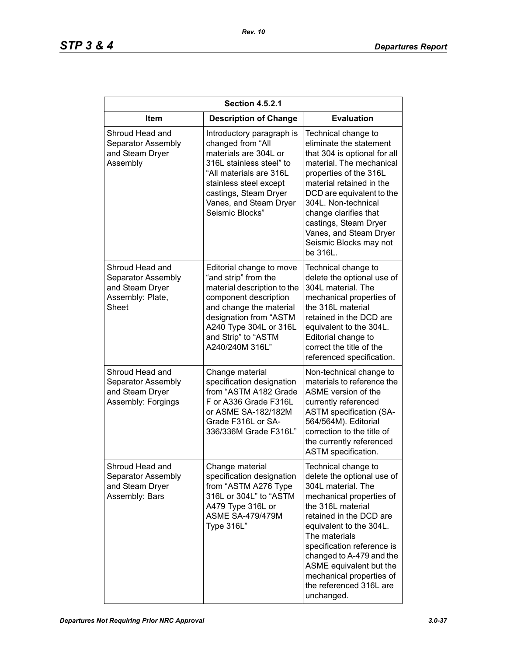| <b>Section 4.5.2.1</b>                                                                |                                                                                                                                                                                                                                   |                                                                                                                                                                                                                                                                                                                                                           |  |
|---------------------------------------------------------------------------------------|-----------------------------------------------------------------------------------------------------------------------------------------------------------------------------------------------------------------------------------|-----------------------------------------------------------------------------------------------------------------------------------------------------------------------------------------------------------------------------------------------------------------------------------------------------------------------------------------------------------|--|
| <b>Item</b>                                                                           | <b>Description of Change</b>                                                                                                                                                                                                      | <b>Evaluation</b>                                                                                                                                                                                                                                                                                                                                         |  |
| Shroud Head and<br>Separator Assembly<br>and Steam Dryer<br>Assembly                  | Introductory paragraph is<br>changed from "All<br>materials are 304L or<br>316L stainless steel" to<br>"All materials are 316L<br>stainless steel except<br>castings, Steam Dryer<br>Vanes, and Steam Dryer<br>Seismic Blocks"    | Technical change to<br>eliminate the statement<br>that 304 is optional for all<br>material. The mechanical<br>properties of the 316L<br>material retained in the<br>DCD are equivalent to the<br>304L. Non-technical<br>change clarifies that<br>castings, Steam Dryer<br>Vanes, and Steam Dryer<br>Seismic Blocks may not<br>be 316L.                    |  |
| Shroud Head and<br>Separator Assembly<br>and Steam Dryer<br>Assembly: Plate,<br>Sheet | Editorial change to move<br>"and strip" from the<br>material description to the<br>component description<br>and change the material<br>designation from "ASTM<br>A240 Type 304L or 316L<br>and Strip" to "ASTM<br>A240/240M 316L" | Technical change to<br>delete the optional use of<br>304L material. The<br>mechanical properties of<br>the 316L material<br>retained in the DCD are<br>equivalent to the 304L.<br>Editorial change to<br>correct the title of the<br>referenced specification.                                                                                            |  |
| Shroud Head and<br>Separator Assembly<br>and Steam Dryer<br>Assembly: Forgings        | Change material<br>specification designation<br>from "ASTM A182 Grade<br>F or A336 Grade F316L<br>or ASME SA-182/182M<br>Grade F316L or SA-<br>336/336M Grade F316L"                                                              | Non-technical change to<br>materials to reference the<br>ASME version of the<br>currently referenced<br><b>ASTM specification (SA-</b><br>564/564M). Editorial<br>correction to the title of<br>the currently referenced<br>ASTM specification.                                                                                                           |  |
| Shroud Head and<br>Separator Assembly<br>and Steam Dryer<br>Assembly: Bars            | Change material<br>specification designation<br>from "ASTM A276 Type<br>316L or 304L" to "ASTM<br>A479 Type 316L or<br><b>ASME SA-479/479M</b><br>Type 316L"                                                                      | Technical change to<br>delete the optional use of<br>304L material. The<br>mechanical properties of<br>the 316L material<br>retained in the DCD are<br>equivalent to the 304L.<br>The materials<br>specification reference is<br>changed to A-479 and the<br>ASME equivalent but the<br>mechanical properties of<br>the referenced 316L are<br>unchanged. |  |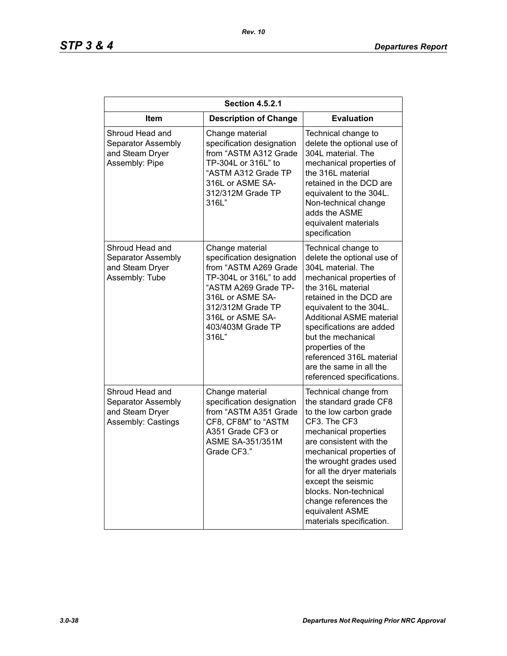| <b>Section 4.5.2.1</b>                                                         |                                                                                                                                                                                                                     |                                                                                                                                                                                                                                                                                                                                                                               |  |
|--------------------------------------------------------------------------------|---------------------------------------------------------------------------------------------------------------------------------------------------------------------------------------------------------------------|-------------------------------------------------------------------------------------------------------------------------------------------------------------------------------------------------------------------------------------------------------------------------------------------------------------------------------------------------------------------------------|--|
| Item                                                                           | <b>Description of Change</b>                                                                                                                                                                                        | <b>Evaluation</b>                                                                                                                                                                                                                                                                                                                                                             |  |
| Shroud Head and<br>Separator Assembly<br>and Steam Dryer<br>Assembly: Pipe     | Change material<br>specification designation<br>from "ASTM A312 Grade<br>TP-304L or 316L" to<br>"ASTM A312 Grade TP<br>316L or ASME SA-<br>312/312M Grade TP<br>316L"                                               | Technical change to<br>delete the optional use of<br>304L material. The<br>mechanical properties of<br>the 316L material<br>retained in the DCD are<br>equivalent to the 304L.<br>Non-technical change<br>adds the ASME<br>equivalent materials<br>specification                                                                                                              |  |
| Shroud Head and<br>Separator Assembly<br>and Steam Dryer<br>Assembly: Tube     | Change material<br>specification designation<br>from "ASTM A269 Grade<br>TP-304L or 316L" to add<br>"ASTM A269 Grade TP-<br>316L or ASME SA-<br>312/312M Grade TP<br>316L or ASME SA-<br>403/403M Grade TP<br>316L" | Technical change to<br>delete the optional use of<br>304L material. The<br>mechanical properties of<br>the 316L material<br>retained in the DCD are<br>equivalent to the 304L.<br><b>Additional ASME material</b><br>specifications are added<br>but the mechanical<br>properties of the<br>referenced 316L material<br>are the same in all the<br>referenced specifications. |  |
| Shroud Head and<br>Separator Assembly<br>and Steam Dryer<br>Assembly: Castings | Change material<br>specification designation<br>from "ASTM A351 Grade<br>CF8, CF8M" to "ASTM<br>A351 Grade CF3 or<br><b>ASME SA-351/351M</b><br>Grade CF3."                                                         | Technical change from<br>the standard grade CF8<br>to the low carbon grade<br>CF3. The CF3<br>mechanical properties<br>are consistent with the<br>mechanical properties of<br>the wrought grades used<br>for all the dryer materials<br>except the seismic<br>blocks. Non-technical<br>change references the<br>equivalent ASME<br>materials specification.                   |  |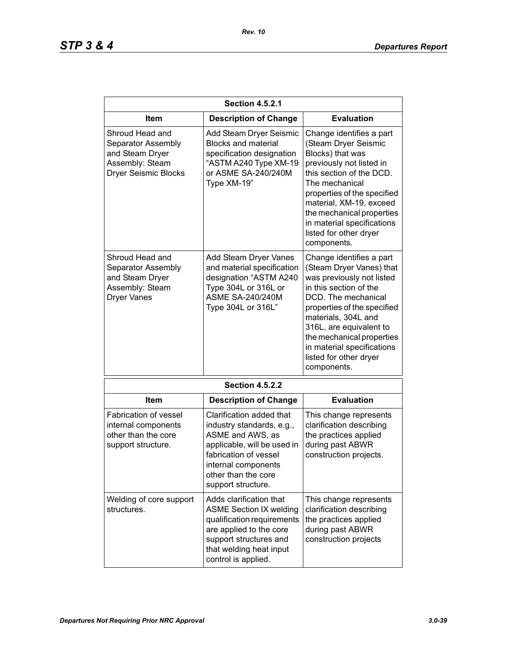| <b>Section 4.5.2.1</b>                                                                                     |                                                                                                                                                                                                       |                                                                                                                                                                                                                                                                                                                         |
|------------------------------------------------------------------------------------------------------------|-------------------------------------------------------------------------------------------------------------------------------------------------------------------------------------------------------|-------------------------------------------------------------------------------------------------------------------------------------------------------------------------------------------------------------------------------------------------------------------------------------------------------------------------|
| Item                                                                                                       | <b>Description of Change</b>                                                                                                                                                                          | <b>Evaluation</b>                                                                                                                                                                                                                                                                                                       |
| Shroud Head and<br>Separator Assembly<br>and Steam Dryer<br>Assembly: Steam<br><b>Dryer Seismic Blocks</b> | Add Steam Dryer Seismic<br><b>Blocks and material</b><br>specification designation<br>"ASTM A240 Type XM-19<br>or ASME SA-240/240M<br>Type XM-19"                                                     | Change identifies a part<br>(Steam Dryer Seismic<br>Blocks) that was<br>previously not listed in<br>this section of the DCD.<br>The mechanical<br>properties of the specified<br>material, XM-19, exceed<br>the mechanical properties<br>in material specifications<br>listed for other dryer<br>components.            |
| Shroud Head and<br>Separator Assembly<br>and Steam Dryer<br>Assembly: Steam<br><b>Dryer Vanes</b>          | Add Steam Dryer Vanes<br>and material specification<br>designation "ASTM A240<br>Type 304L or 316L or<br><b>ASME SA-240/240M</b><br>Type 304L or 316L"                                                | Change identifies a part<br>(Steam Dryer Vanes) that<br>was previously not listed<br>in this section of the<br>DCD. The mechanical<br>properties of the specified<br>materials, 304L and<br>316L, are equivalent to<br>the mechanical properties<br>in material specifications<br>listed for other dryer<br>components. |
|                                                                                                            | <b>Section 4.5.2.2</b>                                                                                                                                                                                |                                                                                                                                                                                                                                                                                                                         |
| Item                                                                                                       | <b>Description of Change</b>                                                                                                                                                                          | <b>Evaluation</b>                                                                                                                                                                                                                                                                                                       |
| <b>Fabrication of vessel</b><br>internal components<br>other than the core<br>support structure.           | Clarification added that<br>industry standards, e.g.,<br>ASME and AWS, as<br>applicable, will be used in<br>fabrication of vessel<br>internal components<br>other than the core<br>support structure. | This change represents<br>clarification describing<br>the practices applied<br>during past ABWR<br>construction projects.                                                                                                                                                                                               |
| Welding of core support<br>structures.                                                                     | Adds clarification that<br><b>ASME Section IX welding</b><br>qualification requirements<br>are applied to the core<br>support structures and<br>that welding heat input<br>control is applied.        | This change represents<br>clarification describing<br>the practices applied<br>during past ABWR<br>construction projects                                                                                                                                                                                                |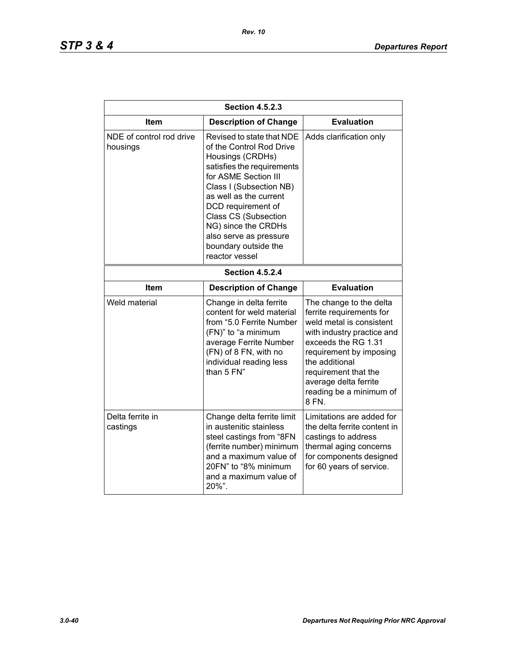| <b>Section 4.5.2.3</b>               |                                                                                                                                                                                                                                                                                                                                      |                                                                                                                                                                                                                                                                        |  |
|--------------------------------------|--------------------------------------------------------------------------------------------------------------------------------------------------------------------------------------------------------------------------------------------------------------------------------------------------------------------------------------|------------------------------------------------------------------------------------------------------------------------------------------------------------------------------------------------------------------------------------------------------------------------|--|
| <b>Item</b>                          | <b>Description of Change</b>                                                                                                                                                                                                                                                                                                         | <b>Evaluation</b>                                                                                                                                                                                                                                                      |  |
| NDE of control rod drive<br>housings | Revised to state that NDE<br>of the Control Rod Drive<br>Housings (CRDHs)<br>satisfies the requirements<br>for ASME Section III<br>Class I (Subsection NB)<br>as well as the current<br>DCD requirement of<br><b>Class CS (Subsection</b><br>NG) since the CRDHs<br>also serve as pressure<br>boundary outside the<br>reactor vessel | Adds clarification only                                                                                                                                                                                                                                                |  |
| <b>Section 4.5.2.4</b>               |                                                                                                                                                                                                                                                                                                                                      |                                                                                                                                                                                                                                                                        |  |
| Item                                 | <b>Description of Change</b>                                                                                                                                                                                                                                                                                                         | <b>Evaluation</b>                                                                                                                                                                                                                                                      |  |
| Weld material                        | Change in delta ferrite<br>content for weld material<br>from "5.0 Ferrite Number<br>(FN)" to "a minimum<br>average Ferrite Number<br>(FN) of 8 FN, with no<br>individual reading less<br>than 5 FN"                                                                                                                                  | The change to the delta<br>ferrite requirements for<br>weld metal is consistent<br>with industry practice and<br>exceeds the RG 1.31<br>requirement by imposing<br>the additional<br>requirement that the<br>average delta ferrite<br>reading be a minimum of<br>8 FN. |  |
| Delta ferrite in<br>castings         | Change delta ferrite limit<br>in austenitic stainless<br>steel castings from "8FN<br>(ferrite number) minimum<br>and a maximum value of<br>20FN" to "8% minimum<br>and a maximum value of<br>20%".                                                                                                                                   | Limitations are added for<br>the delta ferrite content in<br>castings to address<br>thermal aging concerns<br>for components designed<br>for 60 years of service.                                                                                                      |  |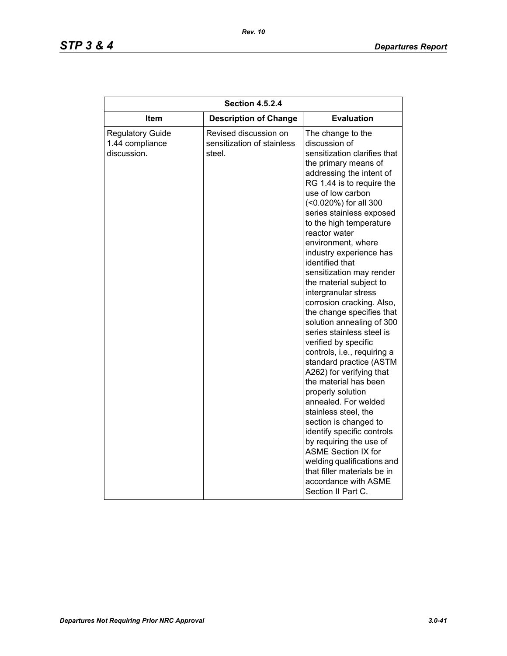| <b>Section 4.5.2.4</b>                                    |                                                               |                                                                                                                                                                                                                                                                                                                                                                                                                                                                                                                                                                                                                                                                                                                                                                                                                                                                                                                                                                                         |  |
|-----------------------------------------------------------|---------------------------------------------------------------|-----------------------------------------------------------------------------------------------------------------------------------------------------------------------------------------------------------------------------------------------------------------------------------------------------------------------------------------------------------------------------------------------------------------------------------------------------------------------------------------------------------------------------------------------------------------------------------------------------------------------------------------------------------------------------------------------------------------------------------------------------------------------------------------------------------------------------------------------------------------------------------------------------------------------------------------------------------------------------------------|--|
| Item                                                      | <b>Description of Change</b>                                  | <b>Evaluation</b>                                                                                                                                                                                                                                                                                                                                                                                                                                                                                                                                                                                                                                                                                                                                                                                                                                                                                                                                                                       |  |
| <b>Regulatory Guide</b><br>1.44 compliance<br>discussion. | Revised discussion on<br>sensitization of stainless<br>steel. | The change to the<br>discussion of<br>sensitization clarifies that<br>the primary means of<br>addressing the intent of<br>RG 1.44 is to require the<br>use of low carbon<br>(<0.020%) for all 300<br>series stainless exposed<br>to the high temperature<br>reactor water<br>environment, where<br>industry experience has<br>identified that<br>sensitization may render<br>the material subject to<br>intergranular stress<br>corrosion cracking. Also,<br>the change specifies that<br>solution annealing of 300<br>series stainless steel is<br>verified by specific<br>controls, i.e., requiring a<br>standard practice (ASTM<br>A262) for verifying that<br>the material has been<br>properly solution<br>annealed. For welded<br>stainless steel, the<br>section is changed to<br>identify specific controls<br>by requiring the use of<br><b>ASME Section IX for</b><br>welding qualifications and<br>that filler materials be in<br>accordance with ASME<br>Section II Part C. |  |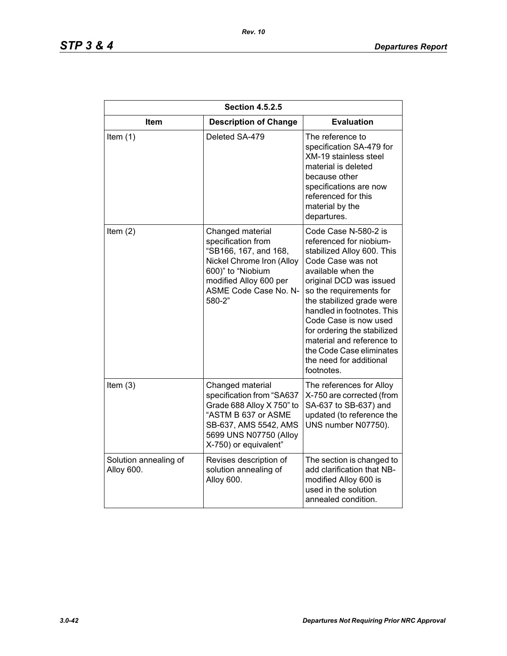| <b>Section 4.5.2.5</b>              |                                                                                                                                                                                |                                                                                                                                                                                                                                                                                                                                                                                                     |
|-------------------------------------|--------------------------------------------------------------------------------------------------------------------------------------------------------------------------------|-----------------------------------------------------------------------------------------------------------------------------------------------------------------------------------------------------------------------------------------------------------------------------------------------------------------------------------------------------------------------------------------------------|
| Item                                | <b>Description of Change</b>                                                                                                                                                   | <b>Evaluation</b>                                                                                                                                                                                                                                                                                                                                                                                   |
| Item $(1)$                          | Deleted SA-479                                                                                                                                                                 | The reference to<br>specification SA-479 for<br><b>XM-19 stainless steel</b><br>material is deleted<br>because other<br>specifications are now<br>referenced for this<br>material by the<br>departures.                                                                                                                                                                                             |
| Item $(2)$                          | Changed material<br>specification from<br>"SB166, 167, and 168,<br>Nickel Chrome Iron (Alloy<br>600)" to "Niobium<br>modified Alloy 600 per<br>ASME Code Case No. N-<br>580-2" | Code Case N-580-2 is<br>referenced for niobium-<br>stabilized Alloy 600. This<br>Code Case was not<br>available when the<br>original DCD was issued<br>so the requirements for<br>the stabilized grade were<br>handled in footnotes. This<br>Code Case is now used<br>for ordering the stabilized<br>material and reference to<br>the Code Case eliminates<br>the need for additional<br>footnotes. |
| Item $(3)$                          | Changed material<br>specification from "SA637<br>Grade 688 Alloy X 750" to<br>"ASTM B 637 or ASME<br>SB-637, AMS 5542, AMS<br>5699 UNS N07750 (Alloy<br>X-750) or equivalent"  | The references for Alloy<br>X-750 are corrected (from<br>SA-637 to SB-637) and<br>updated (to reference the<br>UNS number N07750).                                                                                                                                                                                                                                                                  |
| Solution annealing of<br>Alloy 600. | Revises description of<br>solution annealing of<br>Alloy 600.                                                                                                                  | The section is changed to<br>add clarification that NB-<br>modified Alloy 600 is<br>used in the solution<br>annealed condition.                                                                                                                                                                                                                                                                     |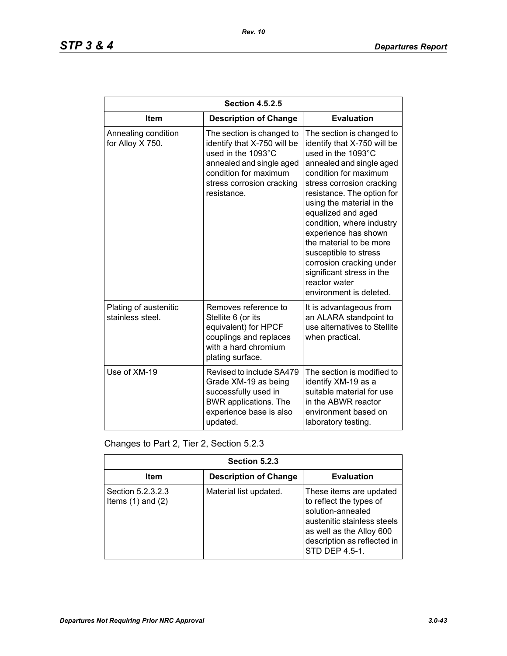| <b>Section 4.5.2.5</b>                    |                                                                                                                                                                                 |                                                                                                                                                                                                                                                                                                                                                                                                                                                                 |
|-------------------------------------------|---------------------------------------------------------------------------------------------------------------------------------------------------------------------------------|-----------------------------------------------------------------------------------------------------------------------------------------------------------------------------------------------------------------------------------------------------------------------------------------------------------------------------------------------------------------------------------------------------------------------------------------------------------------|
| <b>Item</b>                               | <b>Description of Change</b>                                                                                                                                                    | <b>Evaluation</b>                                                                                                                                                                                                                                                                                                                                                                                                                                               |
| Annealing condition<br>for Alloy X 750.   | The section is changed to<br>identify that X-750 will be<br>used in the 1093°C<br>annealed and single aged<br>condition for maximum<br>stress corrosion cracking<br>resistance. | The section is changed to<br>identify that X-750 will be<br>used in the 1093°C<br>annealed and single aged<br>condition for maximum<br>stress corrosion cracking<br>resistance. The option for<br>using the material in the<br>equalized and aged<br>condition, where industry<br>experience has shown<br>the material to be more<br>susceptible to stress<br>corrosion cracking under<br>significant stress in the<br>reactor water<br>environment is deleted. |
| Plating of austenitic<br>stainless steel. | Removes reference to<br>Stellite 6 (or its<br>equivalent) for HPCF<br>couplings and replaces<br>with a hard chromium<br>plating surface.                                        | It is advantageous from<br>an ALARA standpoint to<br>use alternatives to Stellite<br>when practical.                                                                                                                                                                                                                                                                                                                                                            |
| Use of XM-19                              | Revised to include SA479<br>Grade XM-19 as being<br>successfully used in<br><b>BWR</b> applications. The<br>experience base is also<br>updated.                                 | The section is modified to<br>identify XM-19 as a<br>suitable material for use<br>in the ABWR reactor<br>environment based on<br>laboratory testing.                                                                                                                                                                                                                                                                                                            |

Changes to Part 2, Tier 2, Section 5.2.3

| Section 5.2.3                              |                              |                                                                                                                                                                                     |
|--------------------------------------------|------------------------------|-------------------------------------------------------------------------------------------------------------------------------------------------------------------------------------|
| Item                                       | <b>Description of Change</b> | <b>Evaluation</b>                                                                                                                                                                   |
| Section 5.2.3.2.3<br>Items $(1)$ and $(2)$ | Material list updated.       | These items are updated<br>to reflect the types of<br>solution-annealed<br>austenitic stainless steels<br>as well as the Alloy 600<br>description as reflected in<br>STD DEP 4.5-1. |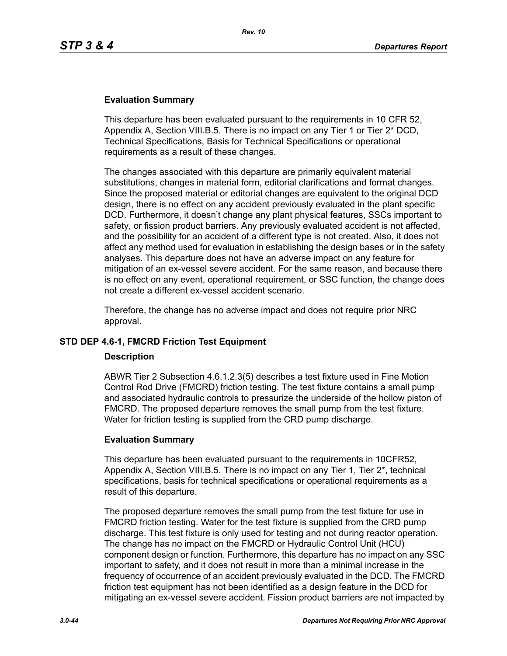### **Evaluation Summary**

This departure has been evaluated pursuant to the requirements in 10 CFR 52, Appendix A, Section VIII.B.5. There is no impact on any Tier 1 or Tier 2\* DCD, Technical Specifications, Basis for Technical Specifications or operational requirements as a result of these changes.

The changes associated with this departure are primarily equivalent material substitutions, changes in material form, editorial clarifications and format changes. Since the proposed material or editorial changes are equivalent to the original DCD design, there is no effect on any accident previously evaluated in the plant specific DCD. Furthermore, it doesn't change any plant physical features, SSCs important to safety, or fission product barriers. Any previously evaluated accident is not affected, and the possibility for an accident of a different type is not created. Also, it does not affect any method used for evaluation in establishing the design bases or in the safety analyses. This departure does not have an adverse impact on any feature for mitigation of an ex-vessel severe accident. For the same reason, and because there is no effect on any event, operational requirement, or SSC function, the change does not create a different ex-vessel accident scenario.

Therefore, the change has no adverse impact and does not require prior NRC approval.

### **STD DEP 4.6-1, FMCRD Friction Test Equipment**

### **Description**

ABWR Tier 2 Subsection 4.6.1.2.3(5) describes a test fixture used in Fine Motion Control Rod Drive (FMCRD) friction testing. The test fixture contains a small pump and associated hydraulic controls to pressurize the underside of the hollow piston of FMCRD. The proposed departure removes the small pump from the test fixture. Water for friction testing is supplied from the CRD pump discharge.

### **Evaluation Summary**

This departure has been evaluated pursuant to the requirements in 10CFR52, Appendix A, Section VIII.B.5. There is no impact on any Tier 1, Tier 2\*, technical specifications, basis for technical specifications or operational requirements as a result of this departure.

The proposed departure removes the small pump from the test fixture for use in FMCRD friction testing. Water for the test fixture is supplied from the CRD pump discharge. This test fixture is only used for testing and not during reactor operation. The change has no impact on the FMCRD or Hydraulic Control Unit (HCU) component design or function. Furthermore, this departure has no impact on any SSC important to safety, and it does not result in more than a minimal increase in the frequency of occurrence of an accident previously evaluated in the DCD. The FMCRD friction test equipment has not been identified as a design feature in the DCD for mitigating an ex-vessel severe accident. Fission product barriers are not impacted by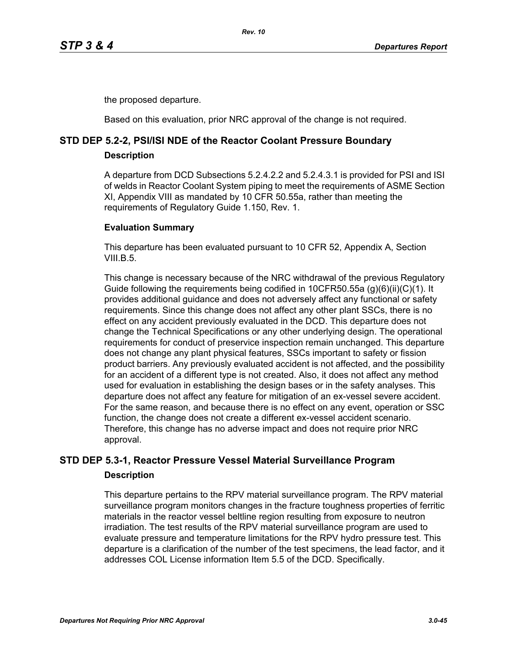the proposed departure.

Based on this evaluation, prior NRC approval of the change is not required.

# **STD DEP 5.2-2, PSI/ISI NDE of the Reactor Coolant Pressure Boundary**

### **Description**

A departure from DCD Subsections 5.2.4.2.2 and 5.2.4.3.1 is provided for PSI and ISI of welds in Reactor Coolant System piping to meet the requirements of ASME Section XI, Appendix VIII as mandated by 10 CFR 50.55a, rather than meeting the requirements of Regulatory Guide 1.150, Rev. 1.

### **Evaluation Summary**

This departure has been evaluated pursuant to 10 CFR 52, Appendix A, Section VIII.B.5

This change is necessary because of the NRC withdrawal of the previous Regulatory Guide following the requirements being codified in 10CFR50.55a (g)(6)(ii)(C)(1). It provides additional guidance and does not adversely affect any functional or safety requirements. Since this change does not affect any other plant SSCs, there is no effect on any accident previously evaluated in the DCD. This departure does not change the Technical Specifications or any other underlying design. The operational requirements for conduct of preservice inspection remain unchanged. This departure does not change any plant physical features, SSCs important to safety or fission product barriers. Any previously evaluated accident is not affected, and the possibility for an accident of a different type is not created. Also, it does not affect any method used for evaluation in establishing the design bases or in the safety analyses. This departure does not affect any feature for mitigation of an ex-vessel severe accident. For the same reason, and because there is no effect on any event, operation or SSC function, the change does not create a different ex-vessel accident scenario. Therefore, this change has no adverse impact and does not require prior NRC approval.

# **STD DEP 5.3-1, Reactor Pressure Vessel Material Surveillance Program Description**

This departure pertains to the RPV material surveillance program. The RPV material surveillance program monitors changes in the fracture toughness properties of ferritic materials in the reactor vessel beltline region resulting from exposure to neutron irradiation. The test results of the RPV material surveillance program are used to evaluate pressure and temperature limitations for the RPV hydro pressure test. This departure is a clarification of the number of the test specimens, the lead factor, and it addresses COL License information Item 5.5 of the DCD. Specifically.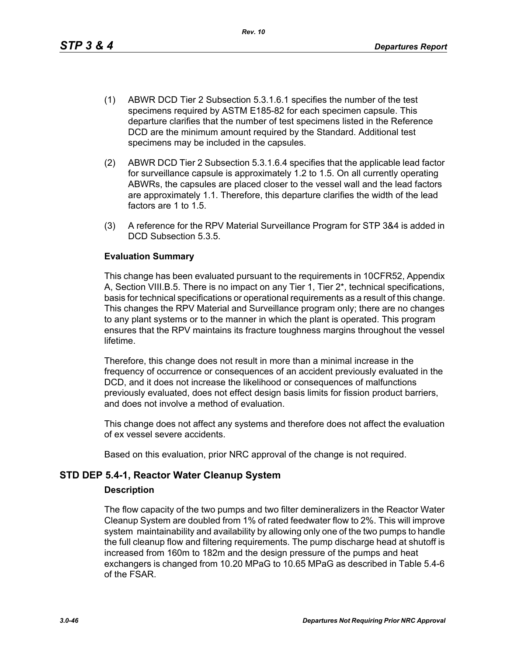This change has been evaluated pursuant to the requirements in 10CFR52, Appendix A, Section VIII.B.5. There is no impact on any Tier 1, Tier 2\*, technical specifications, basis for technical specifications or operational requirements as a result of this change. This changes the RPV Material and Surveillance program only; there are no changes to any plant systems or to the manner in which the plant is operated. This program ensures that the RPV maintains its fracture toughness margins throughout the vessel lifetime.

Therefore, this change does not result in more than a minimal increase in the frequency of occurrence or consequences of an accident previously evaluated in the DCD, and it does not increase the likelihood or consequences of malfunctions previously evaluated, does not effect design basis limits for fission product barriers, and does not involve a method of evaluation.

This change does not affect any systems and therefore does not affect the evaluation of ex vessel severe accidents.

Based on this evaluation, prior NRC approval of the change is not required.

### **STD DEP 5.4-1, Reactor Water Cleanup System**

### **Description**

The flow capacity of the two pumps and two filter demineralizers in the Reactor Water Cleanup System are doubled from 1% of rated feedwater flow to 2%. This will improve system maintainability and availability by allowing only one of the two pumps to handle the full cleanup flow and filtering requirements. The pump discharge head at shutoff is increased from 160m to 182m and the design pressure of the pumps and heat exchangers is changed from 10.20 MPaG to 10.65 MPaG as described in Table 5.4-6 of the FSAR.

- (2) ABWR DCD Tier 2 Subsection 5.3.1.6.4 specifies that the applicable lead factor for surveillance capsule is approximately 1.2 to 1.5. On all currently operating ABWRs, the capsules are placed closer to the vessel wall and the lead factors are approximately 1.1. Therefore, this departure clarifies the width of the lead factors are 1 to 1.5.
- (3) A reference for the RPV Material Surveillance Program for STP 3&4 is added in DCD Subsection 5.3.5.

### **Evaluation Summary**

(1) ABWR DCD Tier 2 Subsection 5.3.1.6.1 specifies the number of the test specimens required by ASTM E185-82 for each specimen capsule. This

specimens may be included in the capsules.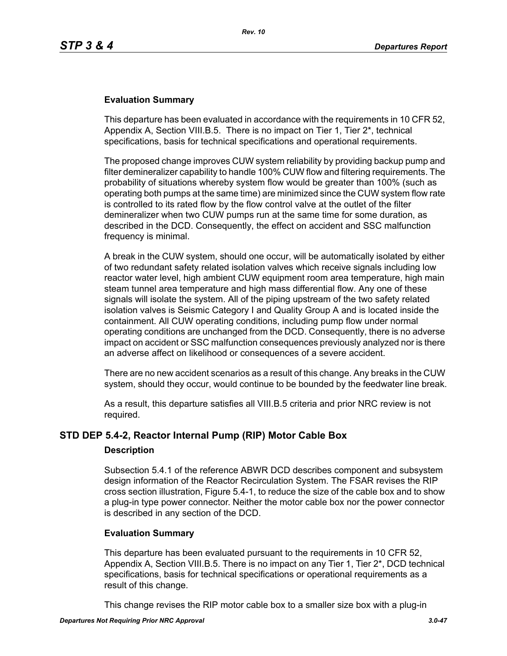### **Evaluation Summary**

This departure has been evaluated in accordance with the requirements in 10 CFR 52, Appendix A, Section VIII.B.5. There is no impact on Tier 1, Tier 2\*, technical specifications, basis for technical specifications and operational requirements.

The proposed change improves CUW system reliability by providing backup pump and filter demineralizer capability to handle 100% CUW flow and filtering requirements. The probability of situations whereby system flow would be greater than 100% (such as operating both pumps at the same time) are minimized since the CUW system flow rate is controlled to its rated flow by the flow control valve at the outlet of the filter demineralizer when two CUW pumps run at the same time for some duration, as described in the DCD. Consequently, the effect on accident and SSC malfunction frequency is minimal.

A break in the CUW system, should one occur, will be automatically isolated by either of two redundant safety related isolation valves which receive signals including low reactor water level, high ambient CUW equipment room area temperature, high main steam tunnel area temperature and high mass differential flow. Any one of these signals will isolate the system. All of the piping upstream of the two safety related isolation valves is Seismic Category I and Quality Group A and is located inside the containment. All CUW operating conditions, including pump flow under normal operating conditions are unchanged from the DCD. Consequently, there is no adverse impact on accident or SSC malfunction consequences previously analyzed nor is there an adverse affect on likelihood or consequences of a severe accident.

There are no new accident scenarios as a result of this change. Any breaks in the CUW system, should they occur, would continue to be bounded by the feedwater line break.

As a result, this departure satisfies all VIII.B.5 criteria and prior NRC review is not required.

### **STD DEP 5.4-2, Reactor Internal Pump (RIP) Motor Cable Box**

### **Description**

Subsection 5.4.1 of the reference ABWR DCD describes component and subsystem design information of the Reactor Recirculation System. The FSAR revises the RIP cross section illustration, Figure 5.4-1, to reduce the size of the cable box and to show a plug-in type power connector. Neither the motor cable box nor the power connector is described in any section of the DCD.

### **Evaluation Summary**

This departure has been evaluated pursuant to the requirements in 10 CFR 52, Appendix A, Section VIII.B.5. There is no impact on any Tier 1, Tier 2\*, DCD technical specifications, basis for technical specifications or operational requirements as a result of this change.

This change revises the RIP motor cable box to a smaller size box with a plug-in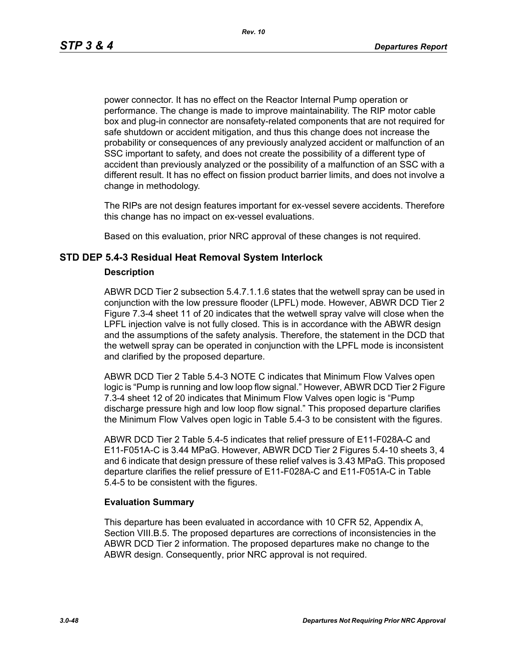power connector. It has no effect on the Reactor Internal Pump operation or performance. The change is made to improve maintainability. The RIP motor cable box and plug-in connector are nonsafety-related components that are not required for safe shutdown or accident mitigation, and thus this change does not increase the probability or consequences of any previously analyzed accident or malfunction of an SSC important to safety, and does not create the possibility of a different type of accident than previously analyzed or the possibility of a malfunction of an SSC with a different result. It has no effect on fission product barrier limits, and does not involve a change in methodology.

The RIPs are not design features important for ex-vessel severe accidents. Therefore this change has no impact on ex-vessel evaluations.

Based on this evaluation, prior NRC approval of these changes is not required.

### **STD DEP 5.4-3 Residual Heat Removal System Interlock**

#### **Description**

ABWR DCD Tier 2 subsection 5.4.7.1.1.6 states that the wetwell spray can be used in conjunction with the low pressure flooder (LPFL) mode. However, ABWR DCD Tier 2 Figure 7.3-4 sheet 11 of 20 indicates that the wetwell spray valve will close when the LPFL injection valve is not fully closed. This is in accordance with the ABWR design and the assumptions of the safety analysis. Therefore, the statement in the DCD that the wetwell spray can be operated in conjunction with the LPFL mode is inconsistent and clarified by the proposed departure.

ABWR DCD Tier 2 Table 5.4-3 NOTE C indicates that Minimum Flow Valves open logic is "Pump is running and low loop flow signal." However, ABWR DCD Tier 2 Figure 7.3-4 sheet 12 of 20 indicates that Minimum Flow Valves open logic is "Pump discharge pressure high and low loop flow signal." This proposed departure clarifies the Minimum Flow Valves open logic in Table 5.4-3 to be consistent with the figures.

ABWR DCD Tier 2 Table 5.4-5 indicates that relief pressure of E11-F028A-C and E11-F051A-C is 3.44 MPaG. However, ABWR DCD Tier 2 Figures 5.4-10 sheets 3, 4 and 6 indicate that design pressure of these relief valves is 3.43 MPaG. This proposed departure clarifies the relief pressure of E11-F028A-C and E11-F051A-C in Table 5.4-5 to be consistent with the figures.

### **Evaluation Summary**

This departure has been evaluated in accordance with 10 CFR 52, Appendix A, Section VIII.B.5. The proposed departures are corrections of inconsistencies in the ABWR DCD Tier 2 information. The proposed departures make no change to the ABWR design. Consequently, prior NRC approval is not required.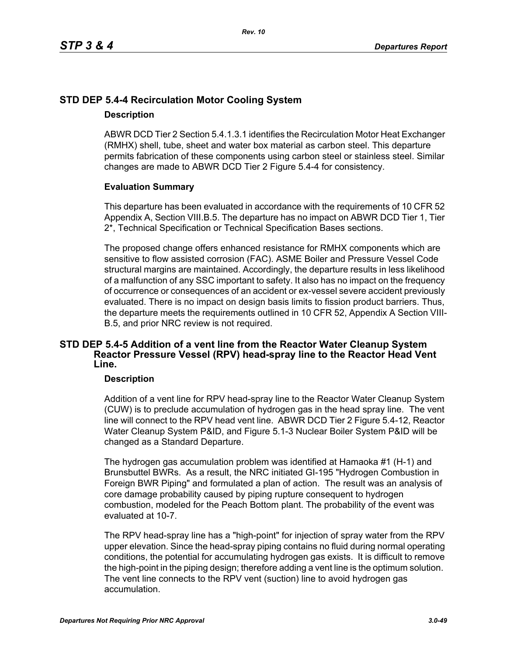# **STD DEP 5.4-4 Recirculation Motor Cooling System**

### **Description**

ABWR DCD Tier 2 Section 5.4.1.3.1 identifies the Recirculation Motor Heat Exchanger (RMHX) shell, tube, sheet and water box material as carbon steel. This departure permits fabrication of these components using carbon steel or stainless steel. Similar changes are made to ABWR DCD Tier 2 Figure 5.4-4 for consistency.

### **Evaluation Summary**

This departure has been evaluated in accordance with the requirements of 10 CFR 52 Appendix A, Section VIII.B.5. The departure has no impact on ABWR DCD Tier 1, Tier 2\*, Technical Specification or Technical Specification Bases sections.

The proposed change offers enhanced resistance for RMHX components which are sensitive to flow assisted corrosion (FAC). ASME Boiler and Pressure Vessel Code structural margins are maintained. Accordingly, the departure results in less likelihood of a malfunction of any SSC important to safety. It also has no impact on the frequency of occurrence or consequences of an accident or ex-vessel severe accident previously evaluated. There is no impact on design basis limits to fission product barriers. Thus, the departure meets the requirements outlined in 10 CFR 52, Appendix A Section VIII-B.5, and prior NRC review is not required.

### **STD DEP 5.4-5 Addition of a vent line from the Reactor Water Cleanup System Reactor Pressure Vessel (RPV) head-spray line to the Reactor Head Vent Line.**

### **Description**

Addition of a vent line for RPV head-spray line to the Reactor Water Cleanup System (CUW) is to preclude accumulation of hydrogen gas in the head spray line. The vent line will connect to the RPV head vent line. ABWR DCD Tier 2 Figure 5.4-12, Reactor Water Cleanup System P&ID, and Figure 5.1-3 Nuclear Boiler System P&ID will be changed as a Standard Departure.

The hydrogen gas accumulation problem was identified at Hamaoka #1 (H-1) and Brunsbuttel BWRs. As a result, the NRC initiated GI-195 "Hydrogen Combustion in Foreign BWR Piping" and formulated a plan of action. The result was an analysis of core damage probability caused by piping rupture consequent to hydrogen combustion, modeled for the Peach Bottom plant. The probability of the event was evaluated at 10-7.

The RPV head-spray line has a "high-point" for injection of spray water from the RPV upper elevation. Since the head-spray piping contains no fluid during normal operating conditions, the potential for accumulating hydrogen gas exists. It is difficult to remove the high-point in the piping design; therefore adding a vent line is the optimum solution. The vent line connects to the RPV vent (suction) line to avoid hydrogen gas accumulation.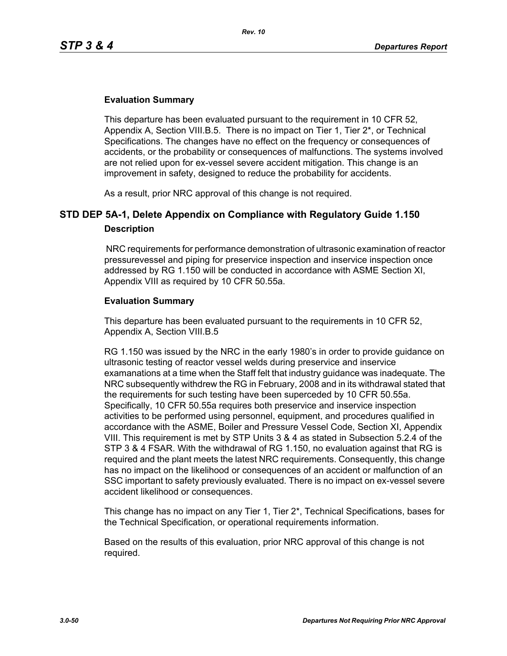### **Evaluation Summary**

This departure has been evaluated pursuant to the requirement in 10 CFR 52, Appendix A, Section VIII.B.5. There is no impact on Tier 1, Tier 2\*, or Technical Specifications. The changes have no effect on the frequency or consequences of accidents, or the probability or consequences of malfunctions. The systems involved are not relied upon for ex-vessel severe accident mitigation. This change is an improvement in safety, designed to reduce the probability for accidents.

As a result, prior NRC approval of this change is not required.

# **STD DEP 5A-1, Delete Appendix on Compliance with Regulatory Guide 1.150 Description**

 NRC requirements for performance demonstration of ultrasonic examination of reactor pressurevessel and piping for preservice inspection and inservice inspection once addressed by RG 1.150 will be conducted in accordance with ASME Section XI, Appendix VIII as required by 10 CFR 50.55a.

### **Evaluation Summary**

This departure has been evaluated pursuant to the requirements in 10 CFR 52, Appendix A, Section VIII.B.5

RG 1.150 was issued by the NRC in the early 1980's in order to provide guidance on ultrasonic testing of reactor vessel welds during preservice and inservice examanations at a time when the Staff felt that industry guidance was inadequate. The NRC subsequently withdrew the RG in February, 2008 and in its withdrawal stated that the requirements for such testing have been superceded by 10 CFR 50.55a. Specifically, 10 CFR 50.55a requires both preservice and inservice inspection activities to be performed using personnel, equipment, and procedures qualified in accordance with the ASME, Boiler and Pressure Vessel Code, Section XI, Appendix VIII. This requirement is met by STP Units 3 & 4 as stated in Subsection 5.2.4 of the STP 3 & 4 FSAR. With the withdrawal of RG 1.150, no evaluation against that RG is required and the plant meets the latest NRC requirements. Consequently, this change has no impact on the likelihood or consequences of an accident or malfunction of an SSC important to safety previously evaluated. There is no impact on ex-vessel severe accident likelihood or consequences.

This change has no impact on any Tier 1, Tier 2\*, Technical Specifications, bases for the Technical Specification, or operational requirements information.

Based on the results of this evaluation, prior NRC approval of this change is not required.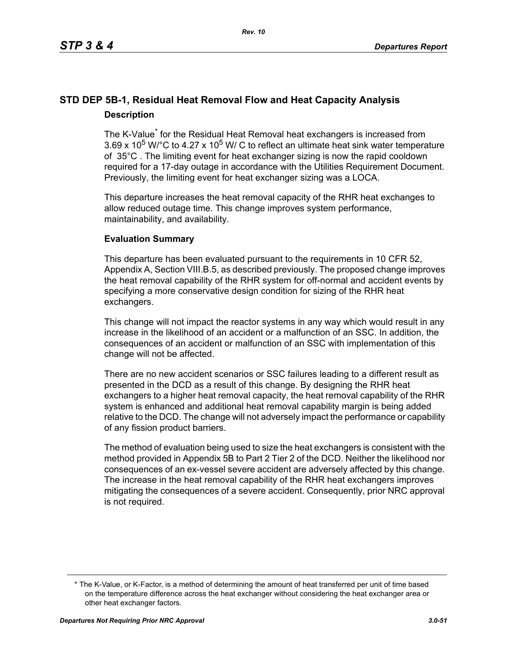# **STD DEP 5B-1, Residual Heat Removal Flow and Heat Capacity Analysis Description**

The K-Value<sup>\*</sup> for the Residual Heat Removal heat exchangers is increased from 3.69 x 10<sup>5</sup> W/ $^{\circ}$ C to 4.27 x 10<sup>5</sup> W/ C to reflect an ultimate heat sink water temperature of 35°C . The limiting event for heat exchanger sizing is now the rapid cooldown required for a 17-day outage in accordance with the Utilities Requirement Document. Previously, the limiting event for heat exchanger sizing was a LOCA.

This departure increases the heat removal capacity of the RHR heat exchanges to allow reduced outage time. This change improves system performance, maintainability, and availability.

### **Evaluation Summary**

This departure has been evaluated pursuant to the requirements in 10 CFR 52, Appendix A, Section VIII.B.5, as described previously. The proposed change improves the heat removal capability of the RHR system for off-normal and accident events by specifying a more conservative design condition for sizing of the RHR heat exchangers.

This change will not impact the reactor systems in any way which would result in any increase in the likelihood of an accident or a malfunction of an SSC. In addition, the consequences of an accident or malfunction of an SSC with implementation of this change will not be affected.

There are no new accident scenarios or SSC failures leading to a different result as presented in the DCD as a result of this change. By designing the RHR heat exchangers to a higher heat removal capacity, the heat removal capability of the RHR system is enhanced and additional heat removal capability margin is being added relative to the DCD. The change will not adversely impact the performance or capability of any fission product barriers.

The method of evaluation being used to size the heat exchangers is consistent with the method provided in Appendix 5B to Part 2 Tier 2 of the DCD. Neither the likelihood nor consequences of an ex-vessel severe accident are adversely affected by this change. The increase in the heat removal capability of the RHR heat exchangers improves mitigating the consequences of a severe accident. Consequently, prior NRC approval is not required.

<sup>\*</sup> The K-Value, or K-Factor, is a method of determining the amount of heat transferred per unit of time based on the temperature difference across the heat exchanger without considering the heat exchanger area or other heat exchanger factors.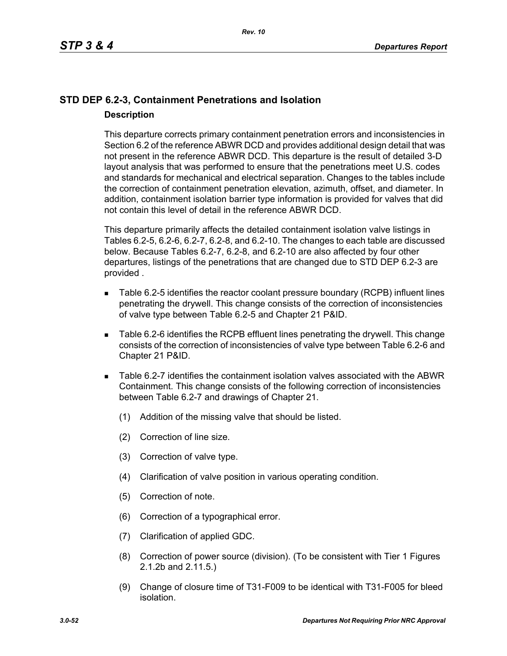# **STD DEP 6.2-3, Containment Penetrations and Isolation Description**

This departure corrects primary containment penetration errors and inconsistencies in Section 6.2 of the reference ABWR DCD and provides additional design detail that was not present in the reference ABWR DCD. This departure is the result of detailed 3-D layout analysis that was performed to ensure that the penetrations meet U.S. codes and standards for mechanical and electrical separation. Changes to the tables include the correction of containment penetration elevation, azimuth, offset, and diameter. In addition, containment isolation barrier type information is provided for valves that did not contain this level of detail in the reference ABWR DCD.

This departure primarily affects the detailed containment isolation valve listings in Tables 6.2-5, 6.2-6, 6.2-7, 6.2-8, and 6.2-10. The changes to each table are discussed below. Because Tables 6.2-7, 6.2-8, and 6.2-10 are also affected by four other departures, listings of the penetrations that are changed due to STD DEP 6.2-3 are provided .

- Table 6.2-5 identifies the reactor coolant pressure boundary (RCPB) influent lines penetrating the drywell. This change consists of the correction of inconsistencies of valve type between Table 6.2-5 and Chapter 21 P&ID.
- Table 6.2-6 identifies the RCPB effluent lines penetrating the drywell. This change consists of the correction of inconsistencies of valve type between Table 6.2-6 and Chapter 21 P&ID.
- Table 6.2-7 identifies the containment isolation valves associated with the ABWR Containment. This change consists of the following correction of inconsistencies between Table 6.2-7 and drawings of Chapter 21.
	- (1) Addition of the missing valve that should be listed.
	- (2) Correction of line size.
	- (3) Correction of valve type.
	- (4) Clarification of valve position in various operating condition.
	- (5) Correction of note.
	- (6) Correction of a typographical error.
	- (7) Clarification of applied GDC.
	- (8) Correction of power source (division). (To be consistent with Tier 1 Figures 2.1.2b and 2.11.5.)
	- (9) Change of closure time of T31-F009 to be identical with T31-F005 for bleed isolation.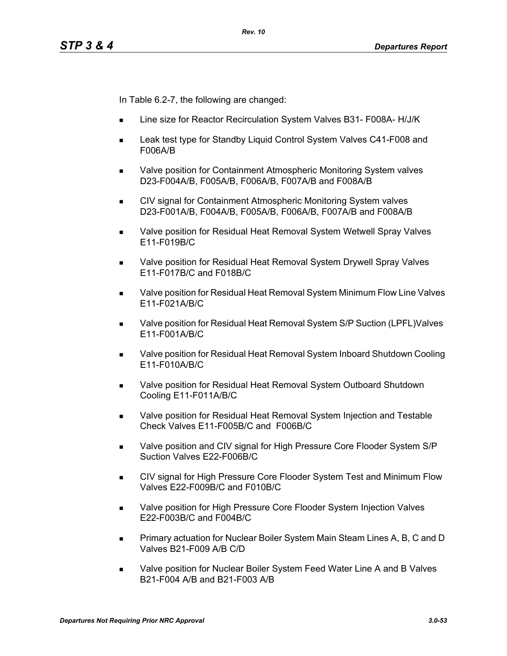In Table 6.2-7, the following are changed:

- Line size for Reactor Recirculation System Valves B31- F008A- H/J/K
- Leak test type for Standby Liquid Control System Valves C41-F008 and F006A/B
- Valve position for Containment Atmospheric Monitoring System valves D23-F004A/B, F005A/B, F006A/B, F007A/B and F008A/B
- **CIV signal for Containment Atmospheric Monitoring System valves** D23-F001A/B, F004A/B, F005A/B, F006A/B, F007A/B and F008A/B
- **Notable 20 as Valve position for Residual Heat Removal System Wetwell Spray Valves** E11-F019B/C
- Valve position for Residual Heat Removal System Drywell Spray Valves E11-F017B/C and F018B/C
- Valve position for Residual Heat Removal System Minimum Flow Line Valves E11-F021A/B/C
- Valve position for Residual Heat Removal System S/P Suction (LPFL)Valves E11-F001A/B/C
- Valve position for Residual Heat Removal System Inboard Shutdown Cooling E11-F010A/B/C
- Valve position for Residual Heat Removal System Outboard Shutdown Cooling E11-F011A/B/C
- **Nalve position for Residual Heat Removal System Injection and Testable** Check Valves E11-F005B/C and F006B/C
- Valve position and CIV signal for High Pressure Core Flooder System S/P Suction Valves E22-F006B/C
- CIV signal for High Pressure Core Flooder System Test and Minimum Flow Valves E22-F009B/C and F010B/C
- **Nalve position for High Pressure Core Flooder System Injection Valves** E22-F003B/C and F004B/C
- **Primary actuation for Nuclear Boiler System Main Steam Lines A, B, C and D** Valves B21-F009 A/B C/D
- Valve position for Nuclear Boiler System Feed Water Line A and B Valves B21-F004 A/B and B21-F003 A/B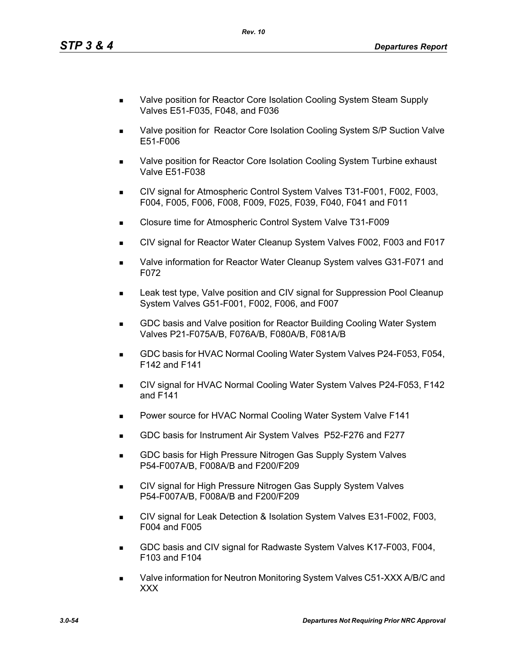- Valve position for Reactor Core Isolation Cooling System Steam Supply Valves E51-F035, F048, and F036
- Valve position for Reactor Core Isolation Cooling System S/P Suction Valve E51-F006
- Valve position for Reactor Core Isolation Cooling System Turbine exhaust Valve E51-F038
- CIV signal for Atmospheric Control System Valves T31-F001, F002, F003, F004, F005, F006, F008, F009, F025, F039, F040, F041 and F011
- Closure time for Atmospheric Control System Valve T31-F009
- CIV signal for Reactor Water Cleanup System Valves F002, F003 and F017
- Valve information for Reactor Water Cleanup System valves G31-F071 and F072
- Leak test type, Valve position and CIV signal for Suppression Pool Cleanup System Valves G51-F001, F002, F006, and F007
- GDC basis and Valve position for Reactor Building Cooling Water System Valves P21-F075A/B, F076A/B, F080A/B, F081A/B
- GDC basis for HVAC Normal Cooling Water System Valves P24-F053, F054, F142 and F141
- CIV signal for HVAC Normal Cooling Water System Valves P24-F053, F142 and F141
- **Power source for HVAC Normal Cooling Water System Valve F141**
- GDC basis for Instrument Air System Valves P52-F276 and F277
- **GDC basis for High Pressure Nitrogen Gas Supply System Valves** P54-F007A/B, F008A/B and F200/F209
- CIV signal for High Pressure Nitrogen Gas Supply System Valves P54-F007A/B, F008A/B and F200/F209
- CIV signal for Leak Detection & Isolation System Valves E31-F002, F003, F004 and F005
- GDC basis and CIV signal for Radwaste System Valves K17-F003, F004, F103 and F104
- Valve information for Neutron Monitoring System Valves C51-XXX A/B/C and XXX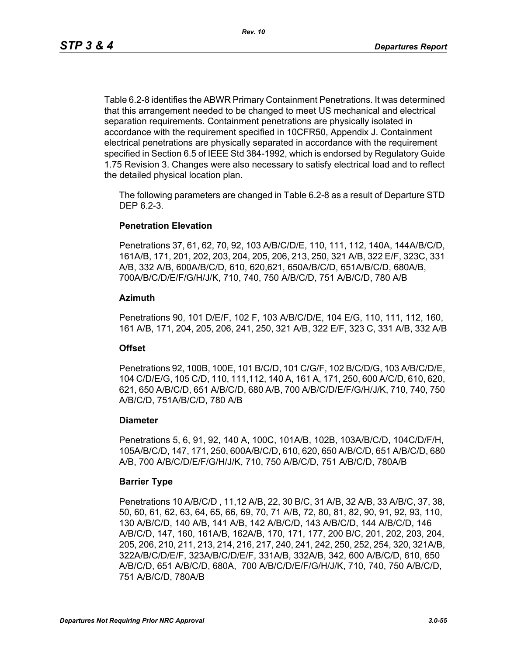Table 6.2-8 identifies the ABWR Primary Containment Penetrations. It was determined that this arrangement needed to be changed to meet US mechanical and electrical separation requirements. Containment penetrations are physically isolated in accordance with the requirement specified in 10CFR50, Appendix J. Containment electrical penetrations are physically separated in accordance with the requirement specified in Section 6.5 of IEEE Std 384-1992, which is endorsed by Regulatory Guide 1.75 Revision 3. Changes were also necessary to satisfy electrical load and to reflect the detailed physical location plan.

The following parameters are changed in Table 6.2-8 as a result of Departure STD DEP 6.2-3.

### **Penetration Elevation**

Penetrations 37, 61, 62, 70, 92, 103 A/B/C/D/E, 110, 111, 112, 140A, 144A/B/C/D, 161A/B, 171, 201, 202, 203, 204, 205, 206, 213, 250, 321 A/B, 322 E/F, 323C, 331 A/B, 332 A/B, 600A/B/C/D, 610, 620,621, 650A/B/C/D, 651A/B/C/D, 680A/B, 700A/B/C/D/E/F/G/H/J/K, 710, 740, 750 A/B/C/D, 751 A/B/C/D, 780 A/B

### **Azimuth**

Penetrations 90, 101 D/E/F, 102 F, 103 A/B/C/D/E, 104 E/G, 110, 111, 112, 160, 161 A/B, 171, 204, 205, 206, 241, 250, 321 A/B, 322 E/F, 323 C, 331 A/B, 332 A/B

### **Offset**

Penetrations 92, 100B, 100E, 101 B/C/D, 101 C/G/F, 102 B/C/D/G, 103 A/B/C/D/E, 104 C/D/E/G, 105 C/D, 110, 111,112, 140 A, 161 A, 171, 250, 600 A/C/D, 610, 620, 621, 650 A/B/C/D, 651 A/B/C/D, 680 A/B, 700 A/B/C/D/E/F/G/H/J/K, 710, 740, 750 A/B/C/D, 751A/B/C/D, 780 A/B

### **Diameter**

Penetrations 5, 6, 91, 92, 140 A, 100C, 101A/B, 102B, 103A/B/C/D, 104C/D/F/H, 105A/B/C/D, 147, 171, 250, 600A/B/C/D, 610, 620, 650 A/B/C/D, 651 A/B/C/D, 680 A/B, 700 A/B/C/D/E/F/G/H/J/K, 710, 750 A/B/C/D, 751 A/B/C/D, 780A/B

### **Barrier Type**

Penetrations 10 A/B/C/D , 11,12 A/B, 22, 30 B/C, 31 A/B, 32 A/B, 33 A/B/C, 37, 38, 50, 60, 61, 62, 63, 64, 65, 66, 69, 70, 71 A/B, 72, 80, 81, 82, 90, 91, 92, 93, 110, 130 A/B/C/D, 140 A/B, 141 A/B, 142 A/B/C/D, 143 A/B/C/D, 144 A/B/C/D, 146 A/B/C/D, 147, 160, 161A/B, 162A/B, 170, 171, 177, 200 B/C, 201, 202, 203, 204, 205, 206, 210, 211, 213, 214, 216, 217, 240, 241, 242, 250, 252, 254, 320, 321A/B, 322A/B/C/D/E/F, 323A/B/C/D/E/F, 331A/B, 332A/B, 342, 600 A/B/C/D, 610, 650 A/B/C/D, 651 A/B/C/D, 680A, 700 A/B/C/D/E/F/G/H/J/K, 710, 740, 750 A/B/C/D, 751 A/B/C/D, 780A/B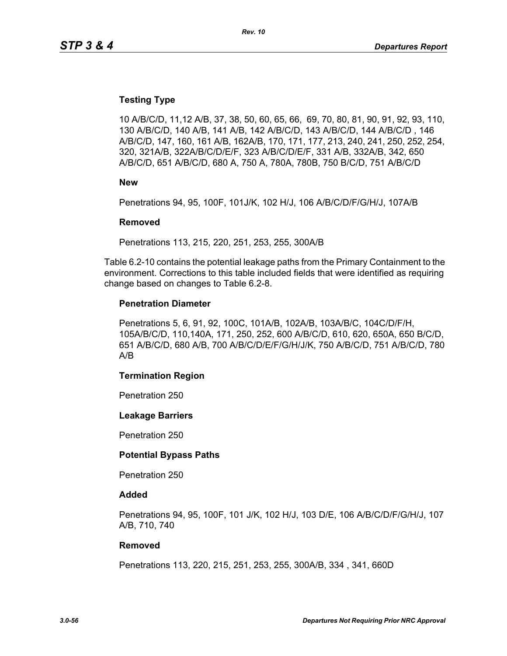### **Testing Type**

10 A/B/C/D, 11,12 A/B, 37, 38, 50, 60, 65, 66, 69, 70, 80, 81, 90, 91, 92, 93, 110, 130 A/B/C/D, 140 A/B, 141 A/B, 142 A/B/C/D, 143 A/B/C/D, 144 A/B/C/D , 146 A/B/C/D, 147, 160, 161 A/B, 162A/B, 170, 171, 177, 213, 240, 241, 250, 252, 254, 320, 321A/B, 322A/B/C/D/E/F, 323 A/B/C/D/E/F, 331 A/B, 332A/B, 342, 650 A/B/C/D, 651 A/B/C/D, 680 A, 750 A, 780A, 780B, 750 B/C/D, 751 A/B/C/D

**New**

Penetrations 94, 95, 100F, 101J/K, 102 H/J, 106 A/B/C/D/F/G/H/J, 107A/B

#### **Removed**

Penetrations 113, 215, 220, 251, 253, 255, 300A/B

Table 6.2-10 contains the potential leakage paths from the Primary Containment to the environment. Corrections to this table included fields that were identified as requiring change based on changes to Table 6.2-8.

#### **Penetration Diameter**

Penetrations 5, 6, 91, 92, 100C, 101A/B, 102A/B, 103A/B/C, 104C/D/F/H, 105A/B/C/D, 110,140A, 171, 250, 252, 600 A/B/C/D, 610, 620, 650A, 650 B/C/D, 651 A/B/C/D, 680 A/B, 700 A/B/C/D/E/F/G/H/J/K, 750 A/B/C/D, 751 A/B/C/D, 780 A/B

#### **Termination Region**

Penetration 250

#### **Leakage Barriers**

Penetration 250

#### **Potential Bypass Paths**

Penetration 250

#### **Added**

Penetrations 94, 95, 100F, 101 J/K, 102 H/J, 103 D/E, 106 A/B/C/D/F/G/H/J, 107 A/B, 710, 740

#### **Removed**

Penetrations 113, 220, 215, 251, 253, 255, 300A/B, 334 , 341, 660D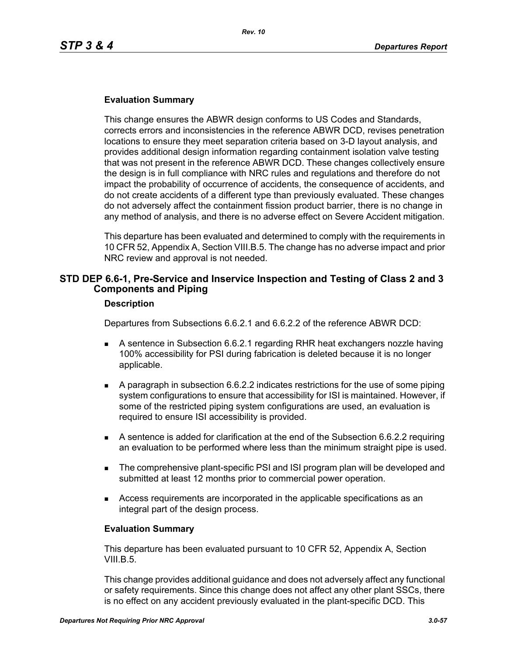### **Evaluation Summary**

This change ensures the ABWR design conforms to US Codes and Standards, corrects errors and inconsistencies in the reference ABWR DCD, revises penetration locations to ensure they meet separation criteria based on 3-D layout analysis, and provides additional design information regarding containment isolation valve testing that was not present in the reference ABWR DCD. These changes collectively ensure the design is in full compliance with NRC rules and regulations and therefore do not impact the probability of occurrence of accidents, the consequence of accidents, and do not create accidents of a different type than previously evaluated. These changes do not adversely affect the containment fission product barrier, there is no change in any method of analysis, and there is no adverse effect on Severe Accident mitigation.

This departure has been evaluated and determined to comply with the requirements in 10 CFR 52, Appendix A, Section VIII.B.5. The change has no adverse impact and prior NRC review and approval is not needed.

### **STD DEP 6.6-1, Pre-Service and Inservice Inspection and Testing of Class 2 and 3 Components and Piping**

#### **Description**

Departures from Subsections 6.6.2.1 and 6.6.2.2 of the reference ABWR DCD:

- A sentence in Subsection 6.6.2.1 regarding RHR heat exchangers nozzle having 100% accessibility for PSI during fabrication is deleted because it is no longer applicable.
- A paragraph in subsection 6.6.2.2 indicates restrictions for the use of some piping system configurations to ensure that accessibility for ISI is maintained. However, if some of the restricted piping system configurations are used, an evaluation is required to ensure ISI accessibility is provided.
- A sentence is added for clarification at the end of the Subsection 6.6.2.2 requiring an evaluation to be performed where less than the minimum straight pipe is used.
- **The comprehensive plant-specific PSI and ISI program plan will be developed and** submitted at least 12 months prior to commercial power operation.
- Access requirements are incorporated in the applicable specifications as an integral part of the design process.

#### **Evaluation Summary**

This departure has been evaluated pursuant to 10 CFR 52, Appendix A, Section VIII.B.5.

This change provides additional guidance and does not adversely affect any functional or safety requirements. Since this change does not affect any other plant SSCs, there is no effect on any accident previously evaluated in the plant-specific DCD. This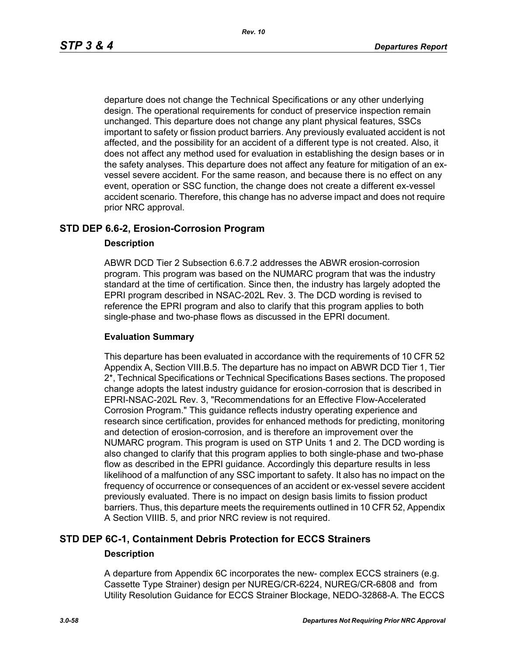departure does not change the Technical Specifications or any other underlying design. The operational requirements for conduct of preservice inspection remain unchanged. This departure does not change any plant physical features, SSCs important to safety or fission product barriers. Any previously evaluated accident is not affected, and the possibility for an accident of a different type is not created. Also, it does not affect any method used for evaluation in establishing the design bases or in the safety analyses. This departure does not affect any feature for mitigation of an exvessel severe accident. For the same reason, and because there is no effect on any event, operation or SSC function, the change does not create a different ex-vessel accident scenario. Therefore, this change has no adverse impact and does not require prior NRC approval.

### **STD DEP 6.6-2, Erosion-Corrosion Program**

### **Description**

ABWR DCD Tier 2 Subsection 6.6.7.2 addresses the ABWR erosion-corrosion program. This program was based on the NUMARC program that was the industry standard at the time of certification. Since then, the industry has largely adopted the EPRI program described in NSAC-202L Rev. 3. The DCD wording is revised to reference the EPRI program and also to clarify that this program applies to both single-phase and two-phase flows as discussed in the EPRI document.

### **Evaluation Summary**

This departure has been evaluated in accordance with the requirements of 10 CFR 52 Appendix A, Section VIII.B.5. The departure has no impact on ABWR DCD Tier 1, Tier 2\*, Technical Specifications or Technical Specifications Bases sections. The proposed change adopts the latest industry guidance for erosion-corrosion that is described in EPRI-NSAC-202L Rev. 3, "Recommendations for an Effective Flow-Accelerated Corrosion Program." This guidance reflects industry operating experience and research since certification, provides for enhanced methods for predicting, monitoring and detection of erosion-corrosion, and is therefore an improvement over the NUMARC program. This program is used on STP Units 1 and 2. The DCD wording is also changed to clarify that this program applies to both single-phase and two-phase flow as described in the EPRI guidance. Accordingly this departure results in less likelihood of a malfunction of any SSC important to safety. It also has no impact on the frequency of occurrence or consequences of an accident or ex-vessel severe accident previously evaluated. There is no impact on design basis limits to fission product barriers. Thus, this departure meets the requirements outlined in 10 CFR 52, Appendix A Section VIIIB. 5, and prior NRC review is not required.

### **STD DEP 6C-1, Containment Debris Protection for ECCS Strainers Description**

A departure from Appendix 6C incorporates the new- complex ECCS strainers (e.g. Cassette Type Strainer) design per NUREG/CR-6224, NUREG/CR-6808 and from Utility Resolution Guidance for ECCS Strainer Blockage, NEDO-32868-A. The ECCS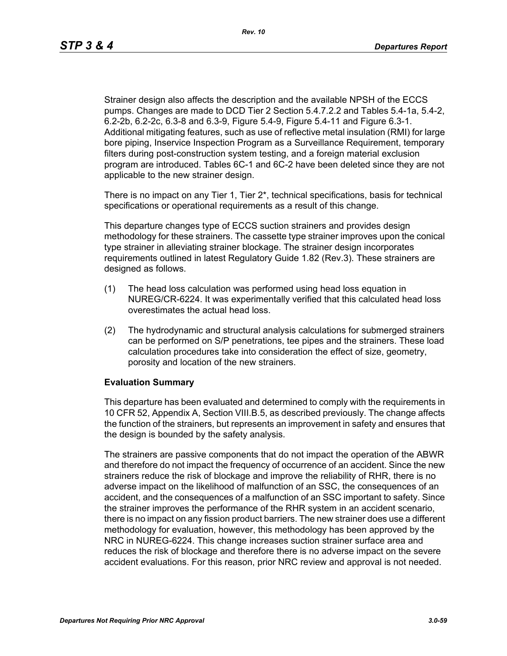Strainer design also affects the description and the available NPSH of the ECCS pumps. Changes are made to DCD Tier 2 Section 5.4.7.2.2 and Tables 5.4-1a, 5.4-2, 6.2-2b, 6.2-2c, 6.3-8 and 6.3-9, Figure 5.4-9, Figure 5.4-11 and Figure 6.3-1. Additional mitigating features, such as use of reflective metal insulation (RMI) for large bore piping, Inservice Inspection Program as a Surveillance Requirement, temporary filters during post-construction system testing, and a foreign material exclusion program are introduced. Tables 6C-1 and 6C-2 have been deleted since they are not applicable to the new strainer design.

There is no impact on any Tier 1, Tier  $2^*$ , technical specifications, basis for technical specifications or operational requirements as a result of this change.

This departure changes type of ECCS suction strainers and provides design methodology for these strainers. The cassette type strainer improves upon the conical type strainer in alleviating strainer blockage. The strainer design incorporates requirements outlined in latest Regulatory Guide 1.82 (Rev.3). These strainers are designed as follows.

- (1) The head loss calculation was performed using head loss equation in NUREG/CR-6224. It was experimentally verified that this calculated head loss overestimates the actual head loss.
- (2) The hydrodynamic and structural analysis calculations for submerged strainers can be performed on S/P penetrations, tee pipes and the strainers. These load calculation procedures take into consideration the effect of size, geometry, porosity and location of the new strainers.

### **Evaluation Summary**

This departure has been evaluated and determined to comply with the requirements in 10 CFR 52, Appendix A, Section VIII.B.5, as described previously. The change affects the function of the strainers, but represents an improvement in safety and ensures that the design is bounded by the safety analysis.

The strainers are passive components that do not impact the operation of the ABWR and therefore do not impact the frequency of occurrence of an accident. Since the new strainers reduce the risk of blockage and improve the reliability of RHR, there is no adverse impact on the likelihood of malfunction of an SSC, the consequences of an accident, and the consequences of a malfunction of an SSC important to safety. Since the strainer improves the performance of the RHR system in an accident scenario, there is no impact on any fission product barriers. The new strainer does use a different methodology for evaluation, however, this methodology has been approved by the NRC in NUREG-6224. This change increases suction strainer surface area and reduces the risk of blockage and therefore there is no adverse impact on the severe accident evaluations. For this reason, prior NRC review and approval is not needed.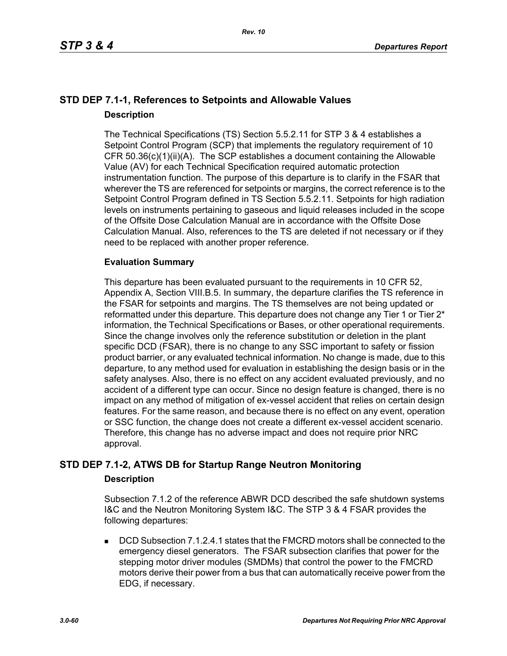# **STD DEP 7.1-1, References to Setpoints and Allowable Values Description**

The Technical Specifications (TS) Section 5.5.2.11 for STP 3 & 4 establishes a Setpoint Control Program (SCP) that implements the regulatory requirement of 10 CFR 50.36(c)(1)(ii)(A). The SCP establishes a document containing the Allowable Value (AV) for each Technical Specification required automatic protection instrumentation function. The purpose of this departure is to clarify in the FSAR that wherever the TS are referenced for setpoints or margins, the correct reference is to the Setpoint Control Program defined in TS Section 5.5.2.11. Setpoints for high radiation levels on instruments pertaining to gaseous and liquid releases included in the scope of the Offsite Dose Calculation Manual are in accordance with the Offsite Dose Calculation Manual. Also, references to the TS are deleted if not necessary or if they need to be replaced with another proper reference.

### **Evaluation Summary**

This departure has been evaluated pursuant to the requirements in 10 CFR 52, Appendix A, Section VIII.B.5. In summary, the departure clarifies the TS reference in the FSAR for setpoints and margins. The TS themselves are not being updated or reformatted under this departure. This departure does not change any Tier 1 or Tier 2<sup>\*</sup> information, the Technical Specifications or Bases, or other operational requirements. Since the change involves only the reference substitution or deletion in the plant specific DCD (FSAR), there is no change to any SSC important to safety or fission product barrier, or any evaluated technical information. No change is made, due to this departure, to any method used for evaluation in establishing the design basis or in the safety analyses. Also, there is no effect on any accident evaluated previously, and no accident of a different type can occur. Since no design feature is changed, there is no impact on any method of mitigation of ex-vessel accident that relies on certain design features. For the same reason, and because there is no effect on any event, operation or SSC function, the change does not create a different ex-vessel accident scenario. Therefore, this change has no adverse impact and does not require prior NRC approval.

### **STD DEP 7.1-2, ATWS DB for Startup Range Neutron Monitoring**

### **Description**

Subsection 7.1.2 of the reference ABWR DCD described the safe shutdown systems I&C and the Neutron Monitoring System I&C. The STP 3 & 4 FSAR provides the following departures:

 DCD Subsection 7.1.2.4.1 states that the FMCRD motors shall be connected to the emergency diesel generators. The FSAR subsection clarifies that power for the stepping motor driver modules (SMDMs) that control the power to the FMCRD motors derive their power from a bus that can automatically receive power from the EDG, if necessary.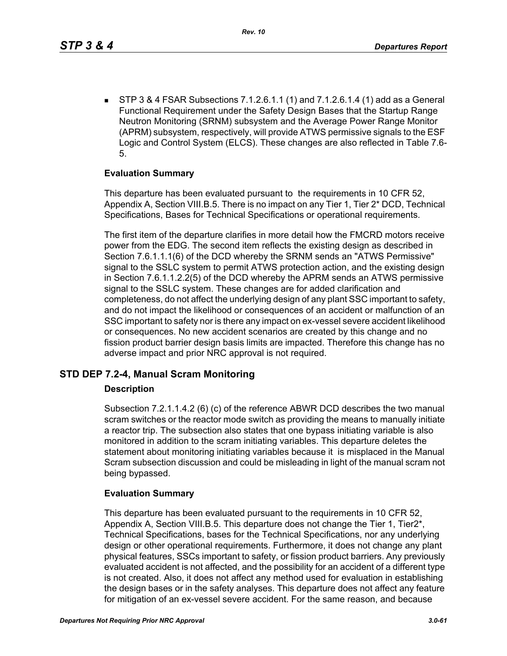STP 3 & 4 FSAR Subsections 7.1.2.6.1.1 (1) and 7.1.2.6.1.4 (1) add as a General Functional Requirement under the Safety Design Bases that the Startup Range Neutron Monitoring (SRNM) subsystem and the Average Power Range Monitor (APRM) subsystem, respectively, will provide ATWS permissive signals to the ESF Logic and Control System (ELCS). These changes are also reflected in Table 7.6- 5.

### **Evaluation Summary**

This departure has been evaluated pursuant to the requirements in 10 CFR 52, Appendix A, Section VIII.B.5. There is no impact on any Tier 1, Tier 2\* DCD, Technical Specifications, Bases for Technical Specifications or operational requirements.

The first item of the departure clarifies in more detail how the FMCRD motors receive power from the EDG. The second item reflects the existing design as described in Section 7.6.1.1.1(6) of the DCD whereby the SRNM sends an "ATWS Permissive" signal to the SSLC system to permit ATWS protection action, and the existing design in Section 7.6.1.1.2.2(5) of the DCD whereby the APRM sends an ATWS permissive signal to the SSLC system. These changes are for added clarification and completeness, do not affect the underlying design of any plant SSC important to safety, and do not impact the likelihood or consequences of an accident or malfunction of an SSC important to safety nor is there any impact on ex-vessel severe accident likelihood or consequences. No new accident scenarios are created by this change and no fission product barrier design basis limits are impacted. Therefore this change has no adverse impact and prior NRC approval is not required.

### **STD DEP 7.2-4, Manual Scram Monitoring**

### **Description**

Subsection 7.2.1.1.4.2 (6) (c) of the reference ABWR DCD describes the two manual scram switches or the reactor mode switch as providing the means to manually initiate a reactor trip. The subsection also states that one bypass initiating variable is also monitored in addition to the scram initiating variables. This departure deletes the statement about monitoring initiating variables because it is misplaced in the Manual Scram subsection discussion and could be misleading in light of the manual scram not being bypassed.

### **Evaluation Summary**

This departure has been evaluated pursuant to the requirements in 10 CFR 52, Appendix A, Section VIII.B.5. This departure does not change the Tier 1, Tier2\*, Technical Specifications, bases for the Technical Specifications, nor any underlying design or other operational requirements. Furthermore, it does not change any plant physical features, SSCs important to safety, or fission product barriers. Any previously evaluated accident is not affected, and the possibility for an accident of a different type is not created. Also, it does not affect any method used for evaluation in establishing the design bases or in the safety analyses. This departure does not affect any feature for mitigation of an ex-vessel severe accident. For the same reason, and because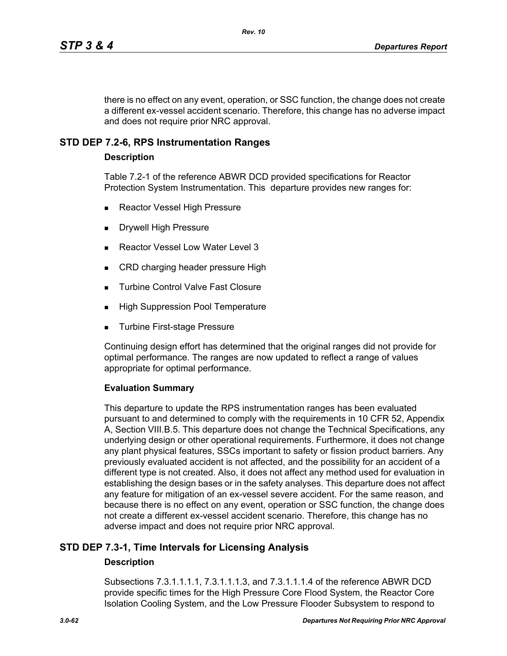there is no effect on any event, operation, or SSC function, the change does not create a different ex-vessel accident scenario. Therefore, this change has no adverse impact and does not require prior NRC approval.

### **STD DEP 7.2-6, RPS Instrumentation Ranges**

### **Description**

Table 7.2-1 of the reference ABWR DCD provided specifications for Reactor Protection System Instrumentation. This departure provides new ranges for:

- Reactor Vessel High Pressure
- Drywell High Pressure
- Reactor Vessel Low Water Level 3
- CRD charging header pressure High
- **Turbine Control Valve Fast Closure**
- **High Suppression Pool Temperature**
- Turbine First-stage Pressure

Continuing design effort has determined that the original ranges did not provide for optimal performance. The ranges are now updated to reflect a range of values appropriate for optimal performance.

### **Evaluation Summary**

This departure to update the RPS instrumentation ranges has been evaluated pursuant to and determined to comply with the requirements in 10 CFR 52, Appendix A, Section VIII.B.5. This departure does not change the Technical Specifications, any underlying design or other operational requirements. Furthermore, it does not change any plant physical features, SSCs important to safety or fission product barriers. Any previously evaluated accident is not affected, and the possibility for an accident of a different type is not created. Also, it does not affect any method used for evaluation in establishing the design bases or in the safety analyses. This departure does not affect any feature for mitigation of an ex-vessel severe accident. For the same reason, and because there is no effect on any event, operation or SSC function, the change does not create a different ex-vessel accident scenario. Therefore, this change has no adverse impact and does not require prior NRC approval.

### **STD DEP 7.3-1, Time Intervals for Licensing Analysis**

### **Description**

Subsections 7.3.1.1.1.1, 7.3.1.1.1.3, and 7.3.1.1.1.4 of the reference ABWR DCD provide specific times for the High Pressure Core Flood System, the Reactor Core Isolation Cooling System, and the Low Pressure Flooder Subsystem to respond to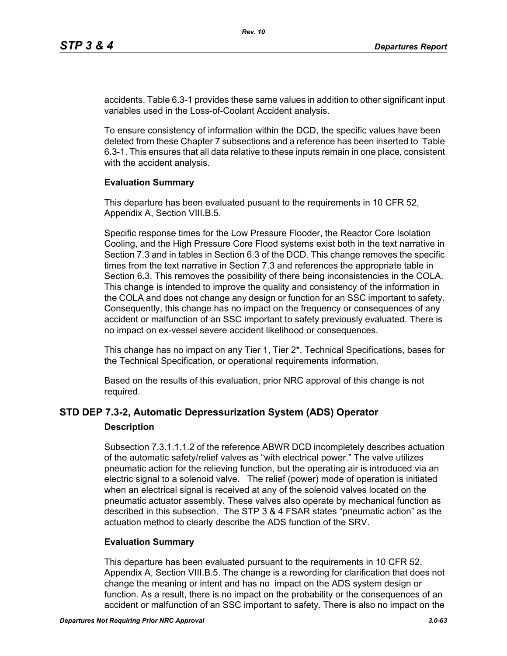accidents. Table 6.3-1 provides these same values in addition to other significant input variables used in the Loss-of-Coolant Accident analysis.

To ensure consistency of information within the DCD, the specific values have been deleted from these Chapter 7 subsections and a reference has been inserted to Table 6.3-1. This ensures that all data relative to these inputs remain in one place, consistent with the accident analysis.

### **Evaluation Summary**

This departure has been evaluated pusuant to the requirements in 10 CFR 52, Appendix A, Section VIII.B.5.

Specific response times for the Low Pressure Flooder, the Reactor Core Isolation Cooling, and the High Pressure Core Flood systems exist both in the text narrative in Section 7.3 and in tables in Section 6.3 of the DCD. This change removes the specific times from the text narrative in Section 7.3 and references the appropriate table in Section 6.3. This removes the possibility of there being inconsistencies in the COLA. This change is intended to improve the quality and consistency of the information in the COLA and does not change any design or function for an SSC important to safety. Consequently, this change has no impact on the frequency or consequences of any accident or malfunction of an SSC important to safety previously evaluated. There is no impact on ex-vessel severe accident likelihood or consequences.

This change has no impact on any Tier 1, Tier 2\*, Technical Specifications, bases for the Technical Specification, or operational requirements information.

Based on the results of this evaluation, prior NRC approval of this change is not required.

# **STD DEP 7.3-2, Automatic Depressurization System (ADS) Operator**

### **Description**

Subsection 7.3.1.1.1.2 of the reference ABWR DCD incompletely describes actuation of the automatic safety/relief valves as "with electrical power." The valve utilizes pneumatic action for the relieving function, but the operating air is introduced via an electric signal to a solenoid valve. The relief (power) mode of operation is initiated when an electrical signal is received at any of the solenoid valves located on the pneumatic actuator assembly. These valves also operate by mechanical function as described in this subsection. The STP 3 & 4 FSAR states "pneumatic action" as the actuation method to clearly describe the ADS function of the SRV.

### **Evaluation Summary**

This departure has been evaluated pursuant to the requirements in 10 CFR 52, Appendix A, Section VIII.B.5. The change is a rewording for clarification that does not change the meaning or intent and has no impact on the ADS system design or function. As a result, there is no impact on the probability or the consequences of an accident or malfunction of an SSC important to safety. There is also no impact on the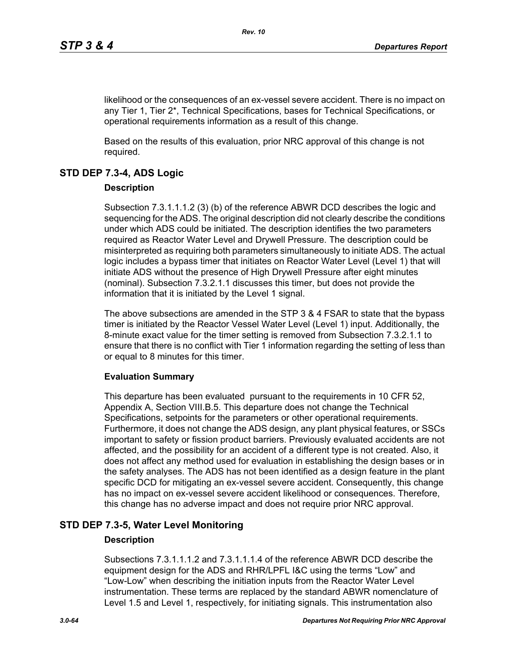likelihood or the consequences of an ex-vessel severe accident. There is no impact on any Tier 1, Tier 2\*, Technical Specifications, bases for Technical Specifications, or operational requirements information as a result of this change.

Based on the results of this evaluation, prior NRC approval of this change is not required.

# **STD DEP 7.3-4, ADS Logic**

### **Description**

Subsection 7.3.1.1.1.2 (3) (b) of the reference ABWR DCD describes the logic and sequencing for the ADS. The original description did not clearly describe the conditions under which ADS could be initiated. The description identifies the two parameters required as Reactor Water Level and Drywell Pressure. The description could be misinterpreted as requiring both parameters simultaneously to initiate ADS. The actual logic includes a bypass timer that initiates on Reactor Water Level (Level 1) that will initiate ADS without the presence of High Drywell Pressure after eight minutes (nominal). Subsection 7.3.2.1.1 discusses this timer, but does not provide the information that it is initiated by the Level 1 signal.

The above subsections are amended in the STP 3 & 4 FSAR to state that the bypass timer is initiated by the Reactor Vessel Water Level (Level 1) input. Additionally, the 8-minute exact value for the timer setting is removed from Subsection 7.3.2.1.1 to ensure that there is no conflict with Tier 1 information regarding the setting of less than or equal to 8 minutes for this timer.

### **Evaluation Summary**

This departure has been evaluated pursuant to the requirements in 10 CFR 52, Appendix A, Section VIII.B.5. This departure does not change the Technical Specifications, setpoints for the parameters or other operational requirements. Furthermore, it does not change the ADS design, any plant physical features, or SSCs important to safety or fission product barriers. Previously evaluated accidents are not affected, and the possibility for an accident of a different type is not created. Also, it does not affect any method used for evaluation in establishing the design bases or in the safety analyses. The ADS has not been identified as a design feature in the plant specific DCD for mitigating an ex-vessel severe accident. Consequently, this change has no impact on ex-vessel severe accident likelihood or consequences. Therefore, this change has no adverse impact and does not require prior NRC approval.

# **STD DEP 7.3-5, Water Level Monitoring**

### **Description**

Subsections 7.3.1.1.1.2 and 7.3.1.1.1.4 of the reference ABWR DCD describe the equipment design for the ADS and RHR/LPFL I&C using the terms "Low" and "Low-Low" when describing the initiation inputs from the Reactor Water Level instrumentation. These terms are replaced by the standard ABWR nomenclature of Level 1.5 and Level 1, respectively, for initiating signals. This instrumentation also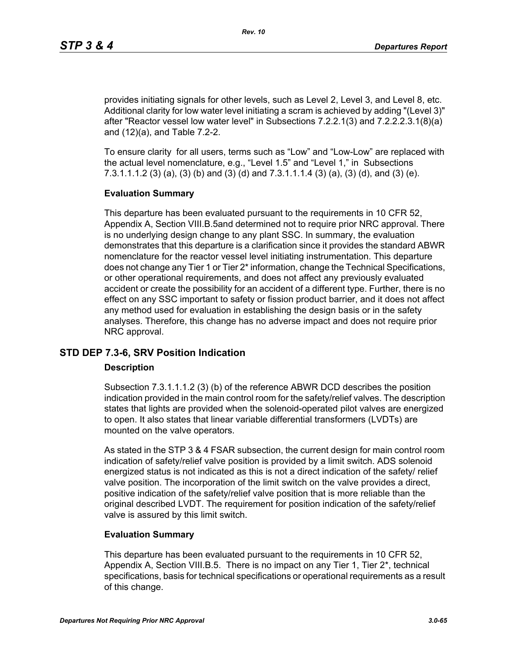provides initiating signals for other levels, such as Level 2, Level 3, and Level 8, etc. Additional clarity for low water level initiating a scram is achieved by adding "(Level 3)" after "Reactor vessel low water level" in Subsections 7.2.2.1(3) and 7.2.2.2.3.1(8)(a) and (12)(a), and Table 7.2-2.

To ensure clarity for all users, terms such as "Low" and "Low-Low" are replaced with the actual level nomenclature, e.g., "Level 1.5" and "Level 1," in Subsections 7.3.1.1.1.2 (3) (a), (3) (b) and (3) (d) and 7.3.1.1.1.4 (3) (a), (3) (d), and (3) (e).

### **Evaluation Summary**

This departure has been evaluated pursuant to the requirements in 10 CFR 52, Appendix A, Section VIII.B.5and determined not to require prior NRC approval. There is no underlying design change to any plant SSC. In summary, the evaluation demonstrates that this departure is a clarification since it provides the standard ABWR nomenclature for the reactor vessel level initiating instrumentation. This departure does not change any Tier 1 or Tier 2\* information, change the Technical Specifications, or other operational requirements, and does not affect any previously evaluated accident or create the possibility for an accident of a different type. Further, there is no effect on any SSC important to safety or fission product barrier, and it does not affect any method used for evaluation in establishing the design basis or in the safety analyses. Therefore, this change has no adverse impact and does not require prior NRC approval.

### **STD DEP 7.3-6, SRV Position Indication**

### **Description**

Subsection 7.3.1.1.1.2 (3) (b) of the reference ABWR DCD describes the position indication provided in the main control room for the safety/relief valves. The description states that lights are provided when the solenoid-operated pilot valves are energized to open. It also states that linear variable differential transformers (LVDTs) are mounted on the valve operators.

As stated in the STP 3 & 4 FSAR subsection, the current design for main control room indication of safety/relief valve position is provided by a limit switch. ADS solenoid energized status is not indicated as this is not a direct indication of the safety/ relief valve position. The incorporation of the limit switch on the valve provides a direct, positive indication of the safety/relief valve position that is more reliable than the original described LVDT. The requirement for position indication of the safety/relief valve is assured by this limit switch.

### **Evaluation Summary**

This departure has been evaluated pursuant to the requirements in 10 CFR 52, Appendix A, Section VIII.B.5. There is no impact on any Tier 1, Tier 2\*, technical specifications, basis for technical specifications or operational requirements as a result of this change.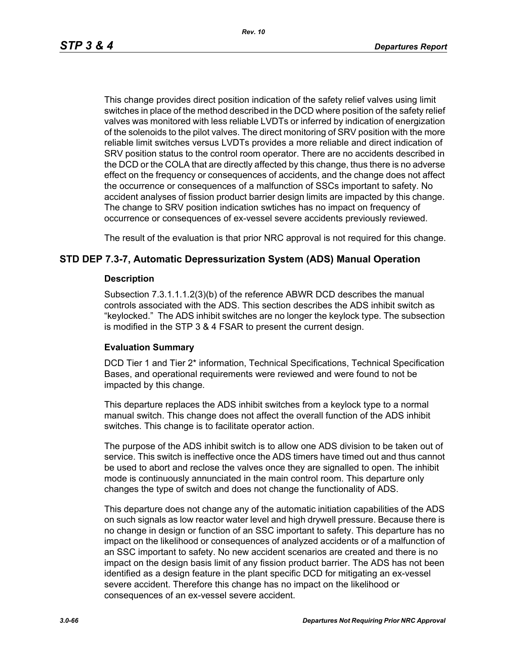*Rev. 10*

This change provides direct position indication of the safety relief valves using limit switches in place of the method described in the DCD where position of the safety relief valves was monitored with less reliable LVDTs or inferred by indication of energization of the solenoids to the pilot valves. The direct monitoring of SRV position with the more reliable limit switches versus LVDTs provides a more reliable and direct indication of SRV position status to the control room operator. There are no accidents described in the DCD or the COLA that are directly affected by this change, thus there is no adverse effect on the frequency or consequences of accidents, and the change does not affect the occurrence or consequences of a malfunction of SSCs important to safety. No accident analyses of fission product barrier design limits are impacted by this change. The change to SRV position indication swtiches has no impact on frequency of occurrence or consequences of ex-vessel severe accidents previously reviewed.

The result of the evaluation is that prior NRC approval is not required for this change.

### **STD DEP 7.3-7, Automatic Depressurization System (ADS) Manual Operation**

### **Description**

Subsection 7.3.1.1.1.2(3)(b) of the reference ABWR DCD describes the manual controls associated with the ADS. This section describes the ADS inhibit switch as "keylocked." The ADS inhibit switches are no longer the keylock type. The subsection is modified in the STP 3 & 4 FSAR to present the current design.

### **Evaluation Summary**

DCD Tier 1 and Tier 2\* information, Technical Specifications, Technical Specification Bases, and operational requirements were reviewed and were found to not be impacted by this change.

This departure replaces the ADS inhibit switches from a keylock type to a normal manual switch. This change does not affect the overall function of the ADS inhibit switches. This change is to facilitate operator action.

The purpose of the ADS inhibit switch is to allow one ADS division to be taken out of service. This switch is ineffective once the ADS timers have timed out and thus cannot be used to abort and reclose the valves once they are signalled to open. The inhibit mode is continuously annunciated in the main control room. This departure only changes the type of switch and does not change the functionality of ADS.

This departure does not change any of the automatic initiation capabilities of the ADS on such signals as low reactor water level and high drywell pressure. Because there is no change in design or function of an SSC important to safety. This departure has no impact on the likelihood or consequences of analyzed accidents or of a malfunction of an SSC important to safety. No new accident scenarios are created and there is no impact on the design basis limit of any fission product barrier. The ADS has not been identified as a design feature in the plant specific DCD for mitigating an ex-vessel severe accident. Therefore this change has no impact on the likelihood or consequences of an ex-vessel severe accident.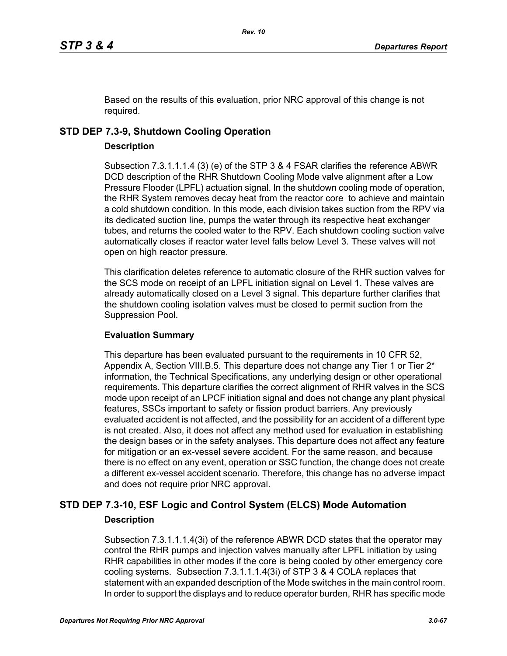Based on the results of this evaluation, prior NRC approval of this change is not required.

# **STD DEP 7.3-9, Shutdown Cooling Operation**

### **Description**

Subsection 7.3.1.1.1.4 (3) (e) of the STP 3 & 4 FSAR clarifies the reference ABWR DCD description of the RHR Shutdown Cooling Mode valve alignment after a Low Pressure Flooder (LPFL) actuation signal. In the shutdown cooling mode of operation, the RHR System removes decay heat from the reactor core to achieve and maintain a cold shutdown condition. In this mode, each division takes suction from the RPV via its dedicated suction line, pumps the water through its respective heat exchanger tubes, and returns the cooled water to the RPV. Each shutdown cooling suction valve automatically closes if reactor water level falls below Level 3. These valves will not open on high reactor pressure.

This clarification deletes reference to automatic closure of the RHR suction valves for the SCS mode on receipt of an LPFL initiation signal on Level 1. These valves are already automatically closed on a Level 3 signal. This departure further clarifies that the shutdown cooling isolation valves must be closed to permit suction from the Suppression Pool.

### **Evaluation Summary**

This departure has been evaluated pursuant to the requirements in 10 CFR 52, Appendix A, Section VIII.B.5. This departure does not change any Tier 1 or Tier  $2^*$ information, the Technical Specifications, any underlying design or other operational requirements. This departure clarifies the correct alignment of RHR valves in the SCS mode upon receipt of an LPCF initiation signal and does not change any plant physical features, SSCs important to safety or fission product barriers. Any previously evaluated accident is not affected, and the possibility for an accident of a different type is not created. Also, it does not affect any method used for evaluation in establishing the design bases or in the safety analyses. This departure does not affect any feature for mitigation or an ex-vessel severe accident. For the same reason, and because there is no effect on any event, operation or SSC function, the change does not create a different ex-vessel accident scenario. Therefore, this change has no adverse impact and does not require prior NRC approval.

# **STD DEP 7.3-10, ESF Logic and Control System (ELCS) Mode Automation Description**

Subsection 7.3.1.1.1.4(3i) of the reference ABWR DCD states that the operator may control the RHR pumps and injection valves manually after LPFL initiation by using RHR capabilities in other modes if the core is being cooled by other emergency core cooling systems. Subsection 7.3.1.1.1.4(3i) of STP 3 & 4 COLA replaces that statement with an expanded description of the Mode switches in the main control room. In order to support the displays and to reduce operator burden, RHR has specific mode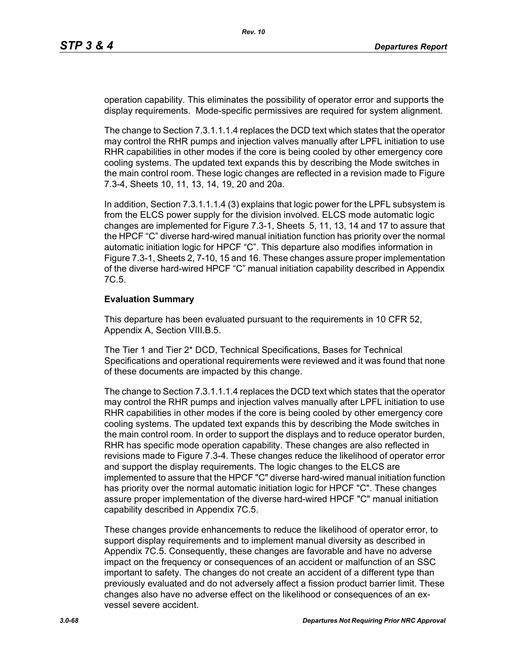operation capability. This eliminates the possibility of operator error and supports the display requirements. Mode-specific permissives are required for system alignment.

The change to Section 7.3.1.1.1.4 replaces the DCD text which states that the operator may control the RHR pumps and injection valves manually after LPFL initiation to use RHR capabilities in other modes if the core is being cooled by other emergency core cooling systems. The updated text expands this by describing the Mode switches in the main control room. These logic changes are reflected in a revision made to Figure 7.3-4, Sheets 10, 11, 13, 14, 19, 20 and 20a.

In addition, Section 7.3.1.1.1.4 (3) explains that logic power for the LPFL subsystem is from the ELCS power supply for the division involved. ELCS mode automatic logic changes are implemented for Figure 7.3-1, Sheets 5, 11, 13, 14 and 17 to assure that the HPCF "C" diverse hard-wired manual initiation function has priority over the normal automatic initiation logic for HPCF "C". This departure also modifies information in Figure 7.3-1, Sheets 2, 7-10, 15 and 16. These changes assure proper implementation of the diverse hard-wired HPCF "C" manual initiation capability described in Appendix 7C.5.

### **Evaluation Summary**

This departure has been evaluated pursuant to the requirements in 10 CFR 52, Appendix A, Section VIII.B.5.

The Tier 1 and Tier 2\* DCD, Technical Specifications, Bases for Technical Specifications and operational requirements were reviewed and it was found that none of these documents are impacted by this change.

The change to Section 7.3.1.1.1.4 replaces the DCD text which states that the operator may control the RHR pumps and injection valves manually after LPFL initiation to use RHR capabilities in other modes if the core is being cooled by other emergency core cooling systems. The updated text expands this by describing the Mode switches in the main control room. In order to support the displays and to reduce operator burden, RHR has specific mode operation capability. These changes are also reflected in revisions made to Figure 7.3-4. These changes reduce the likelihood of operator error and support the display requirements. The logic changes to the ELCS are implemented to assure that the HPCF "C" diverse hard-wired manual initiation function has priority over the normal automatic initiation logic for HPCF "C". These changes assure proper implementation of the diverse hard-wired HPCF "C" manual initiation capability described in Appendix 7C.5.

These changes provide enhancements to reduce the likelihood of operator error, to support display requirements and to implement manual diversity as described in Appendix 7C.5. Consequently, these changes are favorable and have no adverse impact on the frequency or consequences of an accident or malfunction of an SSC important to safety. The changes do not create an accident of a different type than previously evaluated and do not adversely affect a fission product barrier limit. These changes also have no adverse effect on the likelihood or consequences of an exvessel severe accident.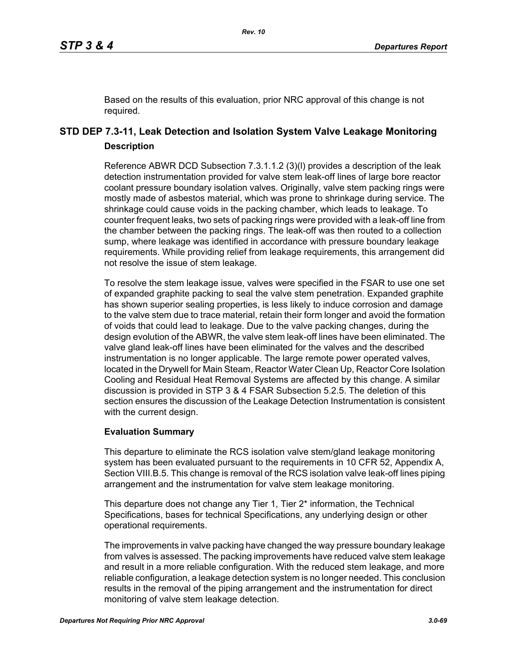Based on the results of this evaluation, prior NRC approval of this change is not required.

# **STD DEP 7.3-11, Leak Detection and Isolation System Valve Leakage Monitoring Description**

Reference ABWR DCD Subsection 7.3.1.1.2 (3)(l) provides a description of the leak detection instrumentation provided for valve stem leak-off lines of large bore reactor coolant pressure boundary isolation valves. Originally, valve stem packing rings were mostly made of asbestos material, which was prone to shrinkage during service. The shrinkage could cause voids in the packing chamber, which leads to leakage. To counter frequent leaks, two sets of packing rings were provided with a leak-off line from the chamber between the packing rings. The leak-off was then routed to a collection sump, where leakage was identified in accordance with pressure boundary leakage requirements. While providing relief from leakage requirements, this arrangement did not resolve the issue of stem leakage.

To resolve the stem leakage issue, valves were specified in the FSAR to use one set of expanded graphite packing to seal the valve stem penetration. Expanded graphite has shown superior sealing properties, is less likely to induce corrosion and damage to the valve stem due to trace material, retain their form longer and avoid the formation of voids that could lead to leakage. Due to the valve packing changes, during the design evolution of the ABWR, the valve stem leak-off lines have been eliminated. The valve gland leak-off lines have been eliminated for the valves and the described instrumentation is no longer applicable. The large remote power operated valves, located in the Drywell for Main Steam, Reactor Water Clean Up, Reactor Core Isolation Cooling and Residual Heat Removal Systems are affected by this change. A similar discussion is provided in STP 3 & 4 FSAR Subsection 5.2.5. The deletion of this section ensures the discussion of the Leakage Detection Instrumentation is consistent with the current design.

### **Evaluation Summary**

This departure to eliminate the RCS isolation valve stem/gland leakage monitoring system has been evaluated pursuant to the requirements in 10 CFR 52, Appendix A, Section VIII.B.5. This change is removal of the RCS isolation valve leak-off lines piping arrangement and the instrumentation for valve stem leakage monitoring.

This departure does not change any Tier 1, Tier 2<sup>\*</sup> information, the Technical Specifications, bases for technical Specifications, any underlying design or other operational requirements.

The improvements in valve packing have changed the way pressure boundary leakage from valves is assessed. The packing improvements have reduced valve stem leakage and result in a more reliable configuration. With the reduced stem leakage, and more reliable configuration, a leakage detection system is no longer needed. This conclusion results in the removal of the piping arrangement and the instrumentation for direct monitoring of valve stem leakage detection.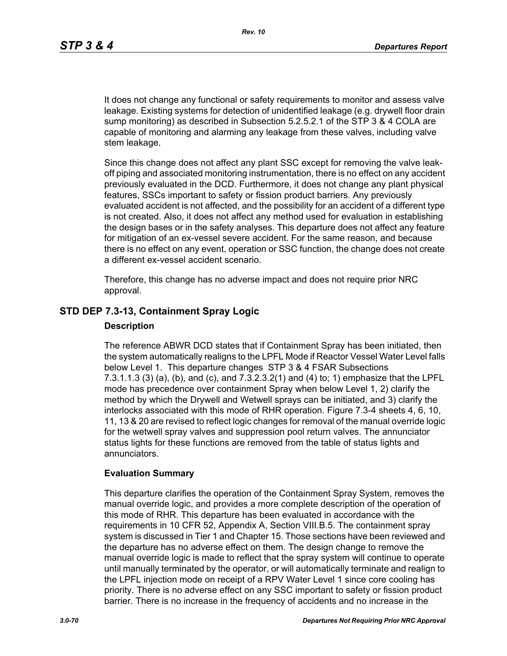It does not change any functional or safety requirements to monitor and assess valve leakage. Existing systems for detection of unidentified leakage (e.g. drywell floor drain sump monitoring) as described in Subsection 5.2.5.2.1 of the STP 3 & 4 COLA are capable of monitoring and alarming any leakage from these valves, including valve stem leakage.

Since this change does not affect any plant SSC except for removing the valve leakoff piping and associated monitoring instrumentation, there is no effect on any accident previously evaluated in the DCD. Furthermore, it does not change any plant physical features, SSCs important to safety or fission product barriers. Any previously evaluated accident is not affected, and the possibility for an accident of a different type is not created. Also, it does not affect any method used for evaluation in establishing the design bases or in the safety analyses. This departure does not affect any feature for mitigation of an ex-vessel severe accident. For the same reason, and because there is no effect on any event, operation or SSC function, the change does not create a different ex-vessel accident scenario.

Therefore, this change has no adverse impact and does not require prior NRC approval.

### **STD DEP 7.3-13, Containment Spray Logic**

### **Description**

The reference ABWR DCD states that if Containment Spray has been initiated, then the system automatically realigns to the LPFL Mode if Reactor Vessel Water Level falls below Level 1. This departure changes STP 3 & 4 FSAR Subsections 7.3.1.1.3 (3) (a), (b), and (c), and 7.3.2.3.2(1) and (4) to; 1) emphasize that the LPFL mode has precedence over containment Spray when below Level 1, 2) clarify the method by which the Drywell and Wetwell sprays can be initiated, and 3) clarify the interlocks associated with this mode of RHR operation. Figure 7.3-4 sheets 4, 6, 10, 11, 13 & 20 are revised to reflect logic changes for removal of the manual override logic for the wetwell spray valves and suppression pool return valves. The annunciator status lights for these functions are removed from the table of status lights and annunciators.

### **Evaluation Summary**

This departure clarifies the operation of the Containment Spray System, removes the manual override logic, and provides a more complete description of the operation of this mode of RHR. This departure has been evaluated in accordance with the requirements in 10 CFR 52, Appendix A, Section VIII.B.5. The containment spray system is discussed in Tier 1 and Chapter 15. Those sections have been reviewed and the departure has no adverse effect on them. The design change to remove the manual override logic is made to reflect that the spray system will continue to operate until manually terminated by the operator, or will automatically terminate and realign to the LPFL injection mode on receipt of a RPV Water Level 1 since core cooling has priority. There is no adverse effect on any SSC important to safety or fission product barrier. There is no increase in the frequency of accidents and no increase in the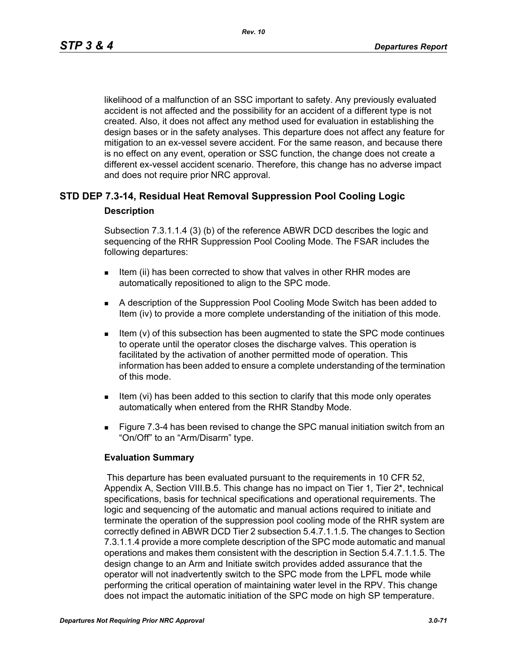likelihood of a malfunction of an SSC important to safety. Any previously evaluated accident is not affected and the possibility for an accident of a different type is not created. Also, it does not affect any method used for evaluation in establishing the design bases or in the safety analyses. This departure does not affect any feature for mitigation to an ex-vessel severe accident. For the same reason, and because there is no effect on any event, operation or SSC function, the change does not create a different ex-vessel accident scenario. Therefore, this change has no adverse impact and does not require prior NRC approval.

# **STD DEP 7.3-14, Residual Heat Removal Suppression Pool Cooling Logic Description**

Subsection 7.3.1.1.4 (3) (b) of the reference ABWR DCD describes the logic and sequencing of the RHR Suppression Pool Cooling Mode. The FSAR includes the following departures:

- Item (ii) has been corrected to show that valves in other RHR modes are automatically repositioned to align to the SPC mode.
- A description of the Suppression Pool Cooling Mode Switch has been added to Item (iv) to provide a more complete understanding of the initiation of this mode.
- Item (v) of this subsection has been augmented to state the SPC mode continues to operate until the operator closes the discharge valves. This operation is facilitated by the activation of another permitted mode of operation. This information has been added to ensure a complete understanding of the termination of this mode.
- Item (vi) has been added to this section to clarify that this mode only operates automatically when entered from the RHR Standby Mode.
- **Figure 7.3-4 has been revised to change the SPC manual initiation switch from an** "On/Off" to an "Arm/Disarm" type.

### **Evaluation Summary**

 This departure has been evaluated pursuant to the requirements in 10 CFR 52, Appendix A, Section VIII.B.5. This change has no impact on Tier 1, Tier 2\*, technical specifications, basis for technical specifications and operational requirements. The logic and sequencing of the automatic and manual actions required to initiate and terminate the operation of the suppression pool cooling mode of the RHR system are correctly defined in ABWR DCD Tier 2 subsection 5.4.7.1.1.5. The changes to Section 7.3.1.1.4 provide a more complete description of the SPC mode automatic and manual operations and makes them consistent with the description in Section 5.4.7.1.1.5. The design change to an Arm and Initiate switch provides added assurance that the operator will not inadvertently switch to the SPC mode from the LPFL mode while performing the critical operation of maintaining water level in the RPV. This change does not impact the automatic initiation of the SPC mode on high SP temperature.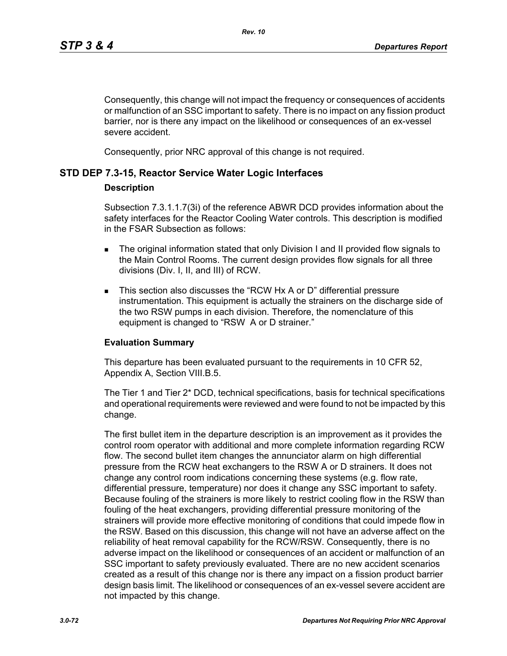Consequently, this change will not impact the frequency or consequences of accidents or malfunction of an SSC important to safety. There is no impact on any fission product barrier, nor is there any impact on the likelihood or consequences of an ex-vessel severe accident.

Consequently, prior NRC approval of this change is not required.

### **STD DEP 7.3-15, Reactor Service Water Logic Interfaces**

### **Description**

Subsection 7.3.1.1.7(3i) of the reference ABWR DCD provides information about the safety interfaces for the Reactor Cooling Water controls. This description is modified in the FSAR Subsection as follows:

- The original information stated that only Division I and II provided flow signals to the Main Control Rooms. The current design provides flow signals for all three divisions (Div. I, II, and III) of RCW.
- This section also discusses the "RCW Hx A or D" differential pressure instrumentation. This equipment is actually the strainers on the discharge side of the two RSW pumps in each division. Therefore, the nomenclature of this equipment is changed to "RSW A or D strainer."

### **Evaluation Summary**

This departure has been evaluated pursuant to the requirements in 10 CFR 52, Appendix A, Section VIII.B.5.

The Tier 1 and Tier 2\* DCD, technical specifications, basis for technical specifications and operational requirements were reviewed and were found to not be impacted by this change.

The first bullet item in the departure description is an improvement as it provides the control room operator with additional and more complete information regarding RCW flow. The second bullet item changes the annunciator alarm on high differential pressure from the RCW heat exchangers to the RSW A or D strainers. It does not change any control room indications concerning these systems (e.g. flow rate, differential pressure, temperature) nor does it change any SSC important to safety. Because fouling of the strainers is more likely to restrict cooling flow in the RSW than fouling of the heat exchangers, providing differential pressure monitoring of the strainers will provide more effective monitoring of conditions that could impede flow in the RSW. Based on this discussion, this change will not have an adverse affect on the reliability of heat removal capability for the RCW/RSW. Consequently, there is no adverse impact on the likelihood or consequences of an accident or malfunction of an SSC important to safety previously evaluated. There are no new accident scenarios created as a result of this change nor is there any impact on a fission product barrier design basis limit. The likelihood or consequences of an ex-vessel severe accident are not impacted by this change.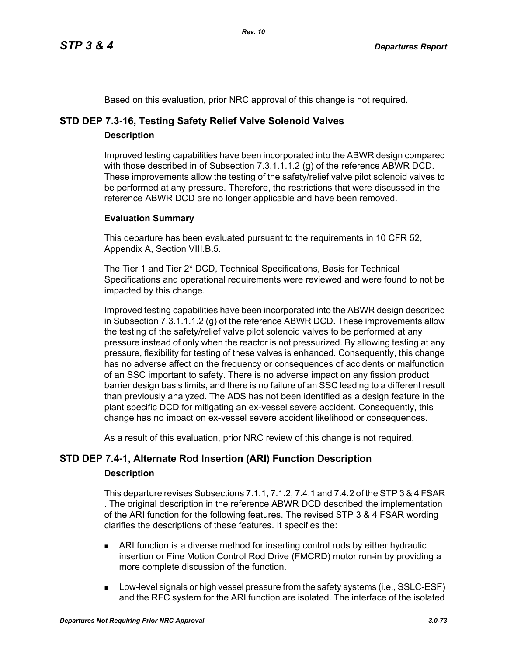Based on this evaluation, prior NRC approval of this change is not required.

# **STD DEP 7.3-16, Testing Safety Relief Valve Solenoid Valves**

# **Description**

Improved testing capabilities have been incorporated into the ABWR design compared with those described in of Subsection 7.3.1.1.1.2 (g) of the reference ABWR DCD. These improvements allow the testing of the safety/relief valve pilot solenoid valves to be performed at any pressure. Therefore, the restrictions that were discussed in the reference ABWR DCD are no longer applicable and have been removed.

# **Evaluation Summary**

This departure has been evaluated pursuant to the requirements in 10 CFR 52, Appendix A, Section VIII.B.5.

The Tier 1 and Tier 2\* DCD, Technical Specifications, Basis for Technical Specifications and operational requirements were reviewed and were found to not be impacted by this change.

Improved testing capabilities have been incorporated into the ABWR design described in Subsection 7.3.1.1.1.2 (g) of the reference ABWR DCD. These improvements allow the testing of the safety/relief valve pilot solenoid valves to be performed at any pressure instead of only when the reactor is not pressurized. By allowing testing at any pressure, flexibility for testing of these valves is enhanced. Consequently, this change has no adverse affect on the frequency or consequences of accidents or malfunction of an SSC important to safety. There is no adverse impact on any fission product barrier design basis limits, and there is no failure of an SSC leading to a different result than previously analyzed. The ADS has not been identified as a design feature in the plant specific DCD for mitigating an ex-vessel severe accident. Consequently, this change has no impact on ex-vessel severe accident likelihood or consequences.

As a result of this evaluation, prior NRC review of this change is not required.

# **STD DEP 7.4-1, Alternate Rod Insertion (ARI) Function Description**

# **Description**

This departure revises Subsections 7.1.1, 7.1.2, 7.4.1 and 7.4.2 of the STP 3 & 4 FSAR . The original description in the reference ABWR DCD described the implementation of the ARI function for the following features. The revised STP 3 & 4 FSAR wording clarifies the descriptions of these features. It specifies the:

- ARI function is a diverse method for inserting control rods by either hydraulic insertion or Fine Motion Control Rod Drive (FMCRD) motor run-in by providing a more complete discussion of the function.
- **Low-level signals or high vessel pressure from the safety systems (i.e., SSLC-ESF)** and the RFC system for the ARI function are isolated. The interface of the isolated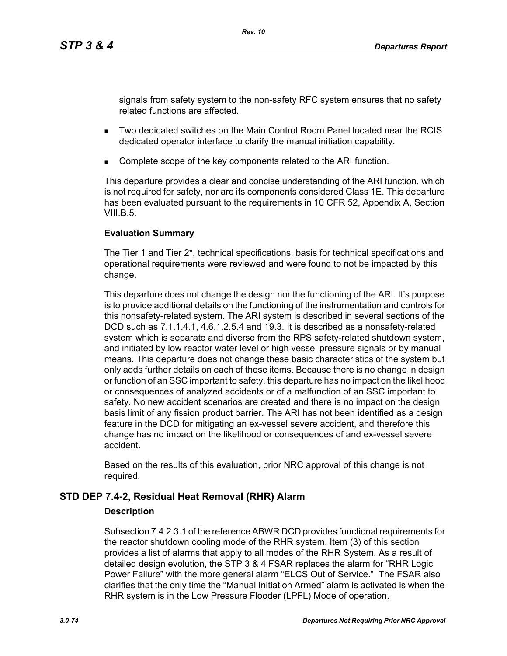signals from safety system to the non-safety RFC system ensures that no safety related functions are affected.

- Two dedicated switches on the Main Control Room Panel located near the RCIS dedicated operator interface to clarify the manual initiation capability.
- Complete scope of the key components related to the ARI function.

This departure provides a clear and concise understanding of the ARI function, which is not required for safety, nor are its components considered Class 1E. This departure has been evaluated pursuant to the requirements in 10 CFR 52, Appendix A, Section VIII.B. $5$ .

# **Evaluation Summary**

The Tier 1 and Tier 2\*, technical specifications, basis for technical specifications and operational requirements were reviewed and were found to not be impacted by this change.

This departure does not change the design nor the functioning of the ARI. It's purpose is to provide additional details on the functioning of the instrumentation and controls for this nonsafety-related system. The ARI system is described in several sections of the DCD such as 7.1.1.4.1, 4.6.1.2.5.4 and 19.3. It is described as a nonsafety-related system which is separate and diverse from the RPS safety-related shutdown system, and initiated by low reactor water level or high vessel pressure signals or by manual means. This departure does not change these basic characteristics of the system but only adds further details on each of these items. Because there is no change in design or function of an SSC important to safety, this departure has no impact on the likelihood or consequences of analyzed accidents or of a malfunction of an SSC important to safety. No new accident scenarios are created and there is no impact on the design basis limit of any fission product barrier. The ARI has not been identified as a design feature in the DCD for mitigating an ex-vessel severe accident, and therefore this change has no impact on the likelihood or consequences of and ex-vessel severe accident.

Based on the results of this evaluation, prior NRC approval of this change is not required.

# **STD DEP 7.4-2, Residual Heat Removal (RHR) Alarm**

# **Description**

Subsection 7.4.2.3.1 of the reference ABWR DCD provides functional requirements for the reactor shutdown cooling mode of the RHR system. Item (3) of this section provides a list of alarms that apply to all modes of the RHR System. As a result of detailed design evolution, the STP 3 & 4 FSAR replaces the alarm for "RHR Logic Power Failure" with the more general alarm "ELCS Out of Service." The FSAR also clarifies that the only time the "Manual Initiation Armed" alarm is activated is when the RHR system is in the Low Pressure Flooder (LPFL) Mode of operation.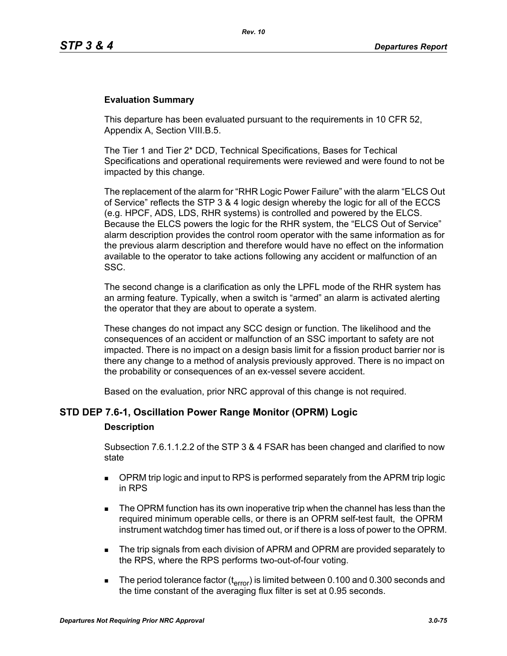### **Evaluation Summary**

This departure has been evaluated pursuant to the requirements in 10 CFR 52, Appendix A, Section VIII.B.5.

The Tier 1 and Tier 2\* DCD, Technical Specifications, Bases for Techical Specifications and operational requirements were reviewed and were found to not be impacted by this change.

The replacement of the alarm for "RHR Logic Power Failure" with the alarm "ELCS Out of Service" reflects the STP 3 & 4 logic design whereby the logic for all of the ECCS (e.g. HPCF, ADS, LDS, RHR systems) is controlled and powered by the ELCS. Because the ELCS powers the logic for the RHR system, the "ELCS Out of Service" alarm description provides the control room operator with the same information as for the previous alarm description and therefore would have no effect on the information available to the operator to take actions following any accident or malfunction of an SSC.

The second change is a clarification as only the LPFL mode of the RHR system has an arming feature. Typically, when a switch is "armed" an alarm is activated alerting the operator that they are about to operate a system.

These changes do not impact any SCC design or function. The likelihood and the consequences of an accident or malfunction of an SSC important to safety are not impacted. There is no impact on a design basis limit for a fission product barrier nor is there any change to a method of analysis previously approved. There is no impact on the probability or consequences of an ex-vessel severe accident.

Based on the evaluation, prior NRC approval of this change is not required.

# **STD DEP 7.6-1, Oscillation Power Range Monitor (OPRM) Logic**

#### **Description**

Subsection 7.6.1.1.2.2 of the STP 3 & 4 FSAR has been changed and clarified to now state

- **DPRM trip logic and input to RPS is performed separately from the APRM trip logic** in RPS
- The OPRM function has its own inoperative trip when the channel has less than the required minimum operable cells, or there is an OPRM self-test fault, the OPRM instrument watchdog timer has timed out, or if there is a loss of power to the OPRM.
- The trip signals from each division of APRM and OPRM are provided separately to the RPS, where the RPS performs two-out-of-four voting.
- The period tolerance factor ( $t_{\text{error}}$ ) is limited between 0.100 and 0.300 seconds and the time constant of the averaging flux filter is set at 0.95 seconds.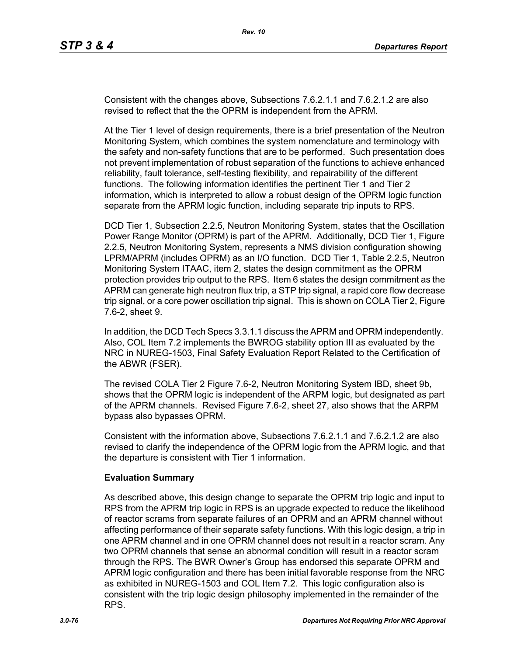Consistent with the changes above, Subsections 7.6.2.1.1 and 7.6.2.1.2 are also revised to reflect that the the OPRM is independent from the APRM.

At the Tier 1 level of design requirements, there is a brief presentation of the Neutron Monitoring System, which combines the system nomenclature and terminology with the safety and non-safety functions that are to be performed. Such presentation does not prevent implementation of robust separation of the functions to achieve enhanced reliability, fault tolerance, self-testing flexibility, and repairability of the different functions. The following information identifies the pertinent Tier 1 and Tier 2 information, which is interpreted to allow a robust design of the OPRM logic function separate from the APRM logic function, including separate trip inputs to RPS.

DCD Tier 1, Subsection 2.2.5, Neutron Monitoring System, states that the Oscillation Power Range Monitor (OPRM) is part of the APRM. Additionally, DCD Tier 1, Figure 2.2.5, Neutron Monitoring System, represents a NMS division configuration showing LPRM/APRM (includes OPRM) as an I/O function. DCD Tier 1, Table 2.2.5, Neutron Monitoring System ITAAC, item 2, states the design commitment as the OPRM protection provides trip output to the RPS. Item 6 states the design commitment as the APRM can generate high neutron flux trip, a STP trip signal, a rapid core flow decrease trip signal, or a core power oscillation trip signal. This is shown on COLA Tier 2, Figure 7.6-2, sheet 9.

In addition, the DCD Tech Specs 3.3.1.1 discuss the APRM and OPRM independently. Also, COL Item 7.2 implements the BWROG stability option III as evaluated by the NRC in NUREG-1503, Final Safety Evaluation Report Related to the Certification of the ABWR (FSER).

The revised COLA Tier 2 Figure 7.6-2, Neutron Monitoring System IBD, sheet 9b, shows that the OPRM logic is independent of the ARPM logic, but designated as part of the APRM channels. Revised Figure 7.6-2, sheet 27, also shows that the ARPM bypass also bypasses OPRM.

Consistent with the information above, Subsections 7.6.2.1.1 and 7.6.2.1.2 are also revised to clarify the independence of the OPRM logic from the APRM logic, and that the departure is consistent with Tier 1 information.

# **Evaluation Summary**

As described above, this design change to separate the OPRM trip logic and input to RPS from the APRM trip logic in RPS is an upgrade expected to reduce the likelihood of reactor scrams from separate failures of an OPRM and an APRM channel without affecting performance of their separate safety functions. With this logic design, a trip in one APRM channel and in one OPRM channel does not result in a reactor scram. Any two OPRM channels that sense an abnormal condition will result in a reactor scram through the RPS. The BWR Owner's Group has endorsed this separate OPRM and APRM logic configuration and there has been initial favorable response from the NRC as exhibited in NUREG-1503 and COL Item 7.2. This logic configuration also is consistent with the trip logic design philosophy implemented in the remainder of the RPS.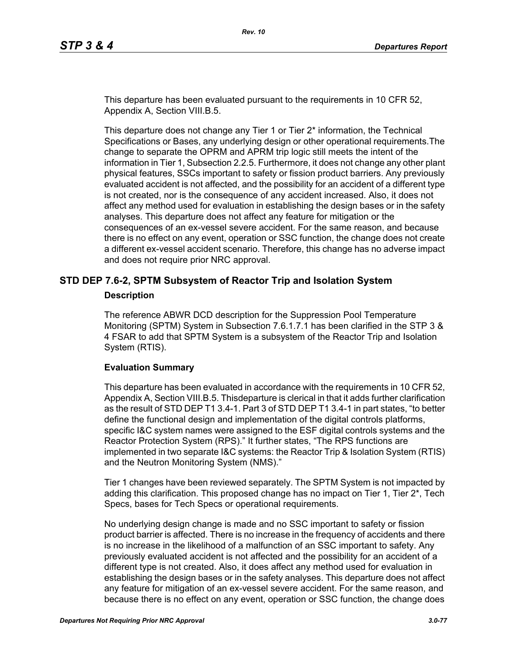This departure has been evaluated pursuant to the requirements in 10 CFR 52, Appendix A, Section VIII.B.5.

This departure does not change any Tier 1 or Tier 2\* information, the Technical Specifications or Bases, any underlying design or other operational requirements.The change to separate the OPRM and APRM trip logic still meets the intent of the information in Tier 1, Subsection 2.2.5. Furthermore, it does not change any other plant physical features, SSCs important to safety or fission product barriers. Any previously evaluated accident is not affected, and the possibility for an accident of a different type is not created, nor is the consequence of any accident increased. Also, it does not affect any method used for evaluation in establishing the design bases or in the safety analyses. This departure does not affect any feature for mitigation or the consequences of an ex-vessel severe accident. For the same reason, and because there is no effect on any event, operation or SSC function, the change does not create a different ex-vessel accident scenario. Therefore, this change has no adverse impact and does not require prior NRC approval.

# **STD DEP 7.6-2, SPTM Subsystem of Reactor Trip and Isolation System**

#### **Description**

The reference ABWR DCD description for the Suppression Pool Temperature Monitoring (SPTM) System in Subsection 7.6.1.7.1 has been clarified in the STP 3 & 4 FSAR to add that SPTM System is a subsystem of the Reactor Trip and Isolation System (RTIS).

### **Evaluation Summary**

This departure has been evaluated in accordance with the requirements in 10 CFR 52, Appendix A, Section VIII.B.5. Thisdeparture is clerical in that it adds further clarification as the result of STD DEP T1 3.4-1. Part 3 of STD DEP T1 3.4-1 in part states, "to better define the functional design and implementation of the digital controls platforms, specific I&C system names were assigned to the ESF digital controls systems and the Reactor Protection System (RPS)." It further states, "The RPS functions are implemented in two separate I&C systems: the Reactor Trip & Isolation System (RTIS) and the Neutron Monitoring System (NMS)."

Tier 1 changes have been reviewed separately. The SPTM System is not impacted by adding this clarification. This proposed change has no impact on Tier 1, Tier  $2^*$ , Tech Specs, bases for Tech Specs or operational requirements.

No underlying design change is made and no SSC important to safety or fission product barrier is affected. There is no increase in the frequency of accidents and there is no increase in the likelihood of a malfunction of an SSC important to safety. Any previously evaluated accident is not affected and the possibility for an accident of a different type is not created. Also, it does affect any method used for evaluation in establishing the design bases or in the safety analyses. This departure does not affect any feature for mitigation of an ex-vessel severe accident. For the same reason, and because there is no effect on any event, operation or SSC function, the change does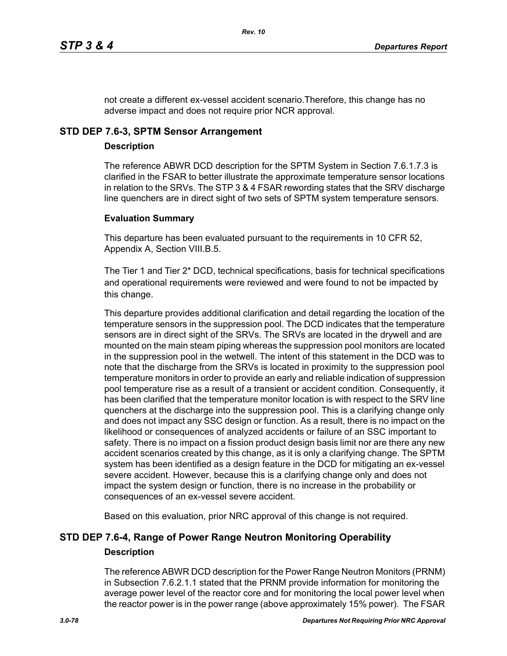not create a different ex-vessel accident scenario.Therefore, this change has no adverse impact and does not require prior NCR approval.

# **STD DEP 7.6-3, SPTM Sensor Arrangement**

# **Description**

The reference ABWR DCD description for the SPTM System in Section 7.6.1.7.3 is clarified in the FSAR to better illustrate the approximate temperature sensor locations in relation to the SRVs. The STP 3 & 4 FSAR rewording states that the SRV discharge line quenchers are in direct sight of two sets of SPTM system temperature sensors.

# **Evaluation Summary**

This departure has been evaluated pursuant to the requirements in 10 CFR 52, Appendix A, Section VIII.B.5.

The Tier 1 and Tier 2\* DCD, technical specifications, basis for technical specifications and operational requirements were reviewed and were found to not be impacted by this change.

This departure provides additional clarification and detail regarding the location of the temperature sensors in the suppression pool. The DCD indicates that the temperature sensors are in direct sight of the SRVs. The SRVs are located in the drywell and are mounted on the main steam piping whereas the suppression pool monitors are located in the suppression pool in the wetwell. The intent of this statement in the DCD was to note that the discharge from the SRVs is located in proximity to the suppression pool temperature monitors in order to provide an early and reliable indication of suppression pool temperature rise as a result of a transient or accident condition. Consequently, it has been clarified that the temperature monitor location is with respect to the SRV line quenchers at the discharge into the suppression pool. This is a clarifying change only and does not impact any SSC design or function. As a result, there is no impact on the likelihood or consequences of analyzed accidents or failure of an SSC important to safety. There is no impact on a fission product design basis limit nor are there any new accident scenarios created by this change, as it is only a clarifying change. The SPTM system has been identified as a design feature in the DCD for mitigating an ex-vessel severe accident. However, because this is a clarifying change only and does not impact the system design or function, there is no increase in the probability or consequences of an ex-vessel severe accident.

Based on this evaluation, prior NRC approval of this change is not required.

# **STD DEP 7.6-4, Range of Power Range Neutron Monitoring Operability Description**

The reference ABWR DCD description for the Power Range Neutron Monitors (PRNM) in Subsection 7.6.2.1.1 stated that the PRNM provide information for monitoring the average power level of the reactor core and for monitoring the local power level when the reactor power is in the power range (above approximately 15% power). The FSAR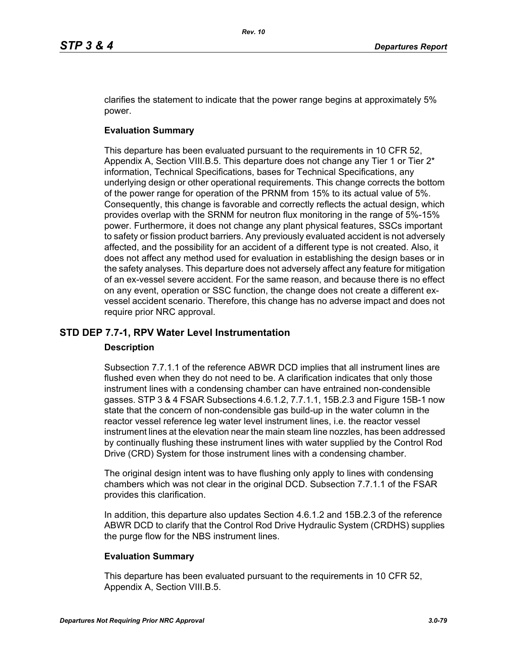clarifies the statement to indicate that the power range begins at approximately 5% power.

# **Evaluation Summary**

This departure has been evaluated pursuant to the requirements in 10 CFR 52, Appendix A, Section VIII.B.5. This departure does not change any Tier 1 or Tier  $2^*$ information, Technical Specifications, bases for Technical Specifications, any underlying design or other operational requirements. This change corrects the bottom of the power range for operation of the PRNM from 15% to its actual value of 5%. Consequently, this change is favorable and correctly reflects the actual design, which provides overlap with the SRNM for neutron flux monitoring in the range of 5%-15% power. Furthermore, it does not change any plant physical features, SSCs important to safety or fission product barriers. Any previously evaluated accident is not adversely affected, and the possibility for an accident of a different type is not created. Also, it does not affect any method used for evaluation in establishing the design bases or in the safety analyses. This departure does not adversely affect any feature for mitigation of an ex-vessel severe accident. For the same reason, and because there is no effect on any event, operation or SSC function, the change does not create a different exvessel accident scenario. Therefore, this change has no adverse impact and does not require prior NRC approval.

# **STD DEP 7.7-1, RPV Water Level Instrumentation**

### **Description**

Subsection 7.7.1.1 of the reference ABWR DCD implies that all instrument lines are flushed even when they do not need to be. A clarification indicates that only those instrument lines with a condensing chamber can have entrained non-condensible gasses. STP 3 & 4 FSAR Subsections 4.6.1.2, 7.7.1.1, 15B.2.3 and Figure 15B-1 now state that the concern of non-condensible gas build-up in the water column in the reactor vessel reference leg water level instrument lines, i.e. the reactor vessel instrument lines at the elevation near the main steam line nozzles, has been addressed by continually flushing these instrument lines with water supplied by the Control Rod Drive (CRD) System for those instrument lines with a condensing chamber.

The original design intent was to have flushing only apply to lines with condensing chambers which was not clear in the original DCD. Subsection 7.7.1.1 of the FSAR provides this clarification.

In addition, this departure also updates Section 4.6.1.2 and 15B.2.3 of the reference ABWR DCD to clarify that the Control Rod Drive Hydraulic System (CRDHS) supplies the purge flow for the NBS instrument lines.

### **Evaluation Summary**

This departure has been evaluated pursuant to the requirements in 10 CFR 52, Appendix A, Section VIII.B.5.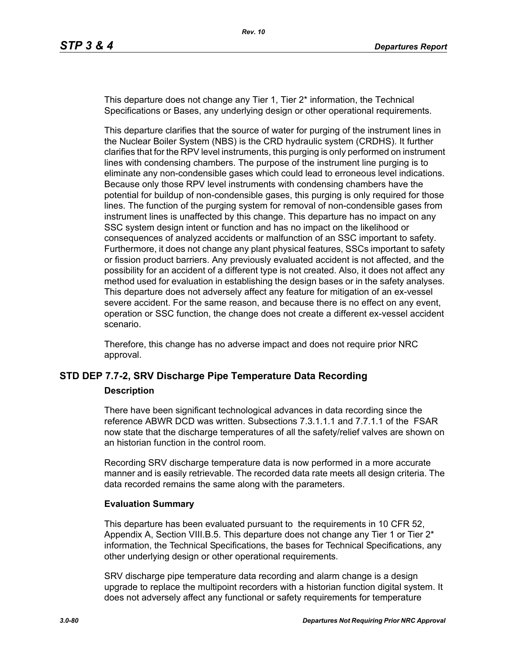This departure does not change any Tier 1, Tier 2\* information, the Technical Specifications or Bases, any underlying design or other operational requirements.

This departure clarifies that the source of water for purging of the instrument lines in the Nuclear Boiler System (NBS) is the CRD hydraulic system (CRDHS). It further clarifies that for the RPV level instruments, this purging is only performed on instrument lines with condensing chambers. The purpose of the instrument line purging is to eliminate any non-condensible gases which could lead to erroneous level indications. Because only those RPV level instruments with condensing chambers have the potential for buildup of non-condensible gases, this purging is only required for those lines. The function of the purging system for removal of non-condensible gases from instrument lines is unaffected by this change. This departure has no impact on any SSC system design intent or function and has no impact on the likelihood or consequences of analyzed accidents or malfunction of an SSC important to safety. Furthermore, it does not change any plant physical features, SSCs important to safety or fission product barriers. Any previously evaluated accident is not affected, and the possibility for an accident of a different type is not created. Also, it does not affect any method used for evaluation in establishing the design bases or in the safety analyses. This departure does not adversely affect any feature for mitigation of an ex-vessel severe accident. For the same reason, and because there is no effect on any event, operation or SSC function, the change does not create a different ex-vessel accident scenario.

Therefore, this change has no adverse impact and does not require prior NRC approval.

# **STD DEP 7.7-2, SRV Discharge Pipe Temperature Data Recording**

#### **Description**

There have been significant technological advances in data recording since the reference ABWR DCD was written. Subsections 7.3.1.1.1 and 7.7.1.1 of the FSAR now state that the discharge temperatures of all the safety/relief valves are shown on an historian function in the control room.

Recording SRV discharge temperature data is now performed in a more accurate manner and is easily retrievable. The recorded data rate meets all design criteria. The data recorded remains the same along with the parameters.

### **Evaluation Summary**

This departure has been evaluated pursuant to the requirements in 10 CFR 52, Appendix A, Section VIII.B.5. This departure does not change any Tier 1 or Tier  $2^*$ information, the Technical Specifications, the bases for Technical Specifications, any other underlying design or other operational requirements.

SRV discharge pipe temperature data recording and alarm change is a design upgrade to replace the multipoint recorders with a historian function digital system. It does not adversely affect any functional or safety requirements for temperature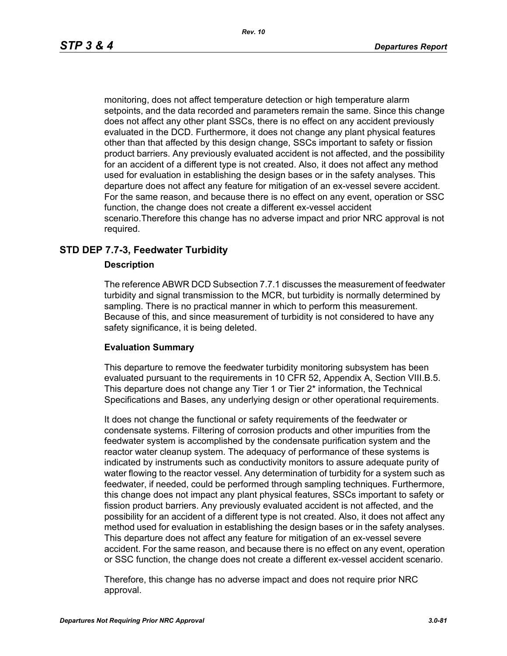monitoring, does not affect temperature detection or high temperature alarm setpoints, and the data recorded and parameters remain the same. Since this change does not affect any other plant SSCs, there is no effect on any accident previously evaluated in the DCD. Furthermore, it does not change any plant physical features other than that affected by this design change, SSCs important to safety or fission product barriers. Any previously evaluated accident is not affected, and the possibility for an accident of a different type is not created. Also, it does not affect any method used for evaluation in establishing the design bases or in the safety analyses. This departure does not affect any feature for mitigation of an ex-vessel severe accident. For the same reason, and because there is no effect on any event, operation or SSC function, the change does not create a different ex-vessel accident scenario.Therefore this change has no adverse impact and prior NRC approval is not required.

# **STD DEP 7.7-3, Feedwater Turbidity**

### **Description**

The reference ABWR DCD Subsection 7.7.1 discusses the measurement of feedwater turbidity and signal transmission to the MCR, but turbidity is normally determined by sampling. There is no practical manner in which to perform this measurement. Because of this, and since measurement of turbidity is not considered to have any safety significance, it is being deleted.

### **Evaluation Summary**

This departure to remove the feedwater turbidity monitoring subsystem has been evaluated pursuant to the requirements in 10 CFR 52, Appendix A, Section VIII.B.5. This departure does not change any Tier 1 or Tier 2\* information, the Technical Specifications and Bases, any underlying design or other operational requirements.

It does not change the functional or safety requirements of the feedwater or condensate systems. Filtering of corrosion products and other impurities from the feedwater system is accomplished by the condensate purification system and the reactor water cleanup system. The adequacy of performance of these systems is indicated by instruments such as conductivity monitors to assure adequate purity of water flowing to the reactor vessel. Any determination of turbidity for a system such as feedwater, if needed, could be performed through sampling techniques. Furthermore, this change does not impact any plant physical features, SSCs important to safety or fission product barriers. Any previously evaluated accident is not affected, and the possibility for an accident of a different type is not created. Also, it does not affect any method used for evaluation in establishing the design bases or in the safety analyses. This departure does not affect any feature for mitigation of an ex-vessel severe accident. For the same reason, and because there is no effect on any event, operation or SSC function, the change does not create a different ex-vessel accident scenario.

Therefore, this change has no adverse impact and does not require prior NRC approval.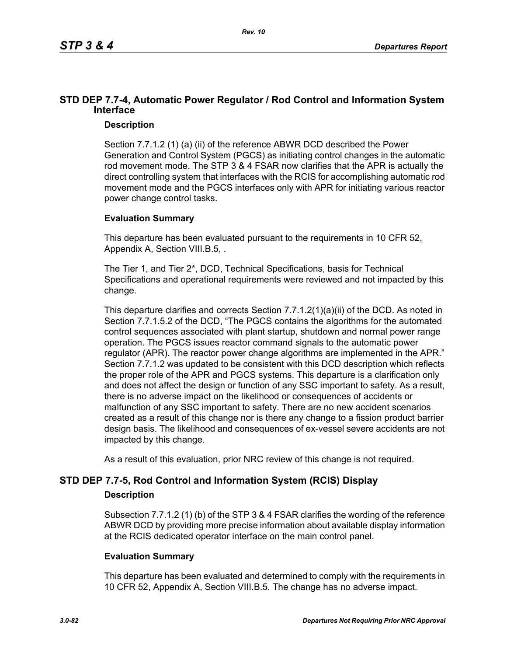# **STD DEP 7.7-4, Automatic Power Regulator / Rod Control and Information System Interface**

# **Description**

Section 7.7.1.2 (1) (a) (ii) of the reference ABWR DCD described the Power Generation and Control System (PGCS) as initiating control changes in the automatic rod movement mode. The STP 3 & 4 FSAR now clarifies that the APR is actually the direct controlling system that interfaces with the RCIS for accomplishing automatic rod movement mode and the PGCS interfaces only with APR for initiating various reactor power change control tasks.

# **Evaluation Summary**

This departure has been evaluated pursuant to the requirements in 10 CFR 52, Appendix A, Section VIII.B.5, .

The Tier 1, and Tier 2\*, DCD, Technical Specifications, basis for Technical Specifications and operational requirements were reviewed and not impacted by this change.

This departure clarifies and corrects Section 7.7.1.2(1)(a)(ii) of the DCD. As noted in Section 7.7.1.5.2 of the DCD, "The PGCS contains the algorithms for the automated control sequences associated with plant startup, shutdown and normal power range operation. The PGCS issues reactor command signals to the automatic power regulator (APR). The reactor power change algorithms are implemented in the APR." Section 7.7.1.2 was updated to be consistent with this DCD description which reflects the proper role of the APR and PGCS systems. This departure is a clarification only and does not affect the design or function of any SSC important to safety. As a result, there is no adverse impact on the likelihood or consequences of accidents or malfunction of any SSC important to safety. There are no new accident scenarios created as a result of this change nor is there any change to a fission product barrier design basis. The likelihood and consequences of ex-vessel severe accidents are not impacted by this change.

As a result of this evaluation, prior NRC review of this change is not required.

# **STD DEP 7.7-5, Rod Control and Information System (RCIS) Display**

# **Description**

Subsection 7.7.1.2 (1) (b) of the STP 3 & 4 FSAR clarifies the wording of the reference ABWR DCD by providing more precise information about available display information at the RCIS dedicated operator interface on the main control panel.

# **Evaluation Summary**

This departure has been evaluated and determined to comply with the requirements in 10 CFR 52, Appendix A, Section VIII.B.5. The change has no adverse impact.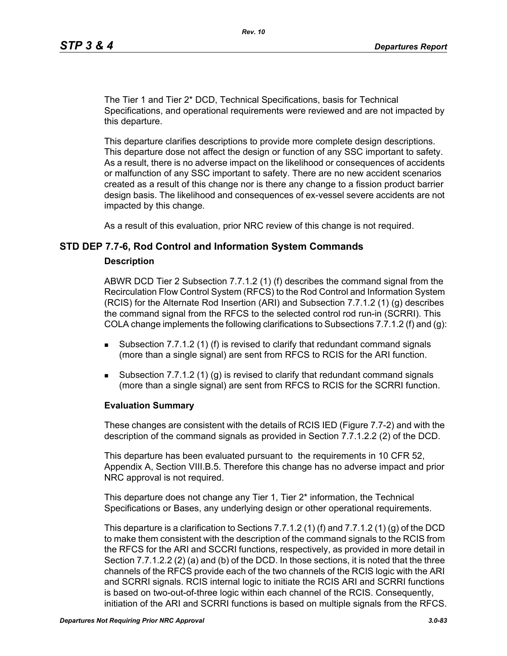The Tier 1 and Tier 2\* DCD, Technical Specifications, basis for Technical Specifications, and operational requirements were reviewed and are not impacted by this departure.

This departure clarifies descriptions to provide more complete design descriptions. This departure dose not affect the design or function of any SSC important to safety. As a result, there is no adverse impact on the likelihood or consequences of accidents or malfunction of any SSC important to safety. There are no new accident scenarios created as a result of this change nor is there any change to a fission product barrier design basis. The likelihood and consequences of ex-vessel severe accidents are not impacted by this change.

As a result of this evaluation, prior NRC review of this change is not required.

### **STD DEP 7.7-6, Rod Control and Information System Commands**

#### **Description**

ABWR DCD Tier 2 Subsection 7.7.1.2 (1) (f) describes the command signal from the Recirculation Flow Control System (RFCS) to the Rod Control and Information System (RCIS) for the Alternate Rod Insertion (ARI) and Subsection 7.7.1.2 (1) (g) describes the command signal from the RFCS to the selected control rod run-in (SCRRI). This COLA change implements the following clarifications to Subsections 7.7.1.2 (f) and (q):

- **Subsection 7.7.1.2 (1) (f) is revised to clarify that redundant command signals** (more than a single signal) are sent from RFCS to RCIS for the ARI function.
- Subsection 7.7.1.2 (1) (g) is revised to clarify that redundant command signals (more than a single signal) are sent from RFCS to RCIS for the SCRRI function.

### **Evaluation Summary**

These changes are consistent with the details of RCIS IED (Figure 7.7-2) and with the description of the command signals as provided in Section 7.7.1.2.2 (2) of the DCD.

This departure has been evaluated pursuant to the requirements in 10 CFR 52, Appendix A, Section VIII.B.5. Therefore this change has no adverse impact and prior NRC approval is not required.

This departure does not change any Tier 1, Tier 2\* information, the Technical Specifications or Bases, any underlying design or other operational requirements.

This departure is a clarification to Sections 7.7.1.2 (1) (f) and 7.7.1.2 (1) (g) of the DCD to make them consistent with the description of the command signals to the RCIS from the RFCS for the ARI and SCCRI functions, respectively, as provided in more detail in Section 7.7.1.2.2 (2) (a) and (b) of the DCD. In those sections, it is noted that the three channels of the RFCS provide each of the two channels of the RCIS logic with the ARI and SCRRI signals. RCIS internal logic to initiate the RCIS ARI and SCRRI functions is based on two-out-of-three logic within each channel of the RCIS. Consequently, initiation of the ARI and SCRRI functions is based on multiple signals from the RFCS.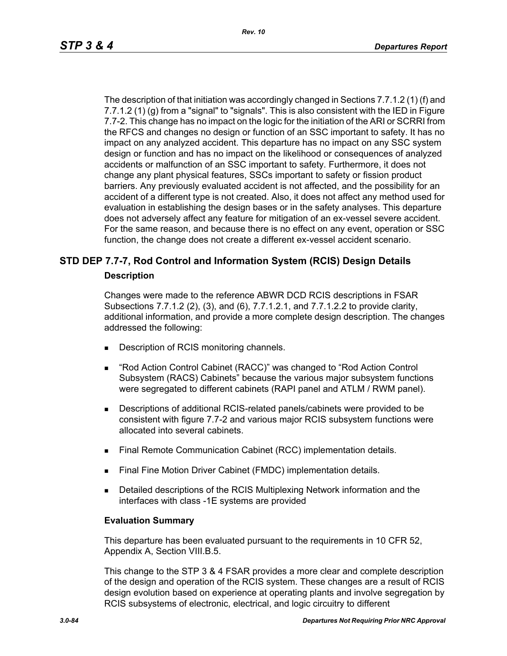The description of that initiation was accordingly changed in Sections 7.7.1.2 (1) (f) and 7.7.1.2 (1) (g) from a "signal" to "signals". This is also consistent with the IED in Figure 7.7-2. This change has no impact on the logic for the initiation of the ARI or SCRRI from the RFCS and changes no design or function of an SSC important to safety. It has no impact on any analyzed accident. This departure has no impact on any SSC system design or function and has no impact on the likelihood or consequences of analyzed accidents or malfunction of an SSC important to safety. Furthermore, it does not change any plant physical features, SSCs important to safety or fission product barriers. Any previously evaluated accident is not affected, and the possibility for an accident of a different type is not created. Also, it does not affect any method used for evaluation in establishing the design bases or in the safety analyses. This departure does not adversely affect any feature for mitigation of an ex-vessel severe accident. For the same reason, and because there is no effect on any event, operation or SSC function, the change does not create a different ex-vessel accident scenario.

# **STD DEP 7.7-7, Rod Control and Information System (RCIS) Design Details**

### **Description**

Changes were made to the reference ABWR DCD RCIS descriptions in FSAR Subsections 7.7.1.2 (2), (3), and (6), 7.7.1.2.1, and 7.7.1.2.2 to provide clarity, additional information, and provide a more complete design description. The changes addressed the following:

- Description of RCIS monitoring channels.
- "Rod Action Control Cabinet (RACC)" was changed to "Rod Action Control Subsystem (RACS) Cabinets" because the various major subsystem functions were segregated to different cabinets (RAPI panel and ATLM / RWM panel).
- Descriptions of additional RCIS-related panels/cabinets were provided to be consistent with figure 7.7-2 and various major RCIS subsystem functions were allocated into several cabinets.
- **Final Remote Communication Cabinet (RCC) implementation details.**
- Final Fine Motion Driver Cabinet (FMDC) implementation details.
- **Detailed descriptions of the RCIS Multiplexing Network information and the** interfaces with class -1E systems are provided

### **Evaluation Summary**

This departure has been evaluated pursuant to the requirements in 10 CFR 52, Appendix A, Section VIII.B.5.

This change to the STP 3 & 4 FSAR provides a more clear and complete description of the design and operation of the RCIS system. These changes are a result of RCIS design evolution based on experience at operating plants and involve segregation by RCIS subsystems of electronic, electrical, and logic circuitry to different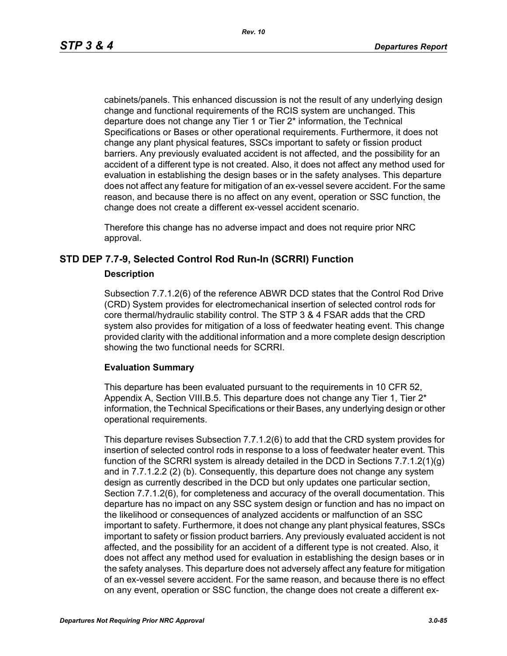cabinets/panels. This enhanced discussion is not the result of any underlying design change and functional requirements of the RCIS system are unchanged. This departure does not change any Tier 1 or Tier 2\* information, the Technical Specifications or Bases or other operational requirements. Furthermore, it does not change any plant physical features, SSCs important to safety or fission product barriers. Any previously evaluated accident is not affected, and the possibility for an accident of a different type is not created. Also, it does not affect any method used for evaluation in establishing the design bases or in the safety analyses. This departure does not affect any feature for mitigation of an ex-vessel severe accident. For the same reason, and because there is no affect on any event, operation or SSC function, the change does not create a different ex-vessel accident scenario.

Therefore this change has no adverse impact and does not require prior NRC approval.

# **STD DEP 7.7-9, Selected Control Rod Run-In (SCRRI) Function**

### **Description**

Subsection 7.7.1.2(6) of the reference ABWR DCD states that the Control Rod Drive (CRD) System provides for electromechanical insertion of selected control rods for core thermal/hydraulic stability control. The STP 3 & 4 FSAR adds that the CRD system also provides for mitigation of a loss of feedwater heating event. This change provided clarity with the additional information and a more complete design description showing the two functional needs for SCRRI.

### **Evaluation Summary**

This departure has been evaluated pursuant to the requirements in 10 CFR 52, Appendix A, Section VIII.B.5. This departure does not change any Tier 1, Tier  $2^*$ information, the Technical Specifications or their Bases, any underlying design or other operational requirements.

This departure revises Subsection 7.7.1.2(6) to add that the CRD system provides for insertion of selected control rods in response to a loss of feedwater heater event. This function of the SCRRI system is already detailed in the DCD in Sections 7.7.1.2(1)(g) and in 7.7.1.2.2 (2) (b). Consequently, this departure does not change any system design as currently described in the DCD but only updates one particular section, Section 7.7.1.2(6), for completeness and accuracy of the overall documentation. This departure has no impact on any SSC system design or function and has no impact on the likelihood or consequences of analyzed accidents or malfunction of an SSC important to safety. Furthermore, it does not change any plant physical features, SSCs important to safety or fission product barriers. Any previously evaluated accident is not affected, and the possibility for an accident of a different type is not created. Also, it does not affect any method used for evaluation in establishing the design bases or in the safety analyses. This departure does not adversely affect any feature for mitigation of an ex-vessel severe accident. For the same reason, and because there is no effect on any event, operation or SSC function, the change does not create a different ex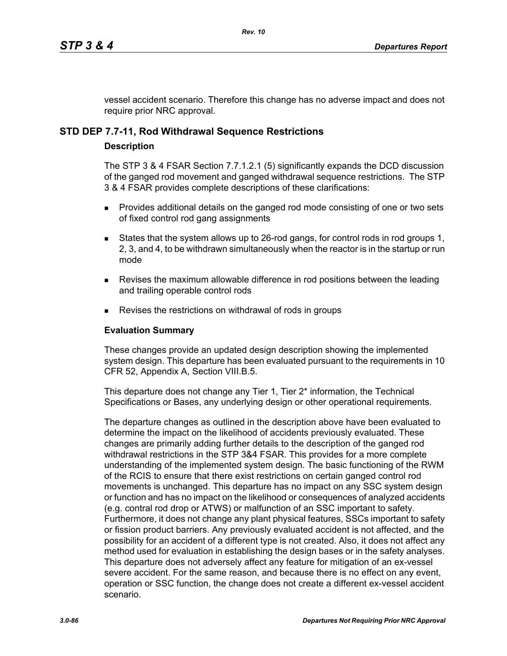vessel accident scenario. Therefore this change has no adverse impact and does not require prior NRC approval.

# **STD DEP 7.7-11, Rod Withdrawal Sequence Restrictions**

### **Description**

The STP 3 & 4 FSAR Section 7.7.1.2.1 (5) significantly expands the DCD discussion of the ganged rod movement and ganged withdrawal sequence restrictions. The STP 3 & 4 FSAR provides complete descriptions of these clarifications:

- **Provides additional details on the ganged rod mode consisting of one or two sets** of fixed control rod gang assignments
- States that the system allows up to 26-rod gangs, for control rods in rod groups 1, 2, 3, and 4, to be withdrawn simultaneously when the reactor is in the startup or run mode
- **Revises the maximum allowable difference in rod positions between the leading** and trailing operable control rods
- Revises the restrictions on withdrawal of rods in groups

### **Evaluation Summary**

These changes provide an updated design description showing the implemented system design. This departure has been evaluated pursuant to the requirements in 10 CFR 52, Appendix A, Section VIII.B.5.

This departure does not change any Tier 1, Tier 2<sup>\*</sup> information, the Technical Specifications or Bases, any underlying design or other operational requirements.

The departure changes as outlined in the description above have been evaluated to determine the impact on the likelihood of accidents previously evaluated. These changes are primarily adding further details to the description of the ganged rod withdrawal restrictions in the STP 3&4 FSAR. This provides for a more complete understanding of the implemented system design. The basic functioning of the RWM of the RCIS to ensure that there exist restrictions on certain ganged control rod movements is unchanged. This departure has no impact on any SSC system design or function and has no impact on the likelihood or consequences of analyzed accidents (e.g. contral rod drop or ATWS) or malfunction of an SSC important to safety. Furthermore, it does not change any plant physical features, SSCs important to safety or fission product barriers. Any previously evaluated accident is not affected, and the possibility for an accident of a different type is not created. Also, it does not affect any method used for evaluation in establishing the design bases or in the safety analyses. This departure does not adversely affect any feature for mitigation of an ex-vessel severe accident. For the same reason, and because there is no effect on any event, operation or SSC function, the change does not create a different ex-vessel accident scenario.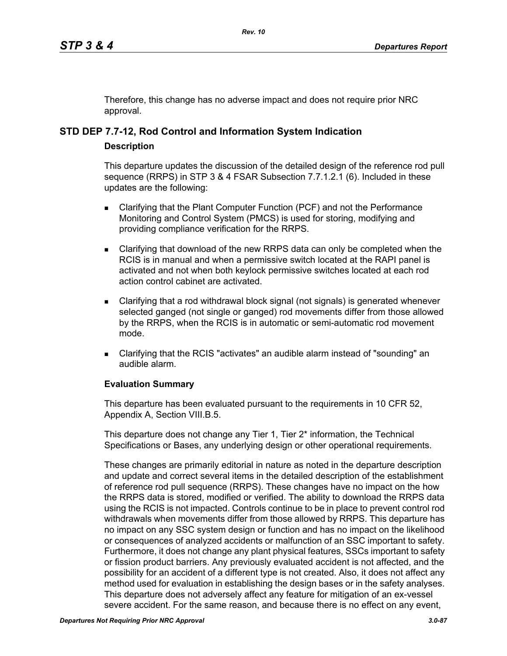Therefore, this change has no adverse impact and does not require prior NRC approval.

# **STD DEP 7.7-12, Rod Control and Information System Indication**

### **Description**

This departure updates the discussion of the detailed design of the reference rod pull sequence (RRPS) in STP 3 & 4 FSAR Subsection 7.7.1.2.1 (6). Included in these updates are the following:

- **EXEC** Clarifying that the Plant Computer Function (PCF) and not the Performance Monitoring and Control System (PMCS) is used for storing, modifying and providing compliance verification for the RRPS.
- Clarifying that download of the new RRPS data can only be completed when the RCIS is in manual and when a permissive switch located at the RAPI panel is activated and not when both keylock permissive switches located at each rod action control cabinet are activated.
- Clarifying that a rod withdrawal block signal (not signals) is generated whenever selected ganged (not single or ganged) rod movements differ from those allowed by the RRPS, when the RCIS is in automatic or semi-automatic rod movement mode.
- Clarifying that the RCIS "activates" an audible alarm instead of "sounding" an audible alarm.

# **Evaluation Summary**

This departure has been evaluated pursuant to the requirements in 10 CFR 52, Appendix A, Section VIII.B.5.

This departure does not change any Tier 1, Tier 2<sup>\*</sup> information, the Technical Specifications or Bases, any underlying design or other operational requirements.

These changes are primarily editorial in nature as noted in the departure description and update and correct several items in the detailed description of the establishment of reference rod pull sequence (RRPS). These changes have no impact on the how the RRPS data is stored, modified or verified. The ability to download the RRPS data using the RCIS is not impacted. Controls continue to be in place to prevent control rod withdrawals when movements differ from those allowed by RRPS. This departure has no impact on any SSC system design or function and has no impact on the likelihood or consequences of analyzed accidents or malfunction of an SSC important to safety. Furthermore, it does not change any plant physical features, SSCs important to safety or fission product barriers. Any previously evaluated accident is not affected, and the possibility for an accident of a different type is not created. Also, it does not affect any method used for evaluation in establishing the design bases or in the safety analyses. This departure does not adversely affect any feature for mitigation of an ex-vessel severe accident. For the same reason, and because there is no effect on any event,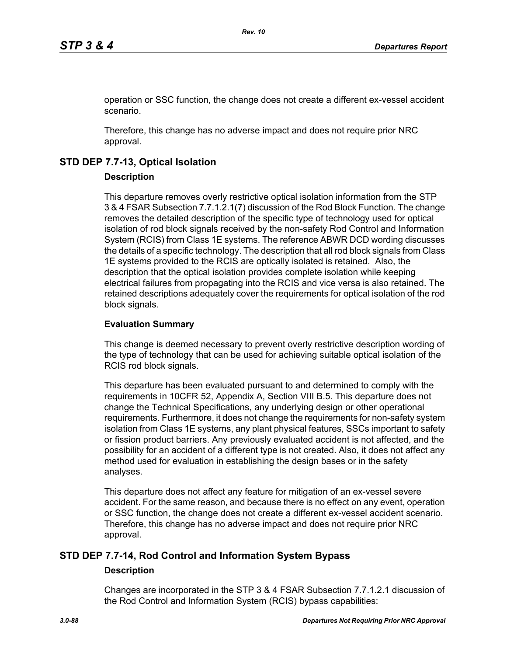operation or SSC function, the change does not create a different ex-vessel accident scenario.

Therefore, this change has no adverse impact and does not require prior NRC approval.

# **STD DEP 7.7-13, Optical Isolation**

### **Description**

This departure removes overly restrictive optical isolation information from the STP 3 & 4 FSAR Subsection 7.7.1.2.1(7) discussion of the Rod Block Function. The change removes the detailed description of the specific type of technology used for optical isolation of rod block signals received by the non-safety Rod Control and Information System (RCIS) from Class 1E systems. The reference ABWR DCD wording discusses the details of a specific technology. The description that all rod block signals from Class 1E systems provided to the RCIS are optically isolated is retained. Also, the description that the optical isolation provides complete isolation while keeping electrical failures from propagating into the RCIS and vice versa is also retained. The retained descriptions adequately cover the requirements for optical isolation of the rod block signals.

### **Evaluation Summary**

This change is deemed necessary to prevent overly restrictive description wording of the type of technology that can be used for achieving suitable optical isolation of the RCIS rod block signals.

This departure has been evaluated pursuant to and determined to comply with the requirements in 10CFR 52, Appendix A, Section VIII B.5. This departure does not change the Technical Specifications, any underlying design or other operational requirements. Furthermore, it does not change the requirements for non-safety system isolation from Class 1E systems, any plant physical features, SSCs important to safety or fission product barriers. Any previously evaluated accident is not affected, and the possibility for an accident of a different type is not created. Also, it does not affect any method used for evaluation in establishing the design bases or in the safety analyses.

This departure does not affect any feature for mitigation of an ex-vessel severe accident. For the same reason, and because there is no effect on any event, operation or SSC function, the change does not create a different ex-vessel accident scenario. Therefore, this change has no adverse impact and does not require prior NRC approval.

# **STD DEP 7.7-14, Rod Control and Information System Bypass**

### **Description**

Changes are incorporated in the STP 3 & 4 FSAR Subsection 7.7.1.2.1 discussion of the Rod Control and Information System (RCIS) bypass capabilities: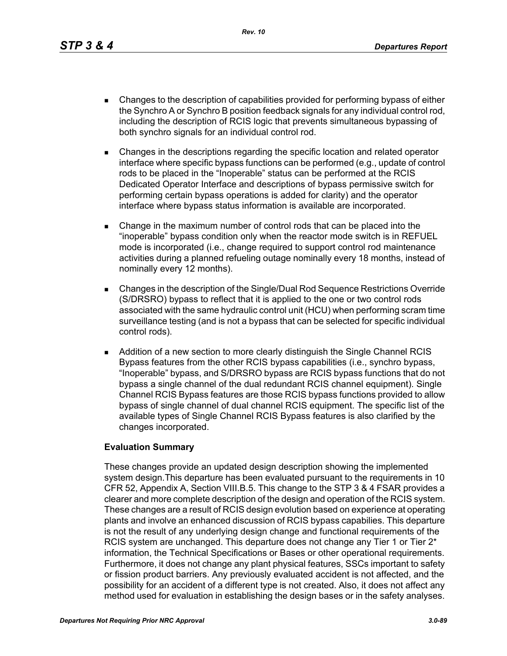*Rev. 10*

- Changes to the description of capabilities provided for performing bypass of either the Synchro A or Synchro B position feedback signals for any individual control rod, including the description of RCIS logic that prevents simultaneous bypassing of both synchro signals for an individual control rod.
- Changes in the descriptions regarding the specific location and related operator interface where specific bypass functions can be performed (e.g., update of control rods to be placed in the "Inoperable" status can be performed at the RCIS Dedicated Operator Interface and descriptions of bypass permissive switch for performing certain bypass operations is added for clarity) and the operator interface where bypass status information is available are incorporated.
- Change in the maximum number of control rods that can be placed into the "inoperable" bypass condition only when the reactor mode switch is in REFUEL mode is incorporated (i.e., change required to support control rod maintenance activities during a planned refueling outage nominally every 18 months, instead of nominally every 12 months).
- Changes in the description of the Single/Dual Rod Sequence Restrictions Override (S/DRSRO) bypass to reflect that it is applied to the one or two control rods associated with the same hydraulic control unit (HCU) when performing scram time surveillance testing (and is not a bypass that can be selected for specific individual control rods).
- **Addition of a new section to more clearly distinguish the Single Channel RCIS** Bypass features from the other RCIS bypass capabilities (i.e., synchro bypass, "Inoperable" bypass, and S/DRSRO bypass are RCIS bypass functions that do not bypass a single channel of the dual redundant RCIS channel equipment). Single Channel RCIS Bypass features are those RCIS bypass functions provided to allow bypass of single channel of dual channel RCIS equipment. The specific list of the available types of Single Channel RCIS Bypass features is also clarified by the changes incorporated.

# **Evaluation Summary**

These changes provide an updated design description showing the implemented system design.This departure has been evaluated pursuant to the requirements in 10 CFR 52, Appendix A, Section VIII.B.5. This change to the STP 3 & 4 FSAR provides a clearer and more complete description of the design and operation of the RCIS system. These changes are a result of RCIS design evolution based on experience at operating plants and involve an enhanced discussion of RCIS bypass capabilies. This departure is not the result of any underlying design change and functional requirements of the RCIS system are unchanged. This departure does not change any Tier 1 or Tier 2<sup>\*</sup> information, the Technical Specifications or Bases or other operational requirements. Furthermore, it does not change any plant physical features, SSCs important to safety or fission product barriers. Any previously evaluated accident is not affected, and the possibility for an accident of a different type is not created. Also, it does not affect any method used for evaluation in establishing the design bases or in the safety analyses.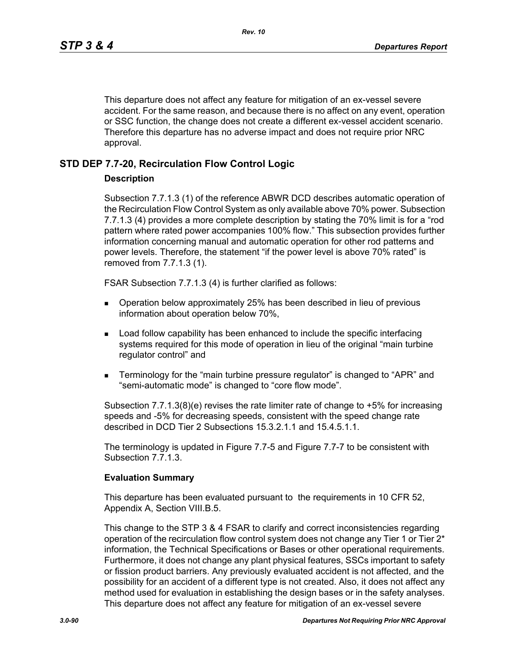This departure does not affect any feature for mitigation of an ex-vessel severe accident. For the same reason, and because there is no affect on any event, operation or SSC function, the change does not create a different ex-vessel accident scenario. Therefore this departure has no adverse impact and does not require prior NRC approval.

# **STD DEP 7.7-20, Recirculation Flow Control Logic**

### **Description**

Subsection 7.7.1.3 (1) of the reference ABWR DCD describes automatic operation of the Recirculation Flow Control System as only available above 70% power. Subsection 7.7.1.3 (4) provides a more complete description by stating the 70% limit is for a "rod pattern where rated power accompanies 100% flow." This subsection provides further information concerning manual and automatic operation for other rod patterns and power levels. Therefore, the statement "if the power level is above 70% rated" is removed from 7.7.1.3 (1).

FSAR Subsection 7.7.1.3 (4) is further clarified as follows:

- Operation below approximately 25% has been described in lieu of previous information about operation below 70%,
- **Load follow capability has been enhanced to include the specific interfacing** systems required for this mode of operation in lieu of the original "main turbine regulator control" and
- Terminology for the "main turbine pressure regulator" is changed to "APR" and "semi-automatic mode" is changed to "core flow mode".

Subsection 7.7.1.3(8)(e) revises the rate limiter rate of change to +5% for increasing speeds and -5% for decreasing speeds, consistent with the speed change rate described in DCD Tier 2 Subsections 15.3.2.1.1 and 15.4.5.1.1.

The terminology is updated in Figure 7.7-5 and Figure 7.7-7 to be consistent with Subsection 7.7.1.3.

### **Evaluation Summary**

This departure has been evaluated pursuant to the requirements in 10 CFR 52, Appendix A, Section VIII.B.5.

This change to the STP 3 & 4 FSAR to clarify and correct inconsistencies regarding operation of the recirculation flow control system does not change any Tier 1 or Tier  $2^*$ information, the Technical Specifications or Bases or other operational requirements. Furthermore, it does not change any plant physical features, SSCs important to safety or fission product barriers. Any previously evaluated accident is not affected, and the possibility for an accident of a different type is not created. Also, it does not affect any method used for evaluation in establishing the design bases or in the safety analyses. This departure does not affect any feature for mitigation of an ex-vessel severe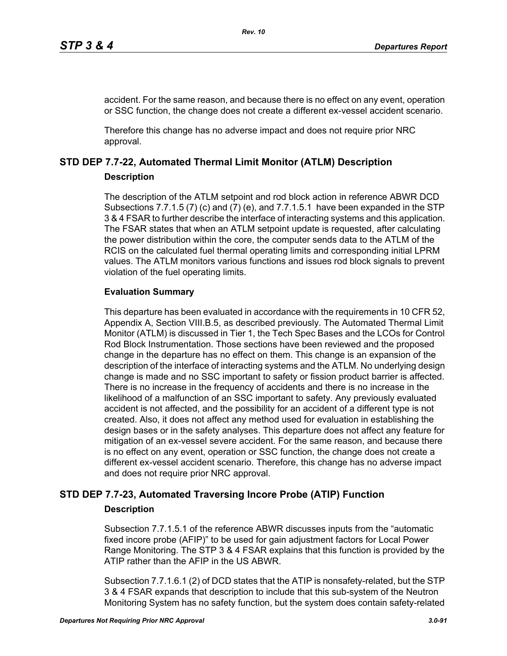accident. For the same reason, and because there is no effect on any event, operation or SSC function, the change does not create a different ex-vessel accident scenario.

Therefore this change has no adverse impact and does not require prior NRC approval.

# **STD DEP 7.7-22, Automated Thermal Limit Monitor (ATLM) Description**

# **Description**

The description of the ATLM setpoint and rod block action in reference ABWR DCD Subsections 7.7.1.5 (7) (c) and (7) (e), and 7.7.1.5.1 have been expanded in the STP 3 & 4 FSAR to further describe the interface of interacting systems and this application. The FSAR states that when an ATLM setpoint update is requested, after calculating the power distribution within the core, the computer sends data to the ATLM of the RCIS on the calculated fuel thermal operating limits and corresponding initial LPRM values. The ATLM monitors various functions and issues rod block signals to prevent violation of the fuel operating limits.

# **Evaluation Summary**

This departure has been evaluated in accordance with the requirements in 10 CFR 52, Appendix A, Section VIII.B.5, as described previously. The Automated Thermal Limit Monitor (ATLM) is discussed in Tier 1, the Tech Spec Bases and the LCOs for Control Rod Block Instrumentation. Those sections have been reviewed and the proposed change in the departure has no effect on them. This change is an expansion of the description of the interface of interacting systems and the ATLM. No underlying design change is made and no SSC important to safety or fission product barrier is affected. There is no increase in the frequency of accidents and there is no increase in the likelihood of a malfunction of an SSC important to safety. Any previously evaluated accident is not affected, and the possibility for an accident of a different type is not created. Also, it does not affect any method used for evaluation in establishing the design bases or in the safety analyses. This departure does not affect any feature for mitigation of an ex-vessel severe accident. For the same reason, and because there is no effect on any event, operation or SSC function, the change does not create a different ex-vessel accident scenario. Therefore, this change has no adverse impact and does not require prior NRC approval.

# **STD DEP 7.7-23, Automated Traversing Incore Probe (ATIP) Function**

# **Description**

Subsection 7.7.1.5.1 of the reference ABWR discusses inputs from the "automatic fixed incore probe (AFIP)" to be used for gain adjustment factors for Local Power Range Monitoring. The STP 3 & 4 FSAR explains that this function is provided by the ATIP rather than the AFIP in the US ABWR.

Subsection 7.7.1.6.1 (2) of DCD states that the ATIP is nonsafety-related, but the STP 3 & 4 FSAR expands that description to include that this sub-system of the Neutron Monitoring System has no safety function, but the system does contain safety-related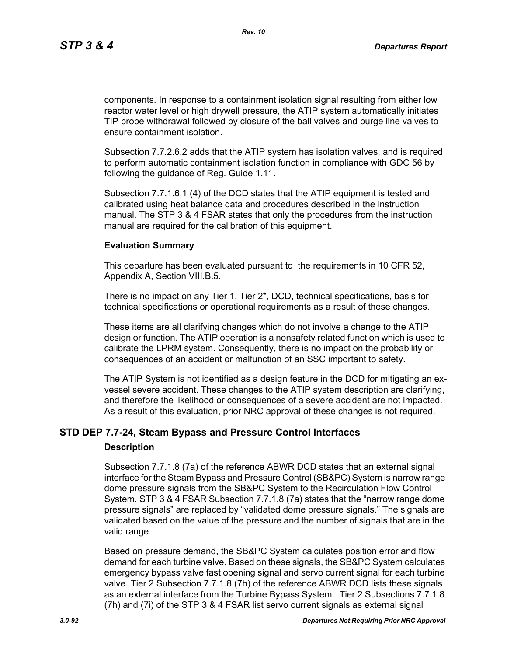components. In response to a containment isolation signal resulting from either low reactor water level or high drywell pressure, the ATIP system automatically initiates TIP probe withdrawal followed by closure of the ball valves and purge line valves to ensure containment isolation.

Subsection 7.7.2.6.2 adds that the ATIP system has isolation valves, and is required to perform automatic containment isolation function in compliance with GDC 56 by following the guidance of Reg. Guide 1.11.

Subsection 7.7.1.6.1 (4) of the DCD states that the ATIP equipment is tested and calibrated using heat balance data and procedures described in the instruction manual. The STP 3 & 4 FSAR states that only the procedures from the instruction manual are required for the calibration of this equipment.

### **Evaluation Summary**

This departure has been evaluated pursuant to the requirements in 10 CFR 52, Appendix A, Section VIII.B.5.

There is no impact on any Tier 1, Tier 2\*, DCD, technical specifications, basis for technical specifications or operational requirements as a result of these changes.

These items are all clarifying changes which do not involve a change to the ATIP design or function. The ATIP operation is a nonsafety related function which is used to calibrate the LPRM system. Consequently, there is no impact on the probability or consequences of an accident or malfunction of an SSC important to safety.

The ATIP System is not identified as a design feature in the DCD for mitigating an exvessel severe accident. These changes to the ATIP system description are clarifying, and therefore the likelihood or consequences of a severe accident are not impacted. As a result of this evaluation, prior NRC approval of these changes is not required.

# **STD DEP 7.7-24, Steam Bypass and Pressure Control Interfaces**

### **Description**

Subsection 7.7.1.8 (7a) of the reference ABWR DCD states that an external signal interface for the Steam Bypass and Pressure Control (SB&PC) System is narrow range dome pressure signals from the SB&PC System to the Recirculation Flow Control System. STP 3 & 4 FSAR Subsection 7.7.1.8 (7a) states that the "narrow range dome pressure signals" are replaced by "validated dome pressure signals." The signals are validated based on the value of the pressure and the number of signals that are in the valid range.

Based on pressure demand, the SB&PC System calculates position error and flow demand for each turbine valve. Based on these signals, the SB&PC System calculates emergency bypass valve fast opening signal and servo current signal for each turbine valve. Tier 2 Subsection 7.7.1.8 (7h) of the reference ABWR DCD lists these signals as an external interface from the Turbine Bypass System. Tier 2 Subsections 7.7.1.8 (7h) and (7i) of the STP 3 & 4 FSAR list servo current signals as external signal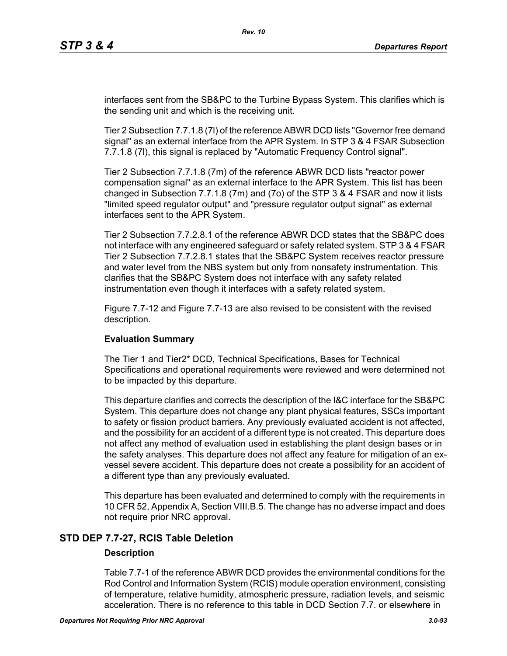interfaces sent from the SB&PC to the Turbine Bypass System. This clarifies which is the sending unit and which is the receiving unit.

Tier 2 Subsection 7.7.1.8 (7l) of the reference ABWR DCD lists "Governor free demand signal" as an external interface from the APR System. In STP 3 & 4 FSAR Subsection 7.7.1.8 (7l), this signal is replaced by "Automatic Frequency Control signal".

Tier 2 Subsection 7.7.1.8 (7m) of the reference ABWR DCD lists "reactor power compensation signal" as an external interface to the APR System. This list has been changed in Subsection 7.7.1.8 (7m) and (7o) of the STP 3 & 4 FSAR and now it lists "limited speed regulator output" and "pressure regulator output signal" as external interfaces sent to the APR System.

Tier 2 Subsection 7.7.2.8.1 of the reference ABWR DCD states that the SB&PC does not interface with any engineered safeguard or safety related system. STP 3 & 4 FSAR Tier 2 Subsection 7.7.2.8.1 states that the SB&PC System receives reactor pressure and water level from the NBS system but only from nonsafety instrumentation. This clarifies that the SB&PC System does not interface with any safety related instrumentation even though it interfaces with a safety related system.

Figure 7.7-12 and Figure 7.7-13 are also revised to be consistent with the revised description.

### **Evaluation Summary**

The Tier 1 and Tier2\* DCD, Technical Specifications, Bases for Technical Specifications and operational requirements were reviewed and were determined not to be impacted by this departure.

This departure clarifies and corrects the description of the I&C interface for the SB&PC System. This departure does not change any plant physical features, SSCs important to safety or fission product barriers. Any previously evaluated accident is not affected, and the possibility for an accident of a different type is not created. This departure does not affect any method of evaluation used in establishing the plant design bases or in the safety analyses. This departure does not affect any feature for mitigation of an exvessel severe accident. This departure does not create a possibility for an accident of a different type than any previously evaluated.

This departure has been evaluated and determined to comply with the requirements in 10 CFR 52, Appendix A, Section VIII.B.5. The change has no adverse impact and does not require prior NRC approval.

# **STD DEP 7.7-27, RCIS Table Deletion**

### **Description**

Table 7.7-1 of the reference ABWR DCD provides the environmental conditions for the Rod Control and Information System (RCIS) module operation environment, consisting of temperature, relative humidity, atmospheric pressure, radiation levels, and seismic acceleration. There is no reference to this table in DCD Section 7.7. or elsewhere in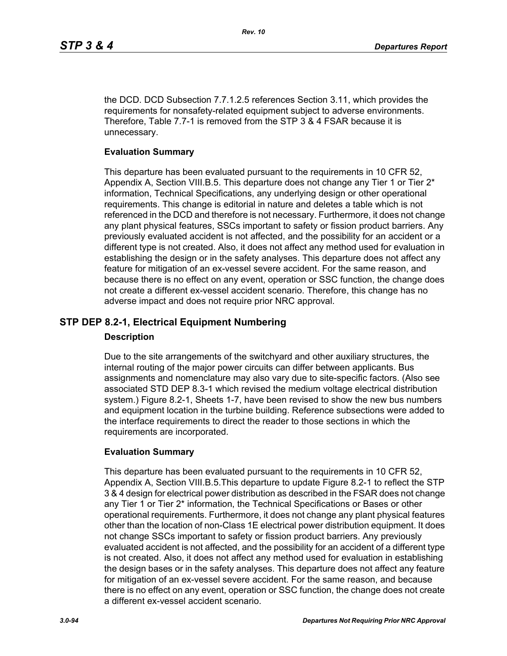the DCD. DCD Subsection 7.7.1.2.5 references Section 3.11, which provides the requirements for nonsafety-related equipment subject to adverse environments. Therefore, Table 7.7-1 is removed from the STP 3 & 4 FSAR because it is unnecessary.

### **Evaluation Summary**

This departure has been evaluated pursuant to the requirements in 10 CFR 52, Appendix A, Section VIII.B.5. This departure does not change any Tier 1 or Tier 2\* information, Technical Specifications, any underlying design or other operational requirements. This change is editorial in nature and deletes a table which is not referenced in the DCD and therefore is not necessary. Furthermore, it does not change any plant physical features, SSCs important to safety or fission product barriers. Any previously evaluated accident is not affected, and the possibility for an accident or a different type is not created. Also, it does not affect any method used for evaluation in establishing the design or in the safety analyses. This departure does not affect any feature for mitigation of an ex-vessel severe accident. For the same reason, and because there is no effect on any event, operation or SSC function, the change does not create a different ex-vessel accident scenario. Therefore, this change has no adverse impact and does not require prior NRC approval.

# **STP DEP 8.2-1, Electrical Equipment Numbering**

### **Description**

Due to the site arrangements of the switchyard and other auxiliary structures, the internal routing of the major power circuits can differ between applicants. Bus assignments and nomenclature may also vary due to site-specific factors. (Also see associated STD DEP 8.3-1 which revised the medium voltage electrical distribution system.) Figure 8.2-1, Sheets 1-7, have been revised to show the new bus numbers and equipment location in the turbine building. Reference subsections were added to the interface requirements to direct the reader to those sections in which the requirements are incorporated.

### **Evaluation Summary**

This departure has been evaluated pursuant to the requirements in 10 CFR 52, Appendix A, Section VIII.B.5.This departure to update Figure 8.2-1 to reflect the STP 3 & 4 design for electrical power distribution as described in the FSAR does not change any Tier 1 or Tier 2\* information, the Technical Specifications or Bases or other operational requirements. Furthermore, it does not change any plant physical features other than the location of non-Class 1E electrical power distribution equipment. It does not change SSCs important to safety or fission product barriers. Any previously evaluated accident is not affected, and the possibility for an accident of a different type is not created. Also, it does not affect any method used for evaluation in establishing the design bases or in the safety analyses. This departure does not affect any feature for mitigation of an ex-vessel severe accident. For the same reason, and because there is no effect on any event, operation or SSC function, the change does not create a different ex-vessel accident scenario.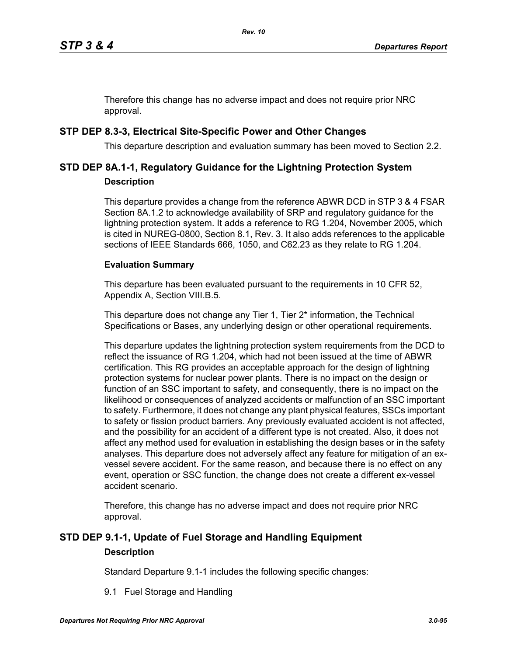Therefore this change has no adverse impact and does not require prior NRC approval.

# **STP DEP 8.3-3, Electrical Site-Specific Power and Other Changes**

This departure description and evaluation summary has been moved to Section 2.2.

# **STD DEP 8A.1-1, Regulatory Guidance for the Lightning Protection System Description**

This departure provides a change from the reference ABWR DCD in STP 3 & 4 FSAR Section 8A.1.2 to acknowledge availability of SRP and regulatory guidance for the lightning protection system. It adds a reference to RG 1.204, November 2005, which is cited in NUREG-0800, Section 8.1, Rev. 3. It also adds references to the applicable sections of IEEE Standards 666, 1050, and C62.23 as they relate to RG 1.204.

# **Evaluation Summary**

This departure has been evaluated pursuant to the requirements in 10 CFR 52, Appendix A, Section VIII.B.5.

This departure does not change any Tier 1, Tier 2<sup>\*</sup> information, the Technical Specifications or Bases, any underlying design or other operational requirements.

This departure updates the lightning protection system requirements from the DCD to reflect the issuance of RG 1.204, which had not been issued at the time of ABWR certification. This RG provides an acceptable approach for the design of lightning protection systems for nuclear power plants. There is no impact on the design or function of an SSC important to safety, and consequently, there is no impact on the likelihood or consequences of analyzed accidents or malfunction of an SSC important to safety. Furthermore, it does not change any plant physical features, SSCs important to safety or fission product barriers. Any previously evaluated accident is not affected, and the possibility for an accident of a different type is not created. Also, it does not affect any method used for evaluation in establishing the design bases or in the safety analyses. This departure does not adversely affect any feature for mitigation of an exvessel severe accident. For the same reason, and because there is no effect on any event, operation or SSC function, the change does not create a different ex-vessel accident scenario.

Therefore, this change has no adverse impact and does not require prior NRC approval.

# **STD DEP 9.1-1, Update of Fuel Storage and Handling Equipment Description**

Standard Departure 9.1-1 includes the following specific changes:

9.1 Fuel Storage and Handling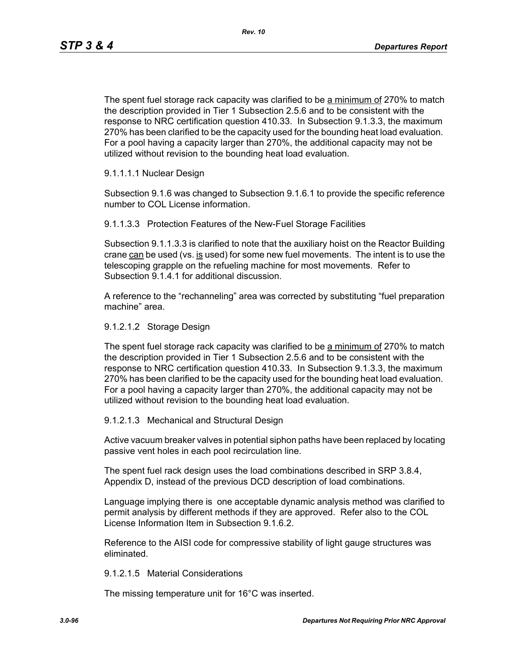The spent fuel storage rack capacity was clarified to be a minimum of 270% to match the description provided in Tier 1 Subsection 2.5.6 and to be consistent with the response to NRC certification question 410.33. In Subsection 9.1.3.3, the maximum 270% has been clarified to be the capacity used for the bounding heat load evaluation. For a pool having a capacity larger than 270%, the additional capacity may not be utilized without revision to the bounding heat load evaluation.

### 9.1.1.1.1 Nuclear Design

Subsection 9.1.6 was changed to Subsection 9.1.6.1 to provide the specific reference number to COL License information.

9.1.1.3.3 Protection Features of the New-Fuel Storage Facilities

Subsection 9.1.1.3.3 is clarified to note that the auxiliary hoist on the Reactor Building crane  $can$  be used (vs. is used) for some new fuel movements. The intent is to use the telescoping grapple on the refueling machine for most movements. Refer to Subsection 9.1.4.1 for additional discussion.

A reference to the "rechanneling" area was corrected by substituting "fuel preparation machine" area.

#### 9.1.2.1.2 Storage Design

The spent fuel storage rack capacity was clarified to be a minimum of 270% to match the description provided in Tier 1 Subsection 2.5.6 and to be consistent with the response to NRC certification question 410.33. In Subsection 9.1.3.3, the maximum 270% has been clarified to be the capacity used for the bounding heat load evaluation. For a pool having a capacity larger than 270%, the additional capacity may not be utilized without revision to the bounding heat load evaluation.

### 9.1.2.1.3 Mechanical and Structural Design

Active vacuum breaker valves in potential siphon paths have been replaced by locating passive vent holes in each pool recirculation line.

The spent fuel rack design uses the load combinations described in SRP 3.8.4, Appendix D, instead of the previous DCD description of load combinations.

Language implying there is one acceptable dynamic analysis method was clarified to permit analysis by different methods if they are approved. Refer also to the COL License Information Item in Subsection 9.1.6.2.

Reference to the AISI code for compressive stability of light gauge structures was eliminated.

#### 9.1.2.1.5 Material Considerations

The missing temperature unit for 16°C was inserted.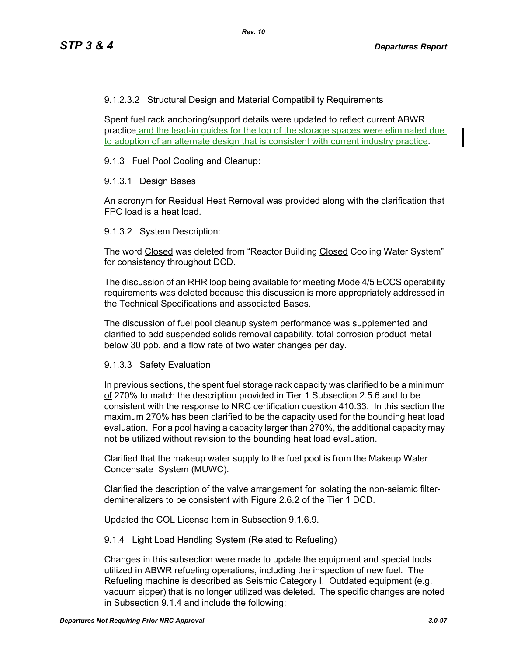9.1.2.3.2 Structural Design and Material Compatibility Requirements

Spent fuel rack anchoring/support details were updated to reflect current ABWR practice and the lead-in guides for the top of the storage spaces were eliminated due to adoption of an alternate design that is consistent with current industry practice.

9.1.3 Fuel Pool Cooling and Cleanup:

9.1.3.1 Design Bases

An acronym for Residual Heat Removal was provided along with the clarification that FPC load is a heat load.

9.1.3.2 System Description:

The word Closed was deleted from "Reactor Building Closed Cooling Water System" for consistency throughout DCD.

The discussion of an RHR loop being available for meeting Mode 4/5 ECCS operability requirements was deleted because this discussion is more appropriately addressed in the Technical Specifications and associated Bases.

The discussion of fuel pool cleanup system performance was supplemented and clarified to add suspended solids removal capability, total corrosion product metal below 30 ppb, and a flow rate of two water changes per day.

### 9.1.3.3 Safety Evaluation

In previous sections, the spent fuel storage rack capacity was clarified to be a minimum of 270% to match the description provided in Tier 1 Subsection 2.5.6 and to be consistent with the response to NRC certification question 410.33. In this section the maximum 270% has been clarified to be the capacity used for the bounding heat load evaluation. For a pool having a capacity larger than 270%, the additional capacity may not be utilized without revision to the bounding heat load evaluation.

Clarified that the makeup water supply to the fuel pool is from the Makeup Water Condensate System (MUWC).

Clarified the description of the valve arrangement for isolating the non-seismic filterdemineralizers to be consistent with Figure 2.6.2 of the Tier 1 DCD.

Updated the COL License Item in Subsection 9.1.6.9.

9.1.4 Light Load Handling System (Related to Refueling)

Changes in this subsection were made to update the equipment and special tools utilized in ABWR refueling operations, including the inspection of new fuel. The Refueling machine is described as Seismic Category I. Outdated equipment (e.g. vacuum sipper) that is no longer utilized was deleted. The specific changes are noted in Subsection 9.1.4 and include the following: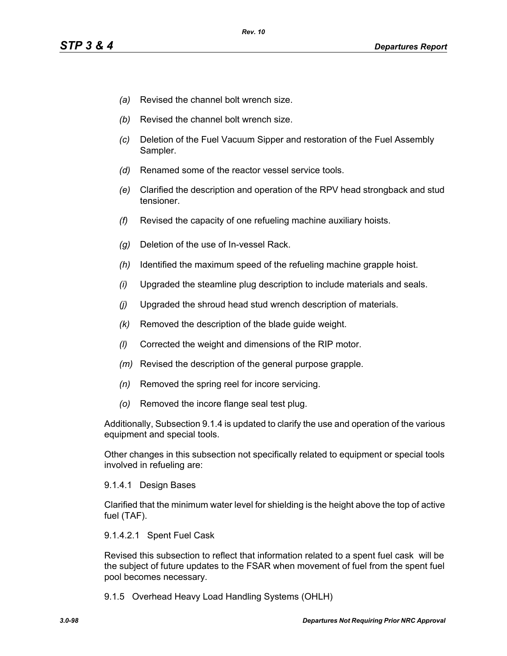- *(a)* Revised the channel bolt wrench size.
- *(b)* Revised the channel bolt wrench size.
- *(c)* Deletion of the Fuel Vacuum Sipper and restoration of the Fuel Assembly Sampler.
- *(d)* Renamed some of the reactor vessel service tools.
- *(e)* Clarified the description and operation of the RPV head strongback and stud tensioner.
- *(f)* Revised the capacity of one refueling machine auxiliary hoists.
- *(g)* Deletion of the use of In-vessel Rack.
- *(h)* Identified the maximum speed of the refueling machine grapple hoist.
- *(i)* Upgraded the steamline plug description to include materials and seals.
- *(j)* Upgraded the shroud head stud wrench description of materials.
- *(k)* Removed the description of the blade guide weight.
- *(l)* Corrected the weight and dimensions of the RIP motor.
- *(m)* Revised the description of the general purpose grapple.
- *(n)* Removed the spring reel for incore servicing.
- *(o)* Removed the incore flange seal test plug.

Additionally, Subsection 9.1.4 is updated to clarify the use and operation of the various equipment and special tools.

Other changes in this subsection not specifically related to equipment or special tools involved in refueling are:

### 9.1.4.1 Design Bases

Clarified that the minimum water level for shielding is the height above the top of active fuel (TAF).

### 9.1.4.2.1 Spent Fuel Cask

Revised this subsection to reflect that information related to a spent fuel cask will be the subject of future updates to the FSAR when movement of fuel from the spent fuel pool becomes necessary.

9.1.5 Overhead Heavy Load Handling Systems (OHLH)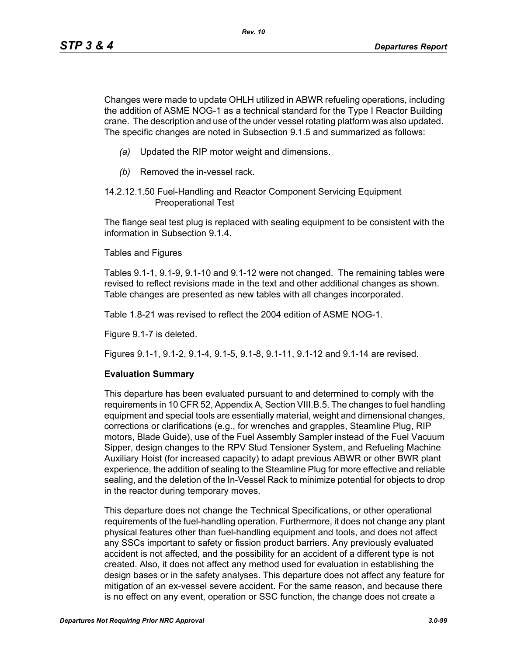Changes were made to update OHLH utilized in ABWR refueling operations, including the addition of ASME NOG-1 as a technical standard for the Type I Reactor Building crane. The description and use of the under vessel rotating platform was also updated. The specific changes are noted in Subsection 9.1.5 and summarized as follows:

- *(a)* Updated the RIP motor weight and dimensions.
- *(b)* Removed the in-vessel rack.
- 14.2.12.1.50 Fuel-Handling and Reactor Component Servicing Equipment Preoperational Test

The flange seal test plug is replaced with sealing equipment to be consistent with the information in Subsection 9.1.4.

Tables and Figures

Tables 9.1-1, 9.1-9, 9.1-10 and 9.1-12 were not changed. The remaining tables were revised to reflect revisions made in the text and other additional changes as shown. Table changes are presented as new tables with all changes incorporated.

Table 1.8-21 was revised to reflect the 2004 edition of ASME NOG-1.

Figure 9.1-7 is deleted.

Figures 9.1-1, 9.1-2, 9.1-4, 9.1-5, 9.1-8, 9.1-11, 9.1-12 and 9.1-14 are revised.

### **Evaluation Summary**

This departure has been evaluated pursuant to and determined to comply with the requirements in 10 CFR 52, Appendix A, Section VIII.B.5. The changes to fuel handling equipment and special tools are essentially material, weight and dimensional changes, corrections or clarifications (e.g., for wrenches and grapples, Steamline Plug, RIP motors, Blade Guide), use of the Fuel Assembly Sampler instead of the Fuel Vacuum Sipper, design changes to the RPV Stud Tensioner System, and Refueling Machine Auxiliary Hoist (for increased capacity) to adapt previous ABWR or other BWR plant experience, the addition of sealing to the Steamline Plug for more effective and reliable sealing, and the deletion of the In-Vessel Rack to minimize potential for objects to drop in the reactor during temporary moves.

This departure does not change the Technical Specifications, or other operational requirements of the fuel-handling operation. Furthermore, it does not change any plant physical features other than fuel-handling equipment and tools, and does not affect any SSCs important to safety or fission product barriers. Any previously evaluated accident is not affected, and the possibility for an accident of a different type is not created. Also, it does not affect any method used for evaluation in establishing the design bases or in the safety analyses. This departure does not affect any feature for mitigation of an ex-vessel severe accident. For the same reason, and because there is no effect on any event, operation or SSC function, the change does not create a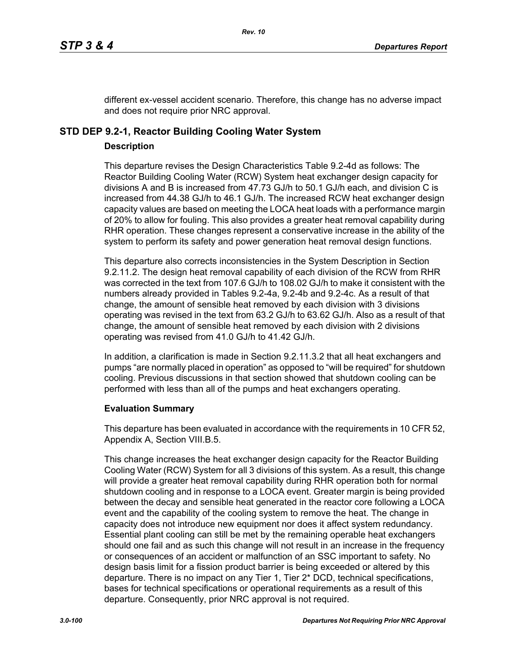different ex-vessel accident scenario. Therefore, this change has no adverse impact and does not require prior NRC approval.

# **STD DEP 9.2-1, Reactor Building Cooling Water System**

### **Description**

This departure revises the Design Characteristics Table 9.2-4d as follows: The Reactor Building Cooling Water (RCW) System heat exchanger design capacity for divisions A and B is increased from 47.73 GJ/h to 50.1 GJ/h each, and division C is increased from 44.38 GJ/h to 46.1 GJ/h. The increased RCW heat exchanger design capacity values are based on meeting the LOCA heat loads with a performance margin of 20% to allow for fouling. This also provides a greater heat removal capability during RHR operation. These changes represent a conservative increase in the ability of the system to perform its safety and power generation heat removal design functions.

This departure also corrects inconsistencies in the System Description in Section 9.2.11.2. The design heat removal capability of each division of the RCW from RHR was corrected in the text from 107.6 GJ/h to 108.02 GJ/h to make it consistent with the numbers already provided in Tables 9.2-4a, 9.2-4b and 9.2-4c. As a result of that change, the amount of sensible heat removed by each division with 3 divisions operating was revised in the text from 63.2 GJ/h to 63.62 GJ/h. Also as a result of that change, the amount of sensible heat removed by each division with 2 divisions operating was revised from 41.0 GJ/h to 41.42 GJ/h.

In addition, a clarification is made in Section 9.2.11.3.2 that all heat exchangers and pumps "are normally placed in operation" as opposed to "will be required" for shutdown cooling. Previous discussions in that section showed that shutdown cooling can be performed with less than all of the pumps and heat exchangers operating.

### **Evaluation Summary**

This departure has been evaluated in accordance with the requirements in 10 CFR 52, Appendix A, Section VIII.B.5.

This change increases the heat exchanger design capacity for the Reactor Building Cooling Water (RCW) System for all 3 divisions of this system. As a result, this change will provide a greater heat removal capability during RHR operation both for normal shutdown cooling and in response to a LOCA event. Greater margin is being provided between the decay and sensible heat generated in the reactor core following a LOCA event and the capability of the cooling system to remove the heat. The change in capacity does not introduce new equipment nor does it affect system redundancy. Essential plant cooling can still be met by the remaining operable heat exchangers should one fail and as such this change will not result in an increase in the frequency or consequences of an accident or malfunction of an SSC important to safety. No design basis limit for a fission product barrier is being exceeded or altered by this departure. There is no impact on any Tier 1, Tier 2\* DCD, technical specifications, bases for technical specifications or operational requirements as a result of this departure. Consequently, prior NRC approval is not required.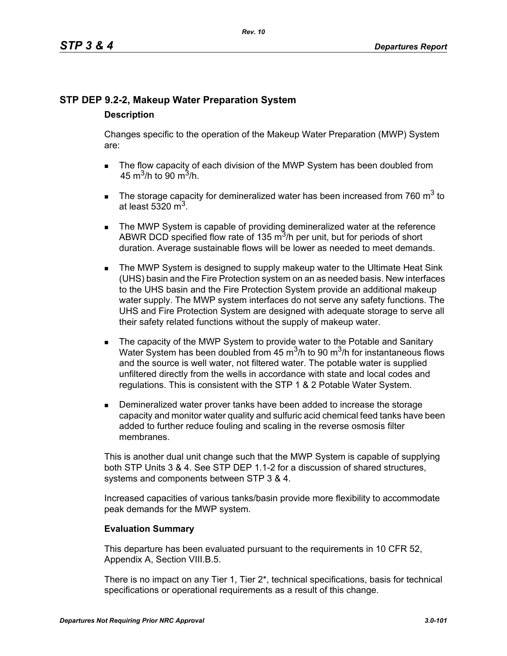# **STP DEP 9.2-2, Makeup Water Preparation System**

# **Description**

Changes specific to the operation of the Makeup Water Preparation (MWP) System are:

- The flow capacity of each division of the MWP System has been doubled from 45 m<sup>3</sup>/h to 90 m<sup>3</sup>/h.
- The storage capacity for demineralized water has been increased from 760  $m^3$  to at least 5320  $m<sup>3</sup>$ .
- **The MWP System is capable of providing demineralized water at the reference** ABWR DCD specified flow rate of 135  $\mathrm{m}^3$ /h per unit, but for periods of short duration. Average sustainable flows will be lower as needed to meet demands.
- **The MWP System is designed to supply makeup water to the Ultimate Heat Sink** (UHS) basin and the Fire Protection system on an as needed basis. New interfaces to the UHS basin and the Fire Protection System provide an additional makeup water supply. The MWP system interfaces do not serve any safety functions. The UHS and Fire Protection System are designed with adequate storage to serve all their safety related functions without the supply of makeup water.
- The capacity of the MWP System to provide water to the Potable and Sanitary Water System has been doubled from 45  $\mathrm{m}^3$ /h to 90  $\mathrm{m}^3$ /h for instantaneous flows and the source is well water, not filtered water. The potable water is supplied unfiltered directly from the wells in accordance with state and local codes and regulations. This is consistent with the STP 1 & 2 Potable Water System.
- **Demineralized water prover tanks have been added to increase the storage** capacity and monitor water quality and sulfuric acid chemical feed tanks have been added to further reduce fouling and scaling in the reverse osmosis filter membranes.

This is another dual unit change such that the MWP System is capable of supplying both STP Units 3 & 4. See STP DEP 1.1-2 for a discussion of shared structures, systems and components between STP 3 & 4.

Increased capacities of various tanks/basin provide more flexibility to accommodate peak demands for the MWP system.

# **Evaluation Summary**

This departure has been evaluated pursuant to the requirements in 10 CFR 52, Appendix A, Section VIII.B.5.

There is no impact on any Tier 1, Tier 2\*, technical specifications, basis for technical specifications or operational requirements as a result of this change.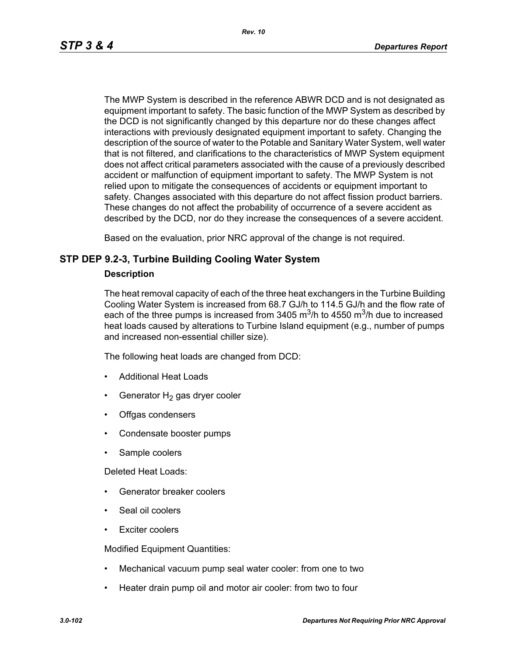The MWP System is described in the reference ABWR DCD and is not designated as equipment important to safety. The basic function of the MWP System as described by the DCD is not significantly changed by this departure nor do these changes affect interactions with previously designated equipment important to safety. Changing the description of the source of water to the Potable and Sanitary Water System, well water that is not filtered, and clarifications to the characteristics of MWP System equipment does not affect critical parameters associated with the cause of a previously described accident or malfunction of equipment important to safety. The MWP System is not relied upon to mitigate the consequences of accidents or equipment important to safety. Changes associated with this departure do not affect fission product barriers. These changes do not affect the probability of occurrence of a severe accident as described by the DCD, nor do they increase the consequences of a severe accident.

Based on the evaluation, prior NRC approval of the change is not required.

# **STP DEP 9.2-3, Turbine Building Cooling Water System**

### **Description**

The heat removal capacity of each of the three heat exchangers in the Turbine Building Cooling Water System is increased from 68.7 GJ/h to 114.5 GJ/h and the flow rate of each of the three pumps is increased from 3405  $\mathrm{m}^3$ /h to 4550  $\mathrm{m}^3$ /h due to increased heat loads caused by alterations to Turbine Island equipment (e.g., number of pumps and increased non-essential chiller size).

The following heat loads are changed from DCD:

- Additional Heat Loads
- Generator  $H_2$  gas dryer cooler
- Offgas condensers
- Condensate booster pumps
- Sample coolers

Deleted Heat Loads:

- Generator breaker coolers
- Seal oil coolers
- Exciter coolers

Modified Equipment Quantities:

- Mechanical vacuum pump seal water cooler: from one to two
- Heater drain pump oil and motor air cooler: from two to four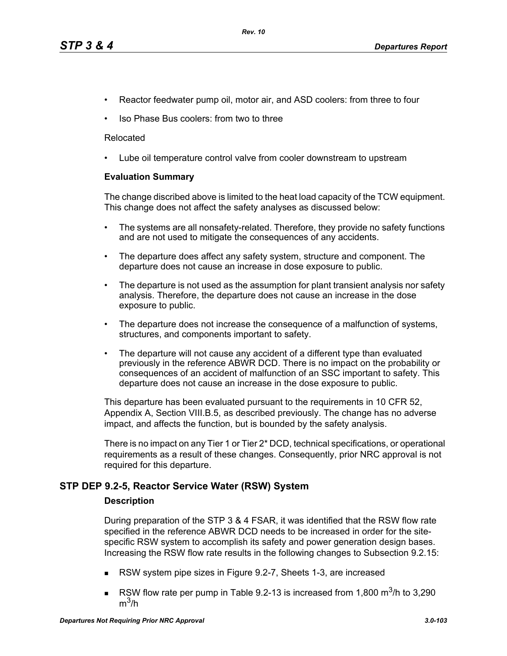- Reactor feedwater pump oil, motor air, and ASD coolers: from three to four
- Iso Phase Bus coolers: from two to three

### Relocated

• Lube oil temperature control valve from cooler downstream to upstream

### **Evaluation Summary**

The change discribed above is limited to the heat load capacity of the TCW equipment. This change does not affect the safety analyses as discussed below:

- The systems are all nonsafety-related. Therefore, they provide no safety functions and are not used to mitigate the consequences of any accidents.
- The departure does affect any safety system, structure and component. The departure does not cause an increase in dose exposure to public.
- The departure is not used as the assumption for plant transient analysis nor safety analysis. Therefore, the departure does not cause an increase in the dose exposure to public.
- The departure does not increase the consequence of a malfunction of systems, structures, and components important to safety.
- The departure will not cause any accident of a different type than evaluated previously in the reference ABWR DCD. There is no impact on the probability or consequences of an accident of malfunction of an SSC important to safety. This departure does not cause an increase in the dose exposure to public.

This departure has been evaluated pursuant to the requirements in 10 CFR 52, Appendix A, Section VIII.B.5, as described previously. The change has no adverse impact, and affects the function, but is bounded by the safety analysis.

There is no impact on any Tier 1 or Tier 2\* DCD, technical specifications, or operational requirements as a result of these changes. Consequently, prior NRC approval is not required for this departure.

# **STP DEP 9.2-5, Reactor Service Water (RSW) System**

### **Description**

During preparation of the STP 3 & 4 FSAR, it was identified that the RSW flow rate specified in the reference ABWR DCD needs to be increased in order for the sitespecific RSW system to accomplish its safety and power generation design bases. Increasing the RSW flow rate results in the following changes to Subsection 9.2.15:

- RSW system pipe sizes in Figure 9.2-7, Sheets 1-3, are increased
- RSW flow rate per pump in Table 9.2-13 is increased from 1,800  $\text{m}^3$ /h to 3,290  $m^3/h$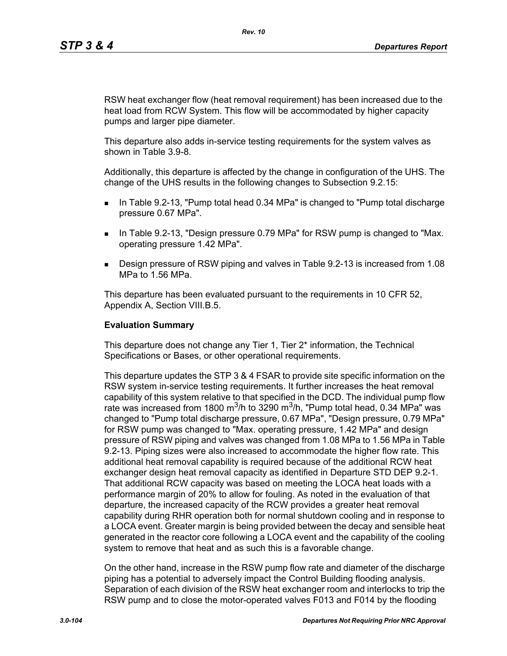RSW heat exchanger flow (heat removal requirement) has been increased due to the heat load from RCW System. This flow will be accommodated by higher capacity pumps and larger pipe diameter.

This departure also adds in-service testing requirements for the system valves as shown in Table 3.9-8.

Additionally, this departure is affected by the change in configuration of the UHS. The change of the UHS results in the following changes to Subsection 9.2.15:

- In Table 9.2-13, "Pump total head 0.34 MPa" is changed to "Pump total discharge pressure 0.67 MPa".
- **IF IN Table 9.2-13, "Design pressure 0.79 MPa" for RSW pump is changed to "Max.** operating pressure 1.42 MPa".
- Design pressure of RSW piping and valves in Table 9.2-13 is increased from 1.08 MPa to 1.56 MPa.

This departure has been evaluated pursuant to the requirements in 10 CFR 52, Appendix A, Section VIII.B.5.

### **Evaluation Summary**

This departure does not change any Tier 1, Tier 2\* information, the Technical Specifications or Bases, or other operational requirements.

This departure updates the STP 3 & 4 FSAR to provide site specific information on the RSW system in-service testing requirements. It further increases the heat removal capability of this system relative to that specified in the DCD. The individual pump flow rate was increased from 1800 m<sup>3</sup>/h to 3290 m<sup>3</sup>/h, "Pump total head, 0.34 MPa" was changed to "Pump total discharge pressure, 0.67 MPa", "Design pressure, 0.79 MPa" for RSW pump was changed to "Max. operating pressure, 1.42 MPa" and design pressure of RSW piping and valves was changed from 1.08 MPa to 1.56 MPa in Table 9.2-13. Piping sizes were also increased to accommodate the higher flow rate. This additional heat removal capability is required because of the additional RCW heat exchanger design heat removal capacity as identified in Departure STD DEP 9.2-1. That additional RCW capacity was based on meeting the LOCA heat loads with a performance margin of 20% to allow for fouling. As noted in the evaluation of that departure, the increased capacity of the RCW provides a greater heat removal capability during RHR operation both for normal shutdown cooling and in response to a LOCA event. Greater margin is being provided between the decay and sensible heat generated in the reactor core following a LOCA event and the capability of the cooling system to remove that heat and as such this is a favorable change.

On the other hand, increase in the RSW pump flow rate and diameter of the discharge piping has a potential to adversely impact the Control Building flooding analysis. Separation of each division of the RSW heat exchanger room and interlocks to trip the RSW pump and to close the motor-operated valves F013 and F014 by the flooding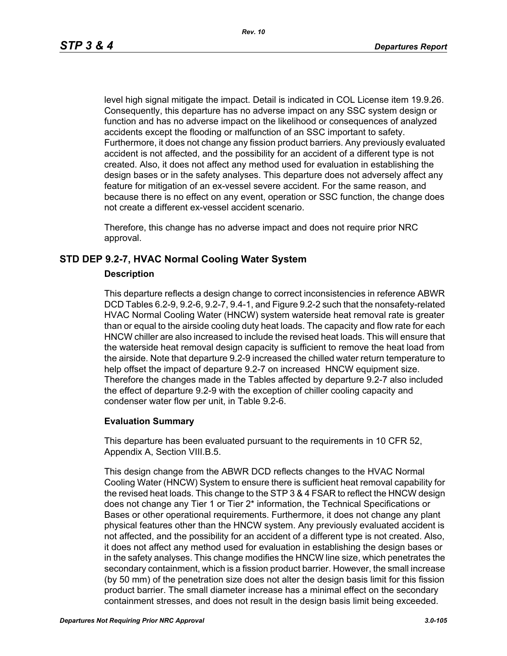level high signal mitigate the impact. Detail is indicated in COL License item 19.9.26. Consequently, this departure has no adverse impact on any SSC system design or function and has no adverse impact on the likelihood or consequences of analyzed accidents except the flooding or malfunction of an SSC important to safety. Furthermore, it does not change any fission product barriers. Any previously evaluated accident is not affected, and the possibility for an accident of a different type is not created. Also, it does not affect any method used for evaluation in establishing the design bases or in the safety analyses. This departure does not adversely affect any feature for mitigation of an ex-vessel severe accident. For the same reason, and because there is no effect on any event, operation or SSC function, the change does not create a different ex-vessel accident scenario.

Therefore, this change has no adverse impact and does not require prior NRC approval.

# **STD DEP 9.2-7, HVAC Normal Cooling Water System**

### **Description**

This departure reflects a design change to correct inconsistencies in reference ABWR DCD Tables 6.2-9, 9.2-6, 9.2-7, 9.4-1, and Figure 9.2-2 such that the nonsafety-related HVAC Normal Cooling Water (HNCW) system waterside heat removal rate is greater than or equal to the airside cooling duty heat loads. The capacity and flow rate for each HNCW chiller are also increased to include the revised heat loads. This will ensure that the waterside heat removal design capacity is sufficient to remove the heat load from the airside. Note that departure 9.2-9 increased the chilled water return temperature to help offset the impact of departure 9.2-7 on increased HNCW equipment size. Therefore the changes made in the Tables affected by departure 9.2-7 also included the effect of departure 9.2-9 with the exception of chiller cooling capacity and condenser water flow per unit, in Table 9.2-6.

### **Evaluation Summary**

This departure has been evaluated pursuant to the requirements in 10 CFR 52, Appendix A, Section VIII.B.5.

This design change from the ABWR DCD reflects changes to the HVAC Normal Cooling Water (HNCW) System to ensure there is sufficient heat removal capability for the revised heat loads. This change to the STP 3 & 4 FSAR to reflect the HNCW design does not change any Tier 1 or Tier 2\* information, the Technical Specifications or Bases or other operational requirements. Furthermore, it does not change any plant physical features other than the HNCW system. Any previously evaluated accident is not affected, and the possibility for an accident of a different type is not created. Also, it does not affect any method used for evaluation in establishing the design bases or in the safety analyses. This change modifies the HNCW line size, which penetrates the secondary containment, which is a fission product barrier. However, the small increase (by 50 mm) of the penetration size does not alter the design basis limit for this fission product barrier. The small diameter increase has a minimal effect on the secondary containment stresses, and does not result in the design basis limit being exceeded.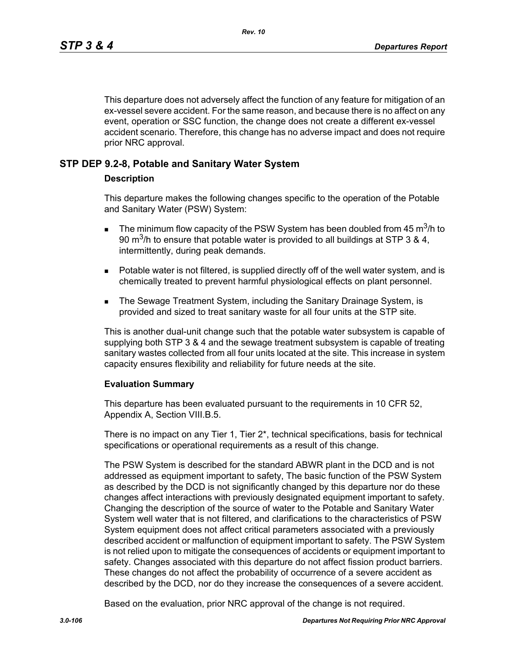This departure does not adversely affect the function of any feature for mitigation of an ex-vessel severe accident. For the same reason, and because there is no affect on any event, operation or SSC function, the change does not create a different ex-vessel accident scenario. Therefore, this change has no adverse impact and does not require prior NRC approval.

# **STP DEP 9.2-8, Potable and Sanitary Water System**

### **Description**

This departure makes the following changes specific to the operation of the Potable and Sanitary Water (PSW) System:

- **The minimum flow capacity of the PSW System has been doubled from 45 m<sup>3</sup>/h to** 90 m<sup>3</sup>/h to ensure that potable water is provided to all buildings at STP 3 & 4, intermittently, during peak demands.
- **Potable water is not filtered, is supplied directly off of the well water system, and is** chemically treated to prevent harmful physiological effects on plant personnel.
- **The Sewage Treatment System, including the Sanitary Drainage System, is** provided and sized to treat sanitary waste for all four units at the STP site.

This is another dual-unit change such that the potable water subsystem is capable of supplying both STP 3 & 4 and the sewage treatment subsystem is capable of treating sanitary wastes collected from all four units located at the site. This increase in system capacity ensures flexibility and reliability for future needs at the site.

### **Evaluation Summary**

This departure has been evaluated pursuant to the requirements in 10 CFR 52, Appendix A, Section VIII.B.5.

There is no impact on any Tier 1, Tier 2\*, technical specifications, basis for technical specifications or operational requirements as a result of this change.

The PSW System is described for the standard ABWR plant in the DCD and is not addressed as equipment important to safety, The basic function of the PSW System as described by the DCD is not significantly changed by this departure nor do these changes affect interactions with previously designated equipment important to safety. Changing the description of the source of water to the Potable and Sanitary Water System well water that is not filtered, and clarifications to the characteristics of PSW System equipment does not affect critical parameters associated with a previously described accident or malfunction of equipment important to safety. The PSW System is not relied upon to mitigate the consequences of accidents or equipment important to safety. Changes associated with this departure do not affect fission product barriers. These changes do not affect the probability of occurrence of a severe accident as described by the DCD, nor do they increase the consequences of a severe accident.

Based on the evaluation, prior NRC approval of the change is not required.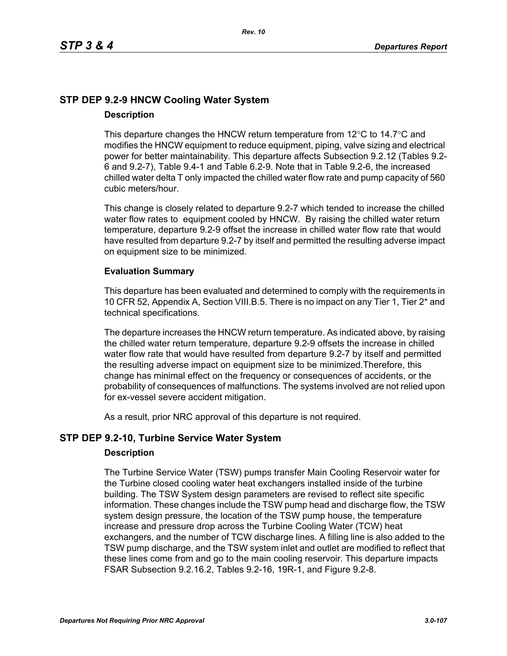# **STP DEP 9.2-9 HNCW Cooling Water System Description**

This departure changes the HNCW return temperature from  $12^{\circ}$ C to  $14.7^{\circ}$ C and modifies the HNCW equipment to reduce equipment, piping, valve sizing and electrical power for better maintainability. This departure affects Subsection 9.2.12 (Tables 9.2- 6 and 9.2-7), Table 9.4-1 and Table 6.2-9. Note that in Table 9.2-6, the increased chilled water delta T only impacted the chilled water flow rate and pump capacity of 560 cubic meters/hour.

This change is closely related to departure 9.2-7 which tended to increase the chilled water flow rates to equipment cooled by HNCW. By raising the chilled water return temperature, departure 9.2-9 offset the increase in chilled water flow rate that would have resulted from departure 9.2-7 by itself and permitted the resulting adverse impact on equipment size to be minimized.

# **Evaluation Summary**

This departure has been evaluated and determined to comply with the requirements in 10 CFR 52, Appendix A, Section VIII.B.5. There is no impact on any Tier 1, Tier 2\* and technical specifications.

The departure increases the HNCW return temperature. As indicated above, by raising the chilled water return temperature, departure 9.2-9 offsets the increase in chilled water flow rate that would have resulted from departure 9.2-7 by itself and permitted the resulting adverse impact on equipment size to be minimized.Therefore, this change has minimal effect on the frequency or consequences of accidents, or the probability of consequences of malfunctions. The systems involved are not relied upon for ex-vessel severe accident mitigation.

As a result, prior NRC approval of this departure is not required.

# **STP DEP 9.2-10, Turbine Service Water System**

# **Description**

The Turbine Service Water (TSW) pumps transfer Main Cooling Reservoir water for the Turbine closed cooling water heat exchangers installed inside of the turbine building. The TSW System design parameters are revised to reflect site specific information. These changes include the TSW pump head and discharge flow, the TSW system design pressure, the location of the TSW pump house, the temperature increase and pressure drop across the Turbine Cooling Water (TCW) heat exchangers, and the number of TCW discharge lines. A filling line is also added to the TSW pump discharge, and the TSW system inlet and outlet are modified to reflect that these lines come from and go to the main cooling reservoir. This departure impacts FSAR Subsection 9.2.16.2, Tables 9.2-16, 19R-1, and Figure 9.2-8.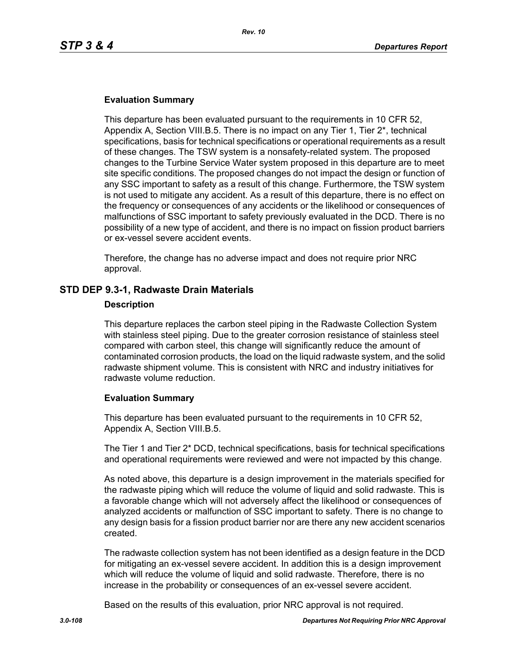### **Evaluation Summary**

This departure has been evaluated pursuant to the requirements in 10 CFR 52, Appendix A, Section VIII.B.5. There is no impact on any Tier 1, Tier 2\*, technical specifications, basis for technical specifications or operational requirements as a result of these changes. The TSW system is a nonsafety-related system. The proposed changes to the Turbine Service Water system proposed in this departure are to meet site specific conditions. The proposed changes do not impact the design or function of any SSC important to safety as a result of this change. Furthermore, the TSW system is not used to mitigate any accident. As a result of this departure, there is no effect on the frequency or consequences of any accidents or the likelihood or consequences of malfunctions of SSC important to safety previously evaluated in the DCD. There is no possibility of a new type of accident, and there is no impact on fission product barriers or ex-vessel severe accident events.

Therefore, the change has no adverse impact and does not require prior NRC approval.

### **STD DEP 9.3-1, Radwaste Drain Materials**

#### **Description**

This departure replaces the carbon steel piping in the Radwaste Collection System with stainless steel piping. Due to the greater corrosion resistance of stainless steel compared with carbon steel, this change will significantly reduce the amount of contaminated corrosion products, the load on the liquid radwaste system, and the solid radwaste shipment volume. This is consistent with NRC and industry initiatives for radwaste volume reduction.

### **Evaluation Summary**

This departure has been evaluated pursuant to the requirements in 10 CFR 52, Appendix A, Section VIII.B.5.

The Tier 1 and Tier 2\* DCD, technical specifications, basis for technical specifications and operational requirements were reviewed and were not impacted by this change.

As noted above, this departure is a design improvement in the materials specified for the radwaste piping which will reduce the volume of liquid and solid radwaste. This is a favorable change which will not adversely affect the likelihood or consequences of analyzed accidents or malfunction of SSC important to safety. There is no change to any design basis for a fission product barrier nor are there any new accident scenarios created.

The radwaste collection system has not been identified as a design feature in the DCD for mitigating an ex-vessel severe accident. In addition this is a design improvement which will reduce the volume of liquid and solid radwaste. Therefore, there is no increase in the probability or consequences of an ex-vessel severe accident.

Based on the results of this evaluation, prior NRC approval is not required.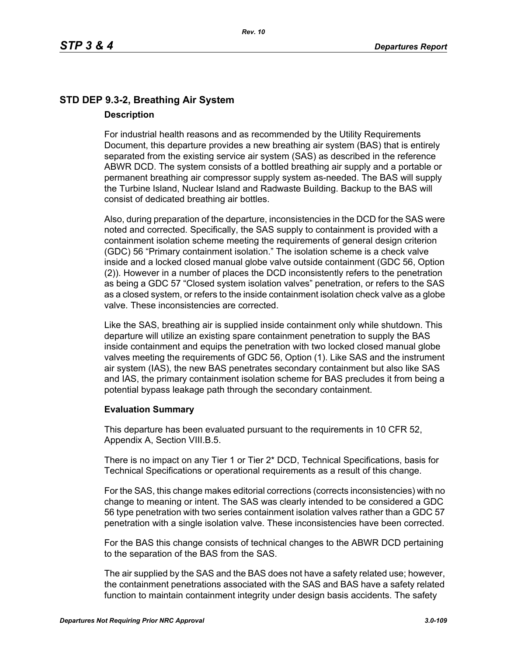# **STD DEP 9.3-2, Breathing Air System Description**

For industrial health reasons and as recommended by the Utility Requirements Document, this departure provides a new breathing air system (BAS) that is entirely separated from the existing service air system (SAS) as described in the reference ABWR DCD. The system consists of a bottled breathing air supply and a portable or permanent breathing air compressor supply system as-needed. The BAS will supply the Turbine Island, Nuclear Island and Radwaste Building. Backup to the BAS will consist of dedicated breathing air bottles.

Also, during preparation of the departure, inconsistencies in the DCD for the SAS were noted and corrected. Specifically, the SAS supply to containment is provided with a containment isolation scheme meeting the requirements of general design criterion (GDC) 56 "Primary containment isolation." The isolation scheme is a check valve inside and a locked closed manual globe valve outside containment (GDC 56, Option (2)). However in a number of places the DCD inconsistently refers to the penetration as being a GDC 57 "Closed system isolation valves" penetration, or refers to the SAS as a closed system, or refers to the inside containment isolation check valve as a globe valve. These inconsistencies are corrected.

Like the SAS, breathing air is supplied inside containment only while shutdown. This departure will utilize an existing spare containment penetration to supply the BAS inside containment and equips the penetration with two locked closed manual globe valves meeting the requirements of GDC 56, Option (1). Like SAS and the instrument air system (IAS), the new BAS penetrates secondary containment but also like SAS and IAS, the primary containment isolation scheme for BAS precludes it from being a potential bypass leakage path through the secondary containment.

# **Evaluation Summary**

This departure has been evaluated pursuant to the requirements in 10 CFR 52, Appendix A, Section VIII.B.5.

There is no impact on any Tier 1 or Tier 2\* DCD, Technical Specifications, basis for Technical Specifications or operational requirements as a result of this change.

For the SAS, this change makes editorial corrections (corrects inconsistencies) with no change to meaning or intent. The SAS was clearly intended to be considered a GDC 56 type penetration with two series containment isolation valves rather than a GDC 57 penetration with a single isolation valve. These inconsistencies have been corrected.

For the BAS this change consists of technical changes to the ABWR DCD pertaining to the separation of the BAS from the SAS.

The air supplied by the SAS and the BAS does not have a safety related use; however, the containment penetrations associated with the SAS and BAS have a safety related function to maintain containment integrity under design basis accidents. The safety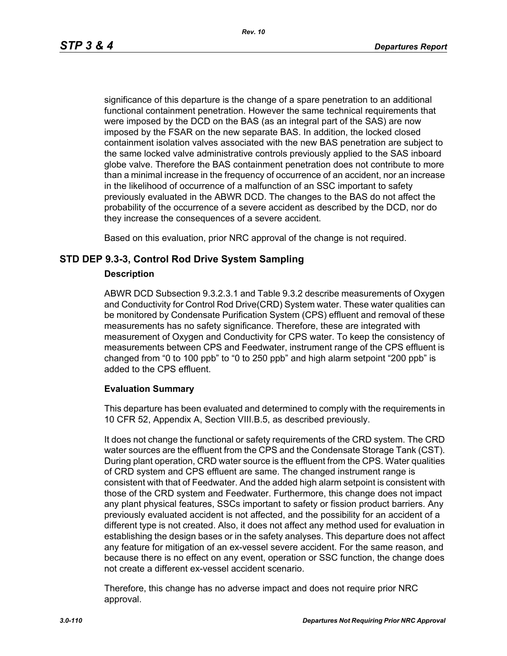significance of this departure is the change of a spare penetration to an additional functional containment penetration. However the same technical requirements that were imposed by the DCD on the BAS (as an integral part of the SAS) are now imposed by the FSAR on the new separate BAS. In addition, the locked closed containment isolation valves associated with the new BAS penetration are subject to the same locked valve administrative controls previously applied to the SAS inboard globe valve. Therefore the BAS containment penetration does not contribute to more than a minimal increase in the frequency of occurrence of an accident, nor an increase in the likelihood of occurrence of a malfunction of an SSC important to safety previously evaluated in the ABWR DCD. The changes to the BAS do not affect the probability of the occurrence of a severe accident as described by the DCD, nor do they increase the consequences of a severe accident.

Based on this evaluation, prior NRC approval of the change is not required.

# **STD DEP 9.3-3, Control Rod Drive System Sampling**

## **Description**

ABWR DCD Subsection 9.3.2.3.1 and Table 9.3.2 describe measurements of Oxygen and Conductivity for Control Rod Drive(CRD) System water. These water qualities can be monitored by Condensate Purification System (CPS) effluent and removal of these measurements has no safety significance. Therefore, these are integrated with measurement of Oxygen and Conductivity for CPS water. To keep the consistency of measurements between CPS and Feedwater, instrument range of the CPS effluent is changed from "0 to 100 ppb" to "0 to 250 ppb" and high alarm setpoint "200 ppb" is added to the CPS effluent.

# **Evaluation Summary**

This departure has been evaluated and determined to comply with the requirements in 10 CFR 52, Appendix A, Section VIII.B.5, as described previously.

It does not change the functional or safety requirements of the CRD system. The CRD water sources are the effluent from the CPS and the Condensate Storage Tank (CST). During plant operation, CRD water source is the effluent from the CPS. Water qualities of CRD system and CPS effluent are same. The changed instrument range is consistent with that of Feedwater. And the added high alarm setpoint is consistent with those of the CRD system and Feedwater. Furthermore, this change does not impact any plant physical features, SSCs important to safety or fission product barriers. Any previously evaluated accident is not affected, and the possibility for an accident of a different type is not created. Also, it does not affect any method used for evaluation in establishing the design bases or in the safety analyses. This departure does not affect any feature for mitigation of an ex-vessel severe accident. For the same reason, and because there is no effect on any event, operation or SSC function, the change does not create a different ex-vessel accident scenario.

Therefore, this change has no adverse impact and does not require prior NRC approval.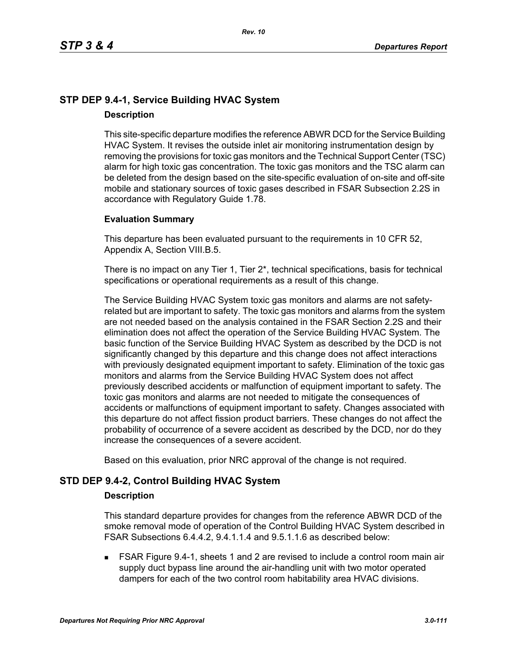# **STP DEP 9.4-1, Service Building HVAC System Description**

This site-specific departure modifies the reference ABWR DCD for the Service Building HVAC System. It revises the outside inlet air monitoring instrumentation design by removing the provisions for toxic gas monitors and the Technical Support Center (TSC) alarm for high toxic gas concentration. The toxic gas monitors and the TSC alarm can be deleted from the design based on the site-specific evaluation of on-site and off-site mobile and stationary sources of toxic gases described in FSAR Subsection 2.2S in accordance with Regulatory Guide 1.78.

# **Evaluation Summary**

This departure has been evaluated pursuant to the requirements in 10 CFR 52, Appendix A, Section VIII.B.5.

There is no impact on any Tier 1, Tier 2\*, technical specifications, basis for technical specifications or operational requirements as a result of this change.

The Service Building HVAC System toxic gas monitors and alarms are not safetyrelated but are important to safety. The toxic gas monitors and alarms from the system are not needed based on the analysis contained in the FSAR Section 2.2S and their elimination does not affect the operation of the Service Building HVAC System. The basic function of the Service Building HVAC System as described by the DCD is not significantly changed by this departure and this change does not affect interactions with previously designated equipment important to safety. Elimination of the toxic gas monitors and alarms from the Service Building HVAC System does not affect previously described accidents or malfunction of equipment important to safety. The toxic gas monitors and alarms are not needed to mitigate the consequences of accidents or malfunctions of equipment important to safety. Changes associated with this departure do not affect fission product barriers. These changes do not affect the probability of occurrence of a severe accident as described by the DCD, nor do they increase the consequences of a severe accident.

Based on this evaluation, prior NRC approval of the change is not required.

# **STD DEP 9.4-2, Control Building HVAC System**

### **Description**

This standard departure provides for changes from the reference ABWR DCD of the smoke removal mode of operation of the Control Building HVAC System described in FSAR Subsections 6.4.4.2, 9.4.1.1.4 and 9.5.1.1.6 as described below:

 FSAR Figure 9.4-1, sheets 1 and 2 are revised to include a control room main air supply duct bypass line around the air-handling unit with two motor operated dampers for each of the two control room habitability area HVAC divisions.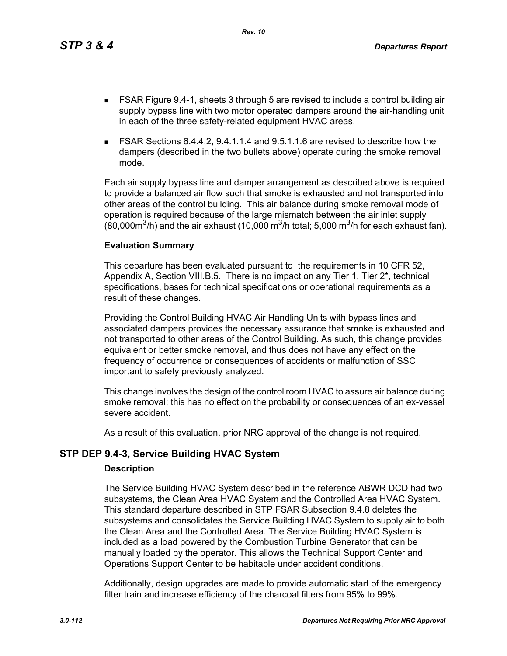This departure has been evaluated pursuant to the requirements in 10 CFR 52, Appendix A, Section VIII.B.5. There is no impact on any Tier 1, Tier 2\*, technical specifications, bases for technical specifications or operational requirements as a result of these changes.

 FSAR Figure 9.4-1, sheets 3 through 5 are revised to include a control building air supply bypass line with two motor operated dampers around the air-handling unit

 FSAR Sections 6.4.4.2, 9.4.1.1.4 and 9.5.1.1.6 are revised to describe how the dampers (described in the two bullets above) operate during the smoke removal

Each air supply bypass line and damper arrangement as described above is required to provide a balanced air flow such that smoke is exhausted and not transported into other areas of the control building. This air balance during smoke removal mode of operation is required because of the large mismatch between the air inlet supply (80,000 $\mathrm{m}^3$ /h) and the air exhaust (10,000  $\mathrm{m}^3$ /h total; 5,000  $\mathrm{m}^3$ /h for each exhaust fan).

in each of the three safety-related equipment HVAC areas.

*Rev. 10*

Providing the Control Building HVAC Air Handling Units with bypass lines and associated dampers provides the necessary assurance that smoke is exhausted and not transported to other areas of the Control Building. As such, this change provides equivalent or better smoke removal, and thus does not have any effect on the frequency of occurrence or consequences of accidents or malfunction of SSC important to safety previously analyzed.

This change involves the design of the control room HVAC to assure air balance during smoke removal; this has no effect on the probability or consequences of an ex-vessel severe accident.

As a result of this evaluation, prior NRC approval of the change is not required.

# **STP DEP 9.4-3, Service Building HVAC System**

# **Description**

mode.

**Evaluation Summary**

The Service Building HVAC System described in the reference ABWR DCD had two subsystems, the Clean Area HVAC System and the Controlled Area HVAC System. This standard departure described in STP FSAR Subsection 9.4.8 deletes the subsystems and consolidates the Service Building HVAC System to supply air to both the Clean Area and the Controlled Area. The Service Building HVAC System is included as a load powered by the Combustion Turbine Generator that can be manually loaded by the operator. This allows the Technical Support Center and Operations Support Center to be habitable under accident conditions.

Additionally, design upgrades are made to provide automatic start of the emergency filter train and increase efficiency of the charcoal filters from 95% to 99%.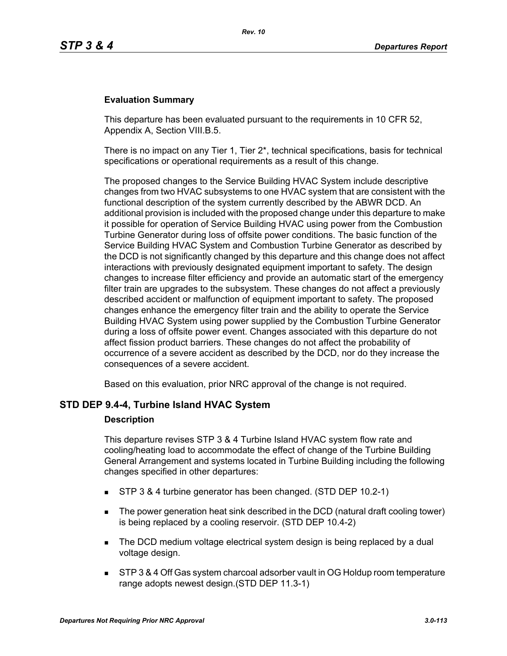## **Evaluation Summary**

This departure has been evaluated pursuant to the requirements in 10 CFR 52, Appendix A, Section VIII.B.5.

There is no impact on any Tier 1, Tier  $2^*$ , technical specifications, basis for technical specifications or operational requirements as a result of this change.

The proposed changes to the Service Building HVAC System include descriptive changes from two HVAC subsystems to one HVAC system that are consistent with the functional description of the system currently described by the ABWR DCD. An additional provision is included with the proposed change under this departure to make it possible for operation of Service Building HVAC using power from the Combustion Turbine Generator during loss of offsite power conditions. The basic function of the Service Building HVAC System and Combustion Turbine Generator as described by the DCD is not significantly changed by this departure and this change does not affect interactions with previously designated equipment important to safety. The design changes to increase filter efficiency and provide an automatic start of the emergency filter train are upgrades to the subsystem. These changes do not affect a previously described accident or malfunction of equipment important to safety. The proposed changes enhance the emergency filter train and the ability to operate the Service Building HVAC System using power supplied by the Combustion Turbine Generator during a loss of offsite power event. Changes associated with this departure do not affect fission product barriers. These changes do not affect the probability of occurrence of a severe accident as described by the DCD, nor do they increase the consequences of a severe accident.

Based on this evaluation, prior NRC approval of the change is not required.

### **STD DEP 9.4-4, Turbine Island HVAC System**

#### **Description**

This departure revises STP 3 & 4 Turbine Island HVAC system flow rate and cooling/heating load to accommodate the effect of change of the Turbine Building General Arrangement and systems located in Turbine Building including the following changes specified in other departures:

- STP 3 & 4 turbine generator has been changed. (STD DEP 10.2-1)
- The power generation heat sink described in the DCD (natural draft cooling tower) is being replaced by a cooling reservoir. (STD DEP 10.4-2)
- The DCD medium voltage electrical system design is being replaced by a dual voltage design.
- STP 3 & 4 Off Gas system charcoal adsorber vault in OG Holdup room temperature range adopts newest design.(STD DEP 11.3-1)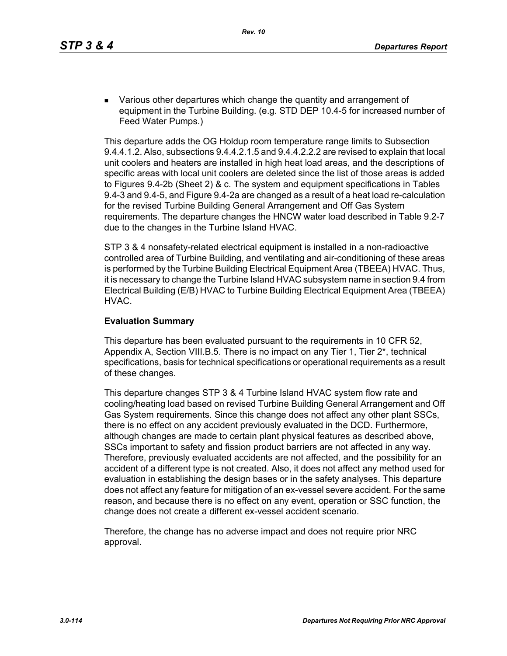**EXECT** Various other departures which change the quantity and arrangement of equipment in the Turbine Building. (e.g. STD DEP 10.4-5 for increased number of Feed Water Pumps.)

This departure adds the OG Holdup room temperature range limits to Subsection 9.4.4.1.2. Also, subsections 9.4.4.2.1.5 and 9.4.4.2.2.2 are revised to explain that local unit coolers and heaters are installed in high heat load areas, and the descriptions of specific areas with local unit coolers are deleted since the list of those areas is added to Figures 9.4-2b (Sheet 2) & c. The system and equipment specifications in Tables 9.4-3 and 9.4-5, and Figure 9.4-2a are changed as a result of a heat load re-calculation for the revised Turbine Building General Arrangement and Off Gas System requirements. The departure changes the HNCW water load described in Table 9.2-7 due to the changes in the Turbine Island HVAC.

STP 3 & 4 nonsafety-related electrical equipment is installed in a non-radioactive controlled area of Turbine Building, and ventilating and air-conditioning of these areas is performed by the Turbine Building Electrical Equipment Area (TBEEA) HVAC. Thus, it is necessary to change the Turbine Island HVAC subsystem name in section 9.4 from Electrical Building (E/B) HVAC to Turbine Building Electrical Equipment Area (TBEEA) HVAC.

## **Evaluation Summary**

This departure has been evaluated pursuant to the requirements in 10 CFR 52, Appendix A, Section VIII.B.5. There is no impact on any Tier 1, Tier 2\*, technical specifications, basis for technical specifications or operational requirements as a result of these changes.

This departure changes STP 3 & 4 Turbine Island HVAC system flow rate and cooling/heating load based on revised Turbine Building General Arrangement and Off Gas System requirements. Since this change does not affect any other plant SSCs, there is no effect on any accident previously evaluated in the DCD. Furthermore, although changes are made to certain plant physical features as described above, SSCs important to safety and fission product barriers are not affected in any way. Therefore, previously evaluated accidents are not affected, and the possibility for an accident of a different type is not created. Also, it does not affect any method used for evaluation in establishing the design bases or in the safety analyses. This departure does not affect any feature for mitigation of an ex-vessel severe accident. For the same reason, and because there is no effect on any event, operation or SSC function, the change does not create a different ex-vessel accident scenario.

Therefore, the change has no adverse impact and does not require prior NRC approval.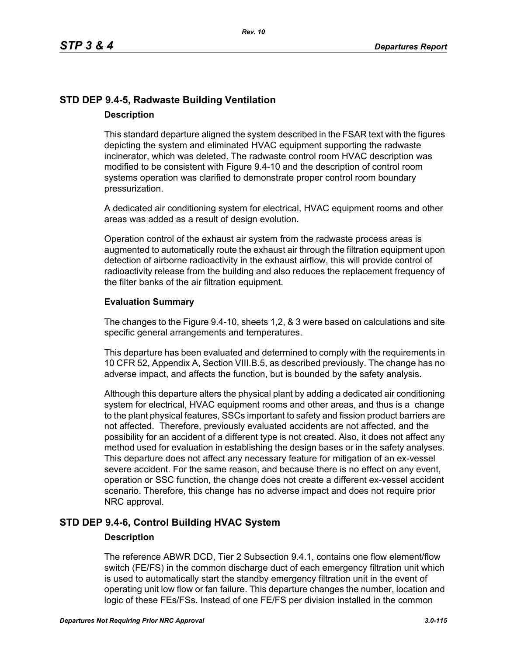# **STD DEP 9.4-5, Radwaste Building Ventilation Description**

This standard departure aligned the system described in the FSAR text with the figures depicting the system and eliminated HVAC equipment supporting the radwaste incinerator, which was deleted. The radwaste control room HVAC description was modified to be consistent with Figure 9.4-10 and the description of control room systems operation was clarified to demonstrate proper control room boundary pressurization.

A dedicated air conditioning system for electrical, HVAC equipment rooms and other areas was added as a result of design evolution.

Operation control of the exhaust air system from the radwaste process areas is augmented to automatically route the exhaust air through the filtration equipment upon detection of airborne radioactivity in the exhaust airflow, this will provide control of radioactivity release from the building and also reduces the replacement frequency of the filter banks of the air filtration equipment.

## **Evaluation Summary**

The changes to the Figure 9.4-10, sheets 1,2, & 3 were based on calculations and site specific general arrangements and temperatures.

This departure has been evaluated and determined to comply with the requirements in 10 CFR 52, Appendix A, Section VIII.B.5, as described previously. The change has no adverse impact, and affects the function, but is bounded by the safety analysis.

Although this departure alters the physical plant by adding a dedicated air conditioning system for electrical, HVAC equipment rooms and other areas, and thus is a change to the plant physical features, SSCs important to safety and fission product barriers are not affected. Therefore, previously evaluated accidents are not affected, and the possibility for an accident of a different type is not created. Also, it does not affect any method used for evaluation in establishing the design bases or in the safety analyses. This departure does not affect any necessary feature for mitigation of an ex-vessel severe accident. For the same reason, and because there is no effect on any event, operation or SSC function, the change does not create a different ex-vessel accident scenario. Therefore, this change has no adverse impact and does not require prior NRC approval.

# **STD DEP 9.4-6, Control Building HVAC System**

# **Description**

The reference ABWR DCD, Tier 2 Subsection 9.4.1, contains one flow element/flow switch (FE/FS) in the common discharge duct of each emergency filtration unit which is used to automatically start the standby emergency filtration unit in the event of operating unit low flow or fan failure. This departure changes the number, location and logic of these FEs/FSs. Instead of one FE/FS per division installed in the common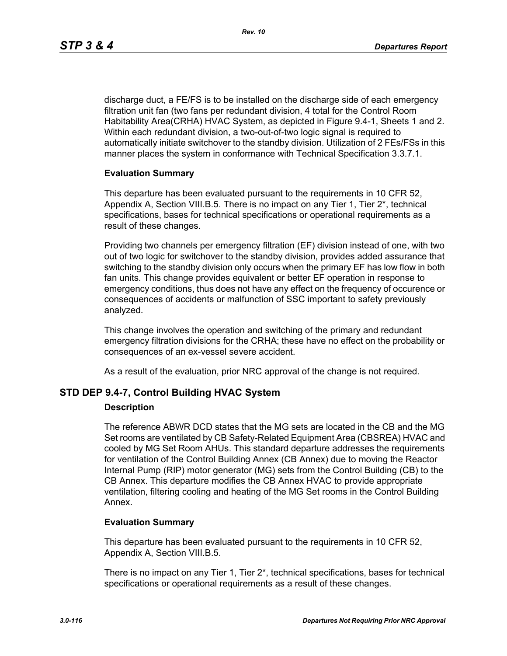discharge duct, a FE/FS is to be installed on the discharge side of each emergency filtration unit fan (two fans per redundant division, 4 total for the Control Room Habitability Area(CRHA) HVAC System, as depicted in Figure 9.4-1, Sheets 1 and 2. Within each redundant division, a two-out-of-two logic signal is required to automatically initiate switchover to the standby division. Utilization of 2 FEs/FSs in this manner places the system in conformance with Technical Specification 3.3.7.1.

## **Evaluation Summary**

This departure has been evaluated pursuant to the requirements in 10 CFR 52, Appendix A, Section VIII.B.5. There is no impact on any Tier 1, Tier 2\*, technical specifications, bases for technical specifications or operational requirements as a result of these changes.

Providing two channels per emergency filtration (EF) division instead of one, with two out of two logic for switchover to the standby division, provides added assurance that switching to the standby division only occurs when the primary EF has low flow in both fan units. This change provides equivalent or better EF operation in response to emergency conditions, thus does not have any effect on the frequency of occurence or consequences of accidents or malfunction of SSC important to safety previously analyzed.

This change involves the operation and switching of the primary and redundant emergency filtration divisions for the CRHA; these have no effect on the probability or consequences of an ex-vessel severe accident.

As a result of the evaluation, prior NRC approval of the change is not required.

# **STD DEP 9.4-7, Control Building HVAC System**

### **Description**

The reference ABWR DCD states that the MG sets are located in the CB and the MG Set rooms are ventilated by CB Safety-Related Equipment Area (CBSREA) HVAC and cooled by MG Set Room AHUs. This standard departure addresses the requirements for ventilation of the Control Building Annex (CB Annex) due to moving the Reactor Internal Pump (RIP) motor generator (MG) sets from the Control Building (CB) to the CB Annex. This departure modifies the CB Annex HVAC to provide appropriate ventilation, filtering cooling and heating of the MG Set rooms in the Control Building Annex.

### **Evaluation Summary**

This departure has been evaluated pursuant to the requirements in 10 CFR 52, Appendix A, Section VIII.B.5.

There is no impact on any Tier 1, Tier 2\*, technical specifications, bases for technical specifications or operational requirements as a result of these changes.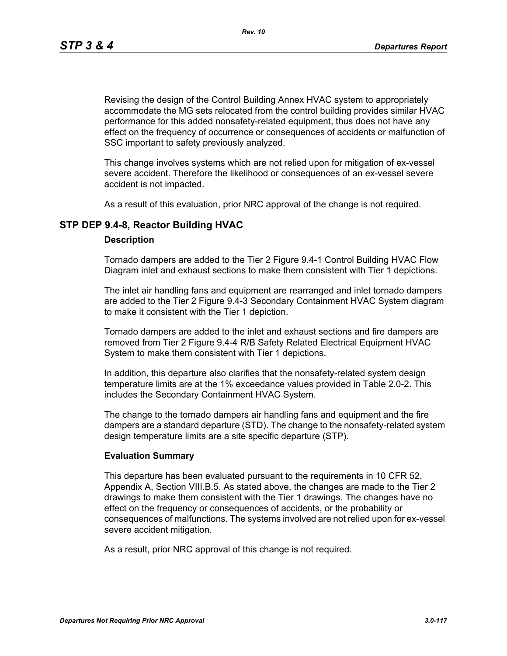*Rev. 10*

Revising the design of the Control Building Annex HVAC system to appropriately accommodate the MG sets relocated from the control building provides similar HVAC performance for this added nonsafety-related equipment, thus does not have any effect on the frequency of occurrence or consequences of accidents or malfunction of SSC important to safety previously analyzed.

This change involves systems which are not relied upon for mitigation of ex-vessel severe accident. Therefore the likelihood or consequences of an ex-vessel severe accident is not impacted.

As a result of this evaluation, prior NRC approval of the change is not required.

# **STP DEP 9.4-8, Reactor Building HVAC**

### **Description**

Tornado dampers are added to the Tier 2 Figure 9.4-1 Control Building HVAC Flow Diagram inlet and exhaust sections to make them consistent with Tier 1 depictions.

The inlet air handling fans and equipment are rearranged and inlet tornado dampers are added to the Tier 2 Figure 9.4-3 Secondary Containment HVAC System diagram to make it consistent with the Tier 1 depiction.

Tornado dampers are added to the inlet and exhaust sections and fire dampers are removed from Tier 2 Figure 9.4-4 R/B Safety Related Electrical Equipment HVAC System to make them consistent with Tier 1 depictions.

In addition, this departure also clarifies that the nonsafety-related system design temperature limits are at the 1% exceedance values provided in Table 2.0-2. This includes the Secondary Containment HVAC System.

The change to the tornado dampers air handling fans and equipment and the fire dampers are a standard departure (STD). The change to the nonsafety-related system design temperature limits are a site specific departure (STP).

## **Evaluation Summary**

This departure has been evaluated pursuant to the requirements in 10 CFR 52, Appendix A, Section VIII.B.5. As stated above, the changes are made to the Tier 2 drawings to make them consistent with the Tier 1 drawings. The changes have no effect on the frequency or consequences of accidents, or the probability or consequences of malfunctions. The systems involved are not relied upon for ex-vessel severe accident mitigation.

As a result, prior NRC approval of this change is not required.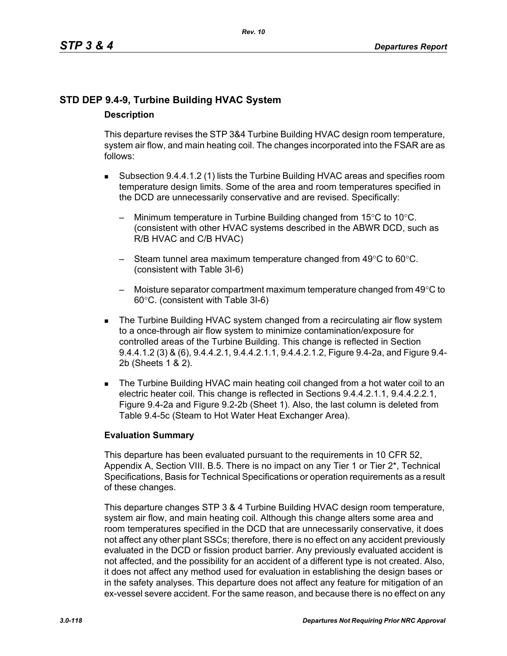# **STD DEP 9.4-9, Turbine Building HVAC System Description**

This departure revises the STP 3&4 Turbine Building HVAC design room temperature, system air flow, and main heating coil. The changes incorporated into the FSAR are as follows:

- Subsection 9.4.4.1.2 (1) lists the Turbine Building HVAC areas and specifies room temperature design limits. Some of the area and room temperatures specified in the DCD are unnecessarily conservative and are revised. Specifically:
	- Minimum temperature in Turbine Building changed from  $15^{\circ}$ C to  $10^{\circ}$ C. (consistent with other HVAC systems described in the ABWR DCD, such as R/B HVAC and C/B HVAC)
	- Steam tunnel area maximum temperature changed from 49°C to 60°C. (consistent with Table 3I-6)
	- Moisture separator compartment maximum temperature changed from  $49^{\circ}$ C to 60°C. (consistent with Table 3I-6)
- The Turbine Building HVAC system changed from a recirculating air flow system to a once-through air flow system to minimize contamination/exposure for controlled areas of the Turbine Building. This change is reflected in Section 9.4.4.1.2 (3) & (6), 9.4.4.2.1, 9.4.4.2.1.1, 9.4.4.2.1.2, Figure 9.4-2a, and Figure 9.4- 2b (Sheets 1 & 2).
- The Turbine Building HVAC main heating coil changed from a hot water coil to an electric heater coil. This change is reflected in Sections 9.4.4.2.1.1, 9.4.4.2.2.1, Figure 9.4-2a and Figure 9.2-2b (Sheet 1). Also, the last column is deleted from Table 9.4-5c (Steam to Hot Water Heat Exchanger Area).

# **Evaluation Summary**

This departure has been evaluated pursuant to the requirements in 10 CFR 52, Appendix A, Section VIII. B.5. There is no impact on any Tier 1 or Tier 2<sup>\*</sup>, Technical Specifications, Basis for Technical Specifications or operation requirements as a result of these changes.

This departure changes STP 3 & 4 Turbine Building HVAC design room temperature, system air flow, and main heating coil. Although this change alters some area and room temperatures specified in the DCD that are unnecessarily conservative, it does not affect any other plant SSCs; therefore, there is no effect on any accident previously evaluated in the DCD or fission product barrier. Any previously evaluated accident is not affected, and the possibility for an accident of a different type is not created. Also, it does not affect any method used for evaluation in establishing the design bases or in the safety analyses. This departure does not affect any feature for mitigation of an ex-vessel severe accident. For the same reason, and because there is no effect on any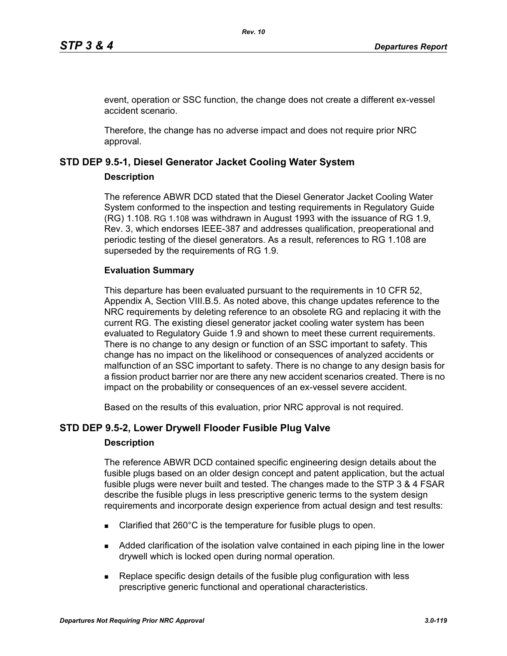event, operation or SSC function, the change does not create a different ex-vessel accident scenario.

Therefore, the change has no adverse impact and does not require prior NRC approval.

# **STD DEP 9.5-1, Diesel Generator Jacket Cooling Water System**

## **Description**

The reference ABWR DCD stated that the Diesel Generator Jacket Cooling Water System conformed to the inspection and testing requirements in Regulatory Guide (RG) 1.108. RG 1.108 was withdrawn in August 1993 with the issuance of RG 1.9, Rev. 3, which endorses IEEE-387 and addresses qualification, preoperational and periodic testing of the diesel generators. As a result, references to RG 1.108 are superseded by the requirements of RG 1.9.

# **Evaluation Summary**

This departure has been evaluated pursuant to the requirements in 10 CFR 52, Appendix A, Section VIII.B.5. As noted above, this change updates reference to the NRC requirements by deleting reference to an obsolete RG and replacing it with the current RG. The existing diesel generator jacket cooling water system has been evaluated to Regulatory Guide 1.9 and shown to meet these current requirements. There is no change to any design or function of an SSC important to safety. This change has no impact on the likelihood or consequences of analyzed accidents or malfunction of an SSC important to safety. There is no change to any design basis for a fission product barrier nor are there any new accident scenarios created. There is no impact on the probability or consequences of an ex-vessel severe accident.

Based on the results of this evaluation, prior NRC approval is not required.

# **STD DEP 9.5-2, Lower Drywell Flooder Fusible Plug Valve**

# **Description**

The reference ABWR DCD contained specific engineering design details about the fusible plugs based on an older design concept and patent application, but the actual fusible plugs were never built and tested. The changes made to the STP 3 & 4 FSAR describe the fusible plugs in less prescriptive generic terms to the system design requirements and incorporate design experience from actual design and test results:

- Clarified that 260°C is the temperature for fusible plugs to open.
- Added clarification of the isolation valve contained in each piping line in the lower drywell which is locked open during normal operation.
- Replace specific design details of the fusible plug configuration with less prescriptive generic functional and operational characteristics.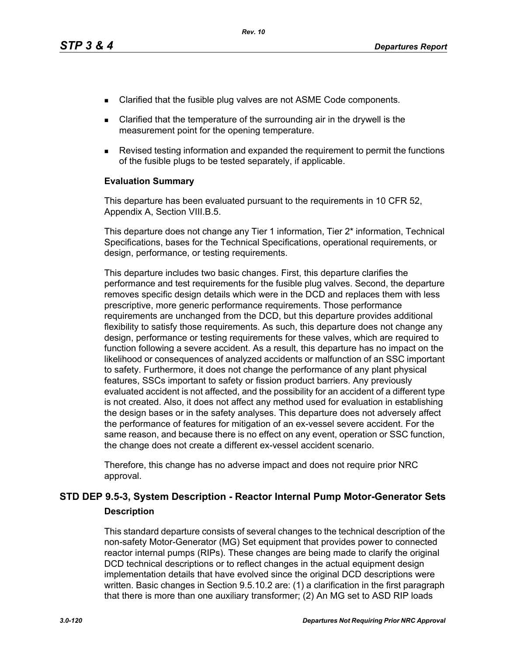- Clarified that the fusible plug valves are not ASME Code components.
- Clarified that the temperature of the surrounding air in the drywell is the measurement point for the opening temperature.
- Revised testing information and expanded the requirement to permit the functions of the fusible plugs to be tested separately, if applicable.

### **Evaluation Summary**

This departure has been evaluated pursuant to the requirements in 10 CFR 52, Appendix A, Section VIII.B.5.

This departure does not change any Tier 1 information, Tier 2\* information, Technical Specifications, bases for the Technical Specifications, operational requirements, or design, performance, or testing requirements.

This departure includes two basic changes. First, this departure clarifies the performance and test requirements for the fusible plug valves. Second, the departure removes specific design details which were in the DCD and replaces them with less prescriptive, more generic performance requirements. Those performance requirements are unchanged from the DCD, but this departure provides additional flexibility to satisfy those requirements. As such, this departure does not change any design, performance or testing requirements for these valves, which are required to function following a severe accident. As a result, this departure has no impact on the likelihood or consequences of analyzed accidents or malfunction of an SSC important to safety. Furthermore, it does not change the performance of any plant physical features, SSCs important to safety or fission product barriers. Any previously evaluated accident is not affected, and the possibility for an accident of a different type is not created. Also, it does not affect any method used for evaluation in establishing the design bases or in the safety analyses. This departure does not adversely affect the performance of features for mitigation of an ex-vessel severe accident. For the same reason, and because there is no effect on any event, operation or SSC function, the change does not create a different ex-vessel accident scenario.

Therefore, this change has no adverse impact and does not require prior NRC approval.

# **STD DEP 9.5-3, System Description - Reactor Internal Pump Motor-Generator Sets Description**

This standard departure consists of several changes to the technical description of the non-safety Motor-Generator (MG) Set equipment that provides power to connected reactor internal pumps (RIPs). These changes are being made to clarify the original DCD technical descriptions or to reflect changes in the actual equipment design implementation details that have evolved since the original DCD descriptions were written. Basic changes in Section 9.5.10.2 are: (1) a clarification in the first paragraph that there is more than one auxiliary transformer; (2) An MG set to ASD RIP loads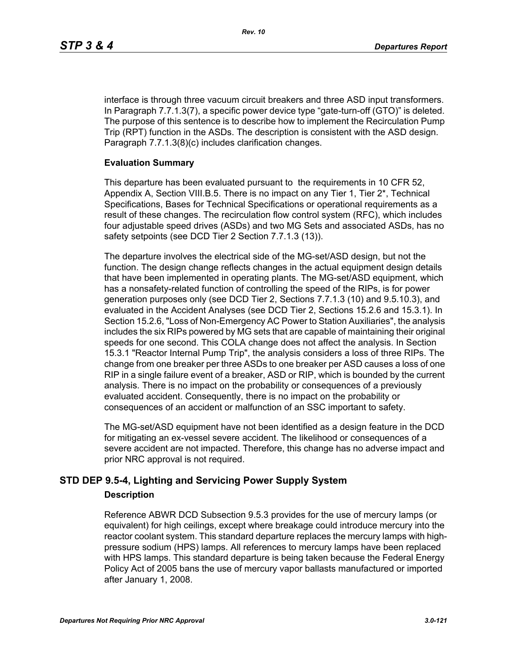interface is through three vacuum circuit breakers and three ASD input transformers. In Paragraph 7.7.1.3(7), a specific power device type "gate-turn-off (GTO)" is deleted. The purpose of this sentence is to describe how to implement the Recirculation Pump Trip (RPT) function in the ASDs. The description is consistent with the ASD design. Paragraph 7.7.1.3(8)(c) includes clarification changes.

## **Evaluation Summary**

This departure has been evaluated pursuant to the requirements in 10 CFR 52, Appendix A, Section VIII.B.5. There is no impact on any Tier 1, Tier 2\*, Technical Specifications, Bases for Technical Specifications or operational requirements as a result of these changes. The recirculation flow control system (RFC), which includes four adjustable speed drives (ASDs) and two MG Sets and associated ASDs, has no safety setpoints (see DCD Tier 2 Section 7.7.1.3 (13)).

The departure involves the electrical side of the MG-set/ASD design, but not the function. The design change reflects changes in the actual equipment design details that have been implemented in operating plants. The MG-set/ASD equipment, which has a nonsafety-related function of controlling the speed of the RIPs, is for power generation purposes only (see DCD Tier 2, Sections 7.7.1.3 (10) and 9.5.10.3), and evaluated in the Accident Analyses (see DCD Tier 2, Sections 15.2.6 and 15.3.1). In Section 15.2.6, "Loss of Non-Emergency AC Power to Station Auxiliaries", the analysis includes the six RIPs powered by MG sets that are capable of maintaining their original speeds for one second. This COLA change does not affect the analysis. In Section 15.3.1 "Reactor Internal Pump Trip", the analysis considers a loss of three RIPs. The change from one breaker per three ASDs to one breaker per ASD causes a loss of one RIP in a single failure event of a breaker, ASD or RIP, which is bounded by the current analysis. There is no impact on the probability or consequences of a previously evaluated accident. Consequently, there is no impact on the probability or consequences of an accident or malfunction of an SSC important to safety.

The MG-set/ASD equipment have not been identified as a design feature in the DCD for mitigating an ex-vessel severe accident. The likelihood or consequences of a severe accident are not impacted. Therefore, this change has no adverse impact and prior NRC approval is not required.

# **STD DEP 9.5-4, Lighting and Servicing Power Supply System**

# **Description**

Reference ABWR DCD Subsection 9.5.3 provides for the use of mercury lamps (or equivalent) for high ceilings, except where breakage could introduce mercury into the reactor coolant system. This standard departure replaces the mercury lamps with highpressure sodium (HPS) lamps. All references to mercury lamps have been replaced with HPS lamps. This standard departure is being taken because the Federal Energy Policy Act of 2005 bans the use of mercury vapor ballasts manufactured or imported after January 1, 2008.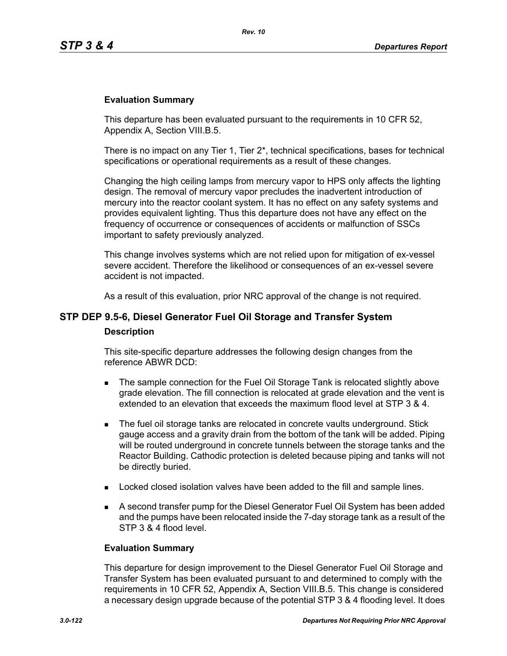### **Evaluation Summary**

This departure has been evaluated pursuant to the requirements in 10 CFR 52, Appendix A, Section VIII.B.5.

There is no impact on any Tier 1, Tier  $2^*$ , technical specifications, bases for technical specifications or operational requirements as a result of these changes.

Changing the high ceiling lamps from mercury vapor to HPS only affects the lighting design. The removal of mercury vapor precludes the inadvertent introduction of mercury into the reactor coolant system. It has no effect on any safety systems and provides equivalent lighting. Thus this departure does not have any effect on the frequency of occurrence or consequences of accidents or malfunction of SSCs important to safety previously analyzed.

This change involves systems which are not relied upon for mitigation of ex-vessel severe accident. Therefore the likelihood or consequences of an ex-vessel severe accident is not impacted.

As a result of this evaluation, prior NRC approval of the change is not required.

# **STP DEP 9.5-6, Diesel Generator Fuel Oil Storage and Transfer System Description**

This site-specific departure addresses the following design changes from the reference ABWR DCD:

- The sample connection for the Fuel Oil Storage Tank is relocated slightly above grade elevation. The fill connection is relocated at grade elevation and the vent is extended to an elevation that exceeds the maximum flood level at STP 3 & 4.
- **The fuel oil storage tanks are relocated in concrete vaults underground. Stick** gauge access and a gravity drain from the bottom of the tank will be added. Piping will be routed underground in concrete tunnels between the storage tanks and the Reactor Building. Cathodic protection is deleted because piping and tanks will not be directly buried.
- **Locked closed isolation valves have been added to the fill and sample lines.**
- A second transfer pump for the Diesel Generator Fuel Oil System has been added and the pumps have been relocated inside the 7-day storage tank as a result of the STP 3 & 4 flood level.

#### **Evaluation Summary**

This departure for design improvement to the Diesel Generator Fuel Oil Storage and Transfer System has been evaluated pursuant to and determined to comply with the requirements in 10 CFR 52, Appendix A, Section VIII.B.5. This change is considered a necessary design upgrade because of the potential STP 3 & 4 flooding level. It does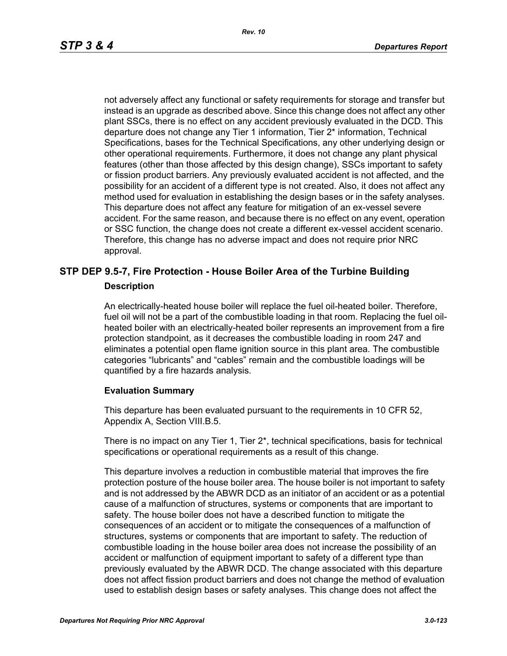not adversely affect any functional or safety requirements for storage and transfer but instead is an upgrade as described above. Since this change does not affect any other plant SSCs, there is no effect on any accident previously evaluated in the DCD. This departure does not change any Tier 1 information, Tier 2\* information, Technical Specifications, bases for the Technical Specifications, any other underlying design or other operational requirements. Furthermore, it does not change any plant physical features (other than those affected by this design change), SSCs important to safety or fission product barriers. Any previously evaluated accident is not affected, and the possibility for an accident of a different type is not created. Also, it does not affect any method used for evaluation in establishing the design bases or in the safety analyses. This departure does not affect any feature for mitigation of an ex-vessel severe accident. For the same reason, and because there is no effect on any event, operation or SSC function, the change does not create a different ex-vessel accident scenario. Therefore, this change has no adverse impact and does not require prior NRC approval.

# **STP DEP 9.5-7, Fire Protection - House Boiler Area of the Turbine Building Description**

An electrically-heated house boiler will replace the fuel oil-heated boiler. Therefore, fuel oil will not be a part of the combustible loading in that room. Replacing the fuel oilheated boiler with an electrically-heated boiler represents an improvement from a fire protection standpoint, as it decreases the combustible loading in room 247 and eliminates a potential open flame ignition source in this plant area. The combustible categories "lubricants" and "cables" remain and the combustible loadings will be quantified by a fire hazards analysis.

### **Evaluation Summary**

This departure has been evaluated pursuant to the requirements in 10 CFR 52, Appendix A, Section VIII.B.5.

There is no impact on any Tier 1, Tier 2\*, technical specifications, basis for technical specifications or operational requirements as a result of this change.

This departure involves a reduction in combustible material that improves the fire protection posture of the house boiler area. The house boiler is not important to safety and is not addressed by the ABWR DCD as an initiator of an accident or as a potential cause of a malfunction of structures, systems or components that are important to safety. The house boiler does not have a described function to mitigate the consequences of an accident or to mitigate the consequences of a malfunction of structures, systems or components that are important to safety. The reduction of combustible loading in the house boiler area does not increase the possibility of an accident or malfunction of equipment important to safety of a different type than previously evaluated by the ABWR DCD. The change associated with this departure does not affect fission product barriers and does not change the method of evaluation used to establish design bases or safety analyses. This change does not affect the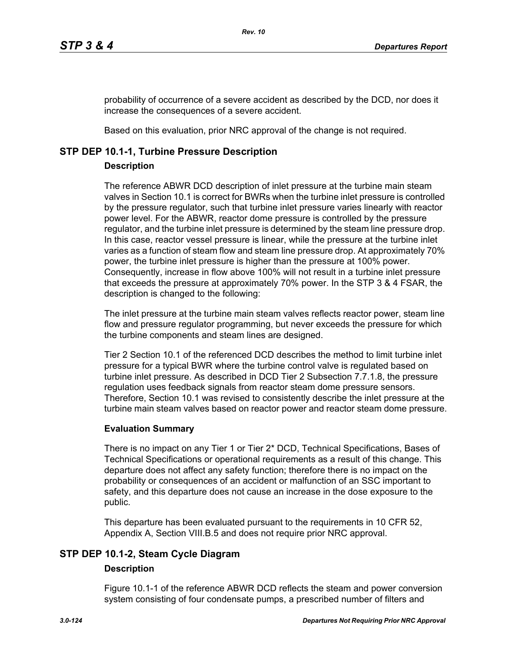probability of occurrence of a severe accident as described by the DCD, nor does it increase the consequences of a severe accident.

Based on this evaluation, prior NRC approval of the change is not required.

# **STP DEP 10.1-1, Turbine Pressure Description**

# **Description**

The reference ABWR DCD description of inlet pressure at the turbine main steam valves in Section 10.1 is correct for BWRs when the turbine inlet pressure is controlled by the pressure regulator, such that turbine inlet pressure varies linearly with reactor power level. For the ABWR, reactor dome pressure is controlled by the pressure regulator, and the turbine inlet pressure is determined by the steam line pressure drop. In this case, reactor vessel pressure is linear, while the pressure at the turbine inlet varies as a function of steam flow and steam line pressure drop. At approximately 70% power, the turbine inlet pressure is higher than the pressure at 100% power. Consequently, increase in flow above 100% will not result in a turbine inlet pressure that exceeds the pressure at approximately 70% power. In the STP 3 & 4 FSAR, the description is changed to the following:

The inlet pressure at the turbine main steam valves reflects reactor power, steam line flow and pressure regulator programming, but never exceeds the pressure for which the turbine components and steam lines are designed.

Tier 2 Section 10.1 of the referenced DCD describes the method to limit turbine inlet pressure for a typical BWR where the turbine control valve is regulated based on turbine inlet pressure. As described in DCD Tier 2 Subsection 7.7.1.8, the pressure regulation uses feedback signals from reactor steam dome pressure sensors. Therefore, Section 10.1 was revised to consistently describe the inlet pressure at the turbine main steam valves based on reactor power and reactor steam dome pressure.

# **Evaluation Summary**

There is no impact on any Tier 1 or Tier 2\* DCD, Technical Specifications, Bases of Technical Specifications or operational requirements as a result of this change. This departure does not affect any safety function; therefore there is no impact on the probability or consequences of an accident or malfunction of an SSC important to safety, and this departure does not cause an increase in the dose exposure to the public.

This departure has been evaluated pursuant to the requirements in 10 CFR 52, Appendix A, Section VIII.B.5 and does not require prior NRC approval.

# **STP DEP 10.1-2, Steam Cycle Diagram**

# **Description**

Figure 10.1-1 of the reference ABWR DCD reflects the steam and power conversion system consisting of four condensate pumps, a prescribed number of filters and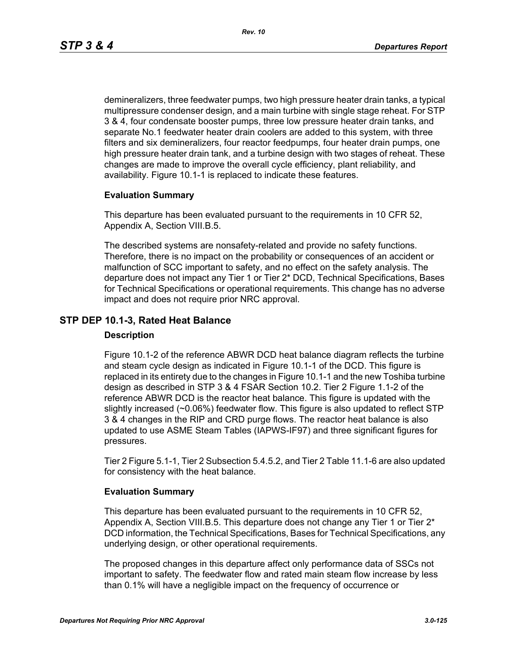demineralizers, three feedwater pumps, two high pressure heater drain tanks, a typical multipressure condenser design, and a main turbine with single stage reheat. For STP 3 & 4, four condensate booster pumps, three low pressure heater drain tanks, and separate No.1 feedwater heater drain coolers are added to this system, with three filters and six demineralizers, four reactor feedpumps, four heater drain pumps, one high pressure heater drain tank, and a turbine design with two stages of reheat. These changes are made to improve the overall cycle efficiency, plant reliability, and availability. Figure 10.1-1 is replaced to indicate these features.

### **Evaluation Summary**

This departure has been evaluated pursuant to the requirements in 10 CFR 52, Appendix A, Section VIII.B.5.

The described systems are nonsafety-related and provide no safety functions. Therefore, there is no impact on the probability or consequences of an accident or malfunction of SCC important to safety, and no effect on the safety analysis. The departure does not impact any Tier 1 or Tier 2\* DCD, Technical Specifications, Bases for Technical Specifications or operational requirements. This change has no adverse impact and does not require prior NRC approval.

# **STP DEP 10.1-3, Rated Heat Balance**

### **Description**

Figure 10.1-2 of the reference ABWR DCD heat balance diagram reflects the turbine and steam cycle design as indicated in Figure 10.1-1 of the DCD. This figure is replaced in its entirety due to the changes in Figure 10.1-1 and the new Toshiba turbine design as described in STP 3 & 4 FSAR Section 10.2. Tier 2 Figure 1.1-2 of the reference ABWR DCD is the reactor heat balance. This figure is updated with the slightly increased (~0.06%) feedwater flow. This figure is also updated to reflect STP 3 & 4 changes in the RIP and CRD purge flows. The reactor heat balance is also updated to use ASME Steam Tables (IAPWS-IF97) and three significant figures for pressures.

Tier 2 Figure 5.1-1, Tier 2 Subsection 5.4.5.2, and Tier 2 Table 11.1-6 are also updated for consistency with the heat balance.

### **Evaluation Summary**

This departure has been evaluated pursuant to the requirements in 10 CFR 52, Appendix A, Section VIII.B.5. This departure does not change any Tier 1 or Tier  $2^*$ DCD information, the Technical Specifications, Bases for Technical Specifications, any underlying design, or other operational requirements.

The proposed changes in this departure affect only performance data of SSCs not important to safety. The feedwater flow and rated main steam flow increase by less than 0.1% will have a negligible impact on the frequency of occurrence or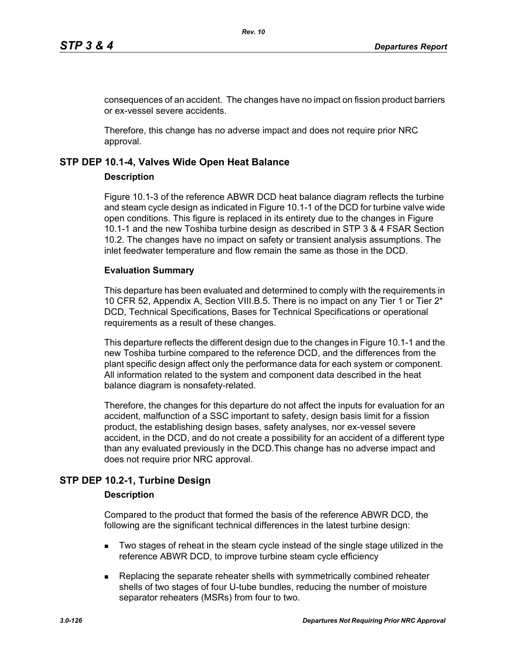consequences of an accident. The changes have no impact on fission product barriers or ex-vessel severe accidents.

Therefore, this change has no adverse impact and does not require prior NRC approval.

# **STP DEP 10.1-4, Valves Wide Open Heat Balance**

## **Description**

Figure 10.1-3 of the reference ABWR DCD heat balance diagram reflects the turbine and steam cycle design as indicated in Figure 10.1-1 of the DCD for turbine valve wide open conditions. This figure is replaced in its entirety due to the changes in Figure 10.1-1 and the new Toshiba turbine design as described in STP 3 & 4 FSAR Section 10.2. The changes have no impact on safety or transient analysis assumptions. The inlet feedwater temperature and flow remain the same as those in the DCD.

## **Evaluation Summary**

This departure has been evaluated and determined to comply with the requirements in 10 CFR 52, Appendix A, Section VIII.B.5. There is no impact on any Tier 1 or Tier 2\* DCD, Technical Specifications, Bases for Technical Specifications or operational requirements as a result of these changes.

This departure reflects the different design due to the changes in Figure 10.1-1 and the new Toshiba turbine compared to the reference DCD, and the differences from the plant specific design affect only the performance data for each system or component. All information related to the system and component data described in the heat balance diagram is nonsafety-related.

Therefore, the changes for this departure do not affect the inputs for evaluation for an accident, malfunction of a SSC important to safety, design basis limit for a fission product, the establishing design bases, safety analyses, nor ex-vessel severe accident, in the DCD, and do not create a possibility for an accident of a different type than any evaluated previously in the DCD.This change has no adverse impact and does not require prior NRC approval.

# **STP DEP 10.2-1, Turbine Design**

# **Description**

Compared to the product that formed the basis of the reference ABWR DCD, the following are the significant technical differences in the latest turbine design:

- **Two stages of reheat in the steam cycle instead of the single stage utilized in the** reference ABWR DCD, to improve turbine steam cycle efficiency
- **Replacing the separate reheater shells with symmetrically combined reheater** shells of two stages of four U-tube bundles, reducing the number of moisture separator reheaters (MSRs) from four to two.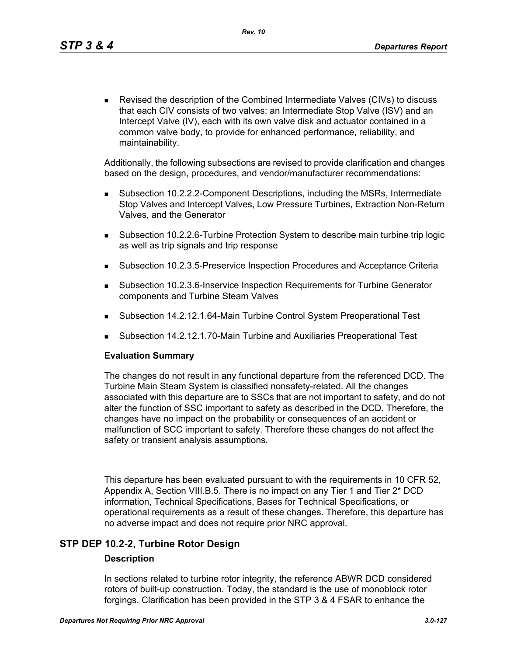Revised the description of the Combined Intermediate Valves (CIVs) to discuss that each CIV consists of two valves: an Intermediate Stop Valve (ISV) and an Intercept Valve (IV), each with its own valve disk and actuator contained in a common valve body, to provide for enhanced performance, reliability, and maintainability.

Additionally, the following subsections are revised to provide clarification and changes based on the design, procedures, and vendor/manufacturer recommendations:

- Subsection 10.2.2.2-Component Descriptions, including the MSRs, Intermediate Stop Valves and Intercept Valves, Low Pressure Turbines, Extraction Non-Return Valves, and the Generator
- Subsection 10.2.2.6-Turbine Protection System to describe main turbine trip logic as well as trip signals and trip response
- Subsection 10.2.3.5-Preservice Inspection Procedures and Acceptance Criteria
- Subsection 10.2.3.6-Inservice Inspection Requirements for Turbine Generator components and Turbine Steam Valves
- Subsection 14.2.12.1.64-Main Turbine Control System Preoperational Test
- Subsection 14.2.12.1.70-Main Turbine and Auxiliaries Preoperational Test

### **Evaluation Summary**

The changes do not result in any functional departure from the referenced DCD. The Turbine Main Steam System is classified nonsafety-related. All the changes associated with this departure are to SSCs that are not important to safety, and do not alter the function of SSC important to safety as described in the DCD. Therefore, the changes have no impact on the probability or consequences of an accident or malfunction of SCC important to safety. Therefore these changes do not affect the safety or transient analysis assumptions.

This departure has been evaluated pursuant to with the requirements in 10 CFR 52, Appendix A, Section VIII.B.5. There is no impact on any Tier 1 and Tier 2\* DCD information, Technical Specifications, Bases for Technical Specifications, or operational requirements as a result of these changes. Therefore, this departure has no adverse impact and does not require prior NRC approval.

# **STP DEP 10.2-2, Turbine Rotor Design**

### **Description**

In sections related to turbine rotor integrity, the reference ABWR DCD considered rotors of built-up construction. Today, the standard is the use of monoblock rotor forgings. Clarification has been provided in the STP 3 & 4 FSAR to enhance the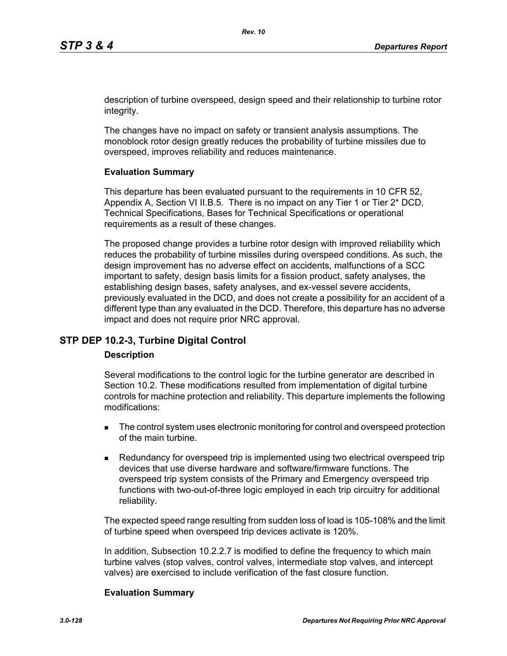description of turbine overspeed, design speed and their relationship to turbine rotor integrity.

The changes have no impact on safety or transient analysis assumptions. The monoblock rotor design greatly reduces the probability of turbine missiles due to overspeed, improves reliability and reduces maintenance.

## **Evaluation Summary**

This departure has been evaluated pursuant to the requirements in 10 CFR 52, Appendix A, Section VI II.B.5. There is no impact on any Tier 1 or Tier 2\* DCD, Technical Specifications, Bases for Technical Specifications or operational requirements as a result of these changes.

The proposed change provides a turbine rotor design with improved reliability which reduces the probability of turbine missiles during overspeed conditions. As such, the design improvement has no adverse effect on accidents, malfunctions of a SCC important to safety, design basis limits for a fission product, safety analyses, the establishing design bases, safety analyses, and ex-vessel severe accidents, previously evaluated in the DCD, and does not create a possibility for an accident of a different type than any evaluated in the DCD. Therefore, this departure has no adverse impact and does not require prior NRC approval.

# **STP DEP 10.2-3, Turbine Digital Control**

### **Description**

Several modifications to the control logic for the turbine generator are described in Section 10.2. These modifications resulted from implementation of digital turbine controls for machine protection and reliability. This departure implements the following modifications:

- The control system uses electronic monitoring for control and overspeed protection of the main turbine.
- **Redundancy for overspeed trip is implemented using two electrical overspeed trip** devices that use diverse hardware and software/firmware functions. The overspeed trip system consists of the Primary and Emergency overspeed trip functions with two-out-of-three logic employed in each trip circuitry for additional reliability.

The expected speed range resulting from sudden loss of load is 105-108% and the limit of turbine speed when overspeed trip devices activate is 120%.

In addition, Subsection 10.2.2.7 is modified to define the frequency to which main turbine valves (stop valves, control valves, intermediate stop valves, and intercept valves) are exercised to include verification of the fast closure function.

### **Evaluation Summary**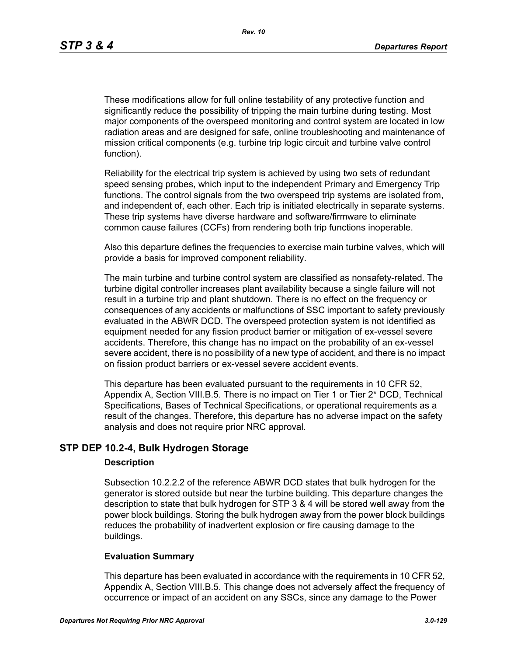These modifications allow for full online testability of any protective function and significantly reduce the possibility of tripping the main turbine during testing. Most major components of the overspeed monitoring and control system are located in low radiation areas and are designed for safe, online troubleshooting and maintenance of mission critical components (e.g. turbine trip logic circuit and turbine valve control function).

Reliability for the electrical trip system is achieved by using two sets of redundant speed sensing probes, which input to the independent Primary and Emergency Trip functions. The control signals from the two overspeed trip systems are isolated from, and independent of, each other. Each trip is initiated electrically in separate systems. These trip systems have diverse hardware and software/firmware to eliminate common cause failures (CCFs) from rendering both trip functions inoperable.

Also this departure defines the frequencies to exercise main turbine valves, which will provide a basis for improved component reliability.

The main turbine and turbine control system are classified as nonsafety-related. The turbine digital controller increases plant availability because a single failure will not result in a turbine trip and plant shutdown. There is no effect on the frequency or consequences of any accidents or malfunctions of SSC important to safety previously evaluated in the ABWR DCD. The overspeed protection system is not identified as equipment needed for any fission product barrier or mitigation of ex-vessel severe accidents. Therefore, this change has no impact on the probability of an ex-vessel severe accident, there is no possibility of a new type of accident, and there is no impact on fission product barriers or ex-vessel severe accident events.

This departure has been evaluated pursuant to the requirements in 10 CFR 52, Appendix A, Section VIII.B.5. There is no impact on Tier 1 or Tier 2\* DCD, Technical Specifications, Bases of Technical Specifications, or operational requirements as a result of the changes. Therefore, this departure has no adverse impact on the safety analysis and does not require prior NRC approval.

# **STP DEP 10.2-4, Bulk Hydrogen Storage**

### **Description**

Subsection 10.2.2.2 of the reference ABWR DCD states that bulk hydrogen for the generator is stored outside but near the turbine building. This departure changes the description to state that bulk hydrogen for STP 3 & 4 will be stored well away from the power block buildings. Storing the bulk hydrogen away from the power block buildings reduces the probability of inadvertent explosion or fire causing damage to the buildings.

### **Evaluation Summary**

This departure has been evaluated in accordance with the requirements in 10 CFR 52, Appendix A, Section VIII.B.5. This change does not adversely affect the frequency of occurrence or impact of an accident on any SSCs, since any damage to the Power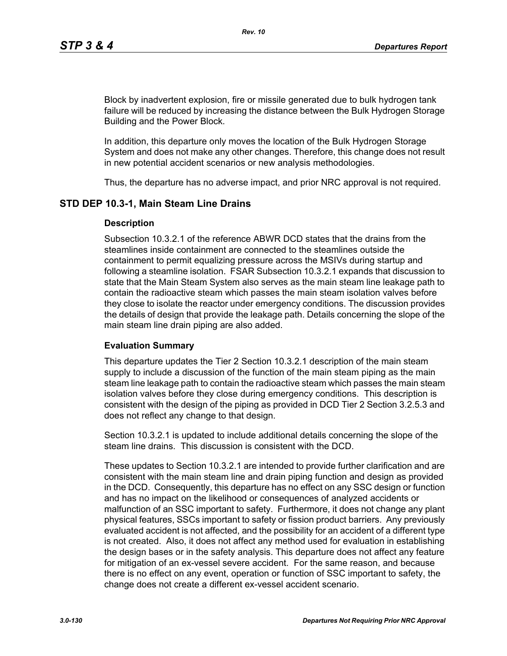Block by inadvertent explosion, fire or missile generated due to bulk hydrogen tank failure will be reduced by increasing the distance between the Bulk Hydrogen Storage Building and the Power Block.

In addition, this departure only moves the location of the Bulk Hydrogen Storage System and does not make any other changes. Therefore, this change does not result in new potential accident scenarios or new analysis methodologies.

Thus, the departure has no adverse impact, and prior NRC approval is not required.

## **STD DEP 10.3-1, Main Steam Line Drains**

### **Description**

Subsection 10.3.2.1 of the reference ABWR DCD states that the drains from the steamlines inside containment are connected to the steamlines outside the containment to permit equalizing pressure across the MSIVs during startup and following a steamline isolation. FSAR Subsection 10.3.2.1 expands that discussion to state that the Main Steam System also serves as the main steam line leakage path to contain the radioactive steam which passes the main steam isolation valves before they close to isolate the reactor under emergency conditions. The discussion provides the details of design that provide the leakage path. Details concerning the slope of the main steam line drain piping are also added.

### **Evaluation Summary**

This departure updates the Tier 2 Section 10.3.2.1 description of the main steam supply to include a discussion of the function of the main steam piping as the main steam line leakage path to contain the radioactive steam which passes the main steam isolation valves before they close during emergency conditions. This description is consistent with the design of the piping as provided in DCD Tier 2 Section 3.2.5.3 and does not reflect any change to that design.

Section 10.3.2.1 is updated to include additional details concerning the slope of the steam line drains. This discussion is consistent with the DCD.

These updates to Section 10.3.2.1 are intended to provide further clarification and are consistent with the main steam line and drain piping function and design as provided in the DCD. Consequently, this departure has no effect on any SSC design or function and has no impact on the likelihood or consequences of analyzed accidents or malfunction of an SSC important to safety. Furthermore, it does not change any plant physical features, SSCs important to safety or fission product barriers. Any previously evaluated accident is not affected, and the possibility for an accident of a different type is not created. Also, it does not affect any method used for evaluation in establishing the design bases or in the safety analysis. This departure does not affect any feature for mitigation of an ex-vessel severe accident. For the same reason, and because there is no effect on any event, operation or function of SSC important to safety, the change does not create a different ex-vessel accident scenario.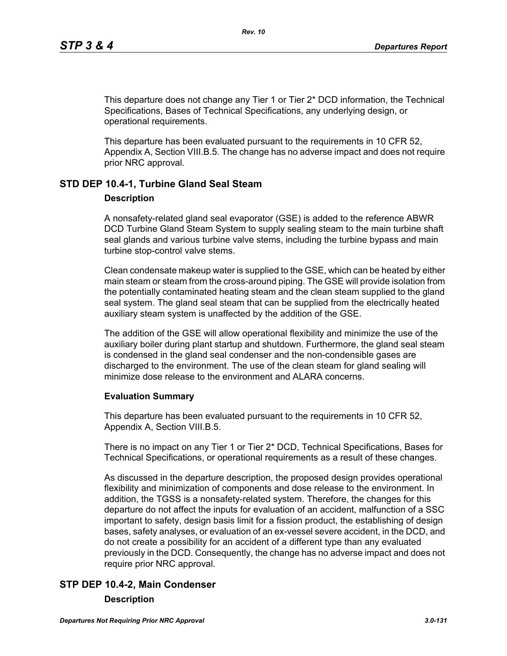This departure does not change any Tier 1 or Tier 2\* DCD information, the Technical Specifications, Bases of Technical Specifications, any underlying design, or operational requirements.

This departure has been evaluated pursuant to the requirements in 10 CFR 52, Appendix A, Section VIII.B.5. The change has no adverse impact and does not require prior NRC approval.

# **STD DEP 10.4-1, Turbine Gland Seal Steam**

#### **Description**

A nonsafety-related gland seal evaporator (GSE) is added to the reference ABWR DCD Turbine Gland Steam System to supply sealing steam to the main turbine shaft seal glands and various turbine valve stems, including the turbine bypass and main turbine stop-control valve stems.

Clean condensate makeup water is supplied to the GSE, which can be heated by either main steam or steam from the cross-around piping. The GSE will provide isolation from the potentially contaminated heating steam and the clean steam supplied to the gland seal system. The gland seal steam that can be supplied from the electrically heated auxiliary steam system is unaffected by the addition of the GSE.

The addition of the GSE will allow operational flexibility and minimize the use of the auxiliary boiler during plant startup and shutdown. Furthermore, the gland seal steam is condensed in the gland seal condenser and the non-condensible gases are discharged to the environment. The use of the clean steam for gland sealing will minimize dose release to the environment and ALARA concerns.

### **Evaluation Summary**

This departure has been evaluated pursuant to the requirements in 10 CFR 52, Appendix A, Section VIII.B.5.

There is no impact on any Tier 1 or Tier 2\* DCD, Technical Specifications, Bases for Technical Specifications, or operational requirements as a result of these changes.

As discussed in the departure description, the proposed design provides operational flexibility and minimization of components and dose release to the environment. In addition, the TGSS is a nonsafety-related system. Therefore, the changes for this departure do not affect the inputs for evaluation of an accident, malfunction of a SSC important to safety, design basis limit for a fission product, the establishing of design bases, safety analyses, or evaluation of an ex-vessel severe accident, in the DCD, and do not create a possibility for an accident of a different type than any evaluated previously in the DCD. Consequently, the change has no adverse impact and does not require prior NRC approval.

# **STP DEP 10.4-2, Main Condenser**

#### **Description**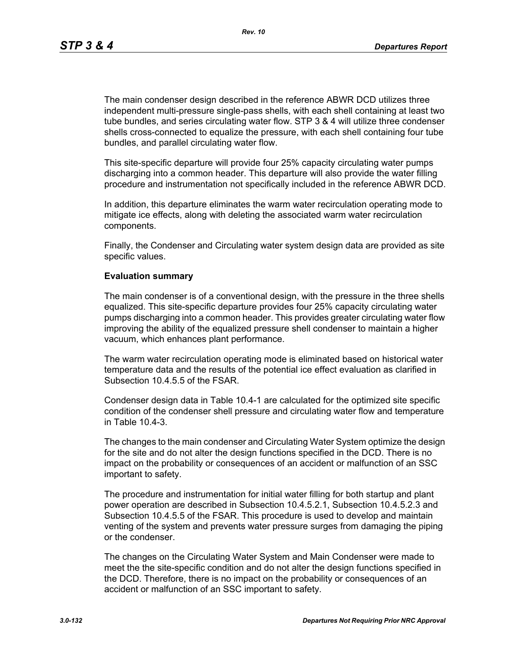*Rev. 10*

The main condenser design described in the reference ABWR DCD utilizes three independent multi-pressure single-pass shells, with each shell containing at least two tube bundles, and series circulating water flow. STP 3 & 4 will utilize three condenser shells cross-connected to equalize the pressure, with each shell containing four tube bundles, and parallel circulating water flow.

This site-specific departure will provide four 25% capacity circulating water pumps discharging into a common header. This departure will also provide the water filling procedure and instrumentation not specifically included in the reference ABWR DCD.

In addition, this departure eliminates the warm water recirculation operating mode to mitigate ice effects, along with deleting the associated warm water recirculation components.

Finally, the Condenser and Circulating water system design data are provided as site specific values.

### **Evaluation summary**

The main condenser is of a conventional design, with the pressure in the three shells equalized. This site-specific departure provides four 25% capacity circulating water pumps discharging into a common header. This provides greater circulating water flow improving the ability of the equalized pressure shell condenser to maintain a higher vacuum, which enhances plant performance.

The warm water recirculation operating mode is eliminated based on historical water temperature data and the results of the potential ice effect evaluation as clarified in Subsection 10.4.5.5 of the FSAR.

Condenser design data in Table 10.4-1 are calculated for the optimized site specific condition of the condenser shell pressure and circulating water flow and temperature in Table 10.4-3.

The changes to the main condenser and Circulating Water System optimize the design for the site and do not alter the design functions specified in the DCD. There is no impact on the probability or consequences of an accident or malfunction of an SSC important to safety.

The procedure and instrumentation for initial water filling for both startup and plant power operation are described in Subsection 10.4.5.2.1, Subsection 10.4.5.2.3 and Subsection 10.4.5.5 of the FSAR. This procedure is used to develop and maintain venting of the system and prevents water pressure surges from damaging the piping or the condenser.

The changes on the Circulating Water System and Main Condenser were made to meet the the site-specific condition and do not alter the design functions specified in the DCD. Therefore, there is no impact on the probability or consequences of an accident or malfunction of an SSC important to safety.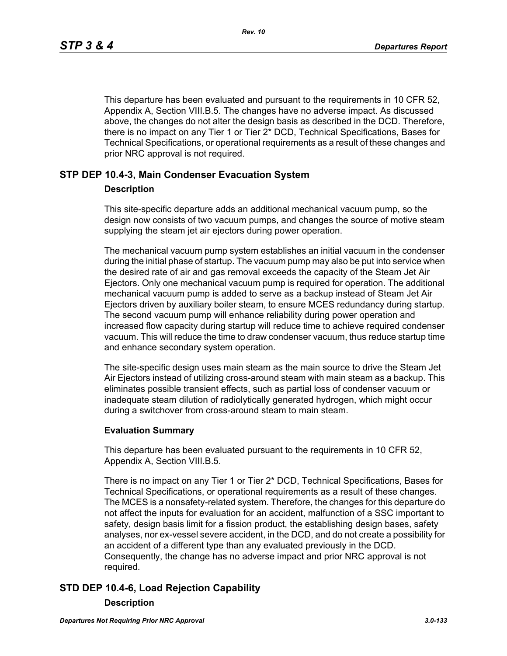This departure has been evaluated and pursuant to the requirements in 10 CFR 52, Appendix A, Section VIII.B.5. The changes have no adverse impact. As discussed above, the changes do not alter the design basis as described in the DCD. Therefore, there is no impact on any Tier 1 or Tier 2\* DCD, Technical Specifications, Bases for Technical Specifications, or operational requirements as a result of these changes and prior NRC approval is not required.

# **STP DEP 10.4-3, Main Condenser Evacuation System**

### **Description**

This site-specific departure adds an additional mechanical vacuum pump, so the design now consists of two vacuum pumps, and changes the source of motive steam supplying the steam jet air ejectors during power operation.

The mechanical vacuum pump system establishes an initial vacuum in the condenser during the initial phase of startup. The vacuum pump may also be put into service when the desired rate of air and gas removal exceeds the capacity of the Steam Jet Air Ejectors. Only one mechanical vacuum pump is required for operation. The additional mechanical vacuum pump is added to serve as a backup instead of Steam Jet Air Ejectors driven by auxiliary boiler steam, to ensure MCES redundancy during startup. The second vacuum pump will enhance reliability during power operation and increased flow capacity during startup will reduce time to achieve required condenser vacuum. This will reduce the time to draw condenser vacuum, thus reduce startup time and enhance secondary system operation.

The site-specific design uses main steam as the main source to drive the Steam Jet Air Ejectors instead of utilizing cross-around steam with main steam as a backup. This eliminates possible transient effects, such as partial loss of condenser vacuum or inadequate steam dilution of radiolytically generated hydrogen, which might occur during a switchover from cross-around steam to main steam.

### **Evaluation Summary**

This departure has been evaluated pursuant to the requirements in 10 CFR 52, Appendix A, Section VIII.B.5.

There is no impact on any Tier 1 or Tier 2\* DCD, Technical Specifications, Bases for Technical Specifications, or operational requirements as a result of these changes. The MCES is a nonsafety-related system. Therefore, the changes for this departure do not affect the inputs for evaluation for an accident, malfunction of a SSC important to safety, design basis limit for a fission product, the establishing design bases, safety analyses, nor ex-vessel severe accident, in the DCD, and do not create a possibility for an accident of a different type than any evaluated previously in the DCD. Consequently, the change has no adverse impact and prior NRC approval is not required.

# **STD DEP 10.4-6, Load Rejection Capability**

### **Description**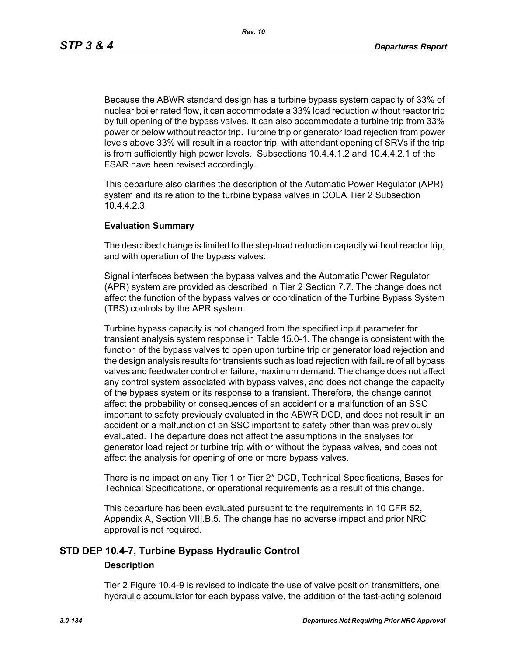Because the ABWR standard design has a turbine bypass system capacity of 33% of nuclear boiler rated flow, it can accommodate a 33% load reduction without reactor trip by full opening of the bypass valves. It can also accommodate a turbine trip from 33% power or below without reactor trip. Turbine trip or generator load rejection from power levels above 33% will result in a reactor trip, with attendant opening of SRVs if the trip is from sufficiently high power levels. Subsections 10.4.4.1.2 and 10.4.4.2.1 of the FSAR have been revised accordingly.

This departure also clarifies the description of the Automatic Power Regulator (APR) system and its relation to the turbine bypass valves in COLA Tier 2 Subsection 10.4.4.2.3.

### **Evaluation Summary**

The described change is limited to the step-load reduction capacity without reactor trip, and with operation of the bypass valves.

Signal interfaces between the bypass valves and the Automatic Power Regulator (APR) system are provided as described in Tier 2 Section 7.7. The change does not affect the function of the bypass valves or coordination of the Turbine Bypass System (TBS) controls by the APR system.

Turbine bypass capacity is not changed from the specified input parameter for transient analysis system response in Table 15.0-1. The change is consistent with the function of the bypass valves to open upon turbine trip or generator load rejection and the design analysis results for transients such as load rejection with failure of all bypass valves and feedwater controller failure, maximum demand. The change does not affect any control system associated with bypass valves, and does not change the capacity of the bypass system or its response to a transient. Therefore, the change cannot affect the probability or consequences of an accident or a malfunction of an SSC important to safety previously evaluated in the ABWR DCD, and does not result in an accident or a malfunction of an SSC important to safety other than was previously evaluated. The departure does not affect the assumptions in the analyses for generator load reject or turbine trip with or without the bypass valves, and does not affect the analysis for opening of one or more bypass valves.

There is no impact on any Tier 1 or Tier 2\* DCD, Technical Specifications, Bases for Technical Specifications, or operational requirements as a result of this change.

This departure has been evaluated pursuant to the requirements in 10 CFR 52, Appendix A, Section VIII.B.5. The change has no adverse impact and prior NRC approval is not required.

# **STD DEP 10.4-7, Turbine Bypass Hydraulic Control**

### **Description**

Tier 2 Figure 10.4-9 is revised to indicate the use of valve position transmitters, one hydraulic accumulator for each bypass valve, the addition of the fast-acting solenoid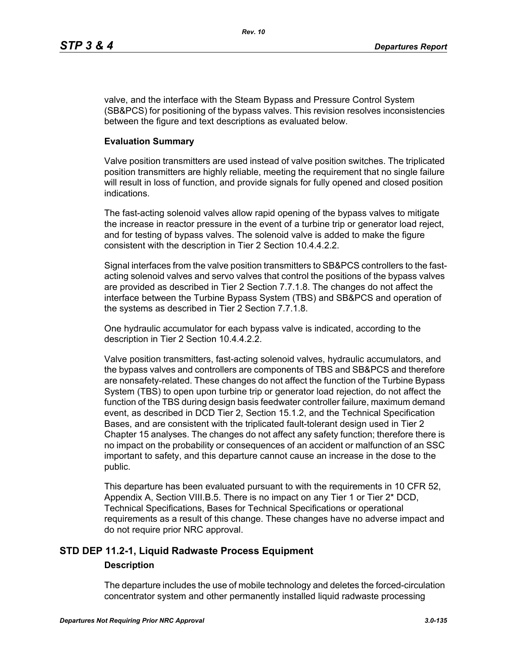valve, and the interface with the Steam Bypass and Pressure Control System (SB&PCS) for positioning of the bypass valves. This revision resolves inconsistencies between the figure and text descriptions as evaluated below.

### **Evaluation Summary**

Valve position transmitters are used instead of valve position switches. The triplicated position transmitters are highly reliable, meeting the requirement that no single failure will result in loss of function, and provide signals for fully opened and closed position indications.

The fast-acting solenoid valves allow rapid opening of the bypass valves to mitigate the increase in reactor pressure in the event of a turbine trip or generator load reject, and for testing of bypass valves. The solenoid valve is added to make the figure consistent with the description in Tier 2 Section 10.4.4.2.2.

Signal interfaces from the valve position transmitters to SB&PCS controllers to the fastacting solenoid valves and servo valves that control the positions of the bypass valves are provided as described in Tier 2 Section 7.7.1.8. The changes do not affect the interface between the Turbine Bypass System (TBS) and SB&PCS and operation of the systems as described in Tier 2 Section 7.7.1.8.

One hydraulic accumulator for each bypass valve is indicated, according to the description in Tier 2 Section 10.4.4.2.2.

Valve position transmitters, fast-acting solenoid valves, hydraulic accumulators, and the bypass valves and controllers are components of TBS and SB&PCS and therefore are nonsafety-related. These changes do not affect the function of the Turbine Bypass System (TBS) to open upon turbine trip or generator load rejection, do not affect the function of the TBS during design basis feedwater controller failure, maximum demand event, as described in DCD Tier 2, Section 15.1.2, and the Technical Specification Bases, and are consistent with the triplicated fault-tolerant design used in Tier 2 Chapter 15 analyses. The changes do not affect any safety function; therefore there is no impact on the probability or consequences of an accident or malfunction of an SSC important to safety, and this departure cannot cause an increase in the dose to the public.

This departure has been evaluated pursuant to with the requirements in 10 CFR 52, Appendix A, Section VIII.B.5. There is no impact on any Tier 1 or Tier 2\* DCD, Technical Specifications, Bases for Technical Specifications or operational requirements as a result of this change. These changes have no adverse impact and do not require prior NRC approval.

# **STD DEP 11.2-1, Liquid Radwaste Process Equipment**

# **Description**

The departure includes the use of mobile technology and deletes the forced-circulation concentrator system and other permanently installed liquid radwaste processing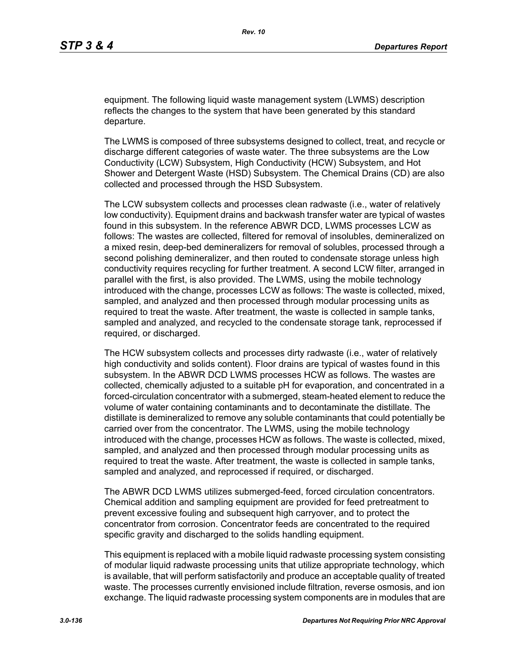equipment. The following liquid waste management system (LWMS) description reflects the changes to the system that have been generated by this standard departure.

The LWMS is composed of three subsystems designed to collect, treat, and recycle or discharge different categories of waste water. The three subsystems are the Low Conductivity (LCW) Subsystem, High Conductivity (HCW) Subsystem, and Hot Shower and Detergent Waste (HSD) Subsystem. The Chemical Drains (CD) are also collected and processed through the HSD Subsystem.

The LCW subsystem collects and processes clean radwaste (i.e., water of relatively low conductivity). Equipment drains and backwash transfer water are typical of wastes found in this subsystem. In the reference ABWR DCD, LWMS processes LCW as follows: The wastes are collected, filtered for removal of insolubles, demineralized on a mixed resin, deep-bed demineralizers for removal of solubles, processed through a second polishing demineralizer, and then routed to condensate storage unless high conductivity requires recycling for further treatment. A second LCW filter, arranged in parallel with the first, is also provided. The LWMS, using the mobile technology introduced with the change, processes LCW as follows: The waste is collected, mixed, sampled, and analyzed and then processed through modular processing units as required to treat the waste. After treatment, the waste is collected in sample tanks, sampled and analyzed, and recycled to the condensate storage tank, reprocessed if required, or discharged.

The HCW subsystem collects and processes dirty radwaste (i.e., water of relatively high conductivity and solids content). Floor drains are typical of wastes found in this subsystem. In the ABWR DCD LWMS processes HCW as follows. The wastes are collected, chemically adjusted to a suitable pH for evaporation, and concentrated in a forced-circulation concentrator with a submerged, steam-heated element to reduce the volume of water containing contaminants and to decontaminate the distillate. The distillate is demineralized to remove any soluble contaminants that could potentially be carried over from the concentrator. The LWMS, using the mobile technology introduced with the change, processes HCW as follows. The waste is collected, mixed, sampled, and analyzed and then processed through modular processing units as required to treat the waste. After treatment, the waste is collected in sample tanks, sampled and analyzed, and reprocessed if required, or discharged.

The ABWR DCD LWMS utilizes submerged-feed, forced circulation concentrators. Chemical addition and sampling equipment are provided for feed pretreatment to prevent excessive fouling and subsequent high carryover, and to protect the concentrator from corrosion. Concentrator feeds are concentrated to the required specific gravity and discharged to the solids handling equipment.

This equipment is replaced with a mobile liquid radwaste processing system consisting of modular liquid radwaste processing units that utilize appropriate technology, which is available, that will perform satisfactorily and produce an acceptable quality of treated waste. The processes currently envisioned include filtration, reverse osmosis, and ion exchange. The liquid radwaste processing system components are in modules that are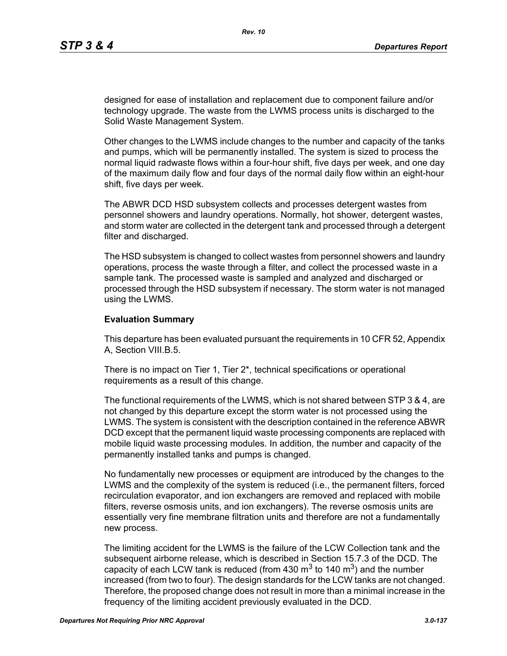designed for ease of installation and replacement due to component failure and/or technology upgrade. The waste from the LWMS process units is discharged to the Solid Waste Management System.

Other changes to the LWMS include changes to the number and capacity of the tanks and pumps, which will be permanently installed. The system is sized to process the normal liquid radwaste flows within a four-hour shift, five days per week, and one day of the maximum daily flow and four days of the normal daily flow within an eight-hour shift, five days per week.

The ABWR DCD HSD subsystem collects and processes detergent wastes from personnel showers and laundry operations. Normally, hot shower, detergent wastes, and storm water are collected in the detergent tank and processed through a detergent filter and discharged.

The HSD subsystem is changed to collect wastes from personnel showers and laundry operations, process the waste through a filter, and collect the processed waste in a sample tank. The processed waste is sampled and analyzed and discharged or processed through the HSD subsystem if necessary. The storm water is not managed using the LWMS.

### **Evaluation Summary**

This departure has been evaluated pursuant the requirements in 10 CFR 52, Appendix A, Section VIII.B.5.

There is no impact on Tier 1, Tier 2\*, technical specifications or operational requirements as a result of this change.

The functional requirements of the LWMS, which is not shared between STP 3 & 4, are not changed by this departure except the storm water is not processed using the LWMS. The system is consistent with the description contained in the reference ABWR DCD except that the permanent liquid waste processing components are replaced with mobile liquid waste processing modules. In addition, the number and capacity of the permanently installed tanks and pumps is changed.

No fundamentally new processes or equipment are introduced by the changes to the LWMS and the complexity of the system is reduced (i.e., the permanent filters, forced recirculation evaporator, and ion exchangers are removed and replaced with mobile filters, reverse osmosis units, and ion exchangers). The reverse osmosis units are essentially very fine membrane filtration units and therefore are not a fundamentally new process.

The limiting accident for the LWMS is the failure of the LCW Collection tank and the subsequent airborne release, which is described in Section 15.7.3 of the DCD. The capacity of each LCW tank is reduced (from 430  $\text{m}^3$  to 140  $\text{m}^3$ ) and the number increased (from two to four). The design standards for the LCW tanks are not changed. Therefore, the proposed change does not result in more than a minimal increase in the frequency of the limiting accident previously evaluated in the DCD.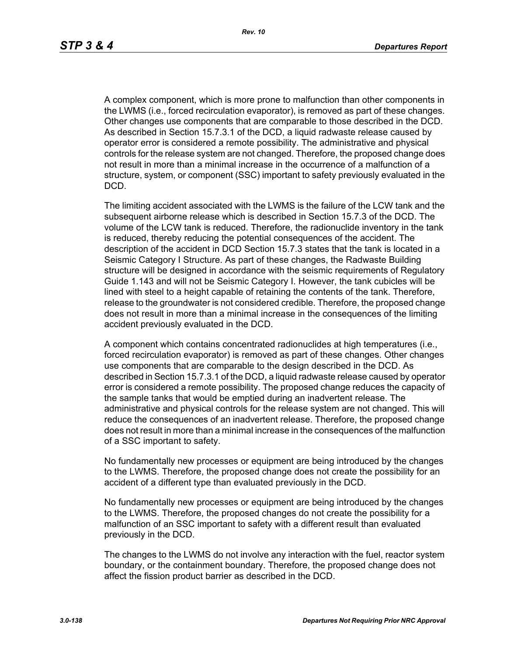A complex component, which is more prone to malfunction than other components in the LWMS (i.e., forced recirculation evaporator), is removed as part of these changes. Other changes use components that are comparable to those described in the DCD. As described in Section 15.7.3.1 of the DCD, a liquid radwaste release caused by operator error is considered a remote possibility. The administrative and physical controls for the release system are not changed. Therefore, the proposed change does not result in more than a minimal increase in the occurrence of a malfunction of a structure, system, or component (SSC) important to safety previously evaluated in the DCD.

The limiting accident associated with the LWMS is the failure of the LCW tank and the subsequent airborne release which is described in Section 15.7.3 of the DCD. The volume of the LCW tank is reduced. Therefore, the radionuclide inventory in the tank is reduced, thereby reducing the potential consequences of the accident. The description of the accident in DCD Section 15.7.3 states that the tank is located in a Seismic Category I Structure. As part of these changes, the Radwaste Building structure will be designed in accordance with the seismic requirements of Regulatory Guide 1.143 and will not be Seismic Category I. However, the tank cubicles will be lined with steel to a height capable of retaining the contents of the tank. Therefore, release to the groundwater is not considered credible. Therefore, the proposed change does not result in more than a minimal increase in the consequences of the limiting accident previously evaluated in the DCD.

A component which contains concentrated radionuclides at high temperatures (i.e., forced recirculation evaporator) is removed as part of these changes. Other changes use components that are comparable to the design described in the DCD. As described in Section 15.7.3.1 of the DCD, a liquid radwaste release caused by operator error is considered a remote possibility. The proposed change reduces the capacity of the sample tanks that would be emptied during an inadvertent release. The administrative and physical controls for the release system are not changed. This will reduce the consequences of an inadvertent release. Therefore, the proposed change does not result in more than a minimal increase in the consequences of the malfunction of a SSC important to safety.

No fundamentally new processes or equipment are being introduced by the changes to the LWMS. Therefore, the proposed change does not create the possibility for an accident of a different type than evaluated previously in the DCD.

No fundamentally new processes or equipment are being introduced by the changes to the LWMS. Therefore, the proposed changes do not create the possibility for a malfunction of an SSC important to safety with a different result than evaluated previously in the DCD.

The changes to the LWMS do not involve any interaction with the fuel, reactor system boundary, or the containment boundary. Therefore, the proposed change does not affect the fission product barrier as described in the DCD.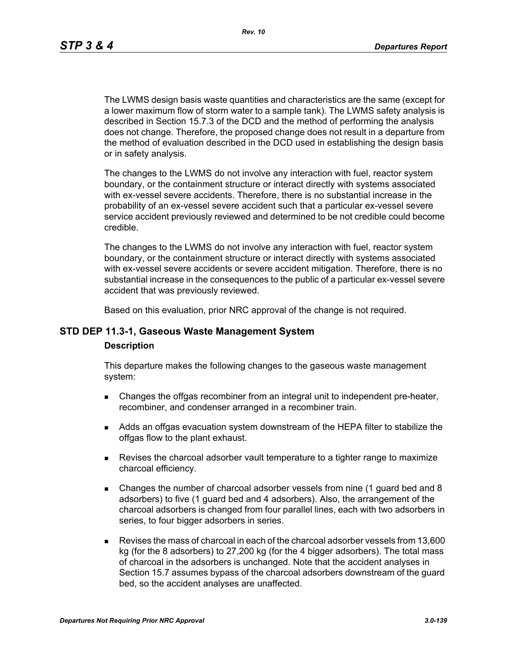*Rev. 10*

The LWMS design basis waste quantities and characteristics are the same (except for a lower maximum flow of storm water to a sample tank). The LWMS safety analysis is described in Section 15.7.3 of the DCD and the method of performing the analysis does not change. Therefore, the proposed change does not result in a departure from the method of evaluation described in the DCD used in establishing the design basis or in safety analysis.

The changes to the LWMS do not involve any interaction with fuel, reactor system boundary, or the containment structure or interact directly with systems associated with ex-vessel severe accidents. Therefore, there is no substantial increase in the probability of an ex-vessel severe accident such that a particular ex-vessel severe service accident previously reviewed and determined to be not credible could become credible.

The changes to the LWMS do not involve any interaction with fuel, reactor system boundary, or the containment structure or interact directly with systems associated with ex-vessel severe accidents or severe accident mitigation. Therefore, there is no substantial increase in the consequences to the public of a particular ex-vessel severe accident that was previously reviewed.

Based on this evaluation, prior NRC approval of the change is not required.

## **STD DEP 11.3-1, Gaseous Waste Management System**

#### **Description**

This departure makes the following changes to the gaseous waste management system:

- **EXECH** Changes the offgas recombiner from an integral unit to independent pre-heater, recombiner, and condenser arranged in a recombiner train.
- Adds an offgas evacuation system downstream of the HEPA filter to stabilize the offgas flow to the plant exhaust.
- Revises the charcoal adsorber vault temperature to a tighter range to maximize charcoal efficiency.
- Changes the number of charcoal adsorber vessels from nine (1 guard bed and 8 adsorbers) to five (1 guard bed and 4 adsorbers). Also, the arrangement of the charcoal adsorbers is changed from four parallel lines, each with two adsorbers in series, to four bigger adsorbers in series.
- Revises the mass of charcoal in each of the charcoal adsorber vessels from 13,600 kg (for the 8 adsorbers) to 27,200 kg (for the 4 bigger adsorbers). The total mass of charcoal in the adsorbers is unchanged. Note that the accident analyses in Section 15.7 assumes bypass of the charcoal adsorbers downstream of the guard bed, so the accident analyses are unaffected.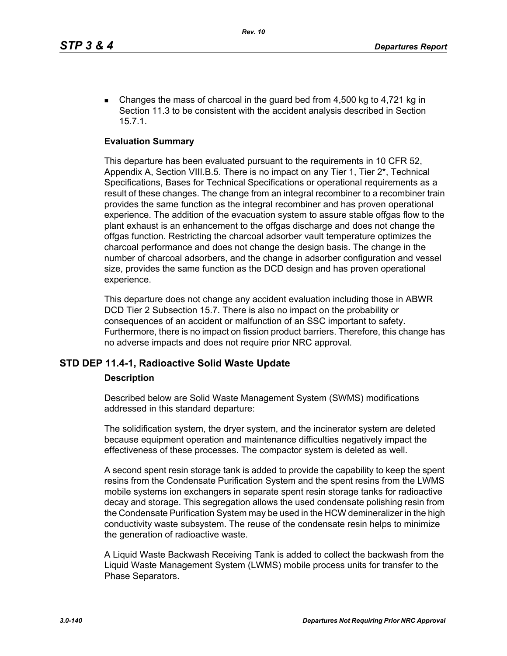Changes the mass of charcoal in the guard bed from  $4,500$  kg to  $4,721$  kg in Section 11.3 to be consistent with the accident analysis described in Section 15.7.1.

### **Evaluation Summary**

This departure has been evaluated pursuant to the requirements in 10 CFR 52, Appendix A, Section VIII.B.5. There is no impact on any Tier 1, Tier 2\*, Technical Specifications, Bases for Technical Specifications or operational requirements as a result of these changes. The change from an integral recombiner to a recombiner train provides the same function as the integral recombiner and has proven operational experience. The addition of the evacuation system to assure stable offgas flow to the plant exhaust is an enhancement to the offgas discharge and does not change the offgas function. Restricting the charcoal adsorber vault temperature optimizes the charcoal performance and does not change the design basis. The change in the number of charcoal adsorbers, and the change in adsorber configuration and vessel size, provides the same function as the DCD design and has proven operational experience.

This departure does not change any accident evaluation including those in ABWR DCD Tier 2 Subsection 15.7. There is also no impact on the probability or consequences of an accident or malfunction of an SSC important to safety. Furthermore, there is no impact on fission product barriers. Therefore, this change has no adverse impacts and does not require prior NRC approval.

### **STD DEP 11.4-1, Radioactive Solid Waste Update**

#### **Description**

Described below are Solid Waste Management System (SWMS) modifications addressed in this standard departure:

The solidification system, the dryer system, and the incinerator system are deleted because equipment operation and maintenance difficulties negatively impact the effectiveness of these processes. The compactor system is deleted as well.

A second spent resin storage tank is added to provide the capability to keep the spent resins from the Condensate Purification System and the spent resins from the LWMS mobile systems ion exchangers in separate spent resin storage tanks for radioactive decay and storage. This segregation allows the used condensate polishing resin from the Condensate Purification System may be used in the HCW demineralizer in the high conductivity waste subsystem. The reuse of the condensate resin helps to minimize the generation of radioactive waste.

A Liquid Waste Backwash Receiving Tank is added to collect the backwash from the Liquid Waste Management System (LWMS) mobile process units for transfer to the Phase Separators.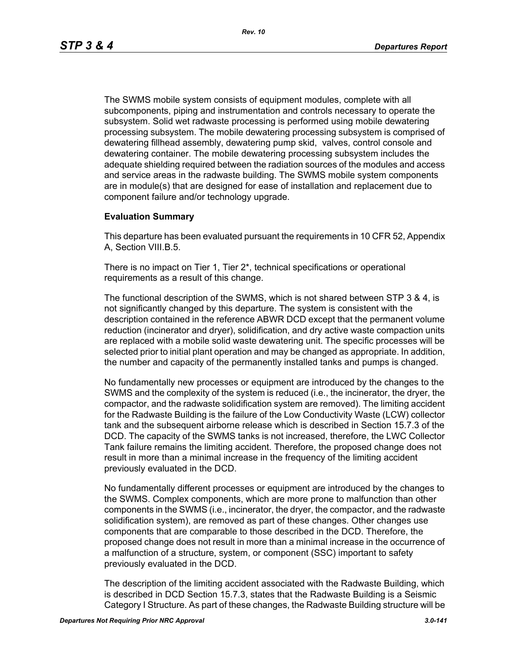The SWMS mobile system consists of equipment modules, complete with all subcomponents, piping and instrumentation and controls necessary to operate the subsystem. Solid wet radwaste processing is performed using mobile dewatering processing subsystem. The mobile dewatering processing subsystem is comprised of dewatering fillhead assembly, dewatering pump skid, valves, control console and dewatering container. The mobile dewatering processing subsystem includes the adequate shielding required between the radiation sources of the modules and access and service areas in the radwaste building. The SWMS mobile system components are in module(s) that are designed for ease of installation and replacement due to component failure and/or technology upgrade.

## **Evaluation Summary**

This departure has been evaluated pursuant the requirements in 10 CFR 52, Appendix A, Section VIII.B.5.

There is no impact on Tier 1, Tier 2\*, technical specifications or operational requirements as a result of this change.

The functional description of the SWMS, which is not shared between STP 3 & 4, is not significantly changed by this departure. The system is consistent with the description contained in the reference ABWR DCD except that the permanent volume reduction (incinerator and dryer), solidification, and dry active waste compaction units are replaced with a mobile solid waste dewatering unit. The specific processes will be selected prior to initial plant operation and may be changed as appropriate. In addition, the number and capacity of the permanently installed tanks and pumps is changed.

No fundamentally new processes or equipment are introduced by the changes to the SWMS and the complexity of the system is reduced (i.e., the incinerator, the dryer, the compactor, and the radwaste solidification system are removed). The limiting accident for the Radwaste Building is the failure of the Low Conductivity Waste (LCW) collector tank and the subsequent airborne release which is described in Section 15.7.3 of the DCD. The capacity of the SWMS tanks is not increased, therefore, the LWC Collector Tank failure remains the limiting accident. Therefore, the proposed change does not result in more than a minimal increase in the frequency of the limiting accident previously evaluated in the DCD.

No fundamentally different processes or equipment are introduced by the changes to the SWMS. Complex components, which are more prone to malfunction than other components in the SWMS (i.e., incinerator, the dryer, the compactor, and the radwaste solidification system), are removed as part of these changes. Other changes use components that are comparable to those described in the DCD. Therefore, the proposed change does not result in more than a minimal increase in the occurrence of a malfunction of a structure, system, or component (SSC) important to safety previously evaluated in the DCD.

The description of the limiting accident associated with the Radwaste Building, which is described in DCD Section 15.7.3, states that the Radwaste Building is a Seismic Category I Structure. As part of these changes, the Radwaste Building structure will be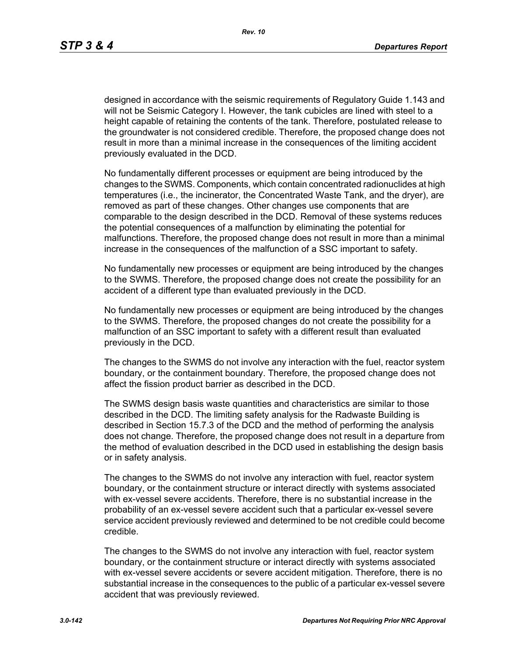designed in accordance with the seismic requirements of Regulatory Guide 1.143 and will not be Seismic Category I. However, the tank cubicles are lined with steel to a height capable of retaining the contents of the tank. Therefore, postulated release to the groundwater is not considered credible. Therefore, the proposed change does not result in more than a minimal increase in the consequences of the limiting accident previously evaluated in the DCD.

No fundamentally different processes or equipment are being introduced by the changes to the SWMS. Components, which contain concentrated radionuclides at high temperatures (i.e., the incinerator, the Concentrated Waste Tank, and the dryer), are removed as part of these changes. Other changes use components that are comparable to the design described in the DCD. Removal of these systems reduces the potential consequences of a malfunction by eliminating the potential for malfunctions. Therefore, the proposed change does not result in more than a minimal increase in the consequences of the malfunction of a SSC important to safety.

No fundamentally new processes or equipment are being introduced by the changes to the SWMS. Therefore, the proposed change does not create the possibility for an accident of a different type than evaluated previously in the DCD.

No fundamentally new processes or equipment are being introduced by the changes to the SWMS. Therefore, the proposed changes do not create the possibility for a malfunction of an SSC important to safety with a different result than evaluated previously in the DCD.

The changes to the SWMS do not involve any interaction with the fuel, reactor system boundary, or the containment boundary. Therefore, the proposed change does not affect the fission product barrier as described in the DCD.

The SWMS design basis waste quantities and characteristics are similar to those described in the DCD. The limiting safety analysis for the Radwaste Building is described in Section 15.7.3 of the DCD and the method of performing the analysis does not change. Therefore, the proposed change does not result in a departure from the method of evaluation described in the DCD used in establishing the design basis or in safety analysis.

The changes to the SWMS do not involve any interaction with fuel, reactor system boundary, or the containment structure or interact directly with systems associated with ex-vessel severe accidents. Therefore, there is no substantial increase in the probability of an ex-vessel severe accident such that a particular ex-vessel severe service accident previously reviewed and determined to be not credible could become credible.

The changes to the SWMS do not involve any interaction with fuel, reactor system boundary, or the containment structure or interact directly with systems associated with ex-vessel severe accidents or severe accident mitigation. Therefore, there is no substantial increase in the consequences to the public of a particular ex-vessel severe accident that was previously reviewed.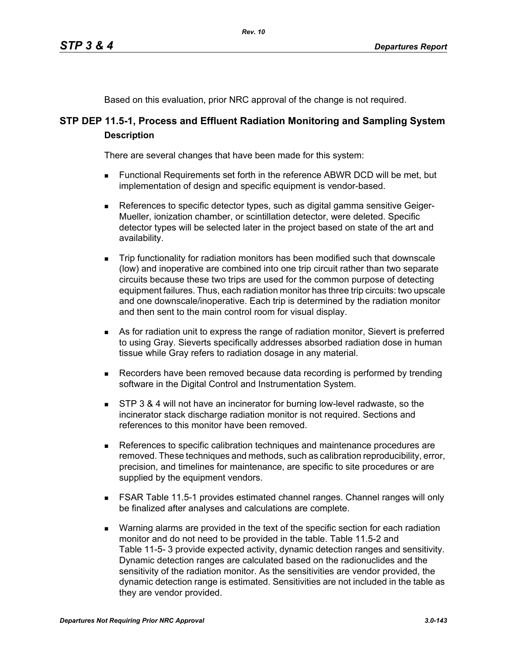Based on this evaluation, prior NRC approval of the change is not required.

# **STP DEP 11.5-1, Process and Effluent Radiation Monitoring and Sampling System Description**

There are several changes that have been made for this system:

- Functional Requirements set forth in the reference ABWR DCD will be met, but implementation of design and specific equipment is vendor-based.
- References to specific detector types, such as digital gamma sensitive Geiger-Mueller, ionization chamber, or scintillation detector, were deleted. Specific detector types will be selected later in the project based on state of the art and availability.
- Trip functionality for radiation monitors has been modified such that downscale (low) and inoperative are combined into one trip circuit rather than two separate circuits because these two trips are used for the common purpose of detecting equipment failures. Thus, each radiation monitor has three trip circuits: two upscale and one downscale/inoperative. Each trip is determined by the radiation monitor and then sent to the main control room for visual display.
- As for radiation unit to express the range of radiation monitor, Sievert is preferred to using Gray. Sieverts specifically addresses absorbed radiation dose in human tissue while Gray refers to radiation dosage in any material.
- **Recorders have been removed because data recording is performed by trending** software in the Digital Control and Instrumentation System.
- **STP 3 & 4 will not have an incinerator for burning low-level radwaste, so the** incinerator stack discharge radiation monitor is not required. Sections and references to this monitor have been removed.
- References to specific calibration techniques and maintenance procedures are removed. These techniques and methods, such as calibration reproducibility, error, precision, and timelines for maintenance, are specific to site procedures or are supplied by the equipment vendors.
- FSAR Table 11.5-1 provides estimated channel ranges. Channel ranges will only be finalized after analyses and calculations are complete.
- **Narning alarms are provided in the text of the specific section for each radiation** monitor and do not need to be provided in the table. Table 11.5-2 and Table 11-5- 3 provide expected activity, dynamic detection ranges and sensitivity. Dynamic detection ranges are calculated based on the radionuclides and the sensitivity of the radiation monitor. As the sensitivities are vendor provided, the dynamic detection range is estimated. Sensitivities are not included in the table as they are vendor provided.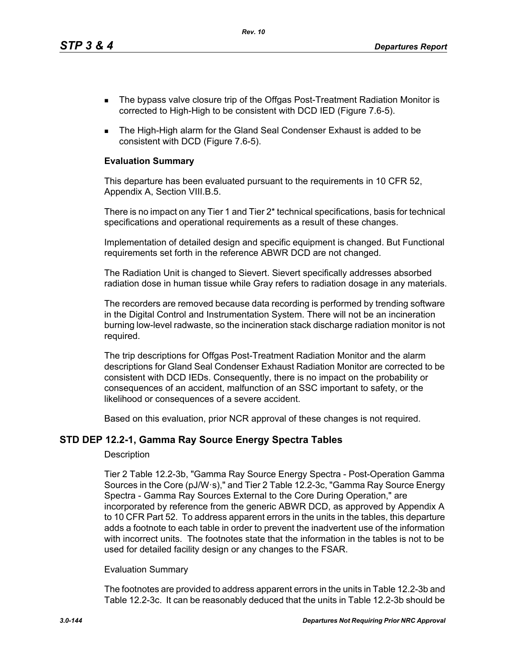*Rev. 10*

- The bypass valve closure trip of the Offgas Post-Treatment Radiation Monitor is corrected to High-High to be consistent with DCD IED (Figure 7.6-5).
- The High-High alarm for the Gland Seal Condenser Exhaust is added to be consistent with DCD (Figure 7.6-5).

## **Evaluation Summary**

This departure has been evaluated pursuant to the requirements in 10 CFR 52, Appendix A, Section VIII.B.5.

There is no impact on any Tier 1 and Tier 2\* technical specifications, basis for technical specifications and operational requirements as a result of these changes.

Implementation of detailed design and specific equipment is changed. But Functional requirements set forth in the reference ABWR DCD are not changed.

The Radiation Unit is changed to Sievert. Sievert specifically addresses absorbed radiation dose in human tissue while Gray refers to radiation dosage in any materials.

The recorders are removed because data recording is performed by trending software in the Digital Control and Instrumentation System. There will not be an incineration burning low-level radwaste, so the incineration stack discharge radiation monitor is not required.

The trip descriptions for Offgas Post-Treatment Radiation Monitor and the alarm descriptions for Gland Seal Condenser Exhaust Radiation Monitor are corrected to be consistent with DCD IEDs. Consequently, there is no impact on the probability or consequences of an accident, malfunction of an SSC important to safety, or the likelihood or consequences of a severe accident.

Based on this evaluation, prior NCR approval of these changes is not required.

# **STD DEP 12.2-1, Gamma Ray Source Energy Spectra Tables**

### **Description**

Tier 2 Table 12.2-3b, "Gamma Ray Source Energy Spectra - Post-Operation Gamma Sources in the Core (pJ/W·s)," and Tier 2 Table 12.2-3c, "Gamma Ray Source Energy Spectra - Gamma Ray Sources External to the Core During Operation," are incorporated by reference from the generic ABWR DCD, as approved by Appendix A to 10 CFR Part 52. To address apparent errors in the units in the tables, this departure adds a footnote to each table in order to prevent the inadvertent use of the information with incorrect units. The footnotes state that the information in the tables is not to be used for detailed facility design or any changes to the FSAR.

### Evaluation Summary

The footnotes are provided to address apparent errors in the units in Table 12.2-3b and Table 12.2-3c. It can be reasonably deduced that the units in Table 12.2-3b should be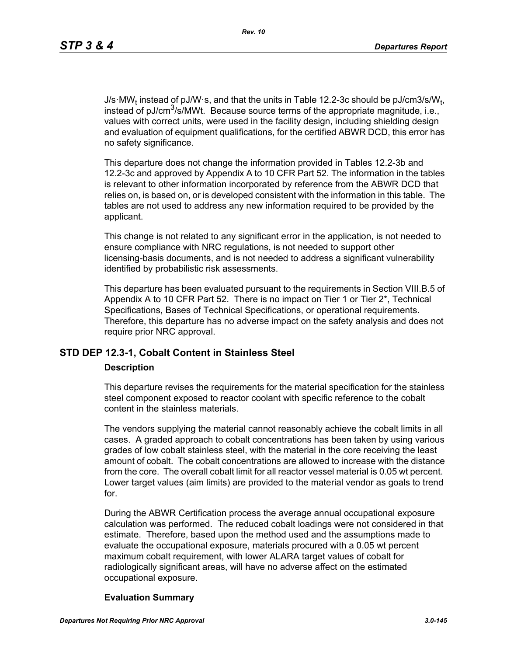J/s·MW<sub>t</sub> instead of pJ/W·s, and that the units in Table 12.2-3c should be pJ/cm3/s/W<sub>t</sub>, instead of pJ/cm<sup>3</sup>/s/MWt. Because source terms of the appropriate magnitude, i.e., values with correct units, were used in the facility design, including shielding design and evaluation of equipment qualifications, for the certified ABWR DCD, this error has no safety significance.

This departure does not change the information provided in Tables 12.2-3b and 12.2-3c and approved by Appendix A to 10 CFR Part 52. The information in the tables is relevant to other information incorporated by reference from the ABWR DCD that relies on, is based on, or is developed consistent with the information in this table. The tables are not used to address any new information required to be provided by the applicant.

This change is not related to any significant error in the application, is not needed to ensure compliance with NRC regulations, is not needed to support other licensing-basis documents, and is not needed to address a significant vulnerability identified by probabilistic risk assessments.

This departure has been evaluated pursuant to the requirements in Section VIII.B.5 of Appendix A to 10 CFR Part 52. There is no impact on Tier 1 or Tier 2<sup>\*</sup>, Technical Specifications, Bases of Technical Specifications, or operational requirements. Therefore, this departure has no adverse impact on the safety analysis and does not require prior NRC approval.

# **STD DEP 12.3-1, Cobalt Content in Stainless Steel**

#### **Description**

This departure revises the requirements for the material specification for the stainless steel component exposed to reactor coolant with specific reference to the cobalt content in the stainless materials.

The vendors supplying the material cannot reasonably achieve the cobalt limits in all cases. A graded approach to cobalt concentrations has been taken by using various grades of low cobalt stainless steel, with the material in the core receiving the least amount of cobalt. The cobalt concentrations are allowed to increase with the distance from the core. The overall cobalt limit for all reactor vessel material is 0.05 wt percent. Lower target values (aim limits) are provided to the material vendor as goals to trend for.

During the ABWR Certification process the average annual occupational exposure calculation was performed. The reduced cobalt loadings were not considered in that estimate. Therefore, based upon the method used and the assumptions made to evaluate the occupational exposure, materials procured with a 0.05 wt percent maximum cobalt requirement, with lower ALARA target values of cobalt for radiologically significant areas, will have no adverse affect on the estimated occupational exposure.

#### **Evaluation Summary**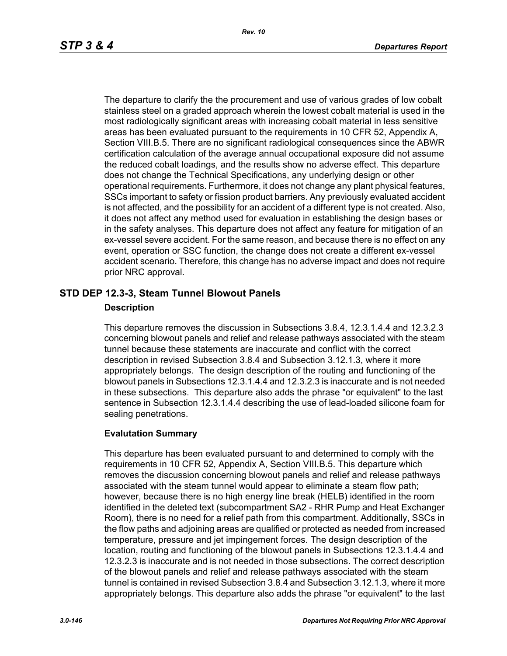The departure to clarify the the procurement and use of various grades of low cobalt stainless steel on a graded approach wherein the lowest cobalt material is used in the most radiologically significant areas with increasing cobalt material in less sensitive areas has been evaluated pursuant to the requirements in 10 CFR 52, Appendix A, Section VIII.B.5. There are no significant radiological consequences since the ABWR certification calculation of the average annual occupational exposure did not assume the reduced cobalt loadings, and the results show no adverse effect. This departure does not change the Technical Specifications, any underlying design or other operational requirements. Furthermore, it does not change any plant physical features, SSCs important to safety or fission product barriers. Any previously evaluated accident is not affected, and the possibility for an accident of a different type is not created. Also, it does not affect any method used for evaluation in establishing the design bases or in the safety analyses. This departure does not affect any feature for mitigation of an ex-vessel severe accident. For the same reason, and because there is no effect on any event, operation or SSC function, the change does not create a different ex-vessel accident scenario. Therefore, this change has no adverse impact and does not require prior NRC approval.

# **STD DEP 12.3-3, Steam Tunnel Blowout Panels**

#### **Description**

This departure removes the discussion in Subsections 3.8.4, 12.3.1.4.4 and 12.3.2.3 concerning blowout panels and relief and release pathways associated with the steam tunnel because these statements are inaccurate and conflict with the correct description in revised Subsection 3.8.4 and Subsection 3.12.1.3, where it more appropriately belongs. The design description of the routing and functioning of the blowout panels in Subsections 12.3.1.4.4 and 12.3.2.3 is inaccurate and is not needed in these subsections. This departure also adds the phrase "or equivalent" to the last sentence in Subsection 12.3.1.4.4 describing the use of lead-loaded silicone foam for sealing penetrations.

## **Evalutation Summary**

This departure has been evaluated pursuant to and determined to comply with the requirements in 10 CFR 52, Appendix A, Section VIII.B.5. This departure which removes the discussion concerning blowout panels and relief and release pathways associated with the steam tunnel would appear to eliminate a steam flow path; however, because there is no high energy line break (HELB) identified in the room identified in the deleted text (subcompartment SA2 - RHR Pump and Heat Exchanger Room), there is no need for a relief path from this compartment. Additionally, SSCs in the flow paths and adjoining areas are qualified or protected as needed from increased temperature, pressure and jet impingement forces. The design description of the location, routing and functioning of the blowout panels in Subsections 12.3.1.4.4 and 12.3.2.3 is inaccurate and is not needed in those subsections. The correct description of the blowout panels and relief and release pathways associated with the steam tunnel is contained in revised Subsection 3.8.4 and Subsection 3.12.1.3, where it more appropriately belongs. This departure also adds the phrase "or equivalent" to the last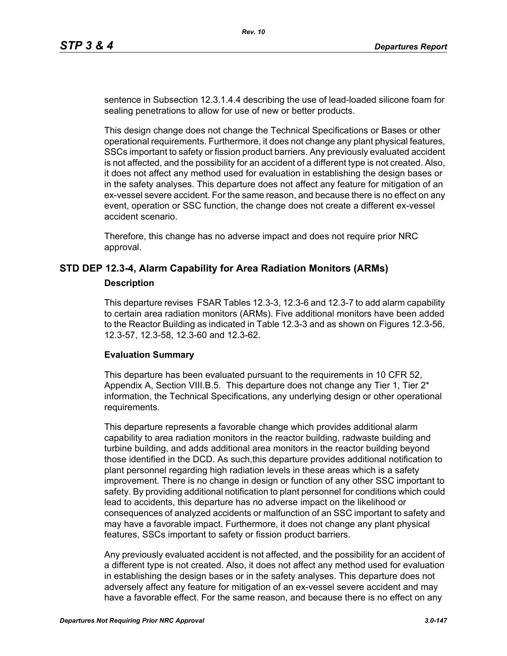sentence in Subsection 12.3.1.4.4 describing the use of lead-loaded silicone foam for sealing penetrations to allow for use of new or better products.

This design change does not change the Technical Specifications or Bases or other operational requirements. Furthermore, it does not change any plant physical features, SSCs important to safety or fission product barriers. Any previously evaluated accident is not affected, and the possibility for an accident of a different type is not created. Also, it does not affect any method used for evaluation in establishing the design bases or in the safety analyses. This departure does not affect any feature for mitigation of an ex-vessel severe accident. For the same reason, and because there is no effect on any event, operation or SSC function, the change does not create a different ex-vessel accident scenario.

Therefore, this change has no adverse impact and does not require prior NRC approval.

# **STD DEP 12.3-4, Alarm Capability for Area Radiation Monitors (ARMs)**

#### **Description**

This departure revises FSAR Tables 12.3-3, 12.3-6 and 12.3-7 to add alarm capability to certain area radiation monitors (ARMs). Five additional monitors have been added to the Reactor Building as indicated in Table 12.3-3 and as shown on Figures 12.3-56, 12.3-57, 12.3-58, 12.3-60 and 12.3-62.

#### **Evaluation Summary**

This departure has been evaluated pursuant to the requirements in 10 CFR 52, Appendix A, Section VIII.B.5. This departure does not change any Tier 1, Tier  $2^*$ information, the Technical Specifications, any underlying design or other operational requirements.

This departure represents a favorable change which provides additional alarm capability to area radiation monitors in the reactor building, radwaste building and turbine building, and adds additional area monitors in the reactor building beyond those identified in the DCD. As such,this departure provides additional notification to plant personnel regarding high radiation levels in these areas which is a safety improvement. There is no change in design or function of any other SSC important to safety. By providing additional notification to plant personnel for conditions which could lead to accidents, this departure has no adverse impact on the likelihood or consequences of analyzed accidents or malfunction of an SSC important to safety and may have a favorable impact. Furthermore, it does not change any plant physical features, SSCs important to safety or fission product barriers.

Any previously evaluated accident is not affected, and the possibility for an accident of a different type is not created. Also, it does not affect any method used for evaluation in establishing the design bases or in the safety analyses. This departure does not adversely affect any feature for mitigation of an ex-vessel severe accident and may have a favorable effect. For the same reason, and because there is no effect on any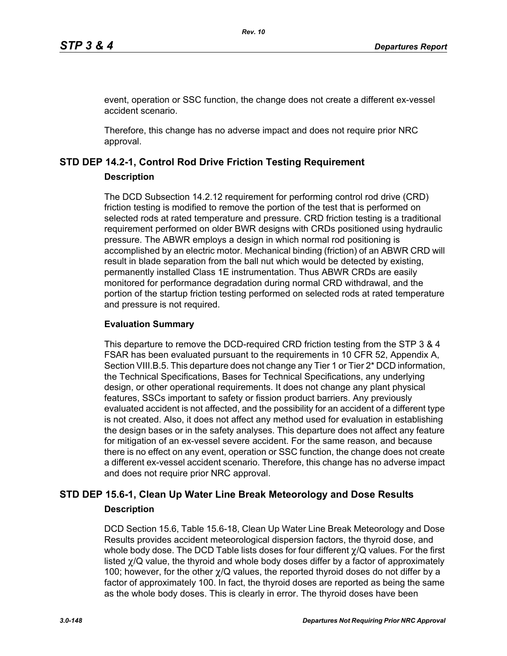event, operation or SSC function, the change does not create a different ex-vessel accident scenario.

Therefore, this change has no adverse impact and does not require prior NRC approval.

# **STD DEP 14.2-1, Control Rod Drive Friction Testing Requirement**

#### **Description**

The DCD Subsection 14.2.12 requirement for performing control rod drive (CRD) friction testing is modified to remove the portion of the test that is performed on selected rods at rated temperature and pressure. CRD friction testing is a traditional requirement performed on older BWR designs with CRDs positioned using hydraulic pressure. The ABWR employs a design in which normal rod positioning is accomplished by an electric motor. Mechanical binding (friction) of an ABWR CRD will result in blade separation from the ball nut which would be detected by existing, permanently installed Class 1E instrumentation. Thus ABWR CRDs are easily monitored for performance degradation during normal CRD withdrawal, and the portion of the startup friction testing performed on selected rods at rated temperature and pressure is not required.

#### **Evaluation Summary**

This departure to remove the DCD-required CRD friction testing from the STP 3 & 4 FSAR has been evaluated pursuant to the requirements in 10 CFR 52, Appendix A, Section VIII.B.5. This departure does not change any Tier 1 or Tier 2<sup>\*</sup> DCD information, the Technical Specifications, Bases for Technical Specifications, any underlying design, or other operational requirements. It does not change any plant physical features, SSCs important to safety or fission product barriers. Any previously evaluated accident is not affected, and the possibility for an accident of a different type is not created. Also, it does not affect any method used for evaluation in establishing the design bases or in the safety analyses. This departure does not affect any feature for mitigation of an ex-vessel severe accident. For the same reason, and because there is no effect on any event, operation or SSC function, the change does not create a different ex-vessel accident scenario. Therefore, this change has no adverse impact and does not require prior NRC approval.

# **STD DEP 15.6-1, Clean Up Water Line Break Meteorology and Dose Results Description**

DCD Section 15.6, Table 15.6-18, Clean Up Water Line Break Meteorology and Dose Results provides accident meteorological dispersion factors, the thyroid dose, and whole body dose. The DCD Table lists doses for four different χ/Q values. For the first listed  $\gamma$ /Q value, the thyroid and whole body doses differ by a factor of approximately 100; however, for the other  $\gamma$ /Q values, the reported thyroid doses do not differ by a factor of approximately 100. In fact, the thyroid doses are reported as being the same as the whole body doses. This is clearly in error. The thyroid doses have been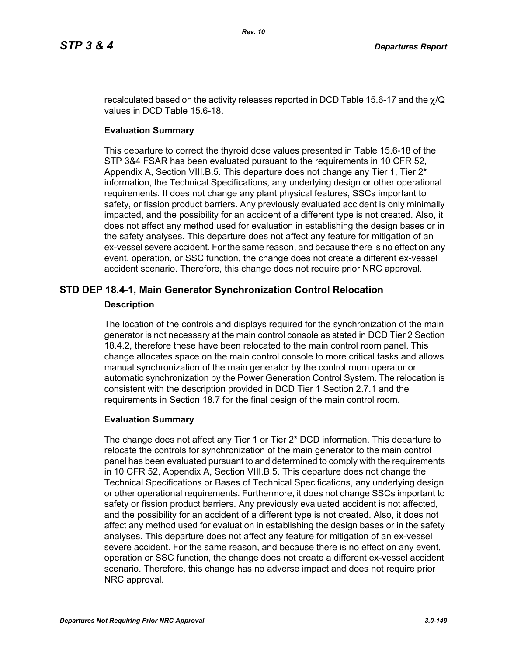recalculated based on the activity releases reported in DCD Table 15.6-17 and the  $\chi$ /Q values in DCD Table 15.6-18.

## **Evaluation Summary**

This departure to correct the thyroid dose values presented in Table 15.6-18 of the STP 3&4 FSAR has been evaluated pursuant to the requirements in 10 CFR 52, Appendix A, Section VIII.B.5. This departure does not change any Tier 1, Tier 2\* information, the Technical Specifications, any underlying design or other operational requirements. It does not change any plant physical features, SSCs important to safety, or fission product barriers. Any previously evaluated accident is only minimally impacted, and the possibility for an accident of a different type is not created. Also, it does not affect any method used for evaluation in establishing the design bases or in the safety analyses. This departure does not affect any feature for mitigation of an ex-vessel severe accident. For the same reason, and because there is no effect on any event, operation, or SSC function, the change does not create a different ex-vessel accident scenario. Therefore, this change does not require prior NRC approval.

# **STD DEP 18.4-1, Main Generator Synchronization Control Relocation**

# **Description**

The location of the controls and displays required for the synchronization of the main generator is not necessary at the main control console as stated in DCD Tier 2 Section 18.4.2, therefore these have been relocated to the main control room panel. This change allocates space on the main control console to more critical tasks and allows manual synchronization of the main generator by the control room operator or automatic synchronization by the Power Generation Control System. The relocation is consistent with the description provided in DCD Tier 1 Section 2.7.1 and the requirements in Section 18.7 for the final design of the main control room.

## **Evaluation Summary**

The change does not affect any Tier 1 or Tier 2\* DCD information. This departure to relocate the controls for synchronization of the main generator to the main control panel has been evaluated pursuant to and determined to comply with the requirements in 10 CFR 52, Appendix A, Section VIII.B.5. This departure does not change the Technical Specifications or Bases of Technical Specifications, any underlying design or other operational requirements. Furthermore, it does not change SSCs important to safety or fission product barriers. Any previously evaluated accident is not affected, and the possibility for an accident of a different type is not created. Also, it does not affect any method used for evaluation in establishing the design bases or in the safety analyses. This departure does not affect any feature for mitigation of an ex-vessel severe accident. For the same reason, and because there is no effect on any event, operation or SSC function, the change does not create a different ex-vessel accident scenario. Therefore, this change has no adverse impact and does not require prior NRC approval.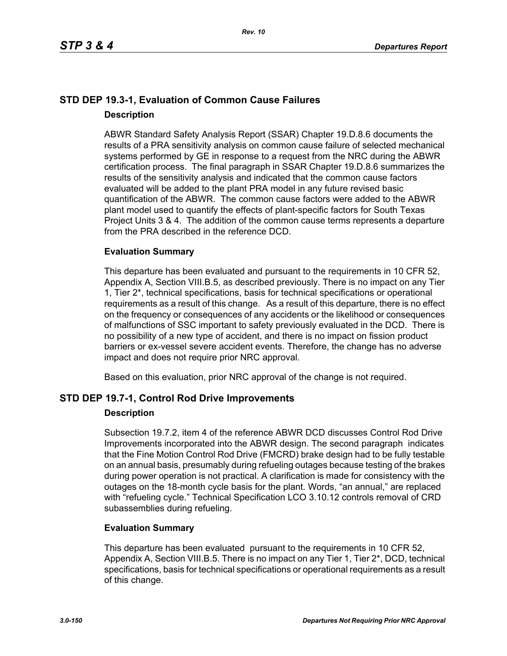# **STD DEP 19.3-1, Evaluation of Common Cause Failures Description**

ABWR Standard Safety Analysis Report (SSAR) Chapter 19.D.8.6 documents the results of a PRA sensitivity analysis on common cause failure of selected mechanical systems performed by GE in response to a request from the NRC during the ABWR certification process. The final paragraph in SSAR Chapter 19.D.8.6 summarizes the results of the sensitivity analysis and indicated that the common cause factors evaluated will be added to the plant PRA model in any future revised basic quantification of the ABWR. The common cause factors were added to the ABWR plant model used to quantify the effects of plant-specific factors for South Texas Project Units 3 & 4. The addition of the common cause terms represents a departure from the PRA described in the reference DCD.

# **Evaluation Summary**

This departure has been evaluated and pursuant to the requirements in 10 CFR 52, Appendix A, Section VIII.B.5, as described previously. There is no impact on any Tier 1, Tier 2\*, technical specifications, basis for technical specifications or operational requirements as a result of this change. As a result of this departure, there is no effect on the frequency or consequences of any accidents or the likelihood or consequences of malfunctions of SSC important to safety previously evaluated in the DCD. There is no possibility of a new type of accident, and there is no impact on fission product barriers or ex-vessel severe accident events. Therefore, the change has no adverse impact and does not require prior NRC approval.

Based on this evaluation, prior NRC approval of the change is not required.

# **STD DEP 19.7-1, Control Rod Drive Improvements**

## **Description**

Subsection 19.7.2, item 4 of the reference ABWR DCD discusses Control Rod Drive Improvements incorporated into the ABWR design. The second paragraph indicates that the Fine Motion Control Rod Drive (FMCRD) brake design had to be fully testable on an annual basis, presumably during refueling outages because testing of the brakes during power operation is not practical. A clarification is made for consistency with the outages on the 18-month cycle basis for the plant. Words, "an annual," are replaced with "refueling cycle." Technical Specification LCO 3.10.12 controls removal of CRD subassemblies during refueling.

## **Evaluation Summary**

This departure has been evaluated pursuant to the requirements in 10 CFR 52, Appendix A, Section VIII.B.5. There is no impact on any Tier 1, Tier 2<sup>\*</sup>, DCD, technical specifications, basis for technical specifications or operational requirements as a result of this change.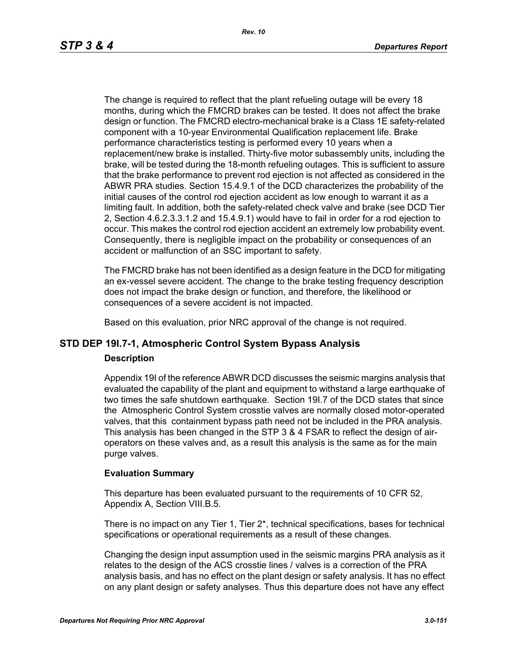The change is required to reflect that the plant refueling outage will be every 18 months, during which the FMCRD brakes can be tested. It does not affect the brake design or function. The FMCRD electro-mechanical brake is a Class 1E safety-related component with a 10-year Environmental Qualification replacement life. Brake performance characteristics testing is performed every 10 years when a replacement/new brake is installed. Thirty-five motor subassembly units, including the brake, will be tested during the 18-month refueling outages. This is sufficient to assure that the brake performance to prevent rod ejection is not affected as considered in the ABWR PRA studies. Section 15.4.9.1 of the DCD characterizes the probability of the initial causes of the control rod ejection accident as low enough to warrant it as a limiting fault. In addition, both the safety-related check valve and brake (see DCD Tier 2, Section 4.6.2.3.3.1.2 and 15.4.9.1) would have to fail in order for a rod ejection to occur. This makes the control rod ejection accident an extremely low probability event. Consequently, there is negligible impact on the probability or consequences of an accident or malfunction of an SSC important to safety.

The FMCRD brake has not been identified as a design feature in the DCD for mitigating an ex-vessel severe accident. The change to the brake testing frequency description does not impact the brake design or function, and therefore, the likelihood or consequences of a severe accident is not impacted.

Based on this evaluation, prior NRC approval of the change is not required.

# **STD DEP 19I.7-1, Atmospheric Control System Bypass Analysis**

#### **Description**

Appendix 19I of the reference ABWR DCD discusses the seismic margins analysis that evaluated the capability of the plant and equipment to withstand a large earthquake of two times the safe shutdown earthquake. Section 19I.7 of the DCD states that since the Atmospheric Control System crosstie valves are normally closed motor-operated valves, that this containment bypass path need not be included in the PRA analysis. This analysis has been changed in the STP 3 & 4 FSAR to reflect the design of airoperators on these valves and, as a result this analysis is the same as for the main purge valves.

#### **Evaluation Summary**

This departure has been evaluated pursuant to the requirements of 10 CFR 52, Appendix A, Section VIII.B.5.

There is no impact on any Tier 1, Tier 2\*, technical specifications, bases for technical specifications or operational requirements as a result of these changes.

Changing the design input assumption used in the seismic margins PRA analysis as it relates to the design of the ACS crosstie lines / valves is a correction of the PRA analysis basis, and has no effect on the plant design or safety analysis. It has no effect on any plant design or safety analyses. Thus this departure does not have any effect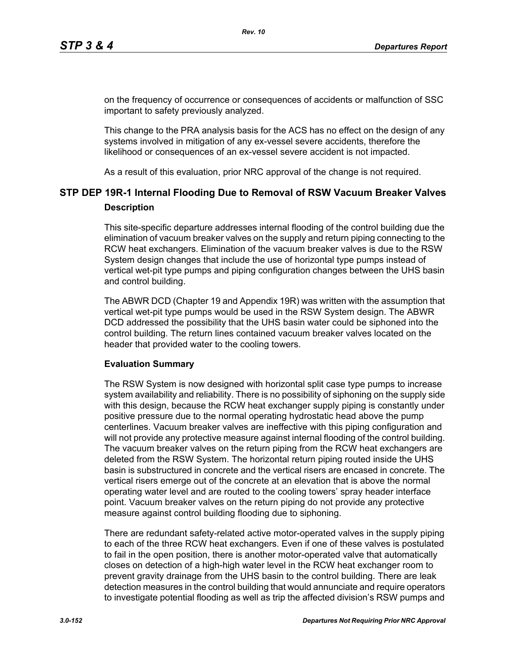on the frequency of occurrence or consequences of accidents or malfunction of SSC important to safety previously analyzed.

This change to the PRA analysis basis for the ACS has no effect on the design of any systems involved in mitigation of any ex-vessel severe accidents, therefore the likelihood or consequences of an ex-vessel severe accident is not impacted.

As a result of this evaluation, prior NRC approval of the change is not required.

# **STP DEP 19R-1 Internal Flooding Due to Removal of RSW Vacuum Breaker Valves Description**

This site-specific departure addresses internal flooding of the control building due the elimination of vacuum breaker valves on the supply and return piping connecting to the RCW heat exchangers. Elimination of the vacuum breaker valves is due to the RSW System design changes that include the use of horizontal type pumps instead of vertical wet-pit type pumps and piping configuration changes between the UHS basin and control building.

The ABWR DCD (Chapter 19 and Appendix 19R) was written with the assumption that vertical wet-pit type pumps would be used in the RSW System design. The ABWR DCD addressed the possibility that the UHS basin water could be siphoned into the control building. The return lines contained vacuum breaker valves located on the header that provided water to the cooling towers.

#### **Evaluation Summary**

The RSW System is now designed with horizontal split case type pumps to increase system availability and reliability. There is no possibility of siphoning on the supply side with this design, because the RCW heat exchanger supply piping is constantly under positive pressure due to the normal operating hydrostatic head above the pump centerlines. Vacuum breaker valves are ineffective with this piping configuration and will not provide any protective measure against internal flooding of the control building. The vacuum breaker valves on the return piping from the RCW heat exchangers are deleted from the RSW System. The horizontal return piping routed inside the UHS basin is substructured in concrete and the vertical risers are encased in concrete. The vertical risers emerge out of the concrete at an elevation that is above the normal operating water level and are routed to the cooling towers' spray header interface point. Vacuum breaker valves on the return piping do not provide any protective measure against control building flooding due to siphoning.

There are redundant safety-related active motor-operated valves in the supply piping to each of the three RCW heat exchangers. Even if one of these valves is postulated to fail in the open position, there is another motor-operated valve that automatically closes on detection of a high-high water level in the RCW heat exchanger room to prevent gravity drainage from the UHS basin to the control building. There are leak detection measures in the control building that would annunciate and require operators to investigate potential flooding as well as trip the affected division's RSW pumps and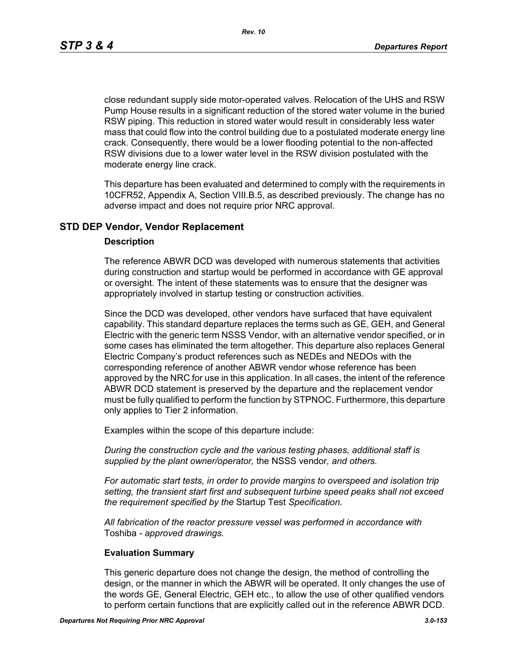*Rev. 10*

close redundant supply side motor-operated valves. Relocation of the UHS and RSW Pump House results in a significant reduction of the stored water volume in the buried RSW piping. This reduction in stored water would result in considerably less water mass that could flow into the control building due to a postulated moderate energy line crack. Consequently, there would be a lower flooding potential to the non-affected RSW divisions due to a lower water level in the RSW division postulated with the moderate energy line crack.

This departure has been evaluated and determined to comply with the requirements in 10CFR52, Appendix A, Section VIII.B.5, as described previously. The change has no adverse impact and does not require prior NRC approval.

## **STD DEP Vendor, Vendor Replacement**

#### **Description**

The reference ABWR DCD was developed with numerous statements that activities during construction and startup would be performed in accordance with GE approval or oversight. The intent of these statements was to ensure that the designer was appropriately involved in startup testing or construction activities.

Since the DCD was developed, other vendors have surfaced that have equivalent capability. This standard departure replaces the terms such as GE, GEH, and General Electric with the generic term NSSS Vendor, with an alternative vendor specified, or in some cases has eliminated the term altogether. This departure also replaces General Electric Company's product references such as NEDEs and NEDOs with the corresponding reference of another ABWR vendor whose reference has been approved by the NRC for use in this application. In all cases, the intent of the reference ABWR DCD statement is preserved by the departure and the replacement vendor must be fully qualified to perform the function by STPNOC. Furthermore, this departure only applies to Tier 2 information.

Examples within the scope of this departure include:

*During the construction cycle and the various testing phases, additional staff is supplied by the plant owner/operator,* the NSSS vendor*, and others.*

*For automatic start tests, in order to provide margins to overspeed and isolation trip setting, the transient start first and subsequent turbine speed peaks shall not exceed the requirement specified by the* Startup Test *Specification.*

*All fabrication of the reactor pressure vessel was performed in accordance with*  Toshiba *- approved drawings.*

#### **Evaluation Summary**

This generic departure does not change the design, the method of controlling the design, or the manner in which the ABWR will be operated. It only changes the use of the words GE, General Electric, GEH etc., to allow the use of other qualified vendors to perform certain functions that are explicitly called out in the reference ABWR DCD.